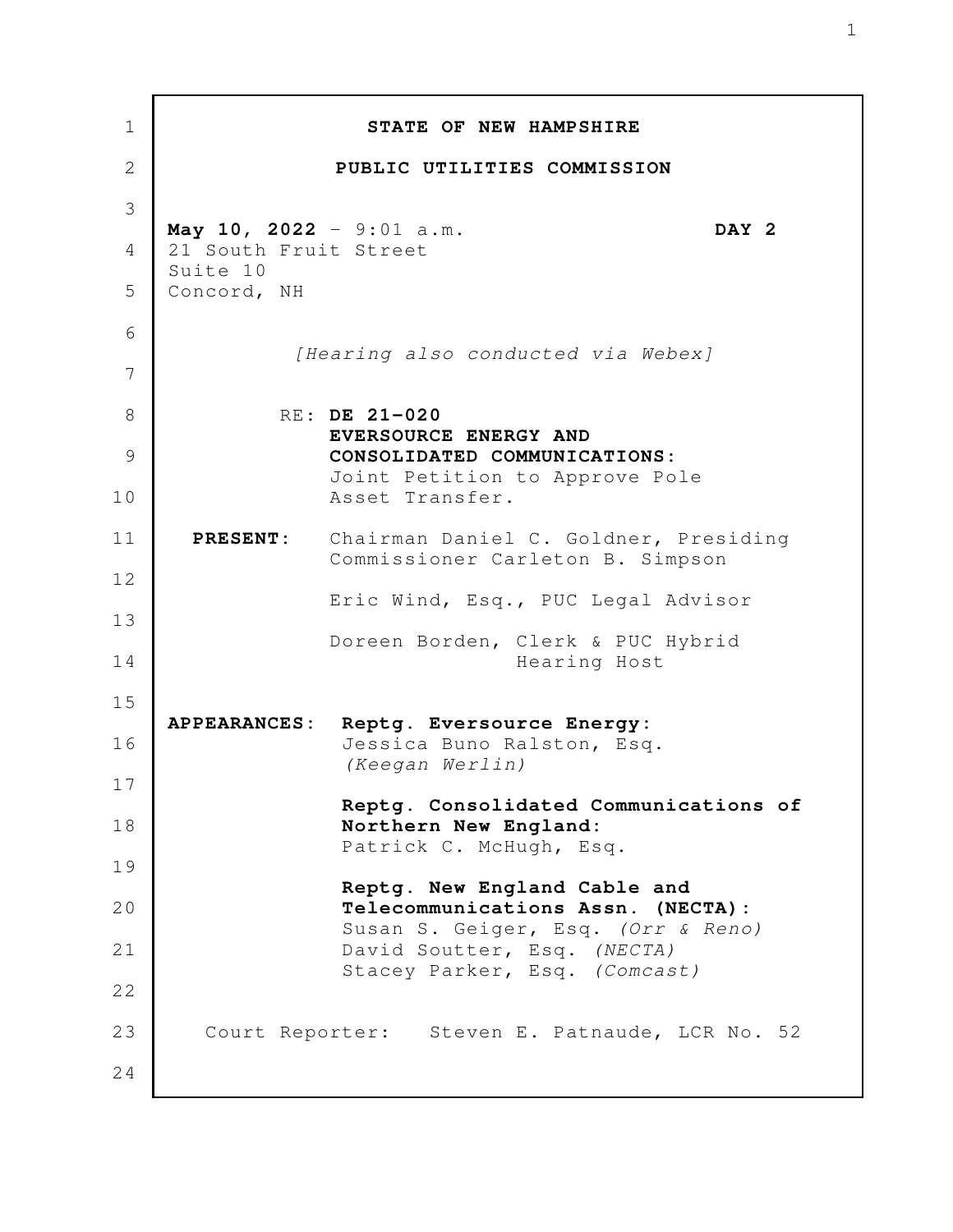| 1              |                                                               | STATE OF NEW HAMPSHIRE                                                                    |  |
|----------------|---------------------------------------------------------------|-------------------------------------------------------------------------------------------|--|
| 2              |                                                               | PUBLIC UTILITIES COMMISSION                                                               |  |
| 3              |                                                               | DAY 2                                                                                     |  |
| $\overline{4}$ | May 10, 2022 - 9:01 a.m.<br>21 South Fruit Street<br>Suite 10 |                                                                                           |  |
| 5              | Concord, NH                                                   |                                                                                           |  |
| 6<br>7         |                                                               | [Hearing also conducted via Webex]                                                        |  |
| 8              |                                                               | RE: DE 21-020                                                                             |  |
| 9              |                                                               | EVERSOURCE ENERGY AND<br>CONSOLIDATED COMMUNICATIONS:                                     |  |
| 10             |                                                               | Joint Petition to Approve Pole<br>Asset Transfer.                                         |  |
| 11<br>12       |                                                               | PRESENT: Chairman Daniel C. Goldner, Presiding<br>Commissioner Carleton B. Simpson        |  |
| 13             |                                                               | Eric Wind, Esq., PUC Legal Advisor                                                        |  |
| 14             |                                                               | Doreen Borden, Clerk & PUC Hybrid<br>Hearing Host                                         |  |
| 15<br>16       |                                                               | APPEARANCES: Reptg. Eversource Energy:<br>Jessica Buno Ralston, Esq.                      |  |
| 17             |                                                               | (Keegan Werlin)                                                                           |  |
| 18             |                                                               | Reptg. Consolidated Communications of<br>Northern New England:<br>Patrick C. McHugh, Esq. |  |
| 19             |                                                               | Reptg. New England Cable and                                                              |  |
| 20             |                                                               | Telecommunications Assn. (NECTA):<br>Susan S. Geiger, Esq. (Orr & Reno)                   |  |
| 21             |                                                               | David Soutter, Esq. (NECTA)<br>Stacey Parker, Esq. (Comcast)                              |  |
| 22             |                                                               |                                                                                           |  |
| 23             |                                                               | Court Reporter: Steven E. Patnaude, LCR No. 52                                            |  |
| 24             |                                                               |                                                                                           |  |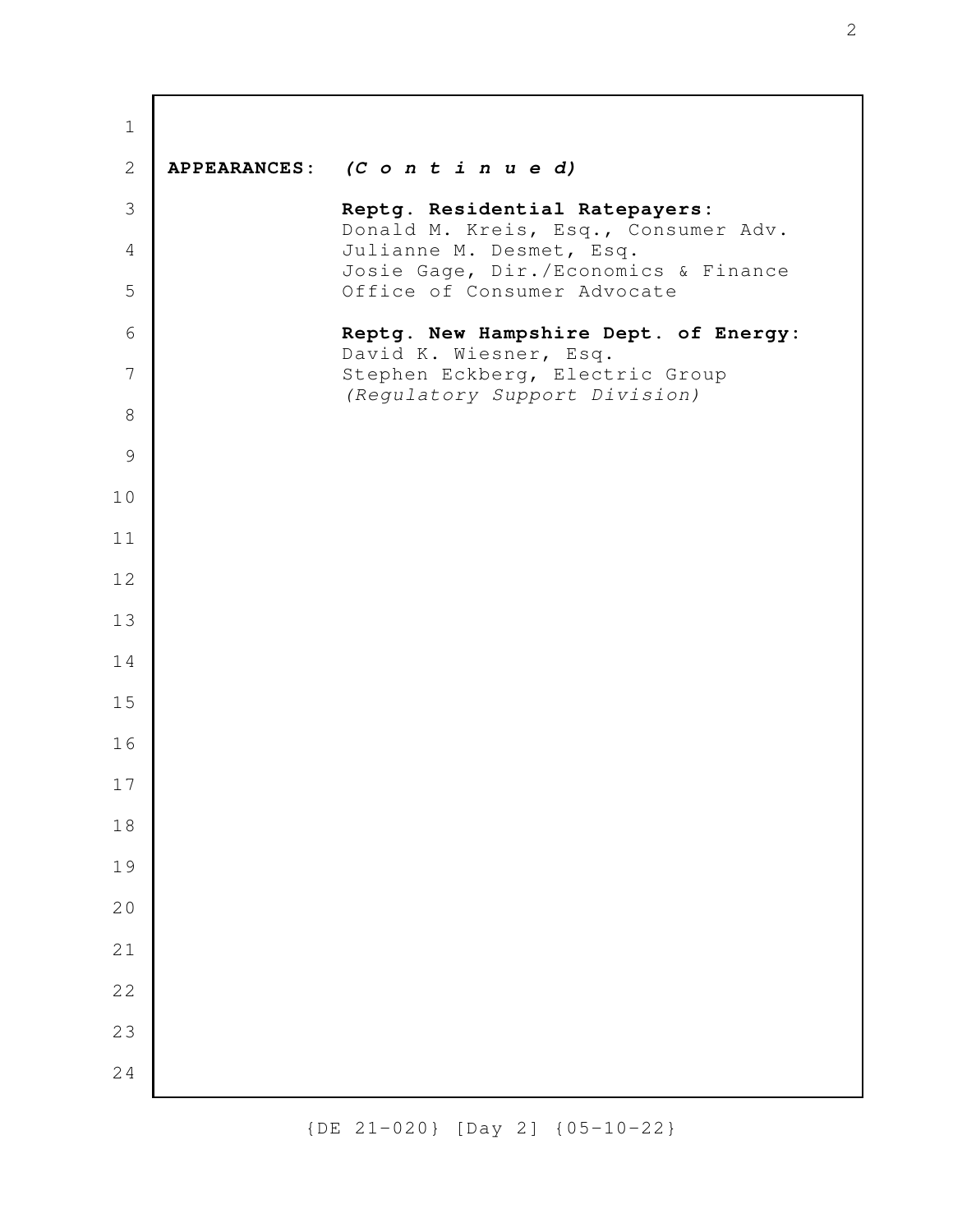| $1\,$          |                                                                        |
|----------------|------------------------------------------------------------------------|
| $\mathbf{2}$   | APPEARANCES: (C o n t i n u e d)                                       |
| $\mathfrak{Z}$ | Reptg. Residential Ratepayers:<br>Donald M. Kreis, Esq., Consumer Adv. |
| $\overline{4}$ | Julianne M. Desmet, Esq.<br>Josie Gage, Dir./Economics & Finance       |
| 5              | Office of Consumer Advocate                                            |
| 6              | Reptg. New Hampshire Dept. of Energy:<br>David K. Wiesner, Esq.        |
| 7              | Stephen Eckberg, Electric Group<br>(Regulatory Support Division)       |
| $\,8\,$        |                                                                        |
| 9              |                                                                        |
| 10             |                                                                        |
| 11             |                                                                        |
| 12             |                                                                        |
| 13             |                                                                        |
| 14             |                                                                        |
| 15             |                                                                        |
| 16             |                                                                        |
| 17             |                                                                        |
| 18             |                                                                        |
| 19             |                                                                        |
| 20             |                                                                        |
| 21             |                                                                        |
| 22             |                                                                        |
| 23             |                                                                        |
| 24             |                                                                        |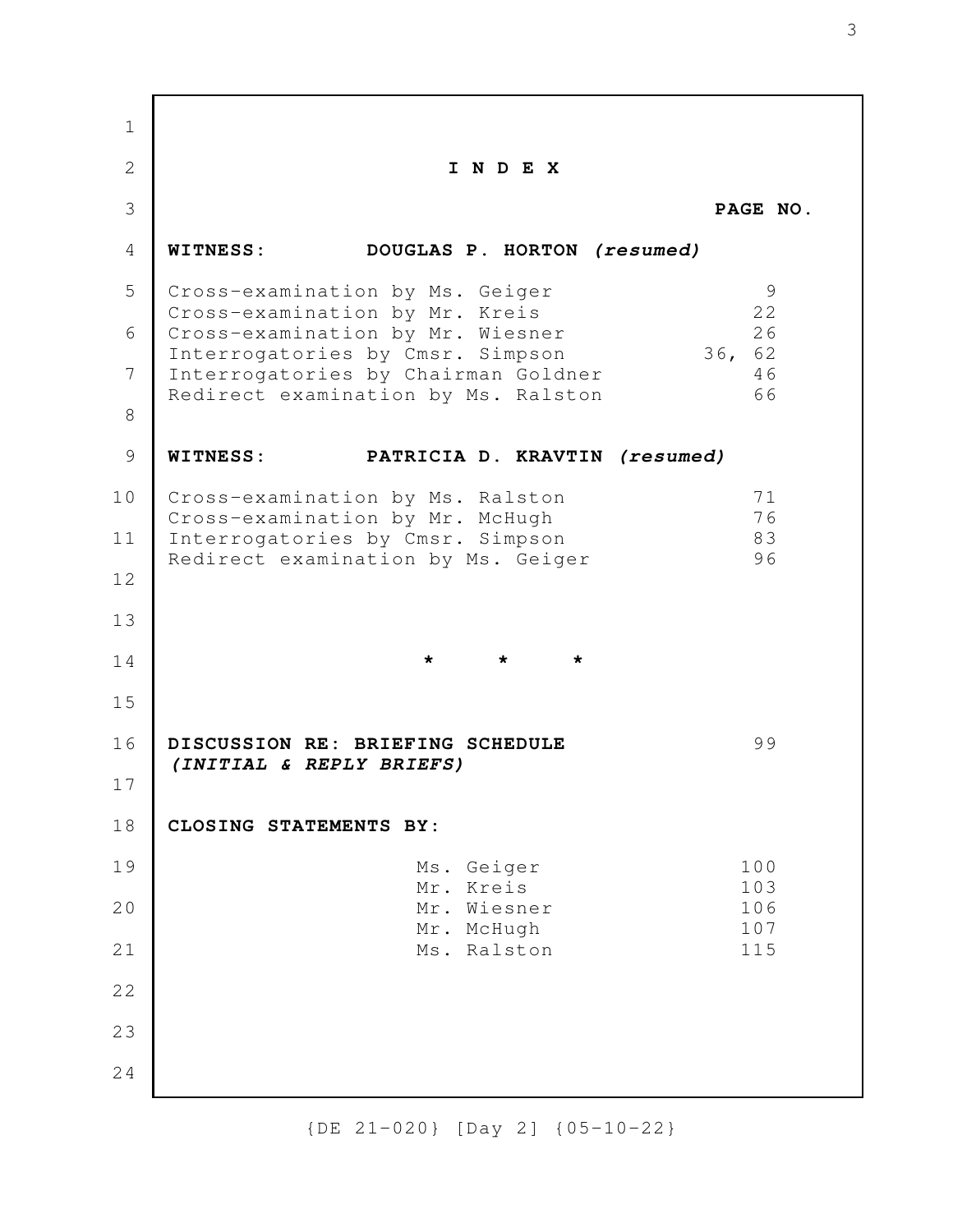**I N D E X PAGE NO. WITNESS: DOUGLAS P. HORTON** *(resumed)* Cross-examination by Ms. Geiger 9<br>Cross-examination by Mr. Kreis 9 Cross-examination by Mr. Kreis Cross-examination by Mr. Wiesner 26 Interrogatories by Cmsr. Simpson 36, 62 Interrogatories by Chairman Goldner 46 Redirect examination by Ms. Ralston 66 **WITNESS: PATRICIA D. KRAVTIN** *(resumed)* Cross-examination by Ms. Ralston 71 Cross-examination by Mr. McHugh 76 Interrogatories by Cmsr. Simpson 83 Redirect examination by Ms. Geiger 96 **\* \* \* DISCUSSION RE: BRIEFING SCHEDULE** 99 *(INITIAL & REPLY BRIEFS)* **CLOSING STATEMENTS BY:** Ms. Geiger 100 Mr. Kreis 103 Mr. Wiesner 106 Mr. McHugh 107 Ms. Ralston 115 1 2 3 4 5 6 7 8 9 10 11 12 13 14 15 16 17 18 19 20 21 22 23 24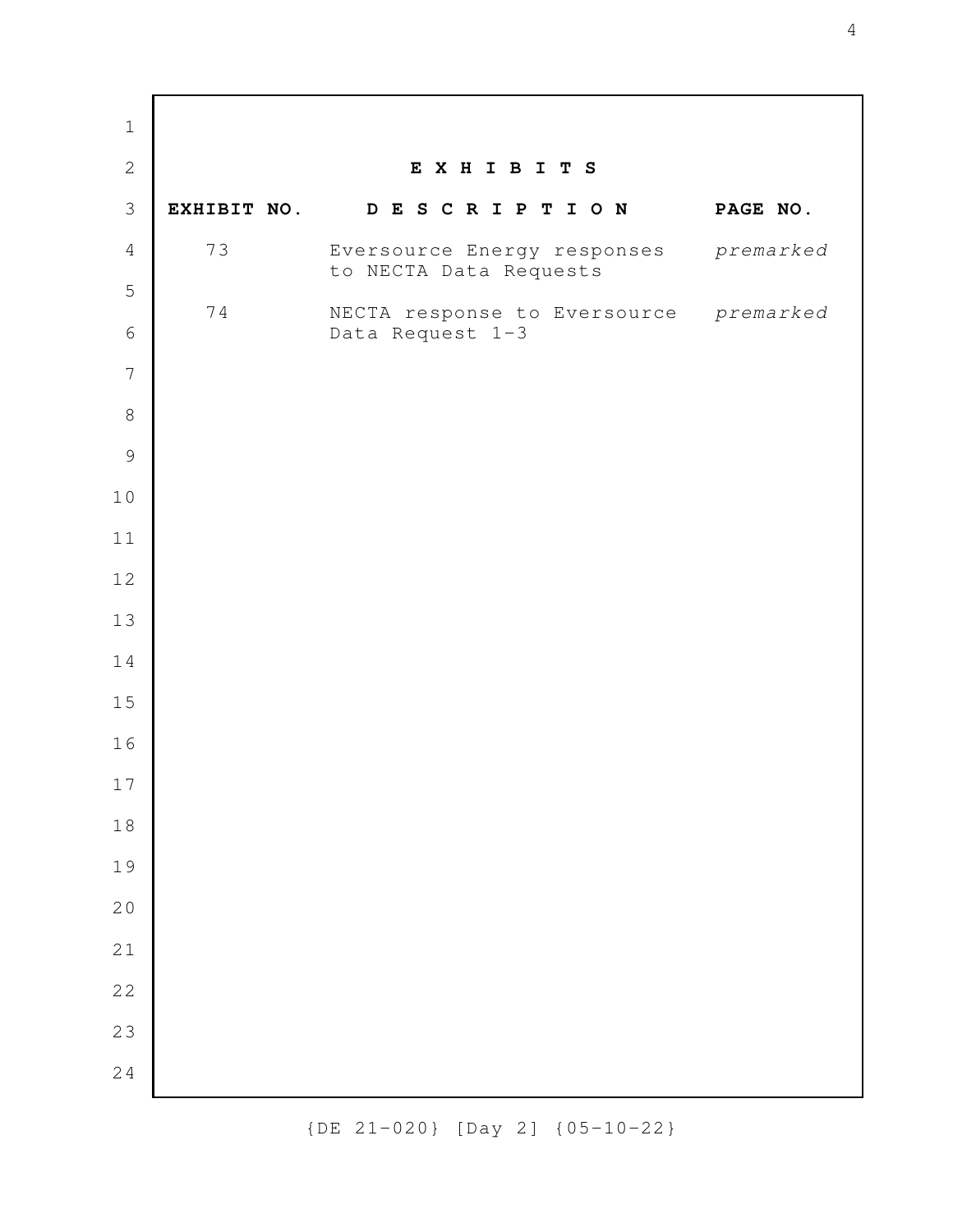**E X H I B I T S EXHIBIT NO. D E S C R I P T I O N PAGE NO.** 73 Eversource Energy responses *premarked* to NECTA Data Requests 74 NECTA response to Eversource *premarked* Data Request 1-3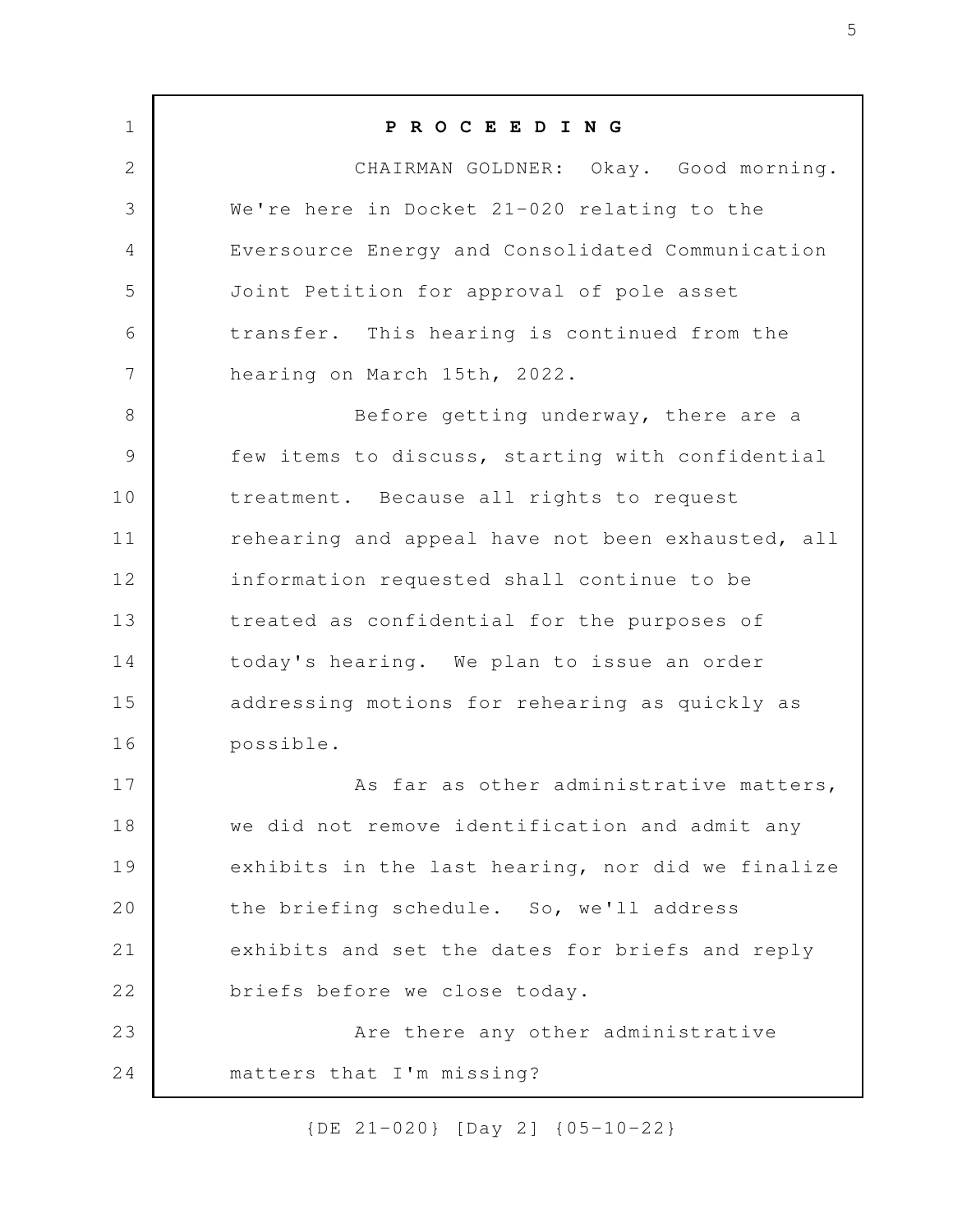**P R O C E E D I N G** CHAIRMAN GOLDNER: Okay. Good morning. We're here in Docket 21-020 relating to the Eversource Energy and Consolidated Communication Joint Petition for approval of pole asset transfer. This hearing is continued from the hearing on March 15th, 2022. Before getting underway, there are a few items to discuss, starting with confidential treatment. Because all rights to request rehearing and appeal have not been exhausted, all information requested shall continue to be treated as confidential for the purposes of today's hearing. We plan to issue an order addressing motions for rehearing as quickly as possible. As far as other administrative matters, we did not remove identification and admit any exhibits in the last hearing, nor did we finalize the briefing schedule. So, we'll address exhibits and set the dates for briefs and reply briefs before we close today. Are there any other administrative matters that I'm missing? 1 2 3 4 5 6 7 8 9 10 11 12 13 14 15 16 17 18 19 20 21 22 23 24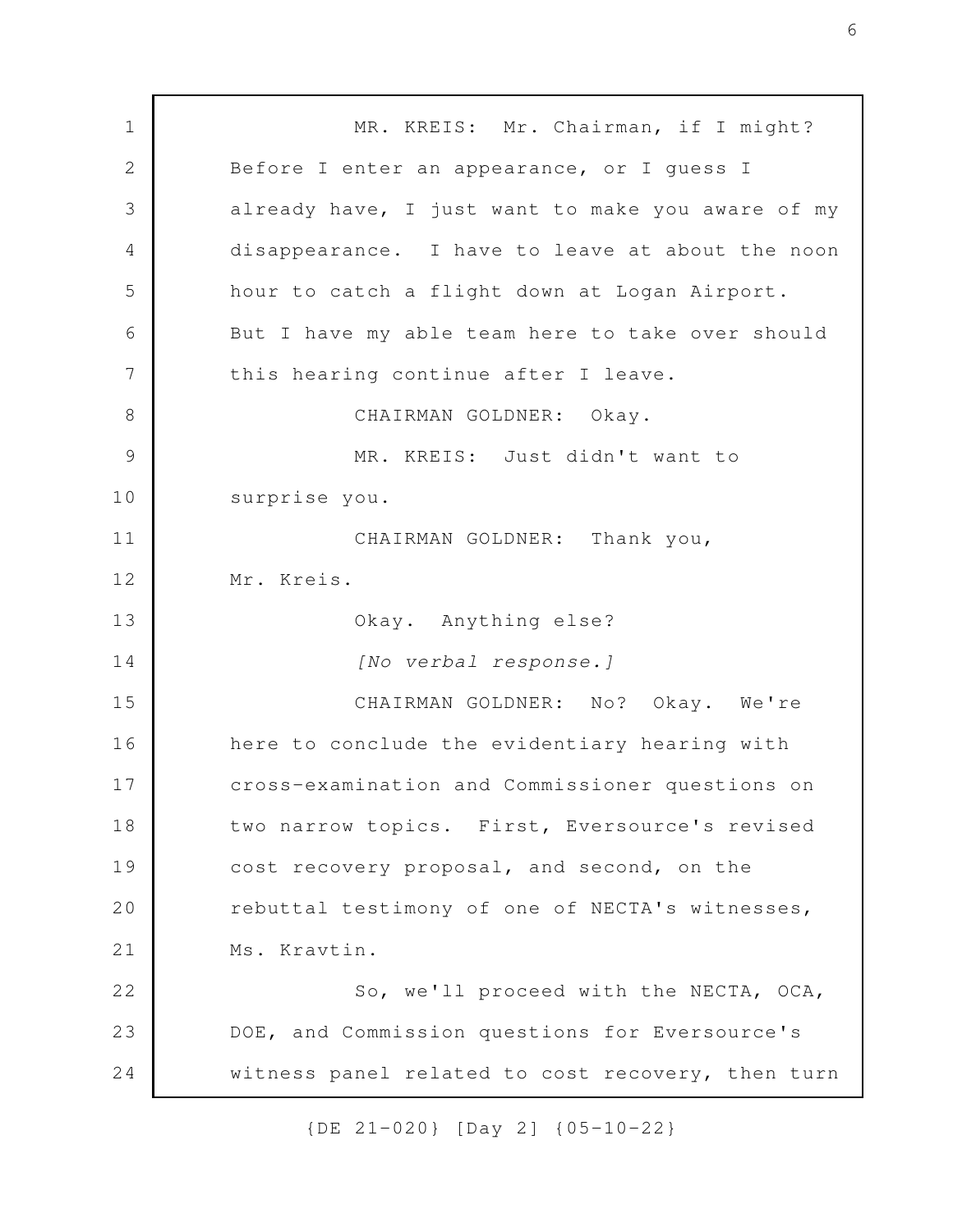MR. KREIS: Mr. Chairman, if I might? Before I enter an appearance, or I guess I already have, I just want to make you aware of my disappearance. I have to leave at about the noon hour to catch a flight down at Logan Airport. But I have my able team here to take over should this hearing continue after I leave. CHAIRMAN GOLDNER: Okay. MR. KREIS: Just didn't want to surprise you. CHAIRMAN GOLDNER: Thank you, Mr. Kreis. Okay. Anything else? *[No verbal response.]* CHAIRMAN GOLDNER: No? Okay. We're here to conclude the evidentiary hearing with cross-examination and Commissioner questions on two narrow topics. First, Eversource's revised cost recovery proposal, and second, on the rebuttal testimony of one of NECTA's witnesses, Ms. Kravtin. So, we'll proceed with the NECTA, OCA, DOE, and Commission questions for Eversource's witness panel related to cost recovery, then turn 1 2 3 4 5 6 7 8 9 10 11 12 13 14 15 16 17 18 19 20 21 22 23 24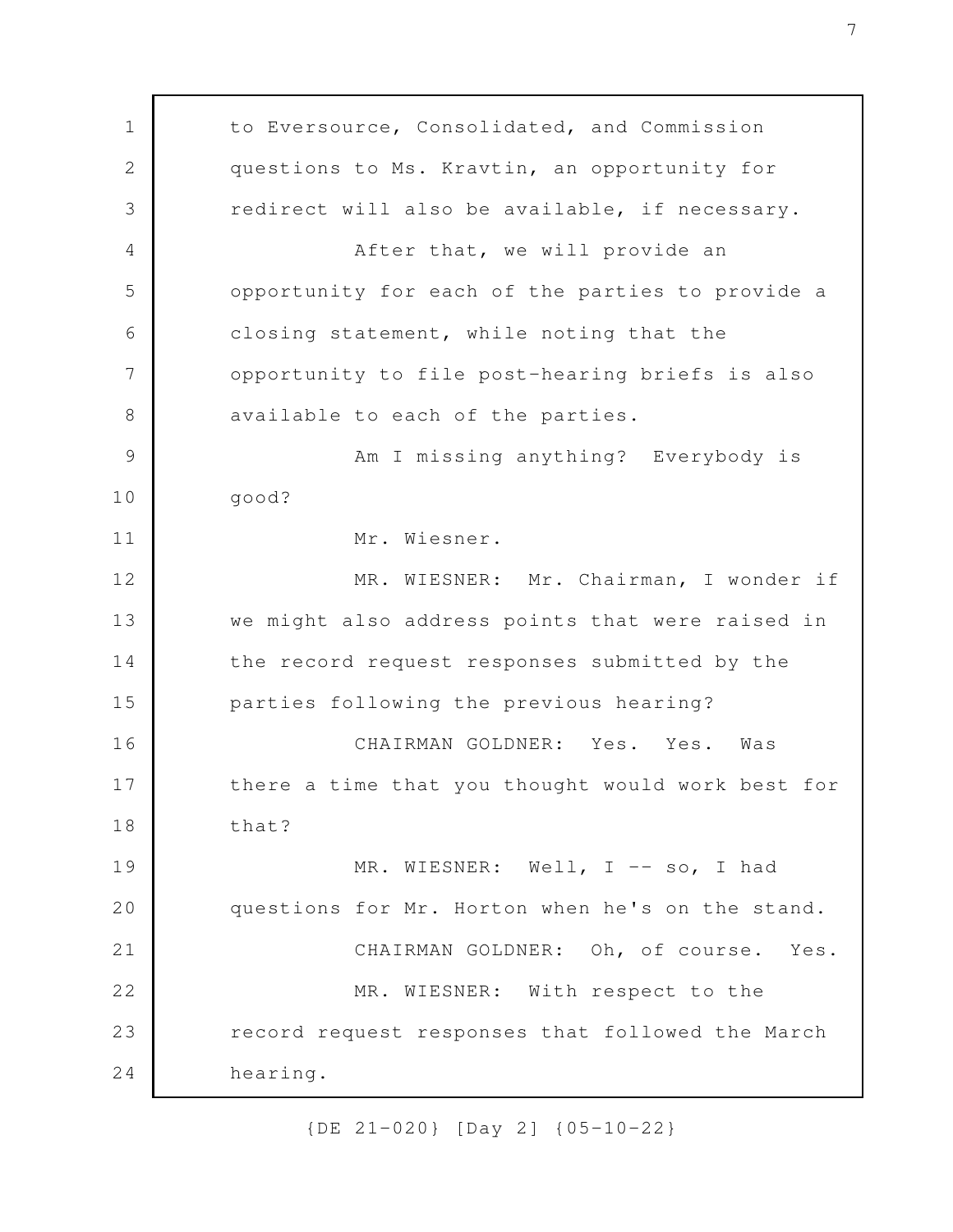to Eversource, Consolidated, and Commission questions to Ms. Kravtin, an opportunity for redirect will also be available, if necessary. After that, we will provide an opportunity for each of the parties to provide a closing statement, while noting that the opportunity to file post-hearing briefs is also available to each of the parties. Am I missing anything? Everybody is good? Mr. Wiesner. MR. WIESNER: Mr. Chairman, I wonder if we might also address points that were raised in the record request responses submitted by the parties following the previous hearing? CHAIRMAN GOLDNER: Yes. Yes. Was there a time that you thought would work best for that? MR. WIESNER: Well, I -- so, I had questions for Mr. Horton when he's on the stand. CHAIRMAN GOLDNER: Oh, of course. Yes. MR. WIESNER: With respect to the record request responses that followed the March hearing. 1 2 3 4 5 6 7 8 9 10 11 12 13 14 15 16 17 18 19 20 21 22 23 24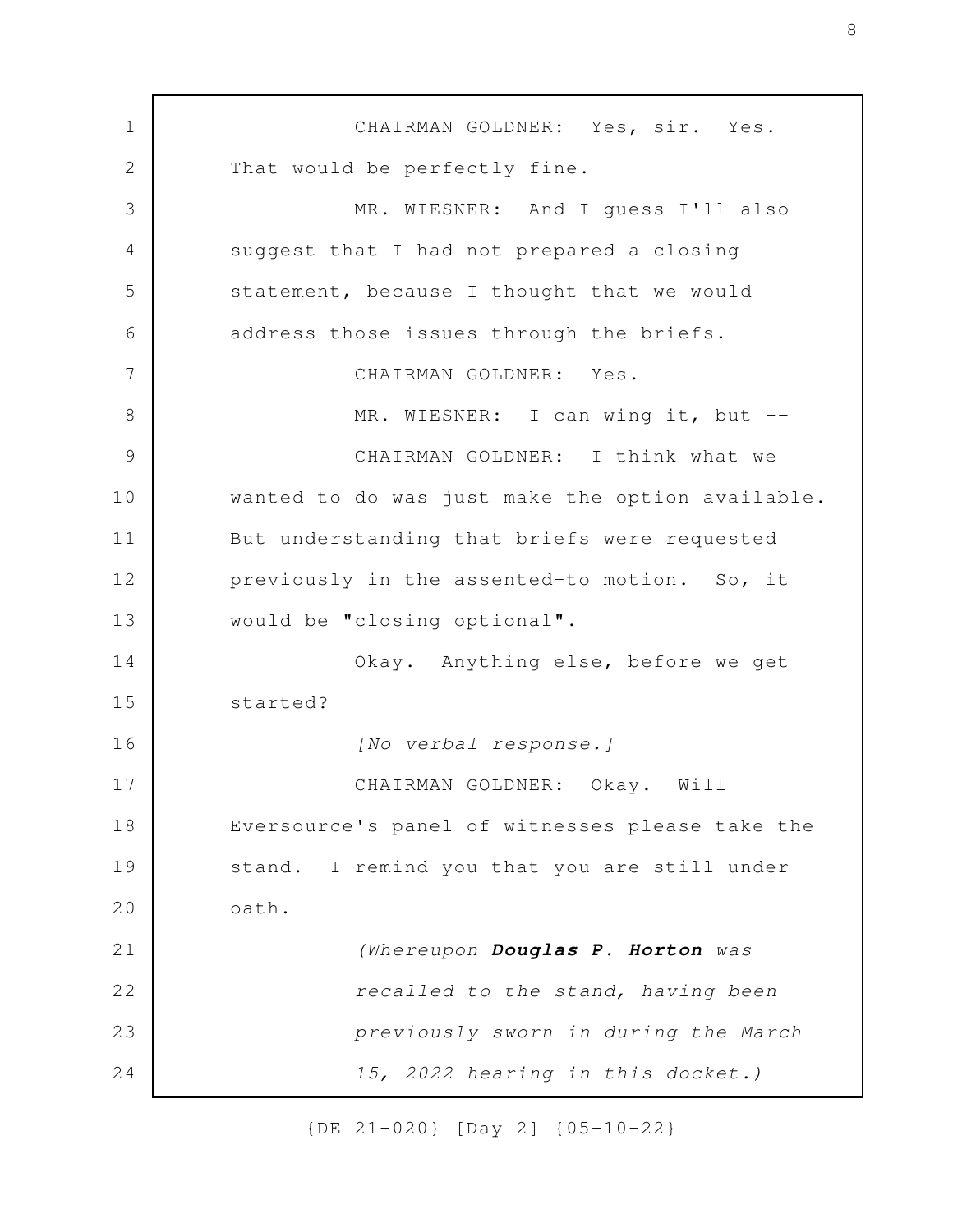CHAIRMAN GOLDNER: Yes, sir. Yes. That would be perfectly fine. MR. WIESNER: And I guess I'll also suggest that I had not prepared a closing statement, because I thought that we would address those issues through the briefs. CHAIRMAN GOLDNER: Yes. MR. WIESNER: I can wing it, but --CHAIRMAN GOLDNER: I think what we wanted to do was just make the option available. But understanding that briefs were requested previously in the assented-to motion. So, it would be "closing optional". Okay. Anything else, before we get started? *[No verbal response.]* CHAIRMAN GOLDNER: Okay. Will Eversource's panel of witnesses please take the stand. I remind you that you are still under oath. *(Whereupon Douglas P. Horton was recalled to the stand, having been previously sworn in during the March 15, 2022 hearing in this docket.)* 1 2 3 4 5 6 7 8 9 10 11 12 13 14 15 16 17 18 19 20 21 22 23 24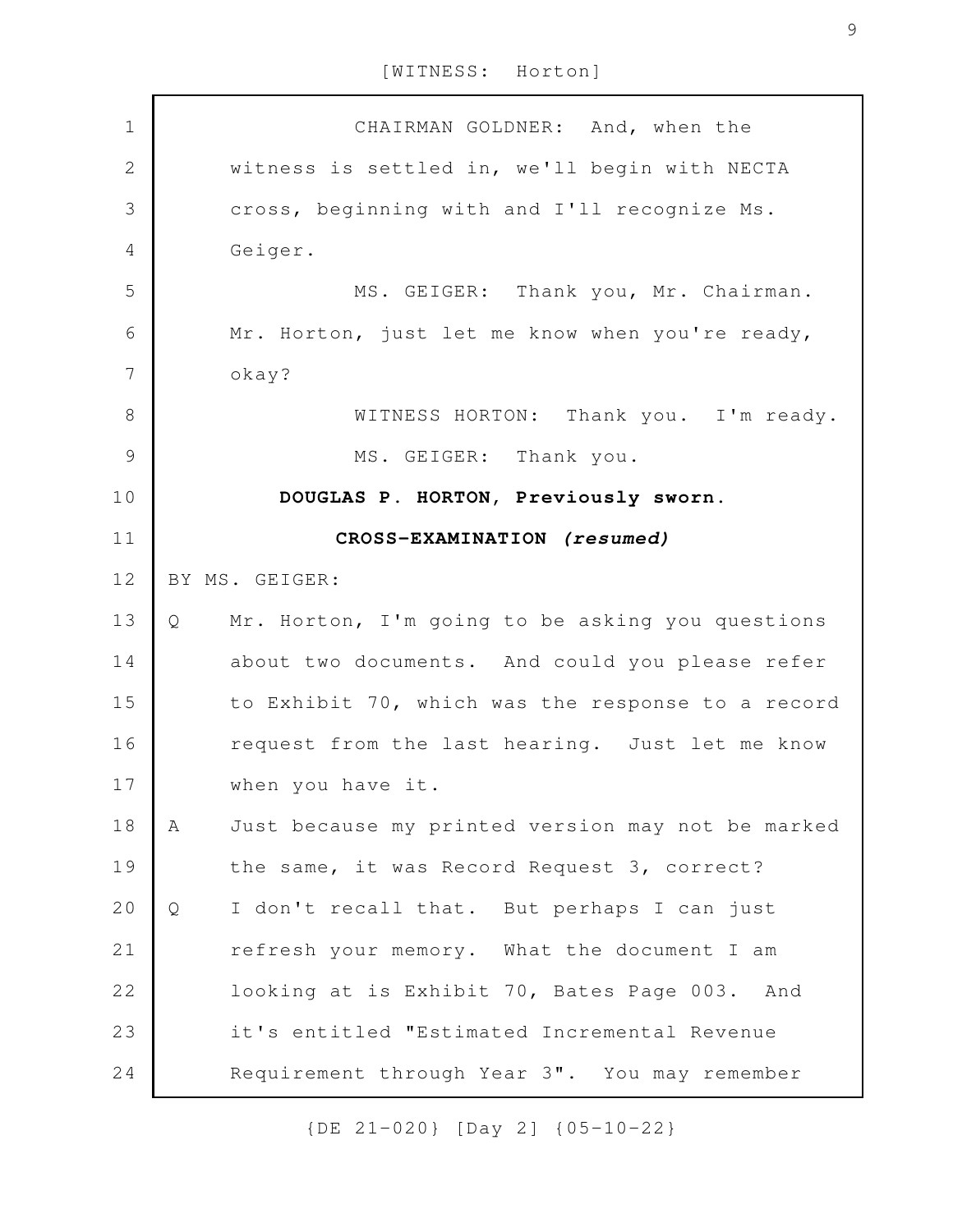| $1\,$          | CHAIRMAN GOLDNER: And, when the                        |
|----------------|--------------------------------------------------------|
| $\overline{2}$ | witness is settled in, we'll begin with NECTA          |
| 3              | cross, beginning with and I'll recognize Ms.           |
| $\overline{4}$ | Geiger.                                                |
| 5              | MS. GEIGER: Thank you, Mr. Chairman.                   |
| 6              | Mr. Horton, just let me know when you're ready,        |
| $\overline{7}$ | okay?                                                  |
| $\,8\,$        | WITNESS HORTON: Thank you. I'm ready.                  |
| $\mathcal{G}$  | MS. GEIGER: Thank you.                                 |
| 10             | DOUGLAS P. HORTON, Previously sworn.                   |
| 11             | CROSS-EXAMINATION (resumed)                            |
| 12             | BY MS. GEIGER:                                         |
| 13             | Mr. Horton, I'm going to be asking you questions<br>Q  |
| 14             | about two documents. And could you please refer        |
| 15             | to Exhibit 70, which was the response to a record      |
| 16             | request from the last hearing. Just let me know        |
| 17             | when you have it.                                      |
| 18             | Just because my printed version may not be marked<br>A |
| 19             | the same, it was Record Request 3, correct?            |
| 20             |                                                        |
|                | I don't recall that. But perhaps I can just<br>Q       |
| 21             | refresh your memory. What the document I am            |
| 22             | looking at is Exhibit 70, Bates Page 003. And          |
| 23             | it's entitled "Estimated Incremental Revenue           |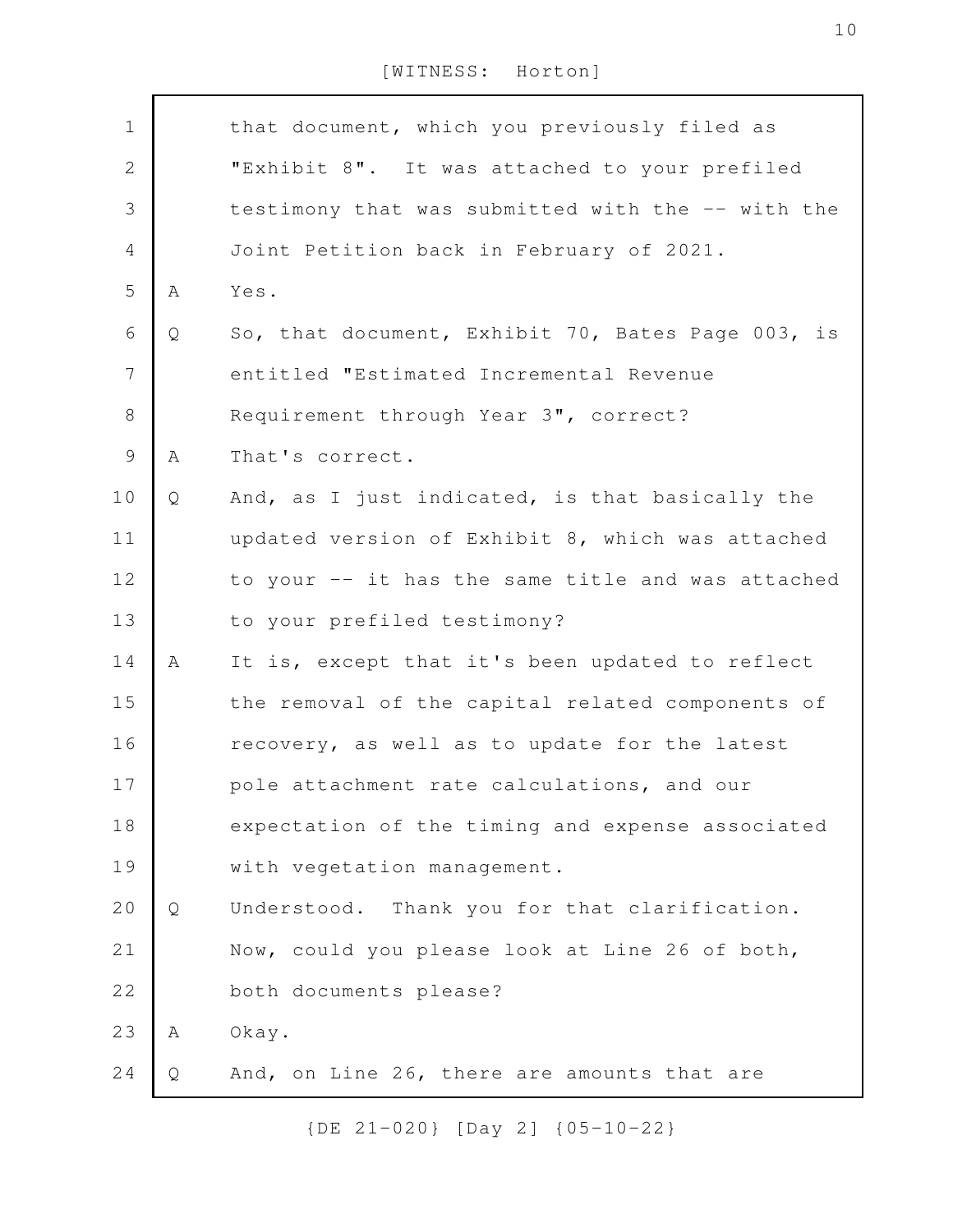| $\mathbf 1$    |   | that document, which you previously filed as      |
|----------------|---|---------------------------------------------------|
| $\mathbf{2}$   |   | "Exhibit 8". It was attached to your prefiled     |
| $\mathfrak{Z}$ |   | testimony that was submitted with the -- with the |
| 4              |   | Joint Petition back in February of 2021.          |
| 5              | Α | Yes.                                              |
| 6              | Q | So, that document, Exhibit 70, Bates Page 003, is |
| $\overline{7}$ |   | entitled "Estimated Incremental Revenue           |
| $8\,$          |   | Requirement through Year 3", correct?             |
| 9              | Α | That's correct.                                   |
| 10             | Q | And, as I just indicated, is that basically the   |
| 11             |   | updated version of Exhibit 8, which was attached  |
| 12             |   | to your -- it has the same title and was attached |
| 13             |   | to your prefiled testimony?                       |
| 14             | Α | It is, except that it's been updated to reflect   |
| 15             |   | the removal of the capital related components of  |
| 16             |   | recovery, as well as to update for the latest     |
| 17             |   | pole attachment rate calculations, and our        |
| 18             |   | expectation of the timing and expense associated  |
| 19             |   | with vegetation management.                       |
| 20             | Q | Understood. Thank you for that clarification.     |
| 21             |   | Now, could you please look at Line 26 of both,    |
| 22             |   | both documents please?                            |
| 23             | Α | Okay.                                             |
| 24             | Q | And, on Line 26, there are amounts that are       |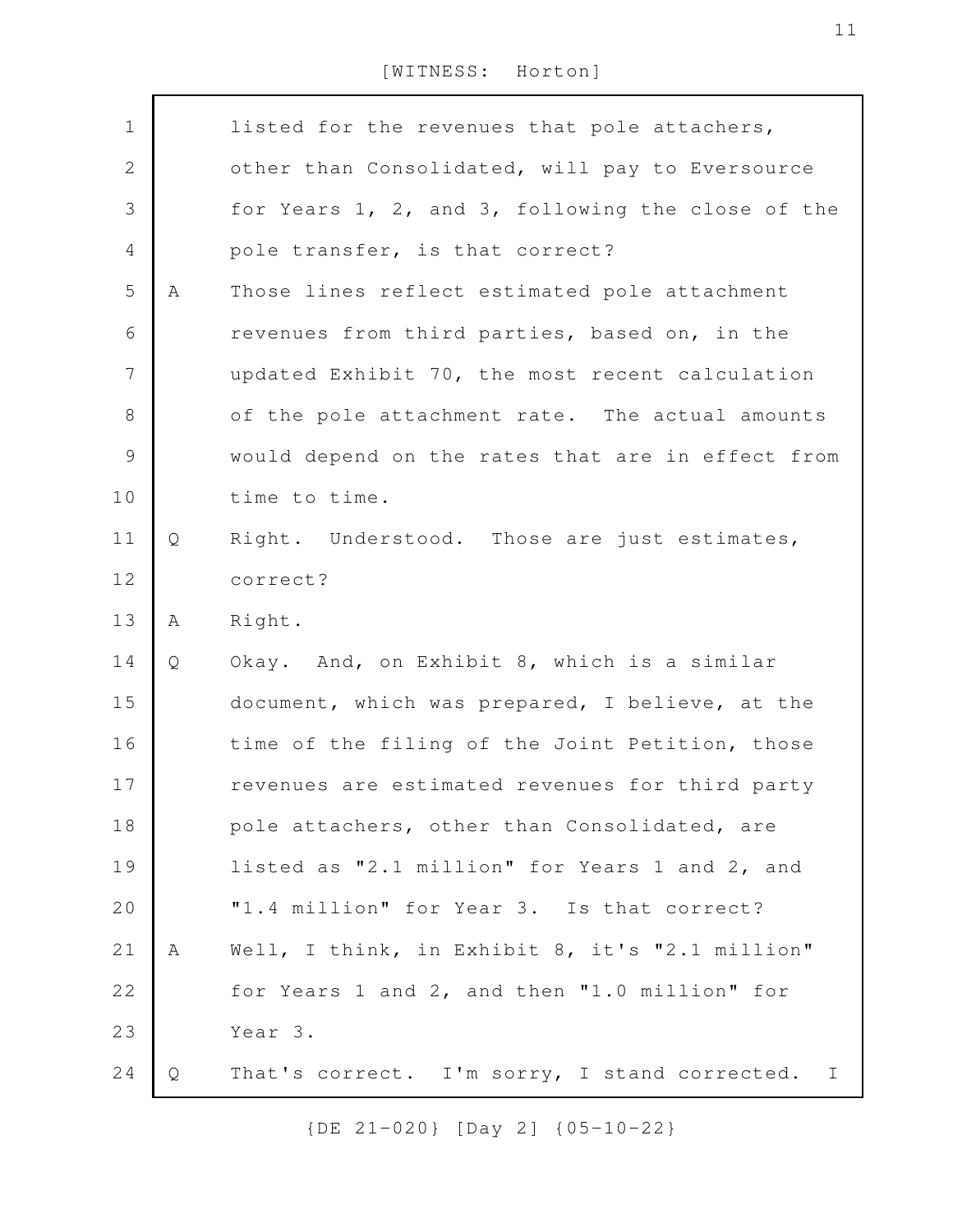| $\mathbf 1$    |   | listed for the revenues that pole attachers,                  |
|----------------|---|---------------------------------------------------------------|
| $\mathbf{2}$   |   | other than Consolidated, will pay to Eversource               |
| $\mathcal{S}$  |   | for Years 1, 2, and 3, following the close of the             |
| $\overline{4}$ |   | pole transfer, is that correct?                               |
| 5              | Α | Those lines reflect estimated pole attachment                 |
| 6              |   | revenues from third parties, based on, in the                 |
| $\overline{7}$ |   | updated Exhibit 70, the most recent calculation               |
| $\,8\,$        |   | of the pole attachment rate. The actual amounts               |
| $\mathcal{G}$  |   | would depend on the rates that are in effect from             |
| 10             |   | time to time.                                                 |
| 11             | Q | Right. Understood. Those are just estimates,                  |
| 12             |   | correct?                                                      |
| 13             | Α | Right.                                                        |
| 14             | Q | Okay. And, on Exhibit 8, which is a similar                   |
| 15             |   | document, which was prepared, I believe, at the               |
| 16             |   | time of the filing of the Joint Petition, those               |
| 17             |   | revenues are estimated revenues for third party               |
| 18             |   | pole attachers, other than Consolidated, are                  |
| 19             |   | listed as "2.1 million" for Years 1 and 2, and                |
| 20             |   | "1.4 million" for Year 3. Is that correct?                    |
| 21             | Α | Well, I think, in Exhibit 8, it's "2.1 million"               |
| 22             |   | for Years 1 and 2, and then "1.0 million" for                 |
| 23             |   | Year 3.                                                       |
| 24             | Q | That's correct. I'm sorry, I stand corrected.<br>$\mathbb{I}$ |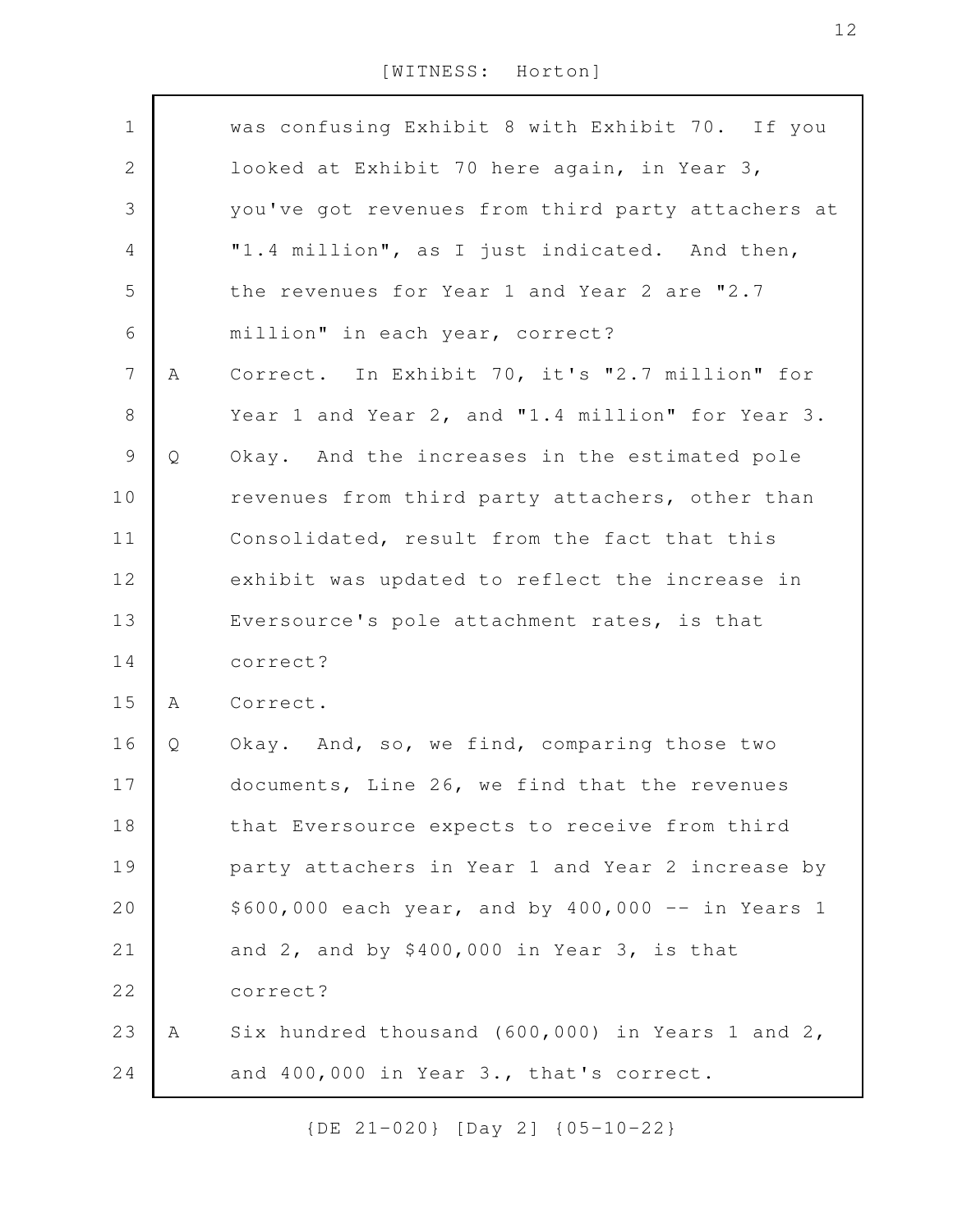| $\mathbf 1$      |   | was confusing Exhibit 8 with Exhibit 70. If you     |
|------------------|---|-----------------------------------------------------|
| $\sqrt{2}$       |   | looked at Exhibit 70 here again, in Year 3,         |
| $\mathcal{S}$    |   | you've got revenues from third party attachers at   |
| $\overline{4}$   |   | "1.4 million", as I just indicated. And then,       |
| 5                |   | the revenues for Year 1 and Year 2 are "2.7         |
| 6                |   | million" in each year, correct?                     |
| $\boldsymbol{7}$ | A | Correct. In Exhibit 70, it's "2.7 million" for      |
| $\,8\,$          |   | Year 1 and Year 2, and "1.4 million" for Year 3.    |
| $\mathsf 9$      | Q | Okay. And the increases in the estimated pole       |
| 10               |   | revenues from third party attachers, other than     |
| 11               |   | Consolidated, result from the fact that this        |
| 12               |   | exhibit was updated to reflect the increase in      |
| 13               |   | Eversource's pole attachment rates, is that         |
| 14               |   | correct?                                            |
| 15               | A | Correct.                                            |
| 16               | Q | Okay. And, so, we find, comparing those two         |
| 17               |   | documents, Line 26, we find that the revenues       |
| 18               |   | that Eversource expects to receive from third       |
| 19               |   | party attachers in Year 1 and Year 2 increase by    |
| 20               |   | $$600,000$ each year, and by $400,000 - in$ Years 1 |
| 21               |   | and $2$ , and by \$400,000 in Year $3$ , is that    |
| 22               |   | correct?                                            |
| 23               | Α | Six hundred thousand (600,000) in Years 1 and 2,    |
| 24               |   | and 400,000 in Year 3., that's correct.             |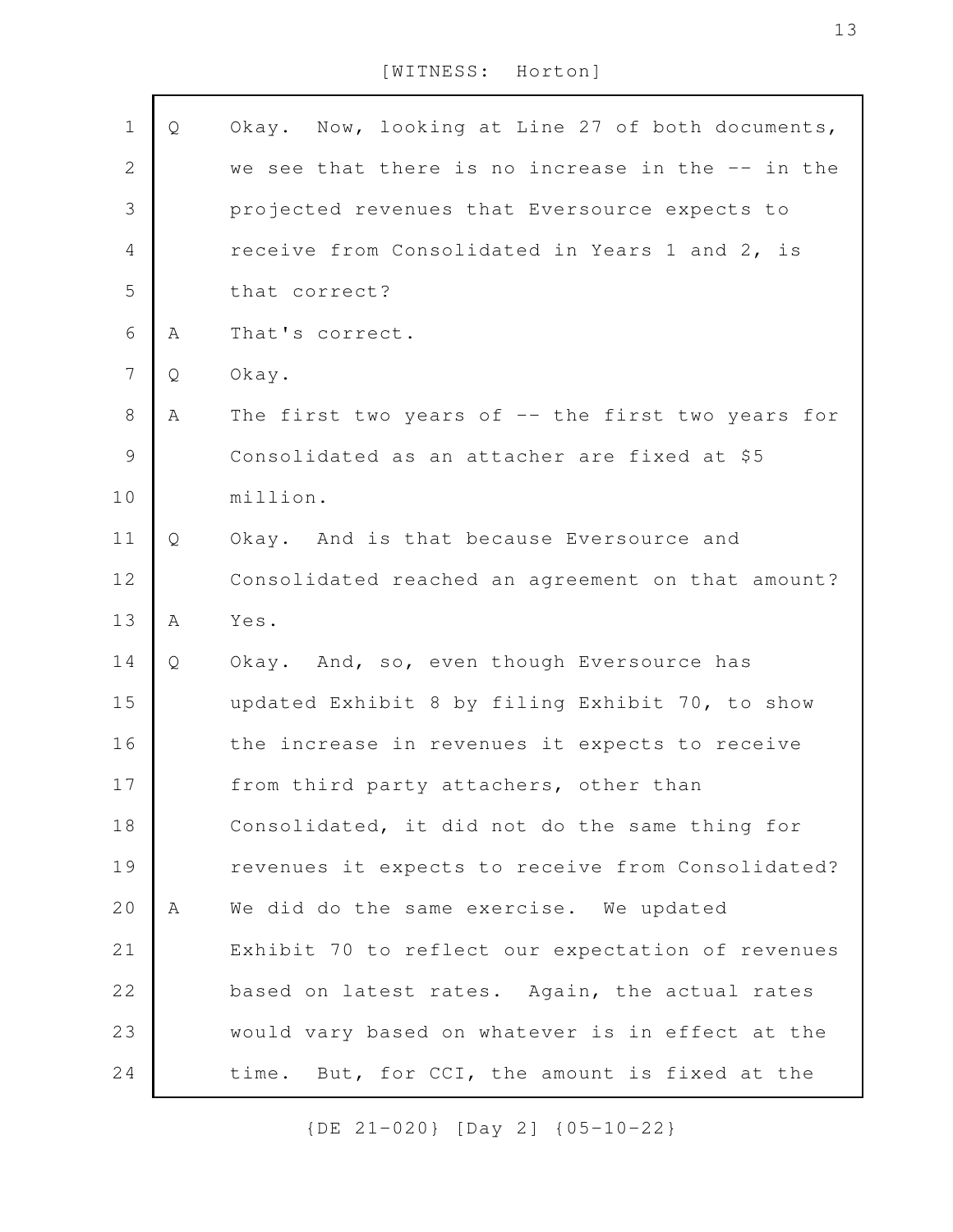| $\mathbf 1$    | Q | Okay. Now, looking at Line 27 of both documents,   |
|----------------|---|----------------------------------------------------|
| $\mathbf{2}$   |   | we see that there is no increase in the -- in the  |
| 3              |   | projected revenues that Eversource expects to      |
|                |   |                                                    |
| $\overline{4}$ |   | receive from Consolidated in Years 1 and 2, is     |
| 5              |   | that correct?                                      |
| 6              | Α | That's correct.                                    |
| $\overline{7}$ | Q | Okay.                                              |
| $\,8\,$        | Α | The first two years of $-$ the first two years for |
| 9              |   | Consolidated as an attacher are fixed at \$5       |
| 10             |   | million.                                           |
| 11             | Q | Okay. And is that because Eversource and           |
| 12             |   | Consolidated reached an agreement on that amount?  |
| 13             | A | Yes.                                               |
| 14             | Q | Okay. And, so, even though Eversource has          |
| 15             |   | updated Exhibit 8 by filing Exhibit 70, to show    |
| 16             |   | the increase in revenues it expects to receive     |
| $1\,7$         |   | from third party attachers, other than             |
| 18             |   | Consolidated, it did not do the same thing for     |
| 19             |   | revenues it expects to receive from Consolidated?  |
| 20             | A | We did do the same exercise. We updated            |
| 21             |   | Exhibit 70 to reflect our expectation of revenues  |
| 22             |   | based on latest rates. Again, the actual rates     |
| 23             |   | would vary based on whatever is in effect at the   |
| 24             |   | time. But, for CCI, the amount is fixed at the     |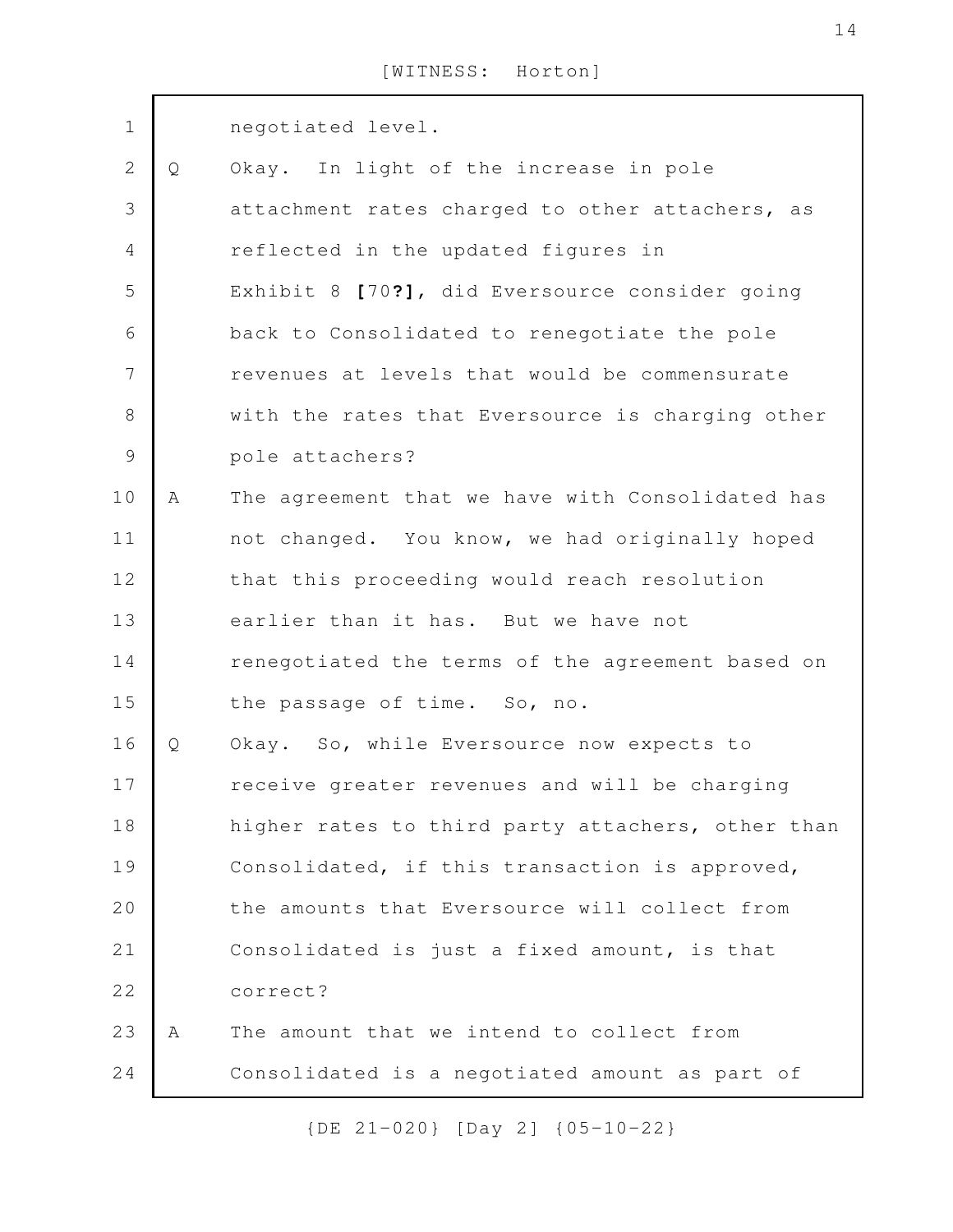| $\mathbf 1$   |   | negotiated level.                                 |
|---------------|---|---------------------------------------------------|
| $\mathbf{2}$  | Q | Okay. In light of the increase in pole            |
| 3             |   | attachment rates charged to other attachers, as   |
| 4             |   | reflected in the updated figures in               |
| 5             |   | Exhibit 8 [70?], did Eversource consider going    |
| 6             |   | back to Consolidated to renegotiate the pole      |
| 7             |   | revenues at levels that would be commensurate     |
| 8             |   | with the rates that Eversource is charging other  |
| $\mathcal{G}$ |   | pole attachers?                                   |
| 10            | A | The agreement that we have with Consolidated has  |
| 11            |   | not changed. You know, we had originally hoped    |
| 12            |   | that this proceeding would reach resolution       |
| 13            |   | earlier than it has. But we have not              |
| 14            |   | renegotiated the terms of the agreement based on  |
| 15            |   | the passage of time. So, no.                      |
| 16            | Q | Okay. So, while Eversource now expects to         |
| $17$          |   | receive greater revenues and will be charging     |
| 18            |   | higher rates to third party attachers, other than |
| 19            |   | Consolidated, if this transaction is approved,    |
| 20            |   | the amounts that Eversource will collect from     |
| 21            |   | Consolidated is just a fixed amount, is that      |
| 22            |   | correct?                                          |
| 23            | A | The amount that we intend to collect from         |
| 24            |   | Consolidated is a negotiated amount as part of    |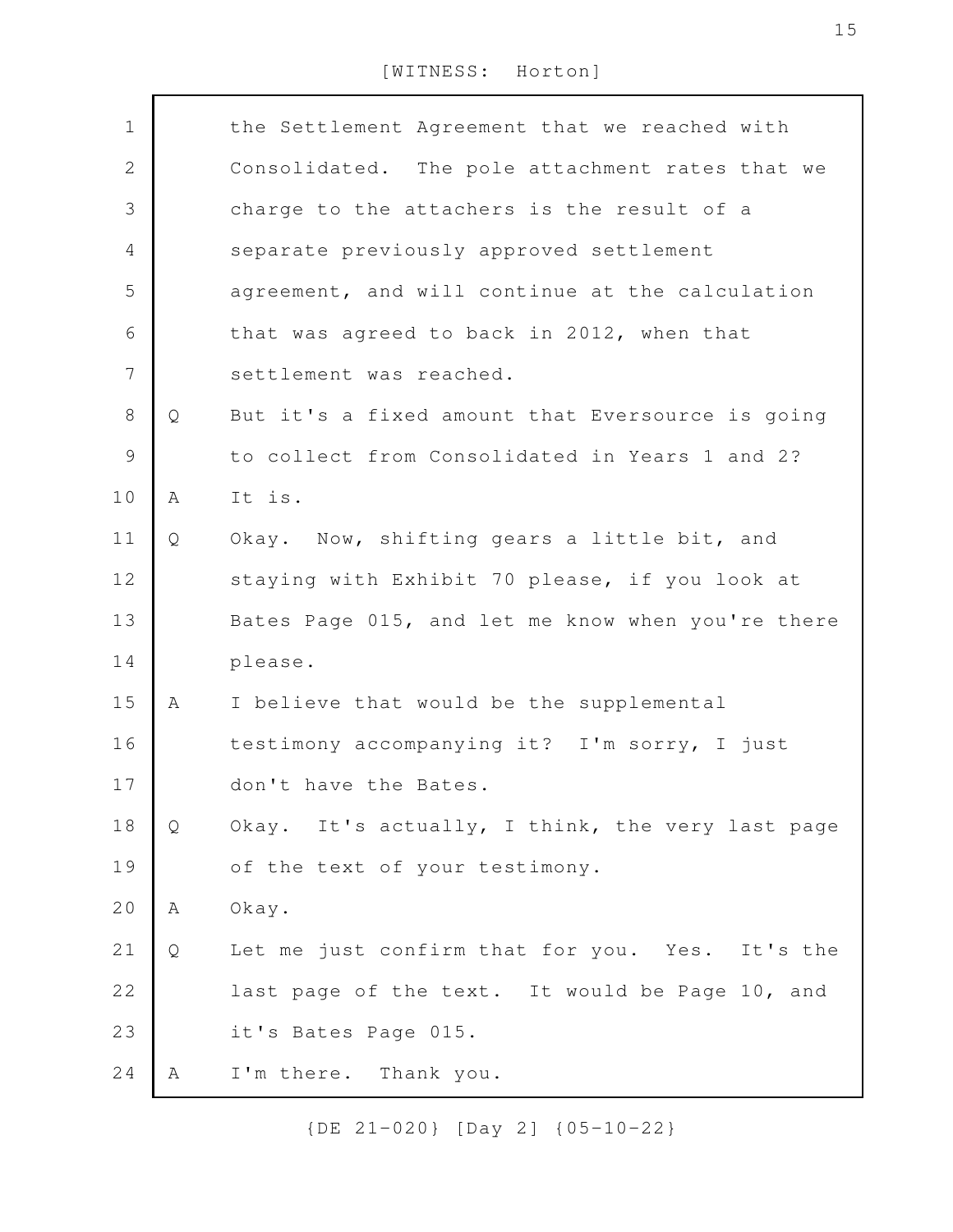| $\mathbf 1$  |   | the Settlement Agreement that we reached with     |
|--------------|---|---------------------------------------------------|
| $\mathbf{2}$ |   | Consolidated. The pole attachment rates that we   |
| 3            |   | charge to the attachers is the result of a        |
| 4            |   | separate previously approved settlement           |
| 5            |   | agreement, and will continue at the calculation   |
| 6            |   | that was agreed to back in 2012, when that        |
| 7            |   | settlement was reached.                           |
| $8\,$        | Q | But it's a fixed amount that Eversource is going  |
| 9            |   | to collect from Consolidated in Years 1 and 2?    |
| 10           | A | It is.                                            |
| 11           | Q | Okay. Now, shifting gears a little bit, and       |
| 12           |   | staying with Exhibit 70 please, if you look at    |
| 13           |   | Bates Page 015, and let me know when you're there |
| 14           |   | please.                                           |
| 15           | A | I believe that would be the supplemental          |
| 16           |   | testimony accompanying it? I'm sorry, I just      |
| 17           |   | don't have the Bates.                             |
| 18           | Q | Okay. It's actually, I think, the very last page  |
| 19           |   | of the text of your testimony.                    |
| 20           | А | Okay.                                             |
| 21           | Q | Let me just confirm that for you. Yes. It's the   |
| 22           |   | last page of the text. It would be Page 10, and   |
| 23           |   | it's Bates Page 015.                              |
| 24           | A | I'm there. Thank you.                             |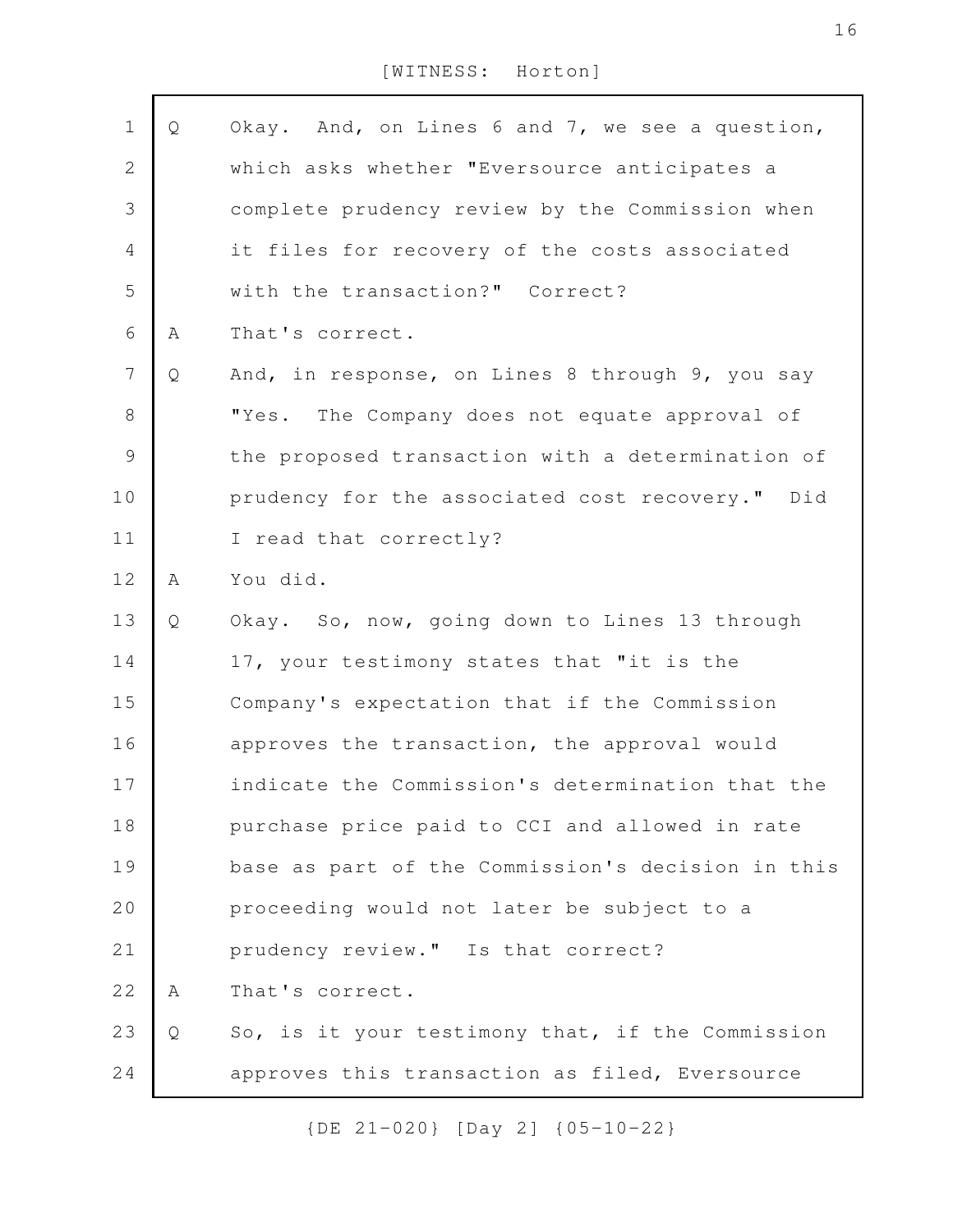| $1\,$          | Q           | Okay. And, on Lines 6 and 7, we see a question,   |
|----------------|-------------|---------------------------------------------------|
| $\overline{2}$ |             | which asks whether "Eversource anticipates a      |
| 3              |             | complete prudency review by the Commission when   |
| $\sqrt{4}$     |             | it files for recovery of the costs associated     |
| 5              |             | with the transaction?" Correct?                   |
| 6              | Α           | That's correct.                                   |
| $\overline{7}$ | Q           | And, in response, on Lines 8 through 9, you say   |
| $8\,$          |             | "Yes.<br>The Company does not equate approval of  |
| $\mathcal{G}$  |             | the proposed transaction with a determination of  |
| 10             |             | prudency for the associated cost recovery." Did   |
| 11             |             | I read that correctly?                            |
| 12             | $\mathbb A$ | You did.                                          |
| 13             | Q           | Okay. So, now, going down to Lines 13 through     |
| 14             |             | 17, your testimony states that "it is the         |
| 15             |             | Company's expectation that if the Commission      |
| 16             |             | approves the transaction, the approval would      |
| $17\,$         |             | indicate the Commission's determination that the  |
| 18             |             | purchase price paid to CCI and allowed in rate    |
| 19             |             | base as part of the Commission's decision in this |
| 20             |             | proceeding would not later be subject to a        |
| 21             |             | prudency review." Is that correct?                |
| 22             | Α           | That's correct.                                   |
| 23             | Q           | So, is it your testimony that, if the Commission  |
| 24             |             | approves this transaction as filed, Eversource    |
|                |             |                                                   |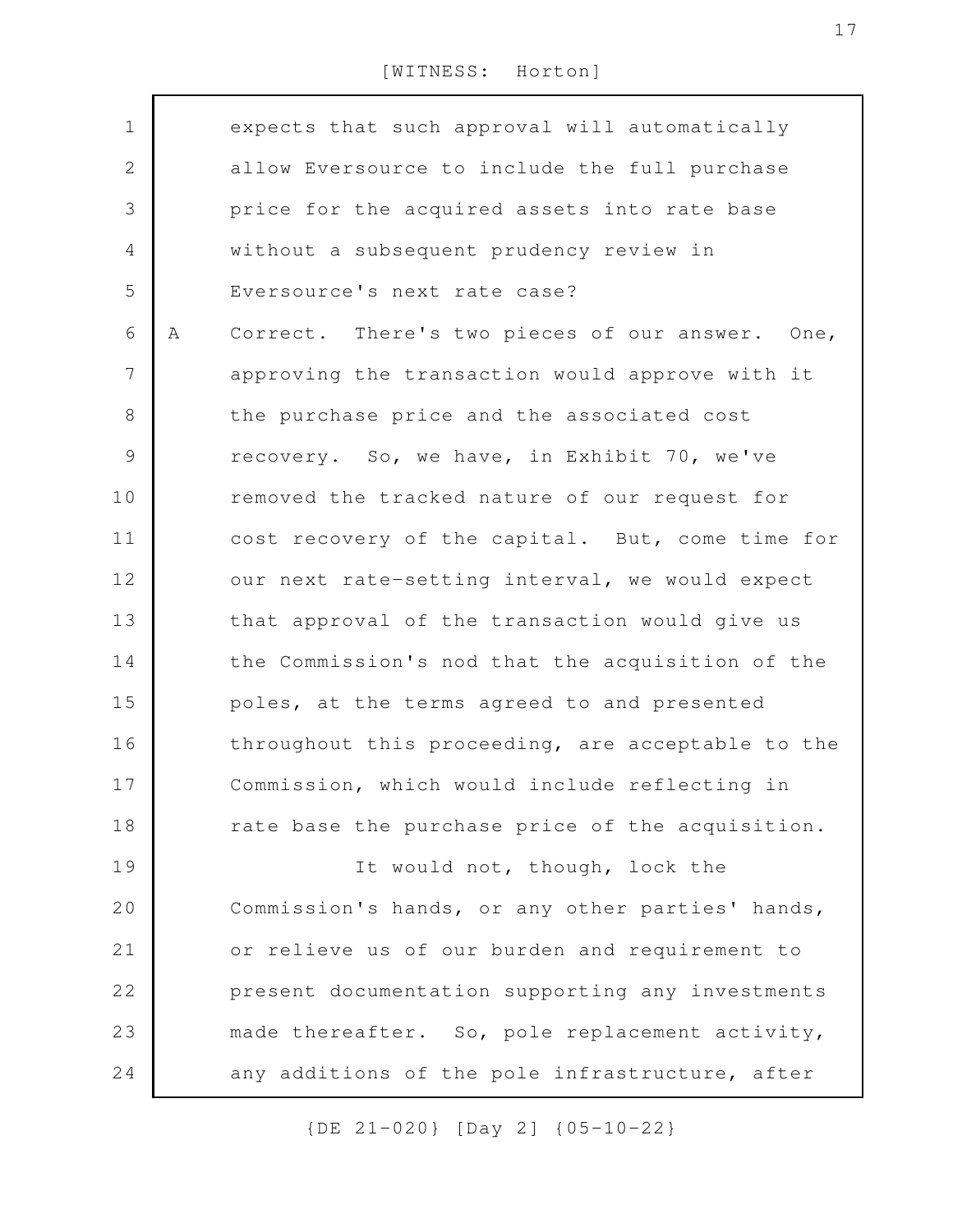| $\mathbf 1$    |   | expects that such approval will automatically     |
|----------------|---|---------------------------------------------------|
| $\overline{2}$ |   | allow Eversource to include the full purchase     |
| 3              |   | price for the acquired assets into rate base      |
| 4              |   | without a subsequent prudency review in           |
| 5              |   | Eversource's next rate case?                      |
| 6              | Α | Correct. There's two pieces of our answer. One,   |
| $\overline{7}$ |   | approving the transaction would approve with it   |
| $8\,$          |   | the purchase price and the associated cost        |
| $\mathcal{G}$  |   | recovery. So, we have, in Exhibit 70, we've       |
| 10             |   | removed the tracked nature of our request for     |
| 11             |   | cost recovery of the capital. But, come time for  |
| 12             |   | our next rate-setting interval, we would expect   |
| 13             |   | that approval of the transaction would give us    |
| 14             |   | the Commission's nod that the acquisition of the  |
| 15             |   | poles, at the terms agreed to and presented       |
| 16             |   | throughout this proceeding, are acceptable to the |
| 17             |   | Commission, which would include reflecting in     |
| 18             |   | rate base the purchase price of the acquisition.  |
| 19             |   | It would not, though, lock the                    |
| 20             |   | Commission's hands, or any other parties' hands,  |
| 21             |   | or relieve us of our burden and requirement to    |
| 22             |   | present documentation supporting any investments  |
| 23             |   | made thereafter. So, pole replacement activity,   |
| 24             |   | any additions of the pole infrastructure, after   |
|                |   |                                                   |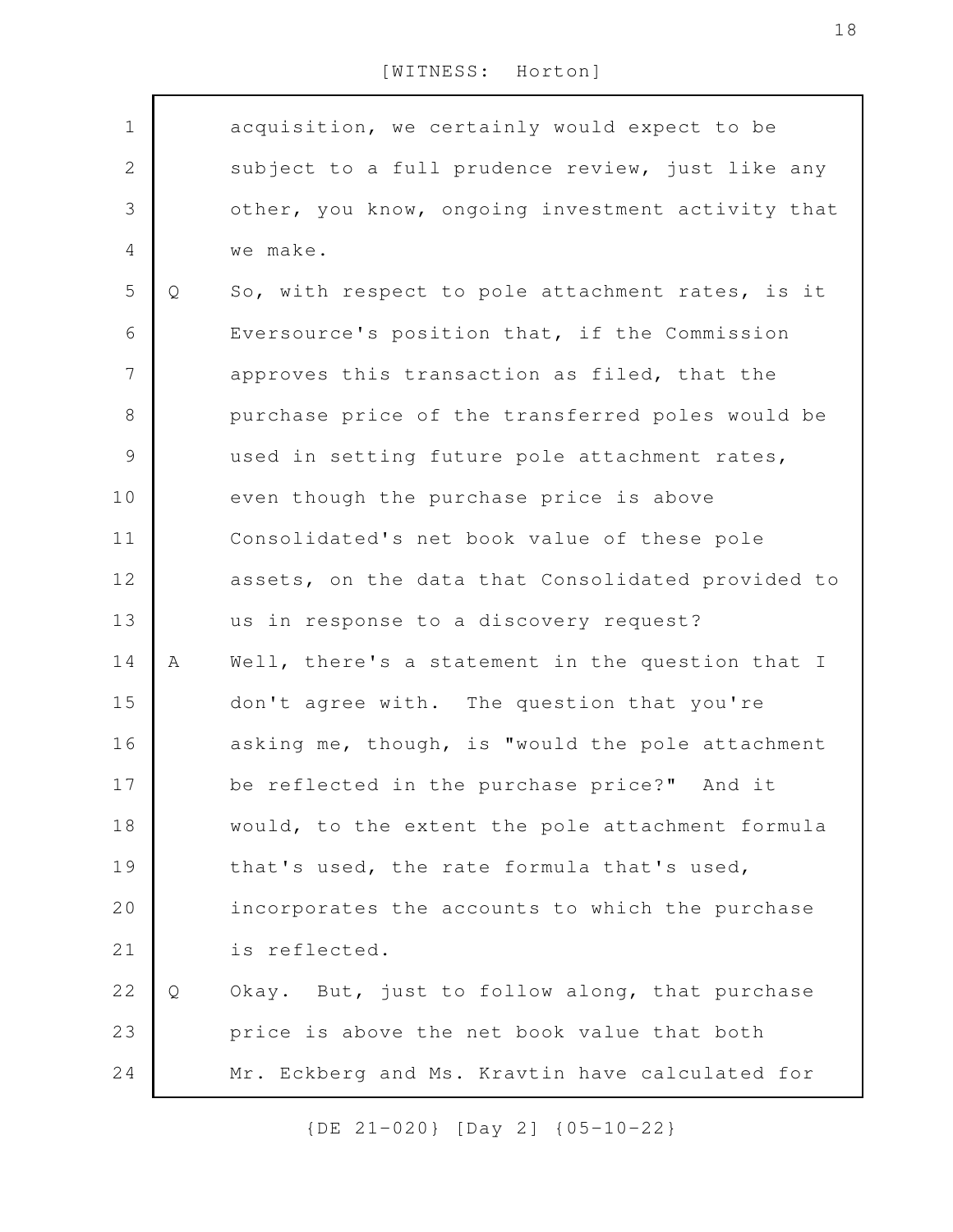| $\mathbf 1$    |   | acquisition, we certainly would expect to be      |
|----------------|---|---------------------------------------------------|
| $\mathbf{2}$   |   | subject to a full prudence review, just like any  |
| 3              |   | other, you know, ongoing investment activity that |
| 4              |   | we make.                                          |
| 5              | Q | So, with respect to pole attachment rates, is it  |
| 6              |   | Eversource's position that, if the Commission     |
| $\overline{7}$ |   | approves this transaction as filed, that the      |
| $\,8\,$        |   | purchase price of the transferred poles would be  |
| $\mathcal{G}$  |   | used in setting future pole attachment rates,     |
| 10             |   | even though the purchase price is above           |
| 11             |   | Consolidated's net book value of these pole       |
| 12             |   | assets, on the data that Consolidated provided to |
| 13             |   | us in response to a discovery request?            |
| 14             | Α | Well, there's a statement in the question that I  |
| 15             |   | don't agree with. The question that you're        |
| 16             |   | asking me, though, is "would the pole attachment  |
| 17             |   | be reflected in the purchase price?" And it       |
| 18             |   | would, to the extent the pole attachment formula  |
| 19             |   | that's used, the rate formula that's used,        |
| 20             |   | incorporates the accounts to which the purchase   |
| 21             |   | is reflected.                                     |
| 22             | Q | Okay. But, just to follow along, that purchase    |
| 23             |   | price is above the net book value that both       |
| 24             |   | Mr. Eckberg and Ms. Kravtin have calculated for   |
|                |   |                                                   |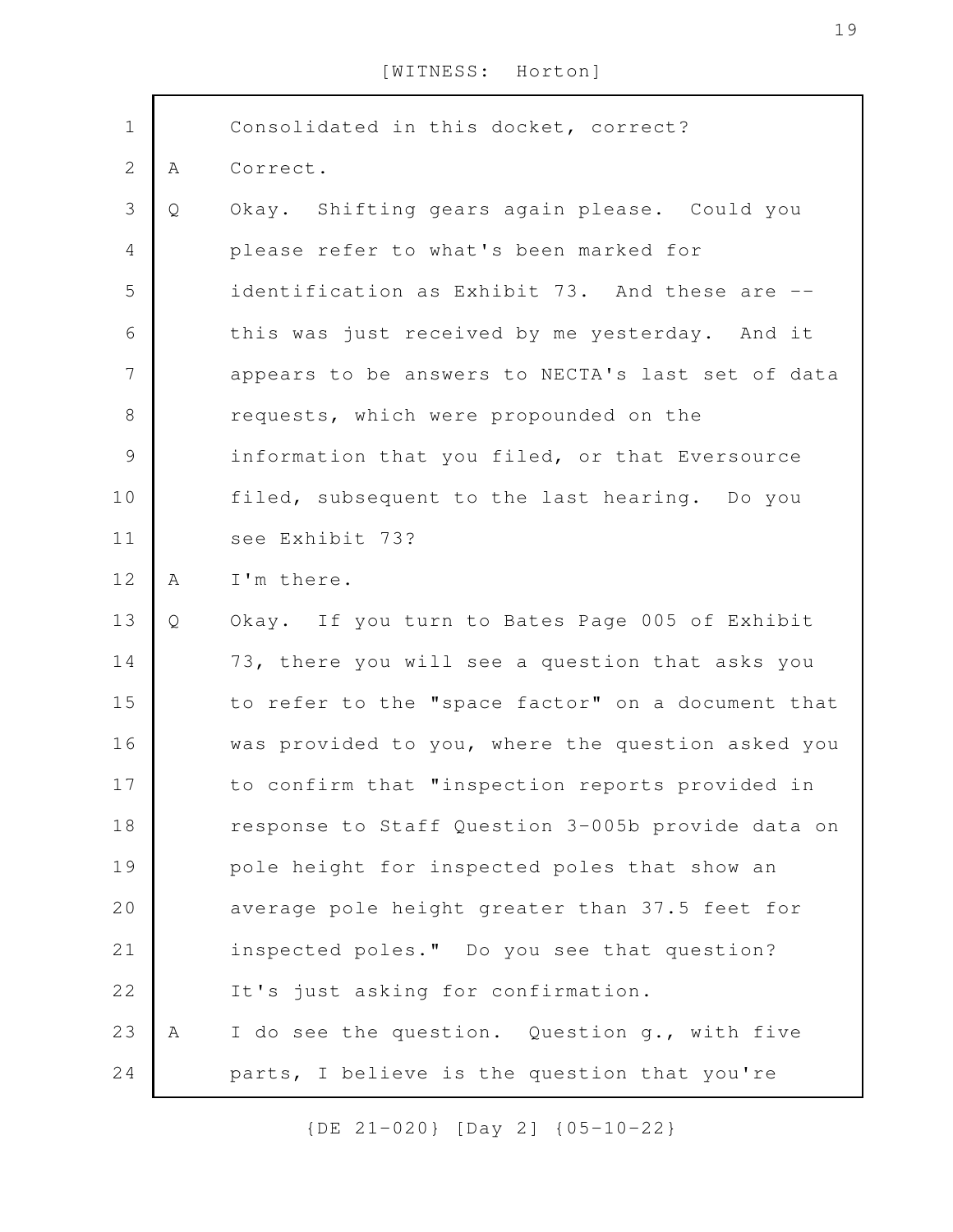| $\mathbf 1$    |   | Consolidated in this docket, correct?             |
|----------------|---|---------------------------------------------------|
| $\mathbf{2}$   | A | Correct.                                          |
| 3              | Q | Okay. Shifting gears again please. Could you      |
| $\overline{4}$ |   | please refer to what's been marked for            |
| 5              |   | identification as Exhibit 73. And these are --    |
| 6              |   | this was just received by me yesterday. And it    |
| 7              |   | appears to be answers to NECTA's last set of data |
| $8\,$          |   | requests, which were propounded on the            |
| $\mathcal{G}$  |   | information that you filed, or that Eversource    |
| 10             |   | filed, subsequent to the last hearing. Do you     |
| 11             |   | see Exhibit 73?                                   |
| 12             | A | I'm there.                                        |
| 13             | Q | Okay. If you turn to Bates Page 005 of Exhibit    |
| 14             |   | 73, there you will see a question that asks you   |
| 15             |   | to refer to the "space factor" on a document that |
| 16             |   | was provided to you, where the question asked you |
| 17             |   | to confirm that "inspection reports provided in   |
| 18             |   | response to Staff Question 3-005b provide data on |
| 19             |   | pole height for inspected poles that show an      |
| 20             |   | average pole height greater than 37.5 feet for    |
| 21             |   | inspected poles." Do you see that question?       |
| 22             |   | It's just asking for confirmation.                |
| 23             | А | I do see the question. Question g., with five     |
| 24             |   | parts, I believe is the question that you're      |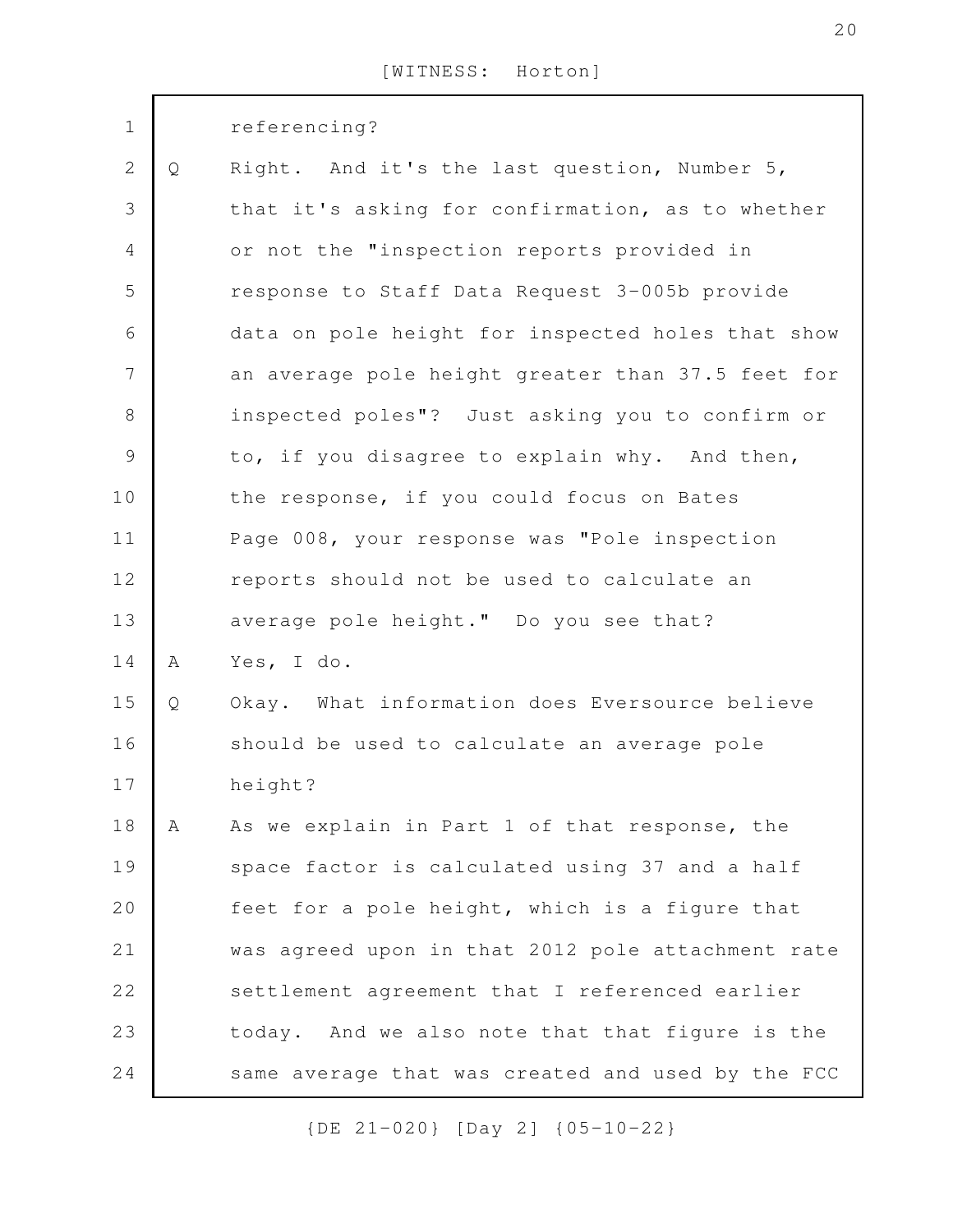| $\mathbf 1$    |   | referencing?                                      |
|----------------|---|---------------------------------------------------|
| $\mathbf{2}$   | Q | Right. And it's the last question, Number 5,      |
| 3              |   | that it's asking for confirmation, as to whether  |
| $\overline{4}$ |   | or not the "inspection reports provided in        |
| 5              |   | response to Staff Data Request 3-005b provide     |
| 6              |   | data on pole height for inspected holes that show |
| $\overline{7}$ |   | an average pole height greater than 37.5 feet for |
| $\,8\,$        |   | inspected poles"? Just asking you to confirm or   |
| $\mathcal{G}$  |   | to, if you disagree to explain why. And then,     |
| 10             |   | the response, if you could focus on Bates         |
| 11             |   | Page 008, your response was "Pole inspection      |
| 12             |   | reports should not be used to calculate an        |
| 13             |   | average pole height." Do you see that?            |
| 14             | Α | Yes, I do.                                        |
| 15             | Q | Okay. What information does Eversource believe    |
| 16             |   | should be used to calculate an average pole       |
| 17             |   | height?                                           |
| 18             | Α | As we explain in Part 1 of that response, the     |
| 19             |   | space factor is calculated using 37 and a half    |
| 20             |   | feet for a pole height, which is a figure that    |
| 21             |   | was agreed upon in that 2012 pole attachment rate |
| 22             |   | settlement agreement that I referenced earlier    |
| 23             |   | today. And we also note that that figure is the   |
| 24             |   | same average that was created and used by the FCC |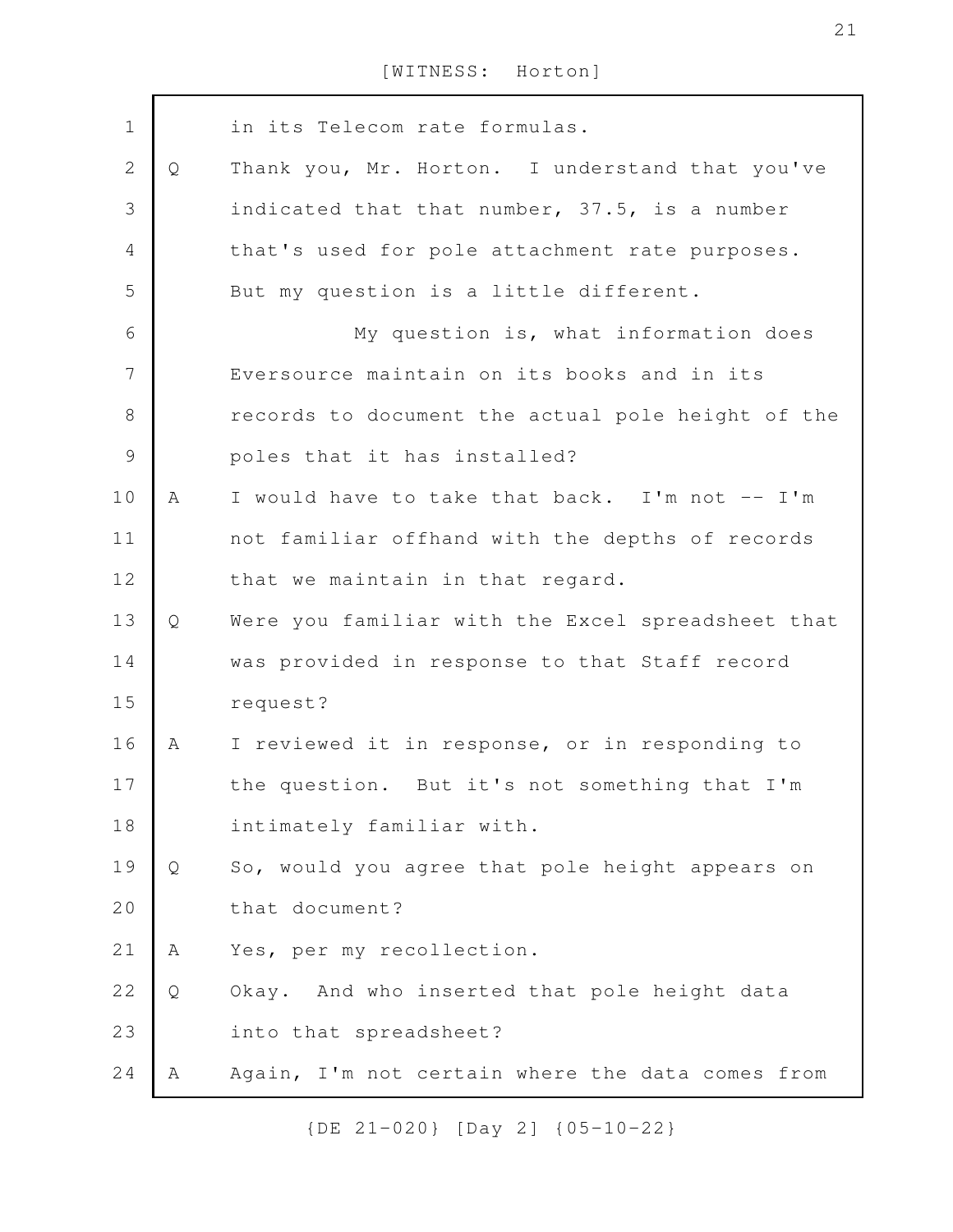in its Telecom rate formulas. Q Thank you, Mr. Horton. I understand that you've indicated that that number, 37.5, is a number that's used for pole attachment rate purposes. But my question is a little different. My question is, what information does Eversource maintain on its books and in its records to document the actual pole height of the poles that it has installed? A I would have to take that back. I'm not -- I'm not familiar offhand with the depths of records that we maintain in that regard. Q Were you familiar with the Excel spreadsheet that was provided in response to that Staff record request? A I reviewed it in response, or in responding to the question. But it's not something that I'm intimately familiar with. Q So, would you agree that pole height appears on that document? A Yes, per my recollection. Q Okay. And who inserted that pole height data into that spreadsheet? A Again, I'm not certain where the data comes from 1 2 3 4 5 6 7 8 9 10 11 12 13 14 15 16 17 18 19 20 21 22 23 24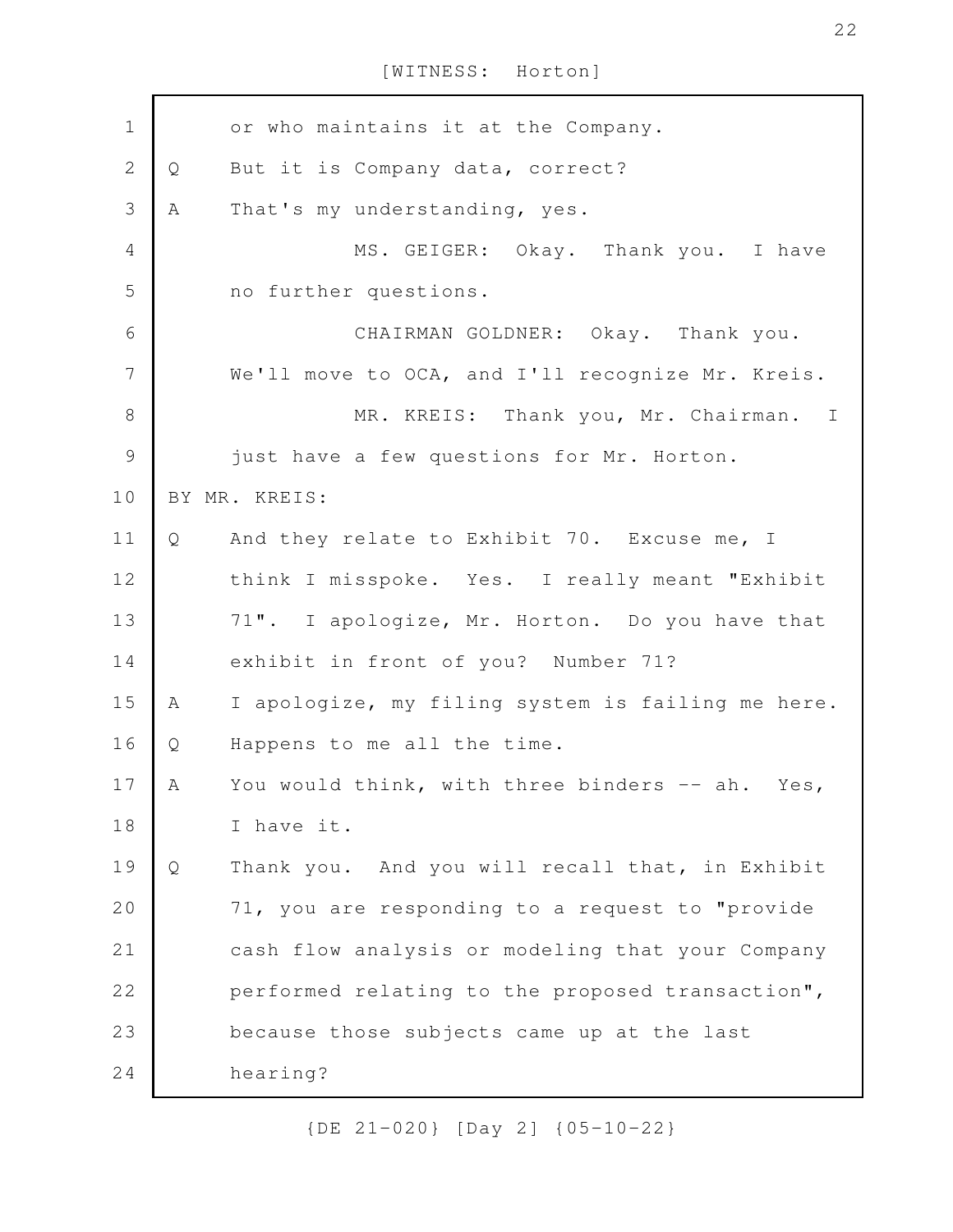or who maintains it at the Company. Q But it is Company data, correct? A That's my understanding, yes. MS. GEIGER: Okay. Thank you. I have no further questions. CHAIRMAN GOLDNER: Okay. Thank you. We'll move to OCA, and I'll recognize Mr. Kreis. MR. KREIS: Thank you, Mr. Chairman. I just have a few questions for Mr. Horton. BY MR. KREIS: Q And they relate to Exhibit 70. Excuse me, I think I misspoke. Yes. I really meant "Exhibit 71". I apologize, Mr. Horton. Do you have that exhibit in front of you? Number 71? A I apologize, my filing system is failing me here. Q Happens to me all the time. A You would think, with three binders -- ah. Yes, I have it. Q Thank you. And you will recall that, in Exhibit 71, you are responding to a request to "provide cash flow analysis or modeling that your Company performed relating to the proposed transaction", because those subjects came up at the last hearing? 1 2 3 4 5 6 7 8 9 10 11 12 13 14 15 16 17 18 19 20 21 22 23 24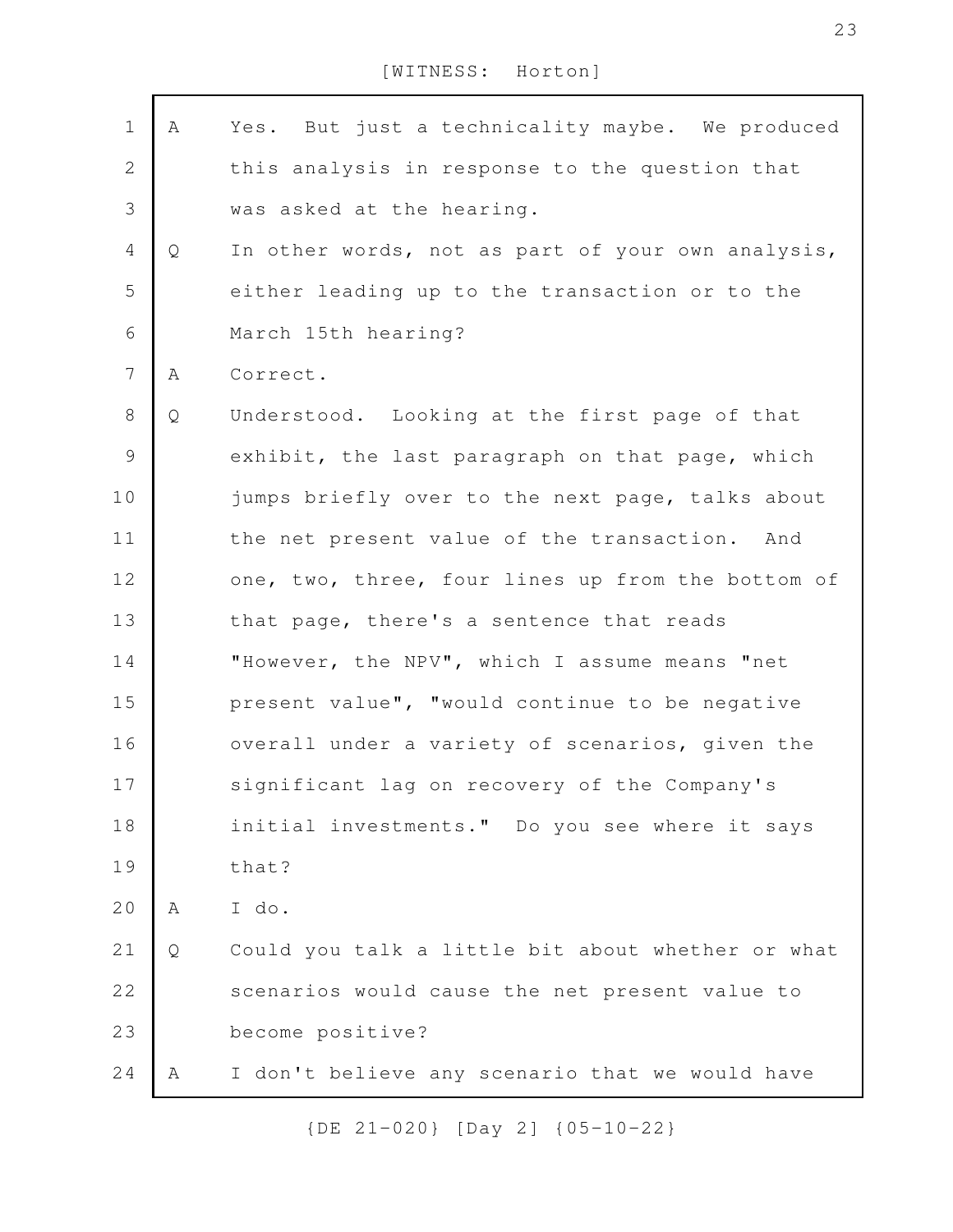| Α | Yes. But just a technicality maybe. We produced   |
|---|---------------------------------------------------|
|   | this analysis in response to the question that    |
|   | was asked at the hearing.                         |
| Q | In other words, not as part of your own analysis, |
|   | either leading up to the transaction or to the    |
|   | March 15th hearing?                               |
| Α | Correct.                                          |
| Q | Understood. Looking at the first page of that     |
|   | exhibit, the last paragraph on that page, which   |
|   | jumps briefly over to the next page, talks about  |
|   | the net present value of the transaction. And     |
|   | one, two, three, four lines up from the bottom of |
|   | that page, there's a sentence that reads          |
|   | "However, the NPV", which I assume means "net     |
|   | present value", "would continue to be negative    |
|   | overall under a variety of scenarios, given the   |
|   | significant lag on recovery of the Company's      |
|   | initial investments." Do you see where it says    |
|   | that?                                             |
| A | I do.                                             |
| Q | Could you talk a little bit about whether or what |
|   | scenarios would cause the net present value to    |
|   | become positive?                                  |
| А | I don't believe any scenario that we would have   |
|   |                                                   |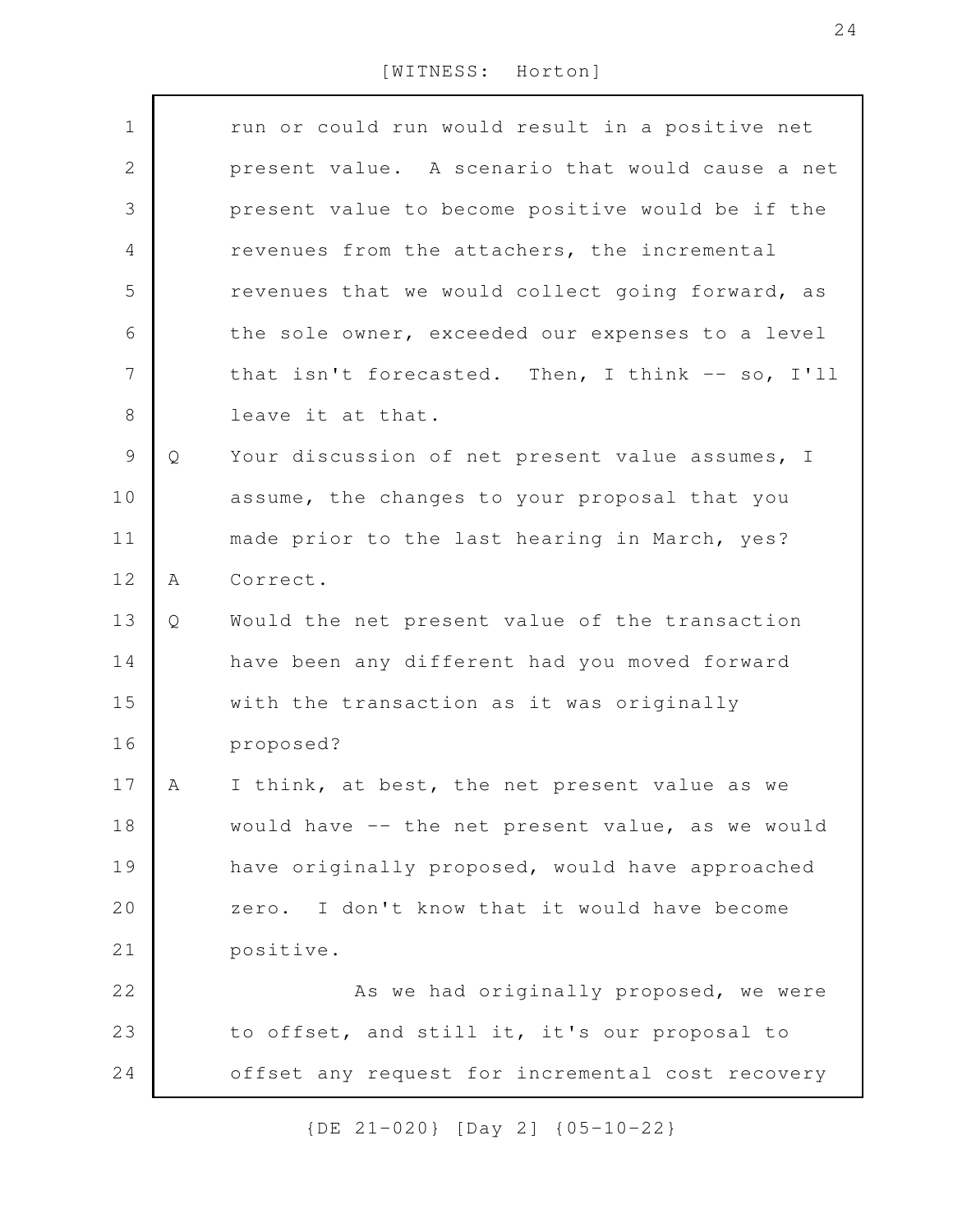| $\mathbf 1$  |   | run or could run would result in a positive net  |
|--------------|---|--------------------------------------------------|
| $\mathbf{2}$ |   | present value. A scenario that would cause a net |
| 3            |   | present value to become positive would be if the |
| 4            |   | revenues from the attachers, the incremental     |
| 5            |   |                                                  |
|              |   | revenues that we would collect going forward, as |
| 6            |   | the sole owner, exceeded our expenses to a level |
| 7            |   | that isn't forecasted. Then, I think -- so, I'll |
| $\,8\,$      |   | leave it at that.                                |
| 9            | Q | Your discussion of net present value assumes, I  |
| 10           |   | assume, the changes to your proposal that you    |
| 11           |   | made prior to the last hearing in March, yes?    |
| 12           | Α | Correct.                                         |
| 13           | Q | Would the net present value of the transaction   |
| 14           |   | have been any different had you moved forward    |
| 15           |   | with the transaction as it was originally        |
| 16           |   | proposed?                                        |
| 17           | A | I think, at best, the net present value as we    |
| 18           |   | would have -- the net present value, as we would |
| 19           |   | have originally proposed, would have approached  |
| 20           |   | zero. I don't know that it would have become     |
| 21           |   | positive.                                        |
| 22           |   | As we had originally proposed, we were           |
| 23           |   | to offset, and still it, it's our proposal to    |
| 24           |   | offset any request for incremental cost recovery |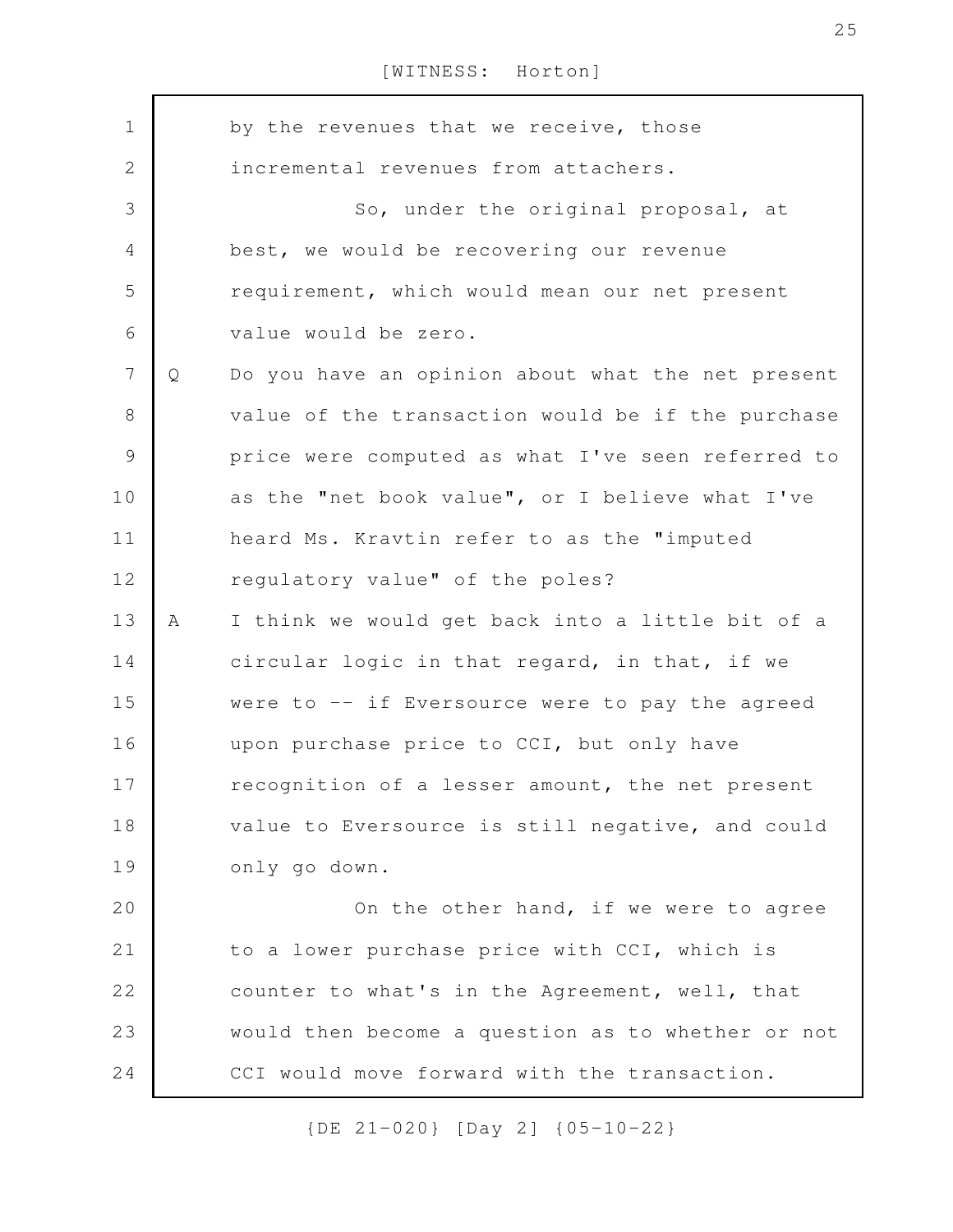by the revenues that we receive, those incremental revenues from attachers. So, under the original proposal, at best, we would be recovering our revenue requirement, which would mean our net present value would be zero. Q Do you have an opinion about what the net present value of the transaction would be if the purchase price were computed as what I've seen referred to as the "net book value", or I believe what I've heard Ms. Kravtin refer to as the "imputed regulatory value" of the poles? A I think we would get back into a little bit of a circular logic in that regard, in that, if we were to -- if Eversource were to pay the agreed upon purchase price to CCI, but only have recognition of a lesser amount, the net present value to Eversource is still negative, and could only go down. On the other hand, if we were to agree to a lower purchase price with CCI, which is counter to what's in the Agreement, well, that would then become a question as to whether or not CCI would move forward with the transaction. 1 2 3 4 5 6 7 8 9 10 11 12 13 14 15 16 17 18 19 20 21 22 23 24

{DE 21-020} [Day 2] {05-10-22}

25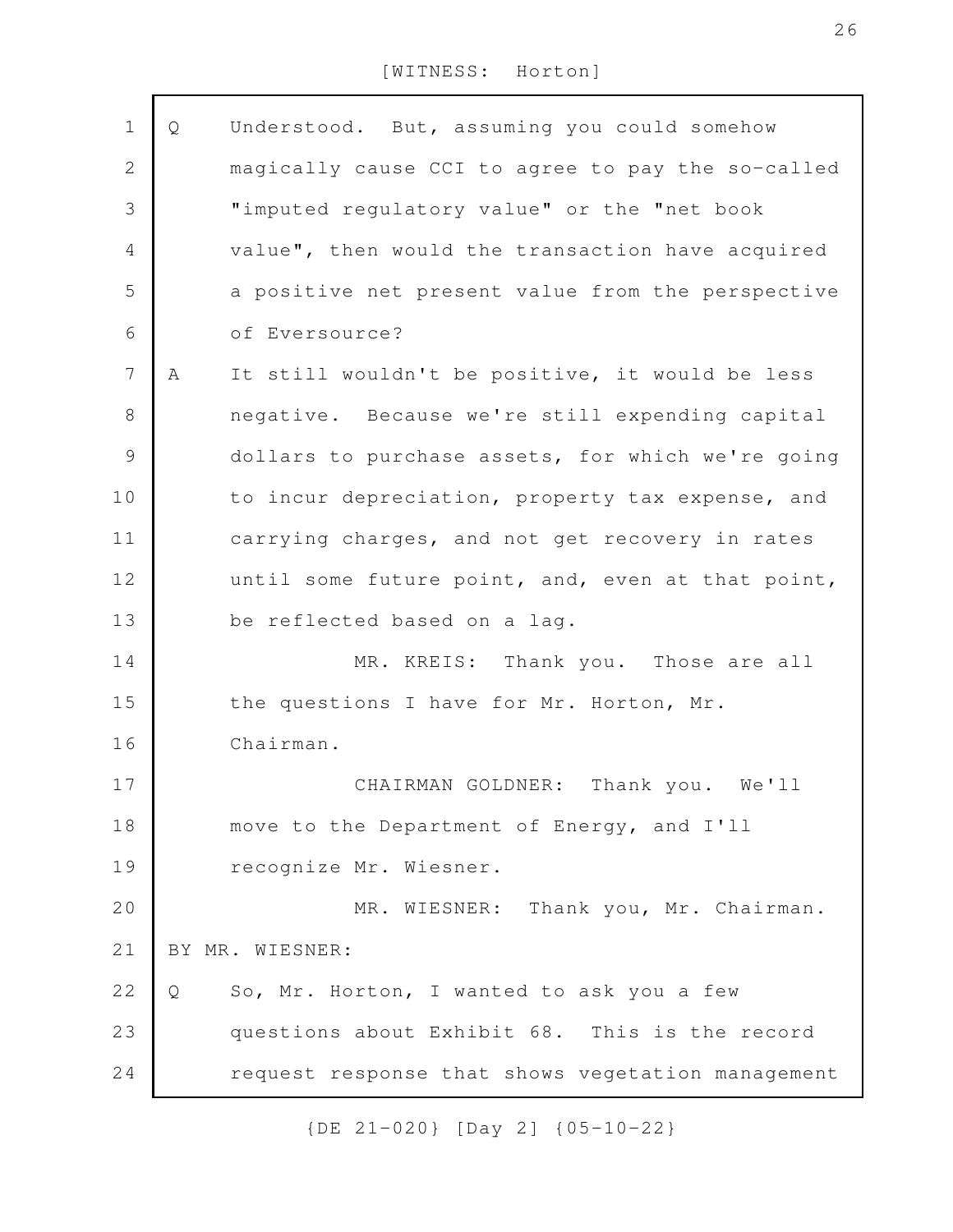| $\mathbf 1$    | Q | Understood. But, assuming you could somehow       |
|----------------|---|---------------------------------------------------|
| $\mathbf 2$    |   | magically cause CCI to agree to pay the so-called |
| 3              |   | "imputed regulatory value" or the "net book       |
| $\overline{4}$ |   | value", then would the transaction have acquired  |
| 5              |   | a positive net present value from the perspective |
| 6              |   | of Eversource?                                    |
| $\overline{7}$ | Α | It still wouldn't be positive, it would be less   |
| $\,8\,$        |   | negative. Because we're still expending capital   |
| $\mathcal{G}$  |   | dollars to purchase assets, for which we're going |
| 10             |   | to incur depreciation, property tax expense, and  |
| 11             |   | carrying charges, and not get recovery in rates   |
| 12             |   | until some future point, and, even at that point, |
| 13             |   | be reflected based on a lag.                      |
| 14             |   | MR. KREIS: Thank you. Those are all               |
| 15             |   | the questions I have for Mr. Horton, Mr.          |
| 16             |   | Chairman.                                         |
| 17             |   | CHAIRMAN GOLDNER: Thank you. We'll                |
| 18             |   | move to the Department of Energy, and I'll        |
| 19             |   | recognize Mr. Wiesner.                            |
| 20             |   | MR. WIESNER: Thank you, Mr. Chairman.             |
| 21             |   | BY MR. WIESNER:                                   |
| 22             | Q | So, Mr. Horton, I wanted to ask you a few         |
| 23             |   | questions about Exhibit 68. This is the record    |
| 24             |   | request response that shows vegetation management |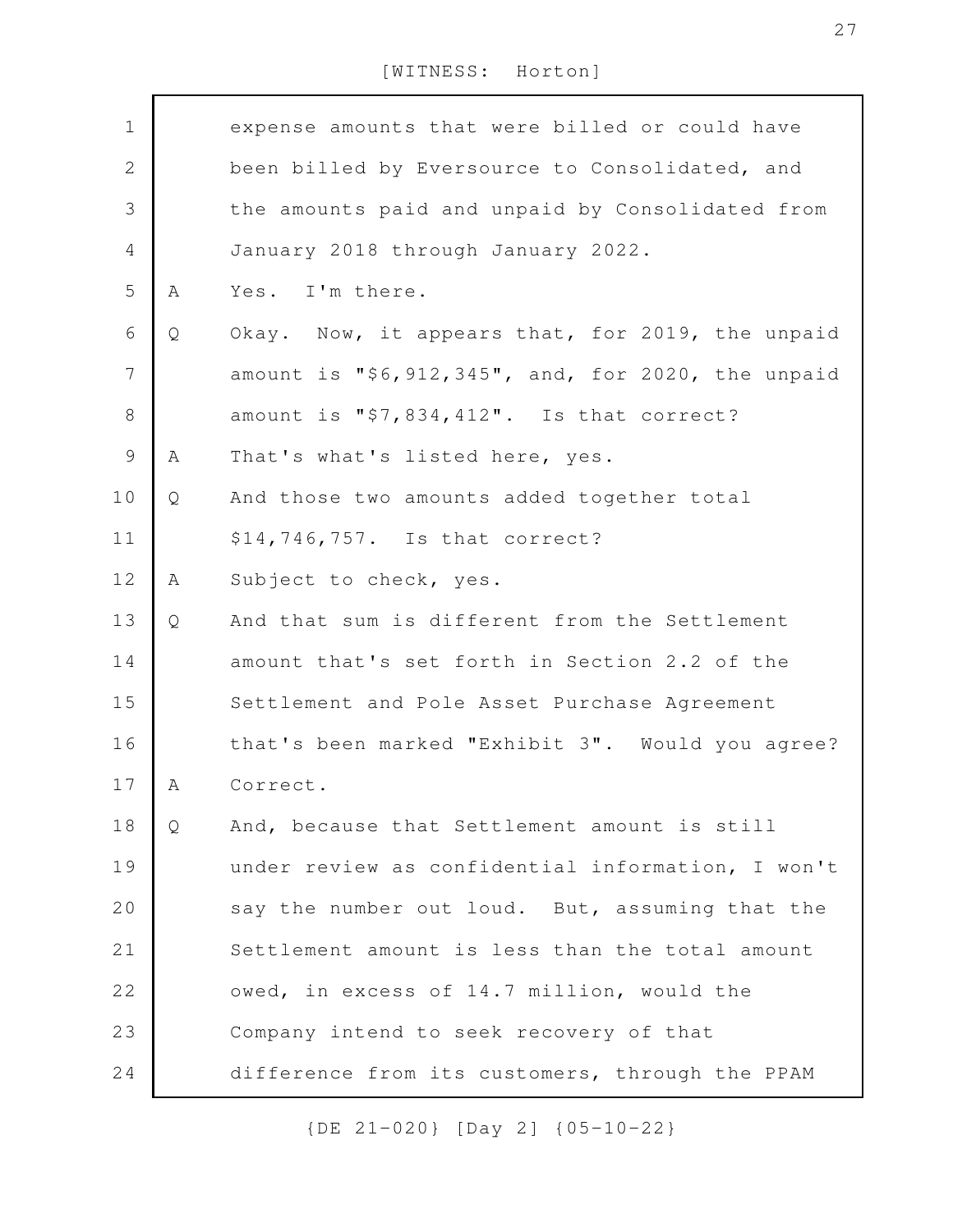| $\mathbf 1$    |   | expense amounts that were billed or could have     |
|----------------|---|----------------------------------------------------|
| $\mathbf{2}$   |   | been billed by Eversource to Consolidated, and     |
| 3              |   | the amounts paid and unpaid by Consolidated from   |
| 4              |   | January 2018 through January 2022.                 |
| 5              | Α | Yes. I'm there.                                    |
| 6              | Q | Okay. Now, it appears that, for 2019, the unpaid   |
| 7              |   | amount is "\$6,912,345", and, for 2020, the unpaid |
| 8              |   | amount is "\$7,834,412". Is that correct?          |
| $\overline{9}$ | Α | That's what's listed here, yes.                    |
| 10             | Q | And those two amounts added together total         |
| 11             |   | \$14,746,757. Is that correct?                     |
| 12             | Α | Subject to check, yes.                             |
| 13             | Q | And that sum is different from the Settlement      |
| 14             |   | amount that's set forth in Section 2.2 of the      |
| 15             |   | Settlement and Pole Asset Purchase Agreement       |
| 16             |   | that's been marked "Exhibit 3". Would you agree?   |
| 17             | A | Correct.                                           |
| 18             | Q | And, because that Settlement amount is still       |
| 19             |   | under review as confidential information, I won't  |
| 20             |   | say the number out loud. But, assuming that the    |
| 21             |   | Settlement amount is less than the total amount    |
| 22             |   | owed, in excess of 14.7 million, would the         |
| 23             |   | Company intend to seek recovery of that            |
| 24             |   | difference from its customers, through the PPAM    |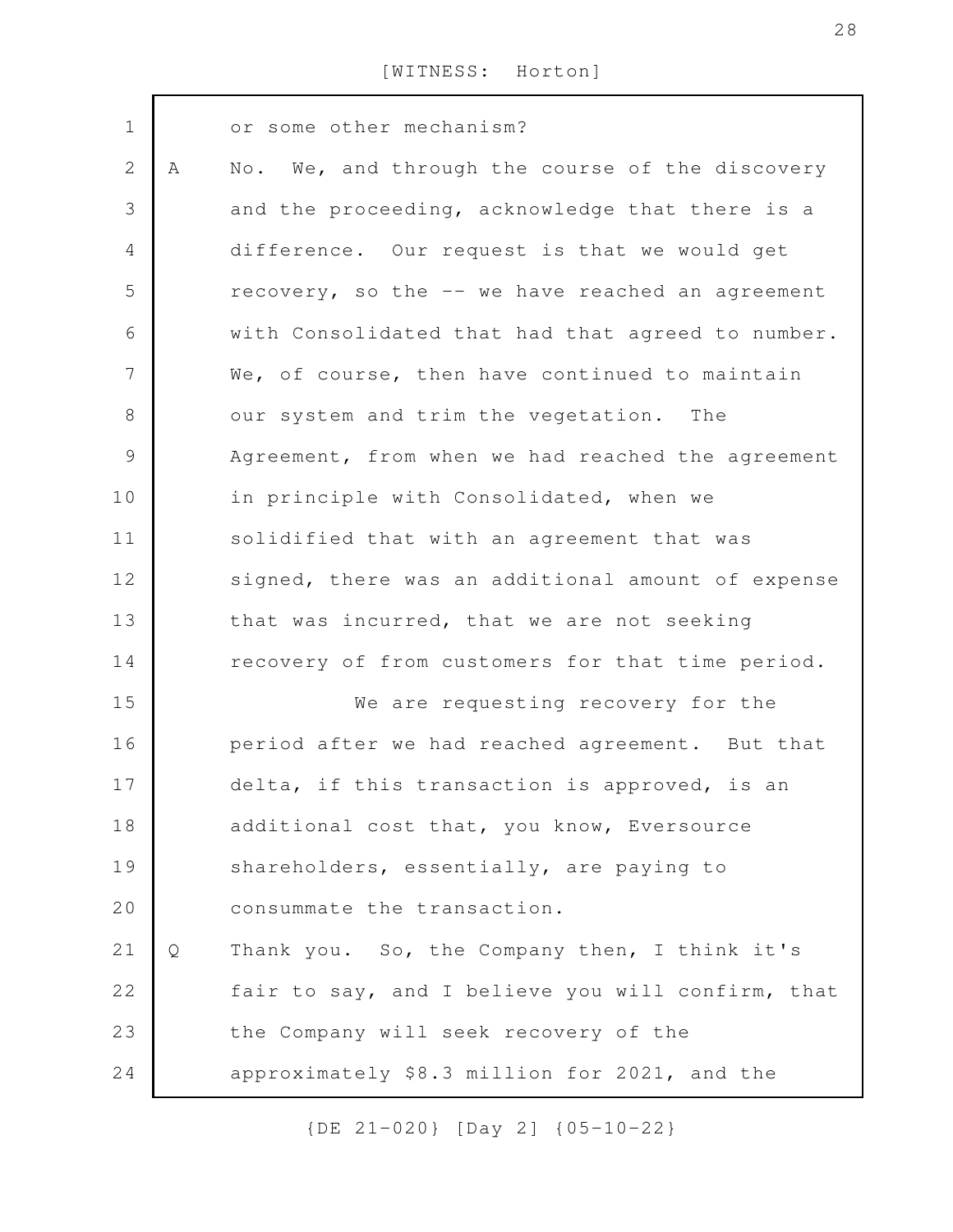| $\mathbf 1$    |   | or some other mechanism?                          |
|----------------|---|---------------------------------------------------|
| $\mathbf{2}$   | A | No. We, and through the course of the discovery   |
| 3              |   | and the proceeding, acknowledge that there is a   |
| $\overline{4}$ |   | difference. Our request is that we would get      |
| 5              |   | recovery, so the -- we have reached an agreement  |
| 6              |   | with Consolidated that had that agreed to number. |
| $\overline{7}$ |   | We, of course, then have continued to maintain    |
| 8              |   | our system and trim the vegetation. The           |
| $\mathcal{G}$  |   | Agreement, from when we had reached the agreement |
| 10             |   | in principle with Consolidated, when we           |
| 11             |   | solidified that with an agreement that was        |
| 12             |   | signed, there was an additional amount of expense |
| 13             |   | that was incurred, that we are not seeking        |
| 14             |   | recovery of from customers for that time period.  |
| 15             |   | We are requesting recovery for the                |
| 16             |   | period after we had reached agreement. But that   |
| 17             |   | delta, if this transaction is approved, is an     |
| 18             |   | additional cost that, you know, Eversource        |
| 19             |   | shareholders, essentially, are paying to          |
| 20             |   | consummate the transaction.                       |
| 21             | Q | Thank you. So, the Company then, I think it's     |
| 22             |   | fair to say, and I believe you will confirm, that |
| 23             |   | the Company will seek recovery of the             |
| 24             |   | approximately \$8.3 million for 2021, and the     |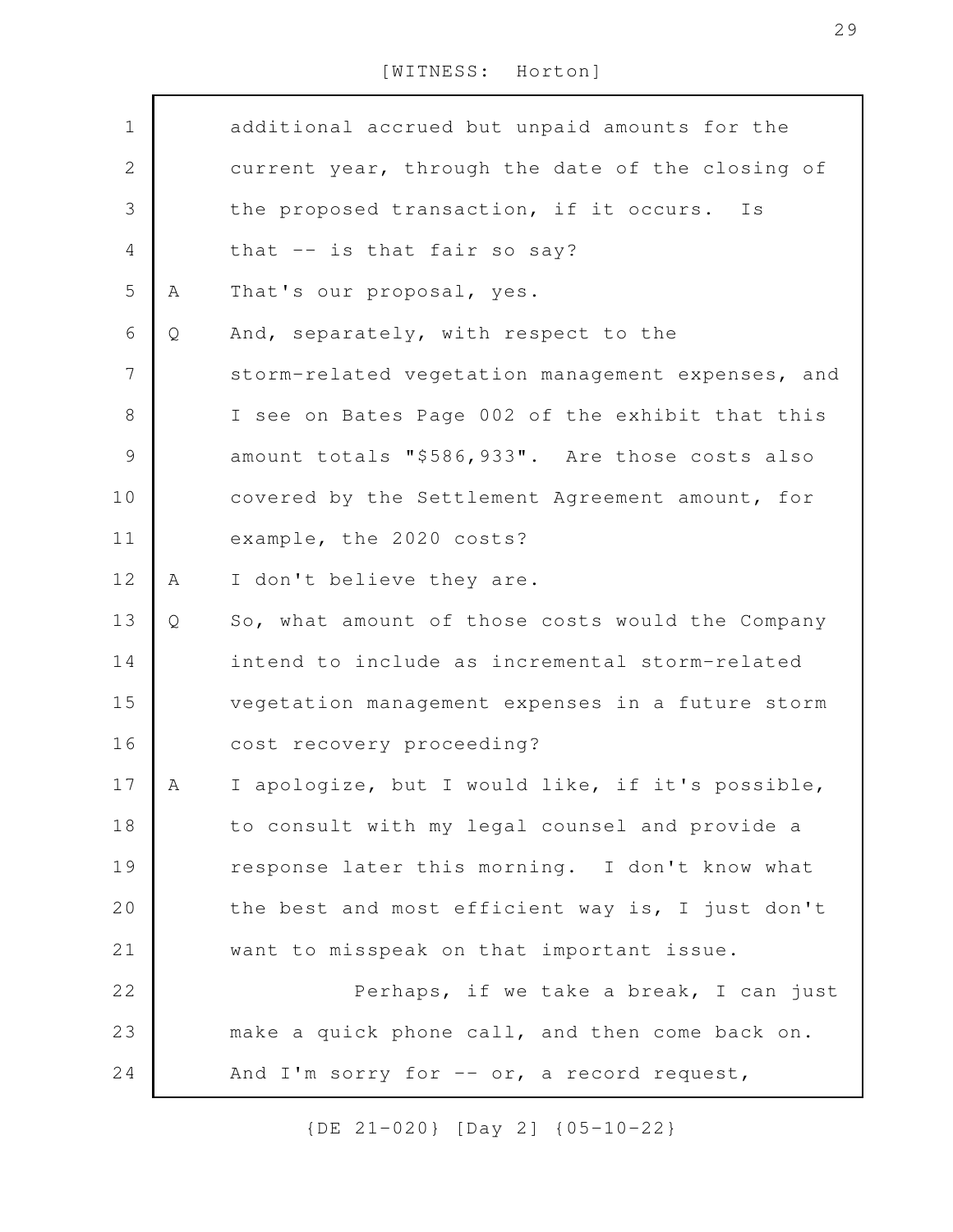| $\mathbf 1$    |   | additional accrued but unpaid amounts for the     |
|----------------|---|---------------------------------------------------|
| $\mathbf{2}$   |   | current year, through the date of the closing of  |
| 3              |   | the proposed transaction, if it occurs.<br>Is     |
| $\overline{4}$ |   | that -- is that fair so say?                      |
| 5              | Α | That's our proposal, yes.                         |
| 6              | Q | And, separately, with respect to the              |
| 7              |   | storm-related vegetation management expenses, and |
| $8\,$          |   | I see on Bates Page 002 of the exhibit that this  |
| $\mathcal{G}$  |   | amount totals "\$586,933". Are those costs also   |
| 10             |   | covered by the Settlement Agreement amount, for   |
| 11             |   | example, the 2020 costs?                          |
| 12             | A | I don't believe they are.                         |
| 13             | Q | So, what amount of those costs would the Company  |
| 14             |   | intend to include as incremental storm-related    |
| 15             |   | vegetation management expenses in a future storm  |
| 16             |   | cost recovery proceeding?                         |
| 17             | A | I apologize, but I would like, if it's possible,  |
| 18             |   | to consult with my legal counsel and provide a    |
| 19             |   | response later this morning. I don't know what    |
| 20             |   | the best and most efficient way is, I just don't  |
| 21             |   | want to misspeak on that important issue.         |
| 22             |   | Perhaps, if we take a break, I can just           |
| 23             |   | make a quick phone call, and then come back on.   |
| 24             |   | And I'm sorry for $-$ or, a record request,       |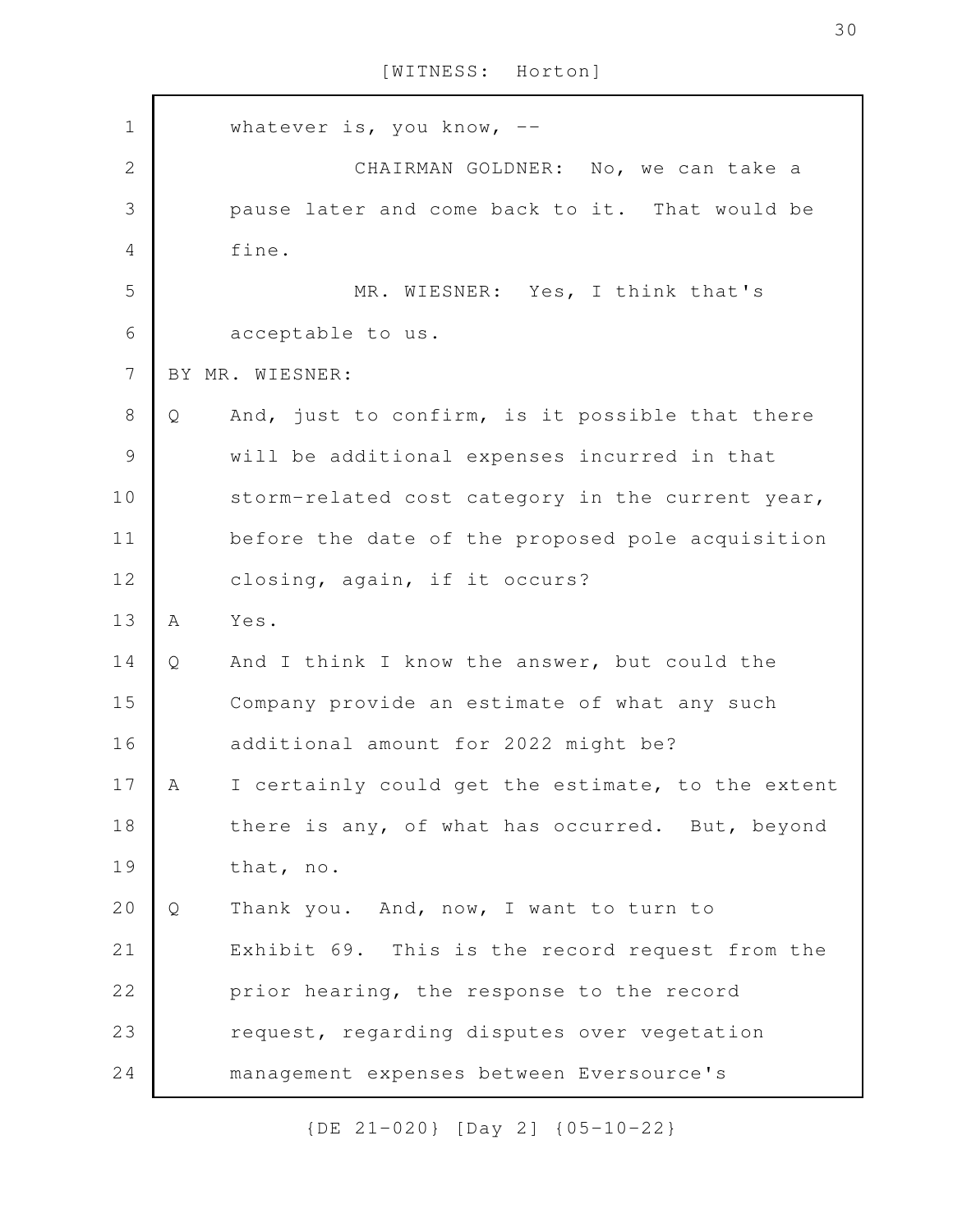whatever is, you know, --CHAIRMAN GOLDNER: No, we can take a pause later and come back to it. That would be fine. MR. WIESNER: Yes, I think that's acceptable to us. BY MR. WIESNER: Q And, just to confirm, is it possible that there will be additional expenses incurred in that storm-related cost category in the current year, before the date of the proposed pole acquisition closing, again, if it occurs? A Yes. Q And I think I know the answer, but could the Company provide an estimate of what any such additional amount for 2022 might be? A I certainly could get the estimate, to the extent there is any, of what has occurred. But, beyond that, no. Q Thank you. And, now, I want to turn to Exhibit 69. This is the record request from the prior hearing, the response to the record request, regarding disputes over vegetation management expenses between Eversource's 1 2 3 4 5 6 7 8 9 10 11 12 13 14 15 16 17 18 19 20 21 22 23 24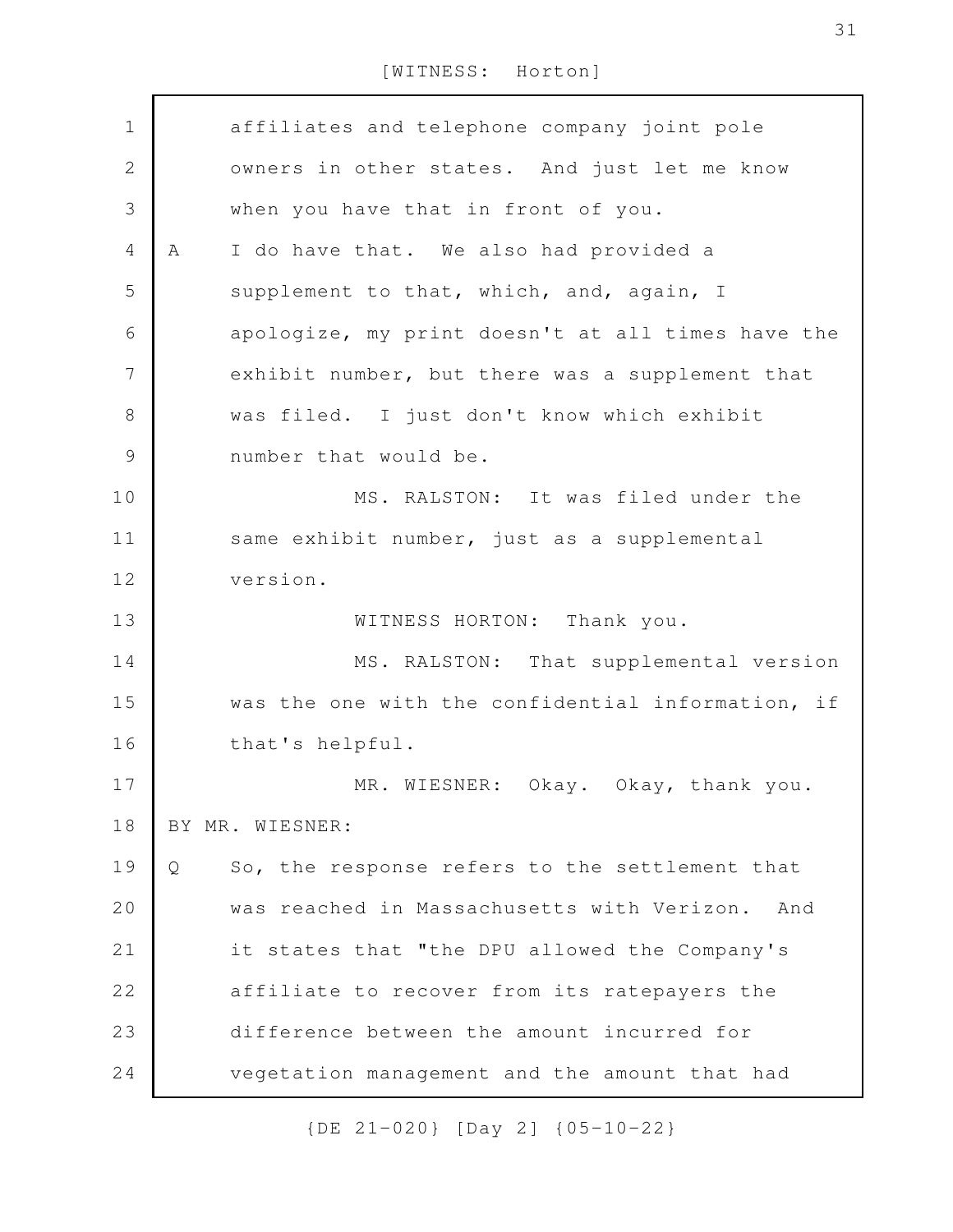| $\mathbf 1$    | affiliates and telephone company joint pole         |
|----------------|-----------------------------------------------------|
| $\sqrt{2}$     | owners in other states. And just let me know        |
| $\mathcal{S}$  | when you have that in front of you.                 |
| $\overline{4}$ | I do have that. We also had provided a<br>A         |
| 5              | supplement to that, which, and, again, I            |
| 6              | apologize, my print doesn't at all times have the   |
| $\overline{7}$ | exhibit number, but there was a supplement that     |
| $\,8\,$        | was filed. I just don't know which exhibit          |
| $\mathcal{G}$  | number that would be.                               |
| 10             | MS. RALSTON: It was filed under the                 |
| 11             | same exhibit number, just as a supplemental         |
| 12             | version.                                            |
| 13             | WITNESS HORTON:<br>Thank you.                       |
| 14             | MS. RALSTON: That supplemental version              |
| 15             | was the one with the confidential information, if   |
| 16             | that's helpful.                                     |
| 17             | MR. WIESNER: Okay. Okay, thank you.                 |
| 18             | BY MR. WIESNER:                                     |
| 19             | So, the response refers to the settlement that<br>Q |
| 20             | was reached in Massachusetts with Verizon.<br>And   |
| 21             | it states that "the DPU allowed the Company's       |
| 22             | affiliate to recover from its ratepayers the        |
| 23             | difference between the amount incurred for          |
| 24             | vegetation management and the amount that had       |
|                |                                                     |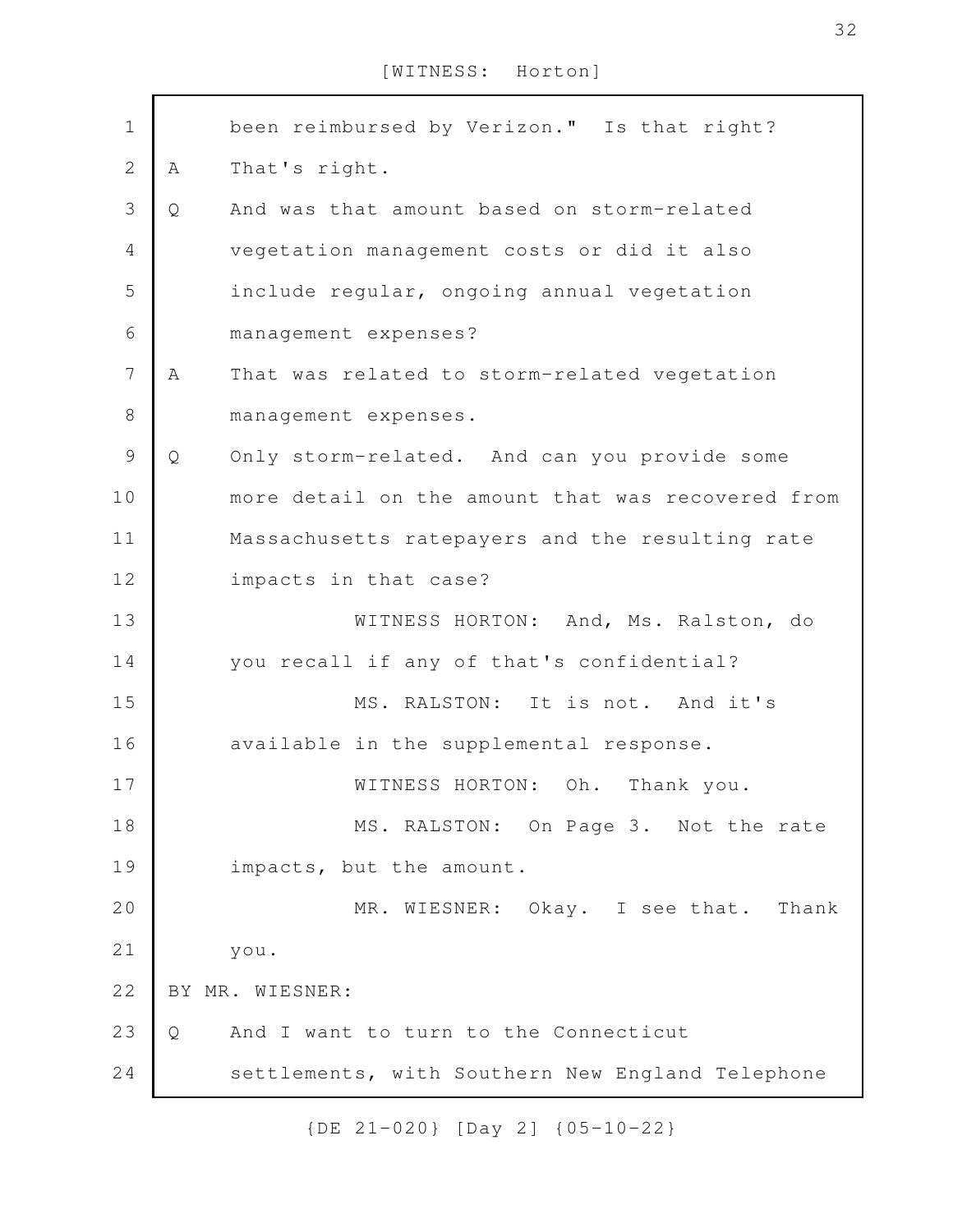| $\mathbf 1$    |   | been reimbursed by Verizon." Is that right?       |
|----------------|---|---------------------------------------------------|
| $\overline{2}$ | Α | That's right.                                     |
| $\mathcal{S}$  | Q | And was that amount based on storm-related        |
| $\overline{4}$ |   | vegetation management costs or did it also        |
| 5              |   | include regular, ongoing annual vegetation        |
| 6              |   | management expenses?                              |
| $\overline{7}$ | A | That was related to storm-related vegetation      |
| $8\,$          |   | management expenses.                              |
| $\mathsf 9$    | Q | Only storm-related. And can you provide some      |
| 10             |   | more detail on the amount that was recovered from |
| 11             |   | Massachusetts ratepayers and the resulting rate   |
| 12             |   | impacts in that case?                             |
| 13             |   | WITNESS HORTON: And, Ms. Ralston, do              |
| 14             |   | you recall if any of that's confidential?         |
| 15             |   | MS. RALSTON: It is not. And it's                  |
| 16             |   | available in the supplemental response.           |
| 17             |   | WITNESS HORTON: Oh. Thank you.                    |
| 18             |   | MS. RALSTON: On Page 3. Not the rate              |
| 19             |   | impacts, but the amount.                          |
| 20             |   | MR. WIESNER: Okay. I see that. Thank              |
| 21             |   | you.                                              |
| 22             |   | BY MR. WIESNER:                                   |
| 23             | Q | And I want to turn to the Connecticut             |
| 24             |   | settlements, with Southern New England Telephone  |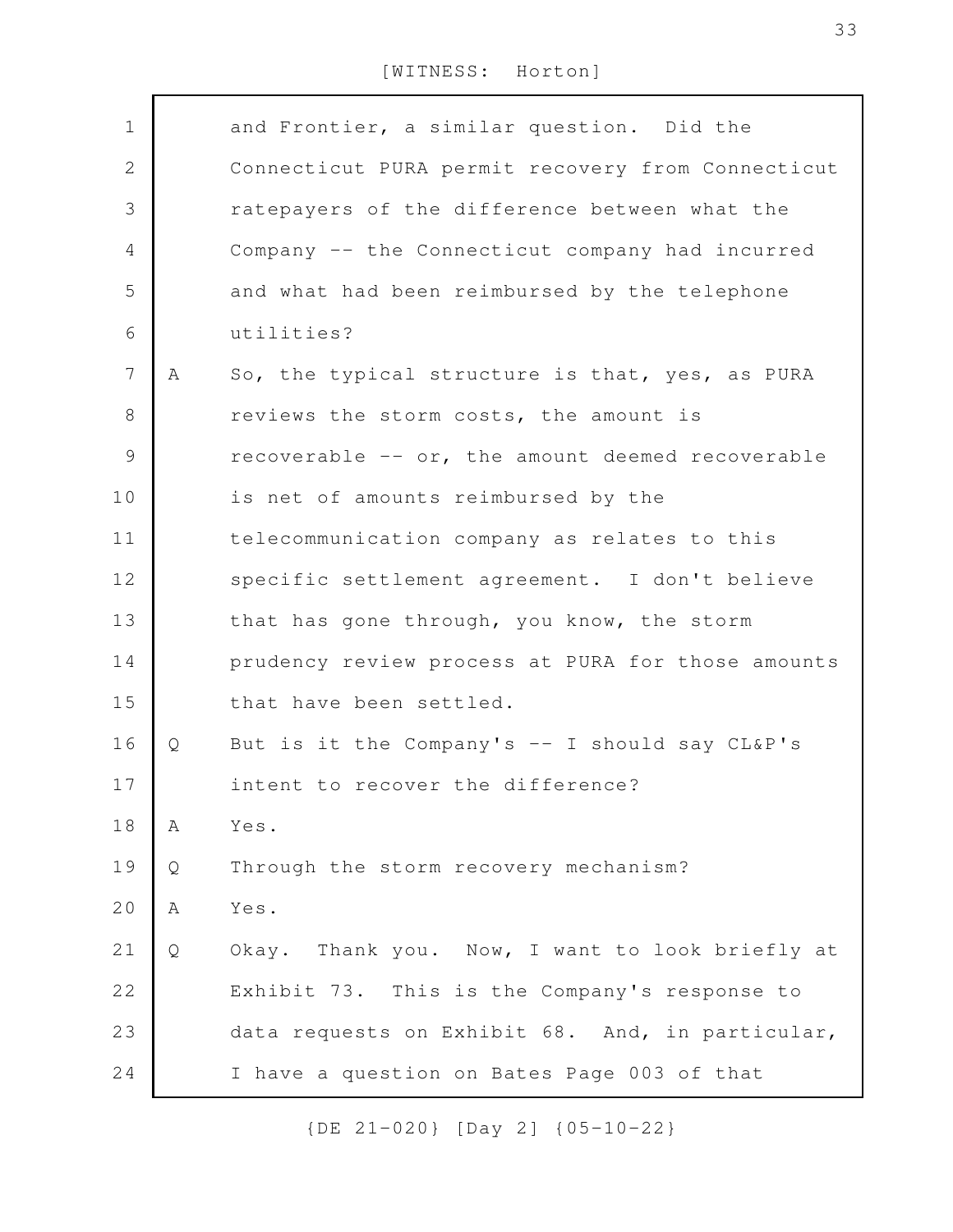| $\mathbf 1$    |   | and Frontier, a similar question. Did the         |
|----------------|---|---------------------------------------------------|
| $\mathbf{2}$   |   | Connecticut PURA permit recovery from Connecticut |
| $\mathfrak{Z}$ |   | ratepayers of the difference between what the     |
| 4              |   | Company -- the Connecticut company had incurred   |
| 5              |   | and what had been reimbursed by the telephone     |
| 6              |   | utilities?                                        |
| $\overline{7}$ | A | So, the typical structure is that, yes, as PURA   |
| $8\,$          |   | reviews the storm costs, the amount is            |
| $\mathcal{G}$  |   | recoverable -- or, the amount deemed recoverable  |
| 10             |   | is net of amounts reimbursed by the               |
| 11             |   | telecommunication company as relates to this      |
| 12             |   | specific settlement agreement. I don't believe    |
| 13             |   | that has gone through, you know, the storm        |
| 14             |   | prudency review process at PURA for those amounts |
| 15             |   | that have been settled.                           |
| 16             | Q | But is it the Company's -- I should say CL&P's    |
| 17             |   | intent to recover the difference?                 |
| 18             | Α | Yes.                                              |
| 19             | Q | Through the storm recovery mechanism?             |
| 20             | Α | Yes.                                              |
| 21             | Q | Okay. Thank you. Now, I want to look briefly at   |
| 22             |   | Exhibit 73. This is the Company's response to     |
| 23             |   | data requests on Exhibit 68. And, in particular,  |
| 24             |   | I have a question on Bates Page 003 of that       |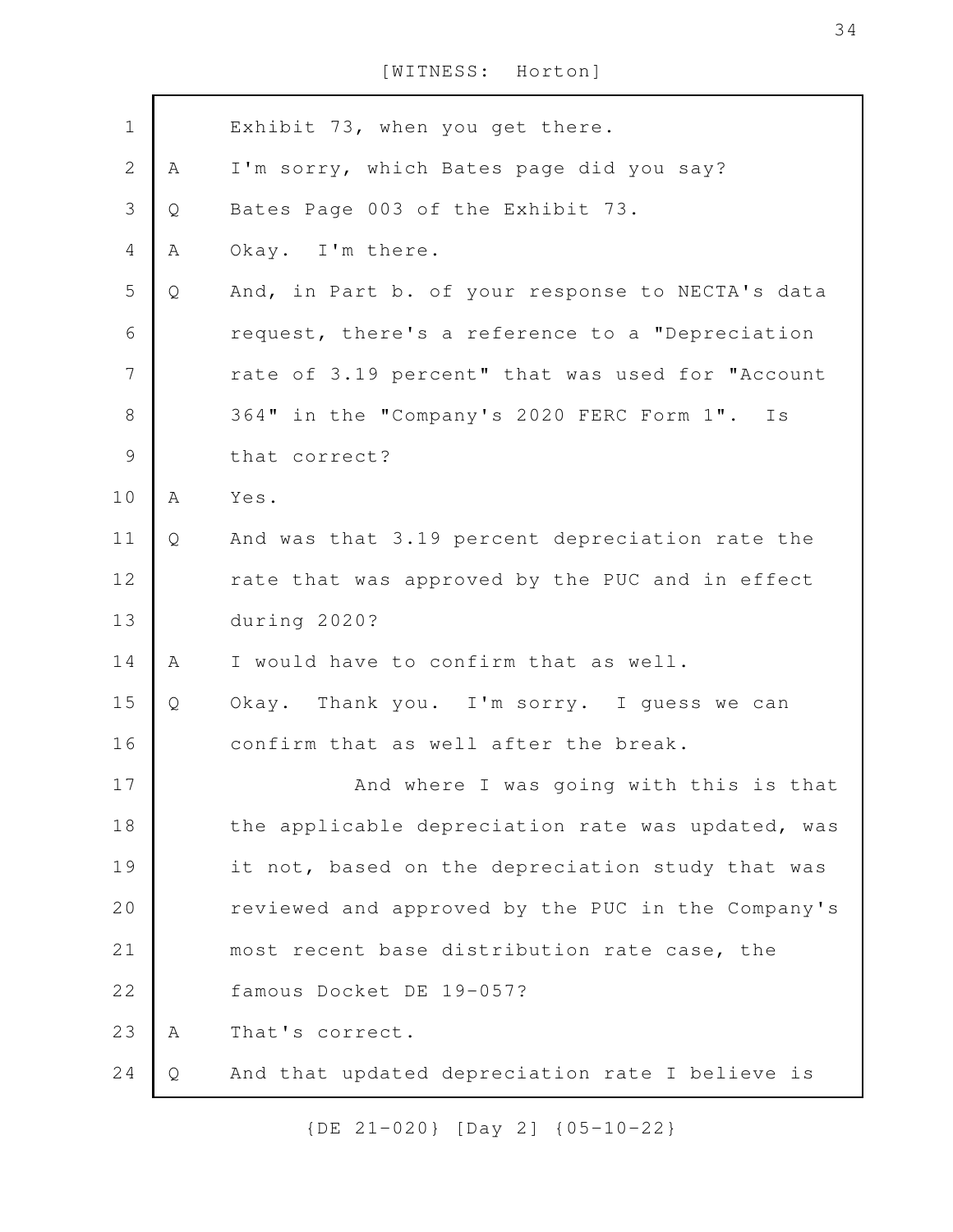| $\mathbf 1$    |   | Exhibit 73, when you get there.                   |
|----------------|---|---------------------------------------------------|
| $\mathbf{2}$   | A | I'm sorry, which Bates page did you say?          |
| 3              | Q | Bates Page 003 of the Exhibit 73.                 |
| 4              | Α | Okay. I'm there.                                  |
| 5              | Q | And, in Part b. of your response to NECTA's data  |
| 6              |   | request, there's a reference to a "Depreciation   |
| $\overline{7}$ |   | rate of 3.19 percent" that was used for "Account  |
| $\,8\,$        |   | 364" in the "Company's 2020 FERC Form 1". Is      |
| $\mathsf{S}$   |   | that correct?                                     |
| 10             | A | Yes.                                              |
| 11             | Q | And was that 3.19 percent depreciation rate the   |
| 12             |   | rate that was approved by the PUC and in effect   |
| 13             |   | during 2020?                                      |
| 14             | A | I would have to confirm that as well.             |
| 15             | Q | Okay. Thank you. I'm sorry. I guess we can        |
| 16             |   | confirm that as well after the break.             |
| 17             |   | And where I was going with this is that           |
| 18             |   | the applicable depreciation rate was updated, was |
| 19             |   | it not, based on the depreciation study that was  |
| 20             |   | reviewed and approved by the PUC in the Company's |
| 21             |   | most recent base distribution rate case, the      |
| 22             |   | famous Docket DE 19-057?                          |
| 23             | A | That's correct.                                   |
| 24             | Q | And that updated depreciation rate I believe is   |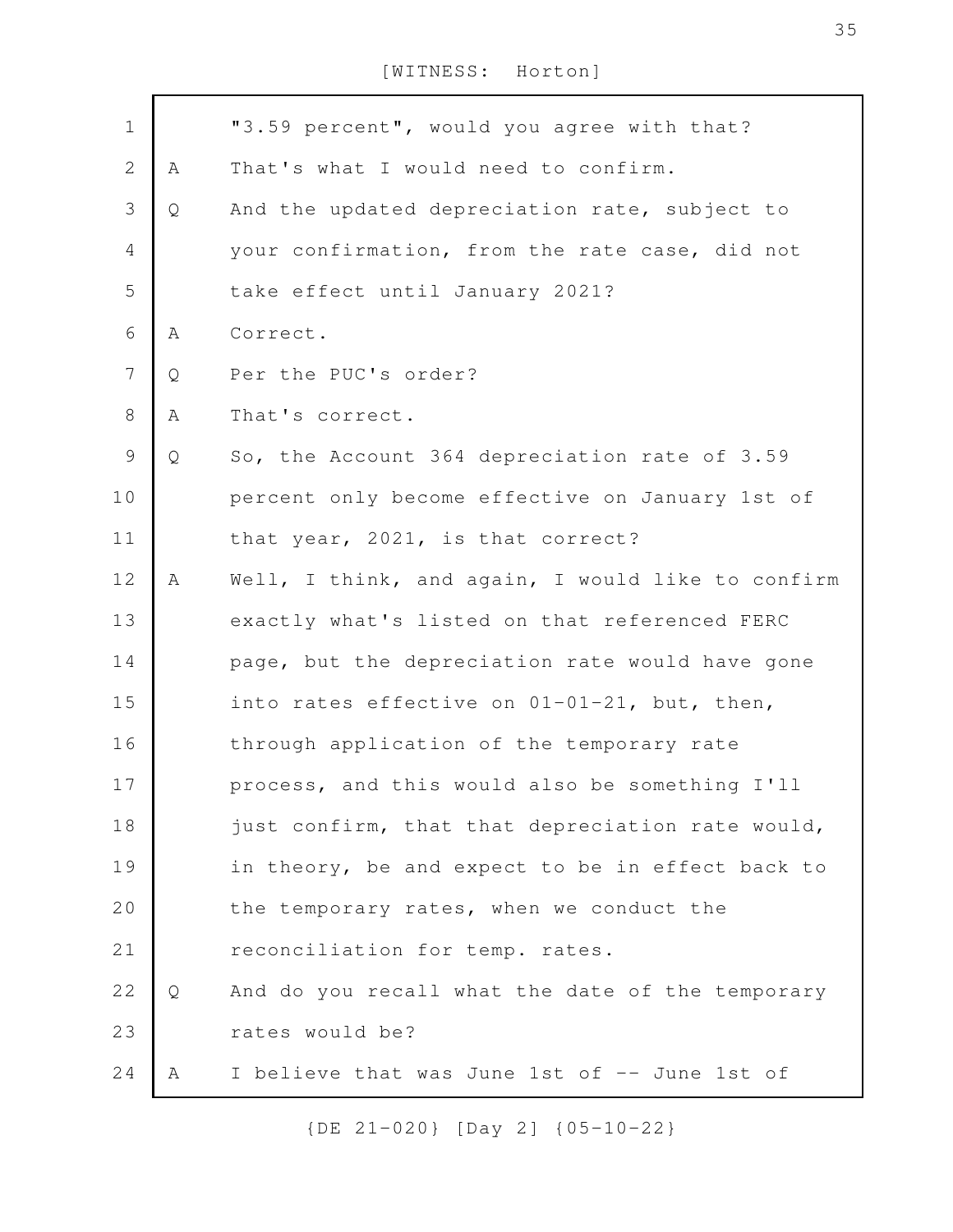| $\mathbf 1$    |   | "3.59 percent", would you agree with that?        |
|----------------|---|---------------------------------------------------|
| $\overline{2}$ | Α | That's what I would need to confirm.              |
| 3              | Q | And the updated depreciation rate, subject to     |
| 4              |   | your confirmation, from the rate case, did not    |
| 5              |   | take effect until January 2021?                   |
| 6              | Α | Correct.                                          |
| $\overline{7}$ | Q | Per the PUC's order?                              |
| 8              | Α | That's correct.                                   |
| 9              | Q | So, the Account 364 depreciation rate of 3.59     |
| 10             |   | percent only become effective on January 1st of   |
| 11             |   | that year, 2021, is that correct?                 |
| 12             | A | Well, I think, and again, I would like to confirm |
| 13             |   | exactly what's listed on that referenced FERC     |
| 14             |   | page, but the depreciation rate would have gone   |
| 15             |   | into rates effective on 01-01-21, but, then,      |
| 16             |   | through application of the temporary rate         |
| 17             |   | process, and this would also be something I'll    |
| 18             |   | just confirm, that that depreciation rate would,  |
| 19             |   | in theory, be and expect to be in effect back to  |
| 20             |   | the temporary rates, when we conduct the          |
| 21             |   | reconciliation for temp. rates.                   |
| 22             | Q | And do you recall what the date of the temporary  |
| 23             |   | rates would be?                                   |
| 24             | A | I believe that was June 1st of -- June 1st of     |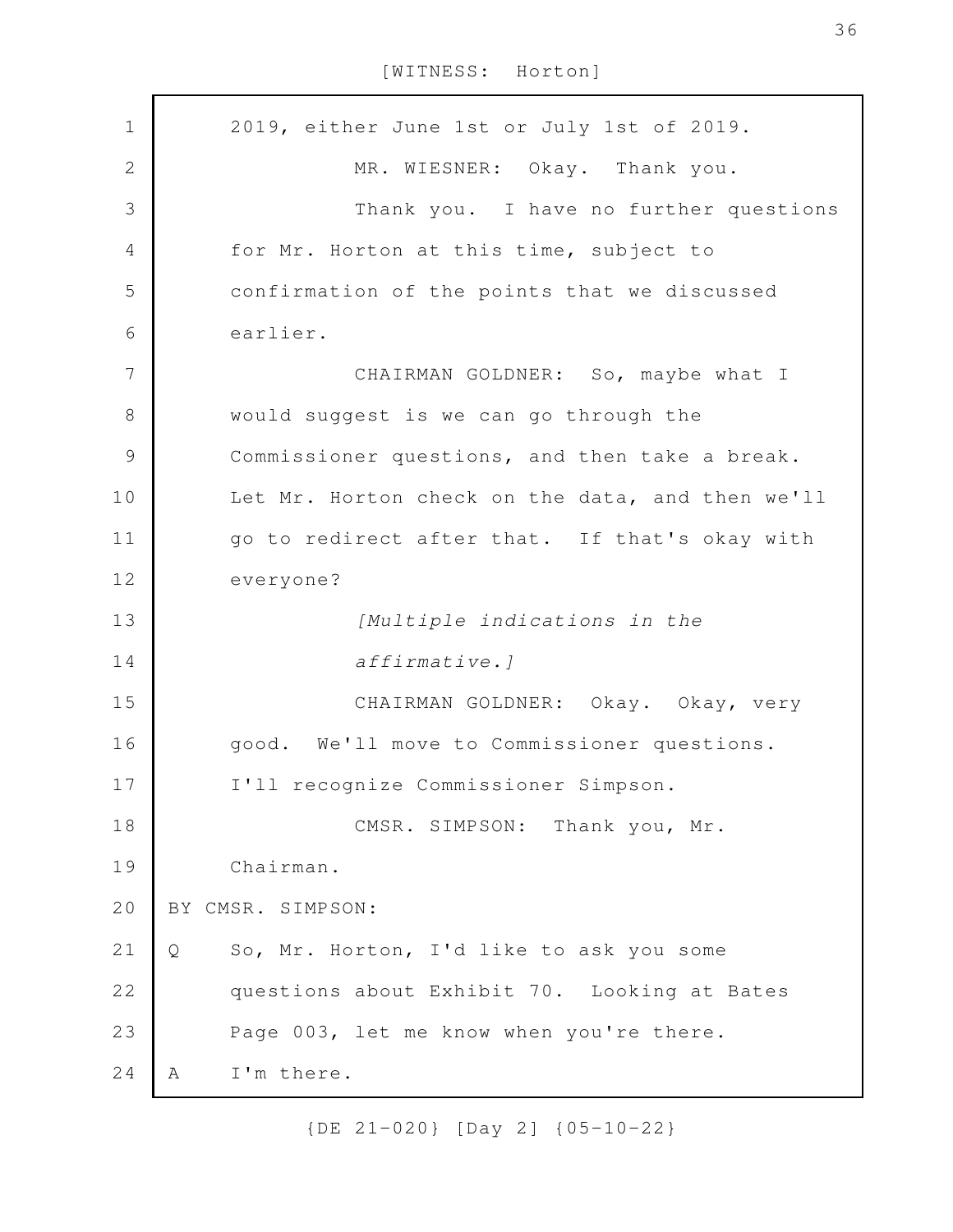2019, either June 1st or July 1st of 2019. MR. WIESNER: Okay. Thank you. Thank you. I have no further questions for Mr. Horton at this time, subject to confirmation of the points that we discussed earlier. CHAIRMAN GOLDNER: So, maybe what I would suggest is we can go through the Commissioner questions, and then take a break. Let Mr. Horton check on the data, and then we'll go to redirect after that. If that's okay with everyone? *[Multiple indications in the affirmative.]* CHAIRMAN GOLDNER: Okay. Okay, very good. We'll move to Commissioner questions. I'll recognize Commissioner Simpson. CMSR. SIMPSON: Thank you, Mr. Chairman. BY CMSR. SIMPSON: Q So, Mr. Horton, I'd like to ask you some questions about Exhibit 70. Looking at Bates Page 003, let me know when you're there. A I'm there. 1 2 3 4 5 6 7 8 9 10 11 12 13 14 15 16 17 18 19 20 21 22 23 24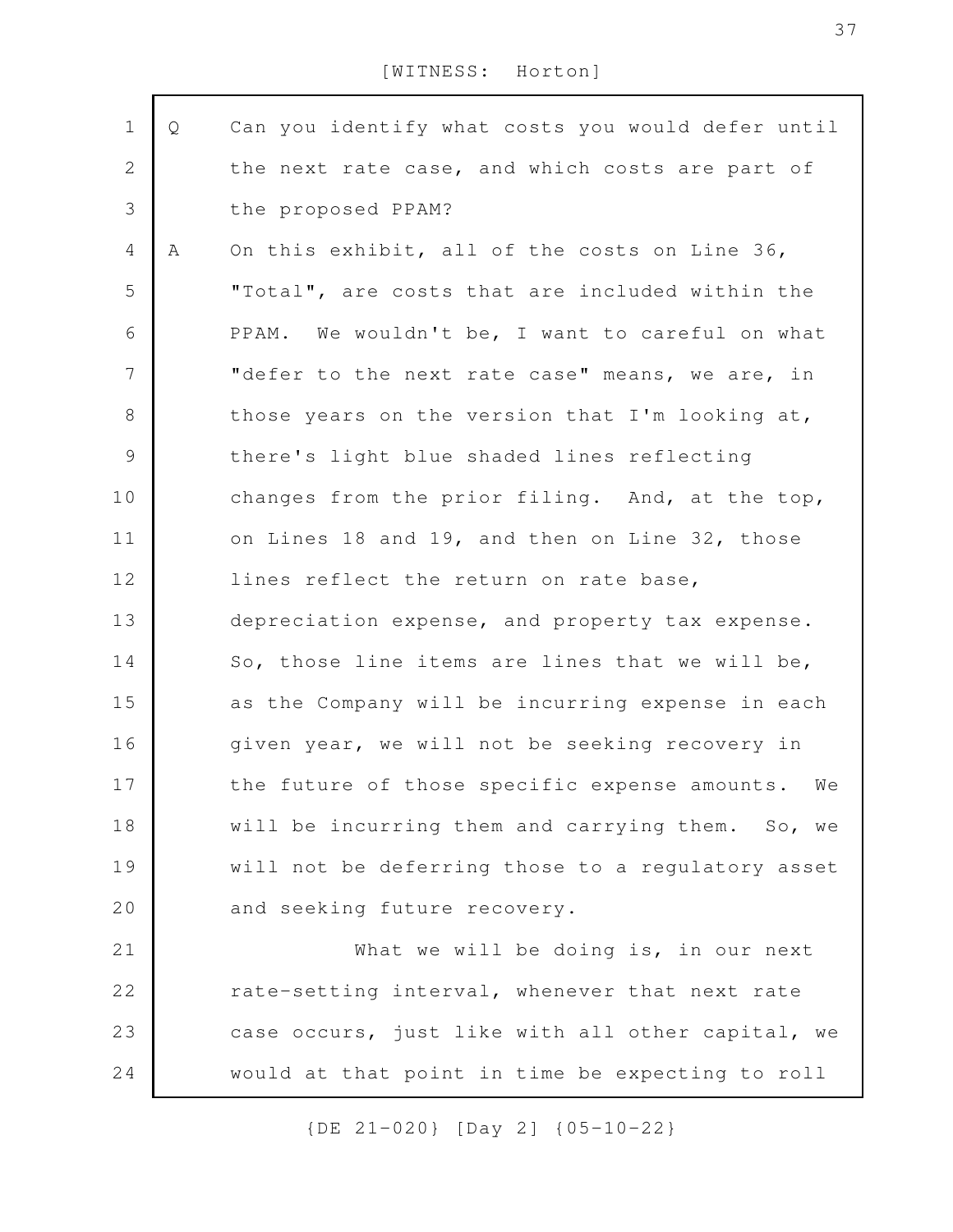| $\mathbf 1$    | Q | Can you identify what costs you would defer until |
|----------------|---|---------------------------------------------------|
| $\sqrt{2}$     |   | the next rate case, and which costs are part of   |
| $\mathcal{S}$  |   | the proposed PPAM?                                |
| 4              | A | On this exhibit, all of the costs on Line 36,     |
| 5              |   | "Total", are costs that are included within the   |
| 6              |   | PPAM. We wouldn't be, I want to careful on what   |
| $\overline{7}$ |   | "defer to the next rate case" means, we are, in   |
| $8\,$          |   | those years on the version that I'm looking at,   |
| $\mathcal{G}$  |   | there's light blue shaded lines reflecting        |
| 10             |   | changes from the prior filing. And, at the top,   |
| 11             |   | on Lines 18 and 19, and then on Line 32, those    |
| 12             |   | lines reflect the return on rate base,            |
| 13             |   | depreciation expense, and property tax expense.   |
| 14             |   | So, those line items are lines that we will be,   |
| 15             |   | as the Company will be incurring expense in each  |
| 16             |   | given year, we will not be seeking recovery in    |
| 17             |   | the future of those specific expense amounts. We  |
| 18             |   | will be incurring them and carrying them. So, we  |
| 19             |   | will not be deferring those to a regulatory asset |
| 20             |   | and seeking future recovery.                      |
| 21             |   | What we will be doing is, in our next             |
| 22             |   | rate-setting interval, whenever that next rate    |
| 23             |   | case occurs, just like with all other capital, we |
| 24             |   | would at that point in time be expecting to roll  |
|                |   |                                                   |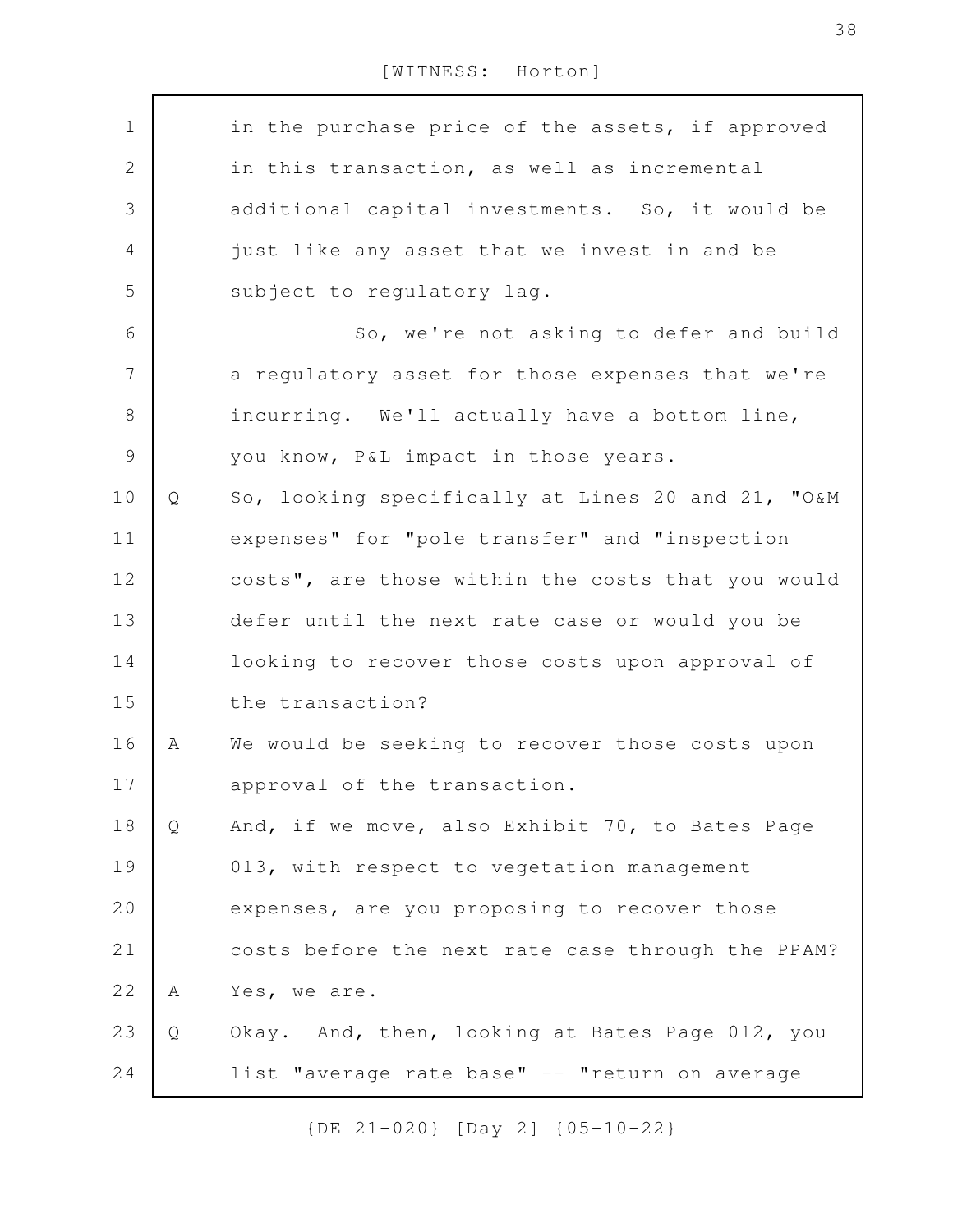| $\mathbf 1$    |   | in the purchase price of the assets, if approved  |
|----------------|---|---------------------------------------------------|
| $\mathbf{2}$   |   | in this transaction, as well as incremental       |
| $\mathfrak{Z}$ |   | additional capital investments. So, it would be   |
| $\overline{4}$ |   | just like any asset that we invest in and be      |
| 5              |   | subject to regulatory lag.                        |
| 6              |   | So, we're not asking to defer and build           |
| $\overline{7}$ |   | a regulatory asset for those expenses that we're  |
| $8\,$          |   | incurring. We'll actually have a bottom line,     |
| $\mathcal{G}$  |   | you know, P&L impact in those years.              |
| 10             | Q | So, looking specifically at Lines 20 and 21, "O&M |
| 11             |   | expenses" for "pole transfer" and "inspection     |
| 12             |   | costs", are those within the costs that you would |
| 13             |   | defer until the next rate case or would you be    |
| 14             |   | looking to recover those costs upon approval of   |
| 15             |   | the transaction?                                  |
| 16             | Α | We would be seeking to recover those costs upon   |
| 17             |   | approval of the transaction.                      |
| 18             | Q | And, if we move, also Exhibit 70, to Bates Page   |
| 19             |   | 013, with respect to vegetation management        |
| 20             |   | expenses, are you proposing to recover those      |
| 21             |   | costs before the next rate case through the PPAM? |
| 22             | A | Yes, we are.                                      |
| 23             | Q | Okay. And, then, looking at Bates Page 012, you   |
| 24             |   | list "average rate base" -- "return on average    |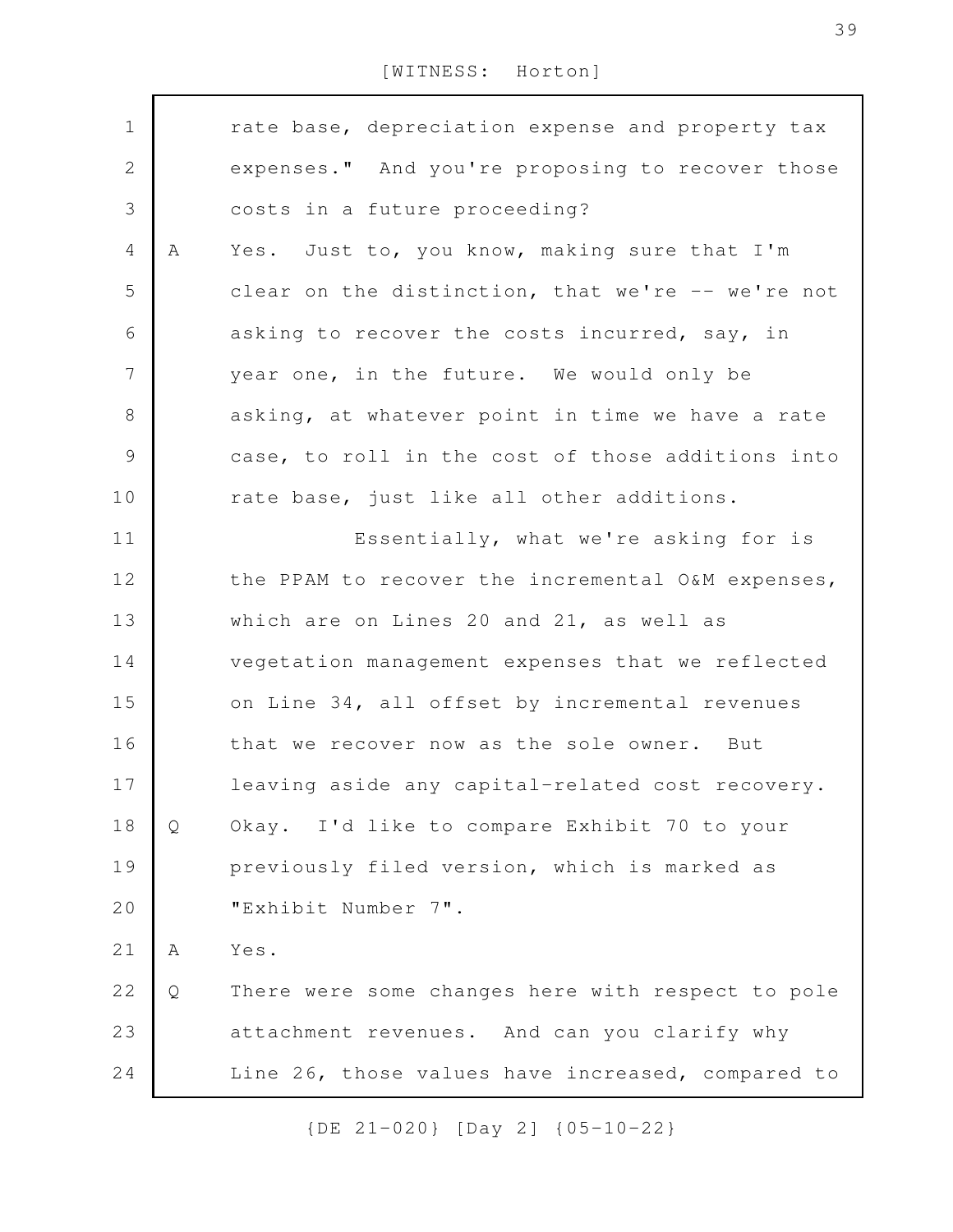| $\mathbf 1$    |   | rate base, depreciation expense and property tax  |
|----------------|---|---------------------------------------------------|
| $\mathbf{2}$   |   | expenses." And you're proposing to recover those  |
| 3              |   | costs in a future proceeding?                     |
| $\overline{4}$ | A | Yes. Just to, you know, making sure that I'm      |
| 5              |   | clear on the distinction, that we're -- we're not |
| 6              |   | asking to recover the costs incurred, say, in     |
| 7              |   | year one, in the future. We would only be         |
| $\,8\,$        |   | asking, at whatever point in time we have a rate  |
| $\mathcal{G}$  |   | case, to roll in the cost of those additions into |
| 10             |   | rate base, just like all other additions.         |
| 11             |   | Essentially, what we're asking for is             |
| 12             |   | the PPAM to recover the incremental O&M expenses, |
| 13             |   | which are on Lines 20 and 21, as well as          |
| 14             |   | vegetation management expenses that we reflected  |
| 15             |   | on Line 34, all offset by incremental revenues    |
| 16             |   | that we recover now as the sole owner. But        |
| 17             |   | leaving aside any capital-related cost recovery.  |
| 18             | Q | Okay. I'd like to compare Exhibit 70 to your      |
| 19             |   | previously filed version, which is marked as      |
| 20             |   | "Exhibit Number 7".                               |
| 21             | Α | Yes.                                              |
| 22             | Q | There were some changes here with respect to pole |
| 23             |   | attachment revenues. And can you clarify why      |
| 24             |   | Line 26, those values have increased, compared to |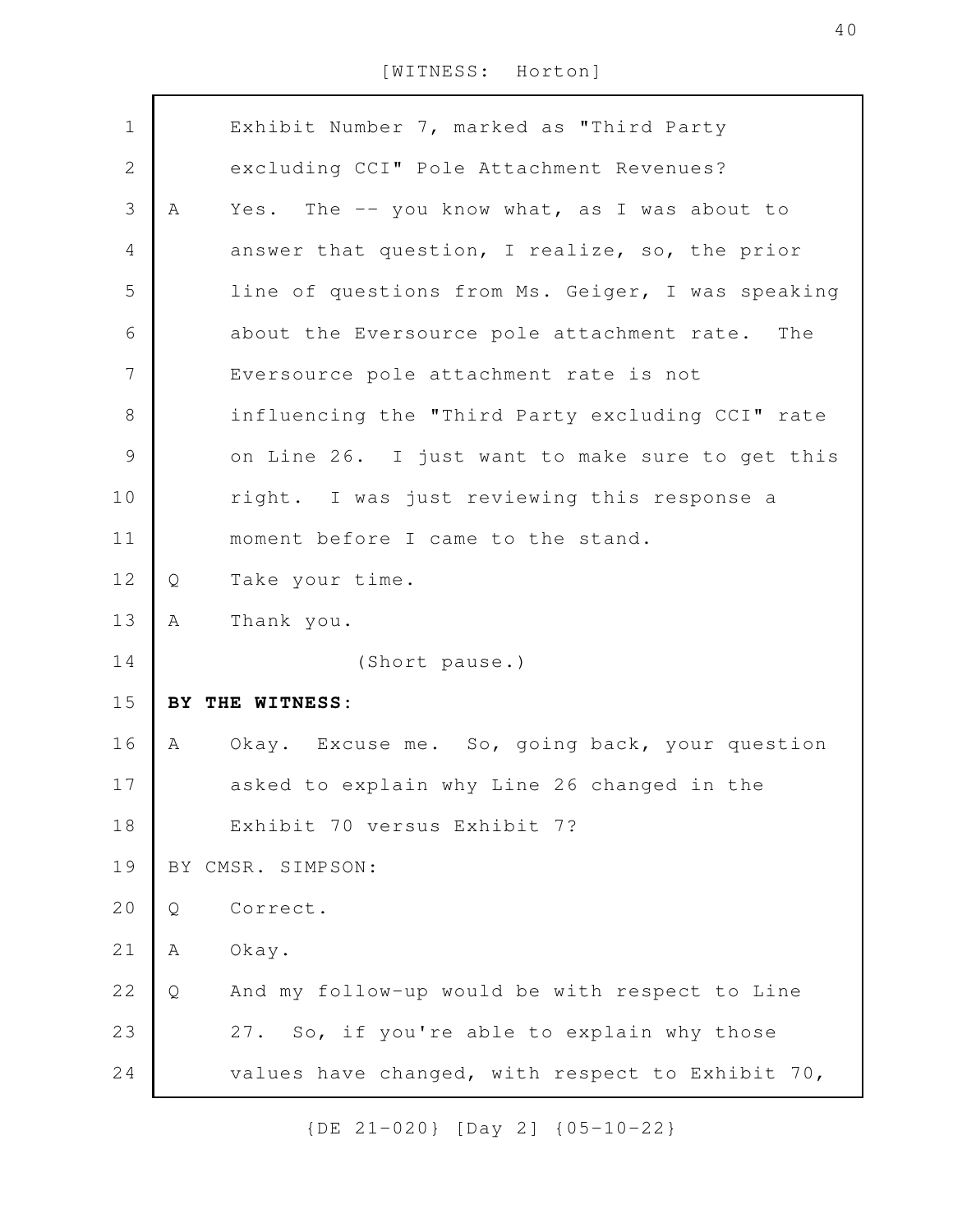| $\mathbf 1$    |   | Exhibit Number 7, marked as "Third Party          |
|----------------|---|---------------------------------------------------|
| $\mathbf{2}$   |   | excluding CCI" Pole Attachment Revenues?          |
| $\mathfrak{Z}$ | A | Yes. The -- you know what, as I was about to      |
| 4              |   | answer that question, I realize, so, the prior    |
| 5              |   | line of questions from Ms. Geiger, I was speaking |
| 6              |   | about the Eversource pole attachment rate. The    |
| $\overline{7}$ |   | Eversource pole attachment rate is not            |
| $\,8\,$        |   | influencing the "Third Party excluding CCI" rate  |
| $\mathcal{G}$  |   | on Line 26. I just want to make sure to get this  |
| 10             |   | right. I was just reviewing this response a       |
| 11             |   | moment before I came to the stand.                |
| 12             | Q | Take your time.                                   |
| 13             | A | Thank you.                                        |
| 14             |   | (Short pause.)                                    |
| 15             |   | BY THE WITNESS:                                   |
| 16             | A | Okay. Excuse me. So, going back, your question    |
| 17             |   | asked to explain why Line 26 changed in the       |
| 18             |   | Exhibit 70 versus Exhibit 7?                      |
| 19             |   | BY CMSR. SIMPSON:                                 |
| 20             | Q | Correct.                                          |
| 21             | Α | Okay.                                             |
| 22             | Q | And my follow-up would be with respect to Line    |
| 23             |   | 27. So, if you're able to explain why those       |
| 24             |   | values have changed, with respect to Exhibit 70,  |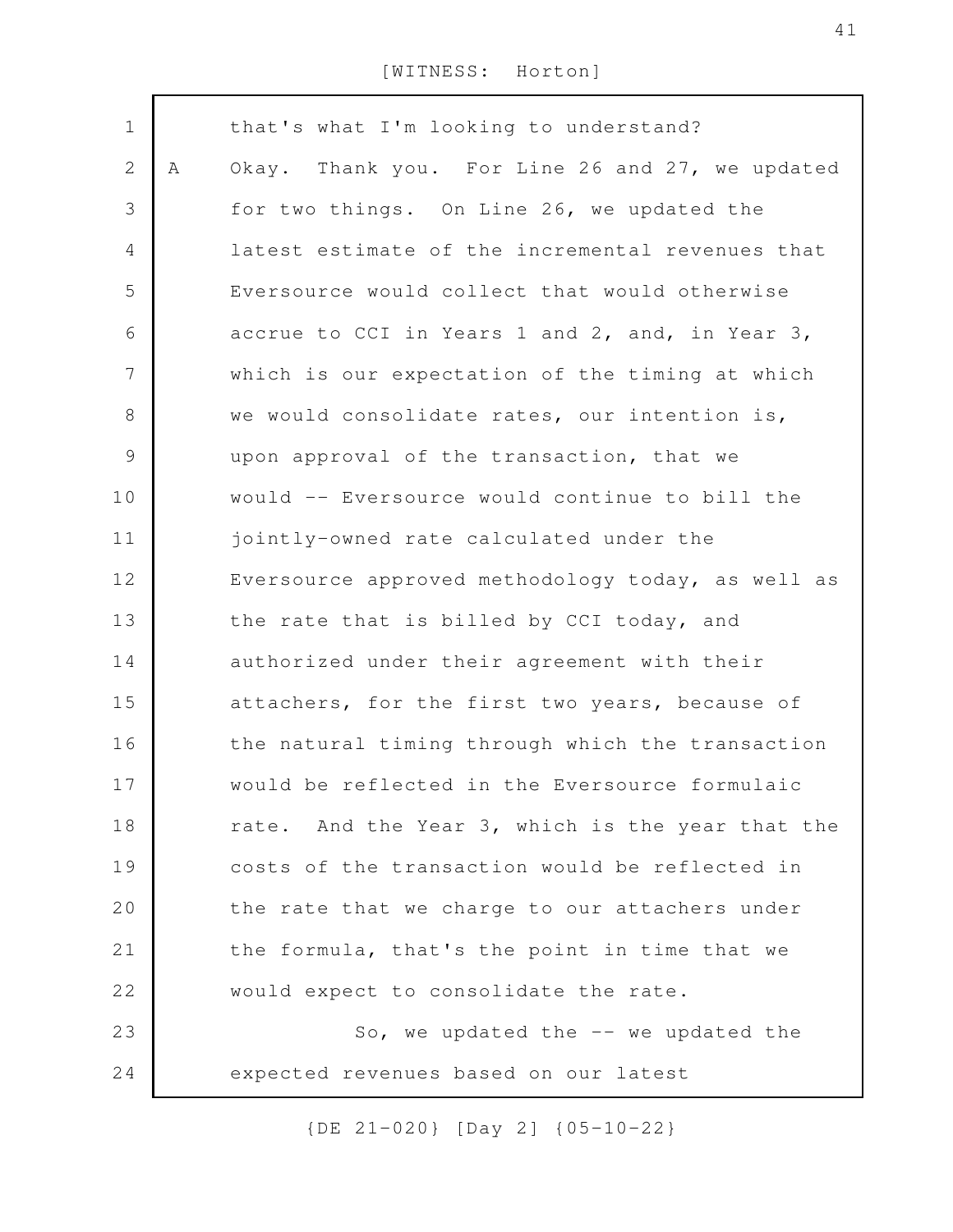| $\mathbf 1$    |   | that's what I'm looking to understand?            |
|----------------|---|---------------------------------------------------|
| $\mathbf{2}$   | Α | Okay. Thank you. For Line 26 and 27, we updated   |
| 3              |   | for two things. On Line 26, we updated the        |
| 4              |   | latest estimate of the incremental revenues that  |
| 5              |   | Eversource would collect that would otherwise     |
| 6              |   | accrue to CCI in Years 1 and 2, and, in Year 3,   |
| $\overline{7}$ |   | which is our expectation of the timing at which   |
| $8\,$          |   | we would consolidate rates, our intention is,     |
| $\mathcal{G}$  |   | upon approval of the transaction, that we         |
| 10             |   | would -- Eversource would continue to bill the    |
| 11             |   | jointly-owned rate calculated under the           |
| 12             |   | Eversource approved methodology today, as well as |
| 13             |   | the rate that is billed by CCI today, and         |
| 14             |   | authorized under their agreement with their       |
| 15             |   | attachers, for the first two years, because of    |
| 16             |   | the natural timing through which the transaction  |
| 17             |   | would be reflected in the Eversource formulaic    |
| 18             |   | rate. And the Year 3, which is the year that the  |
| 19             |   | costs of the transaction would be reflected in    |
| 20             |   | the rate that we charge to our attachers under    |
| 21             |   | the formula, that's the point in time that we     |
| 22             |   | would expect to consolidate the rate.             |
| 23             |   | So, we updated the $--$ we updated the            |
| 24             |   | expected revenues based on our latest             |
|                |   |                                                   |

{DE 21-020} [Day 2] {05-10-22}

41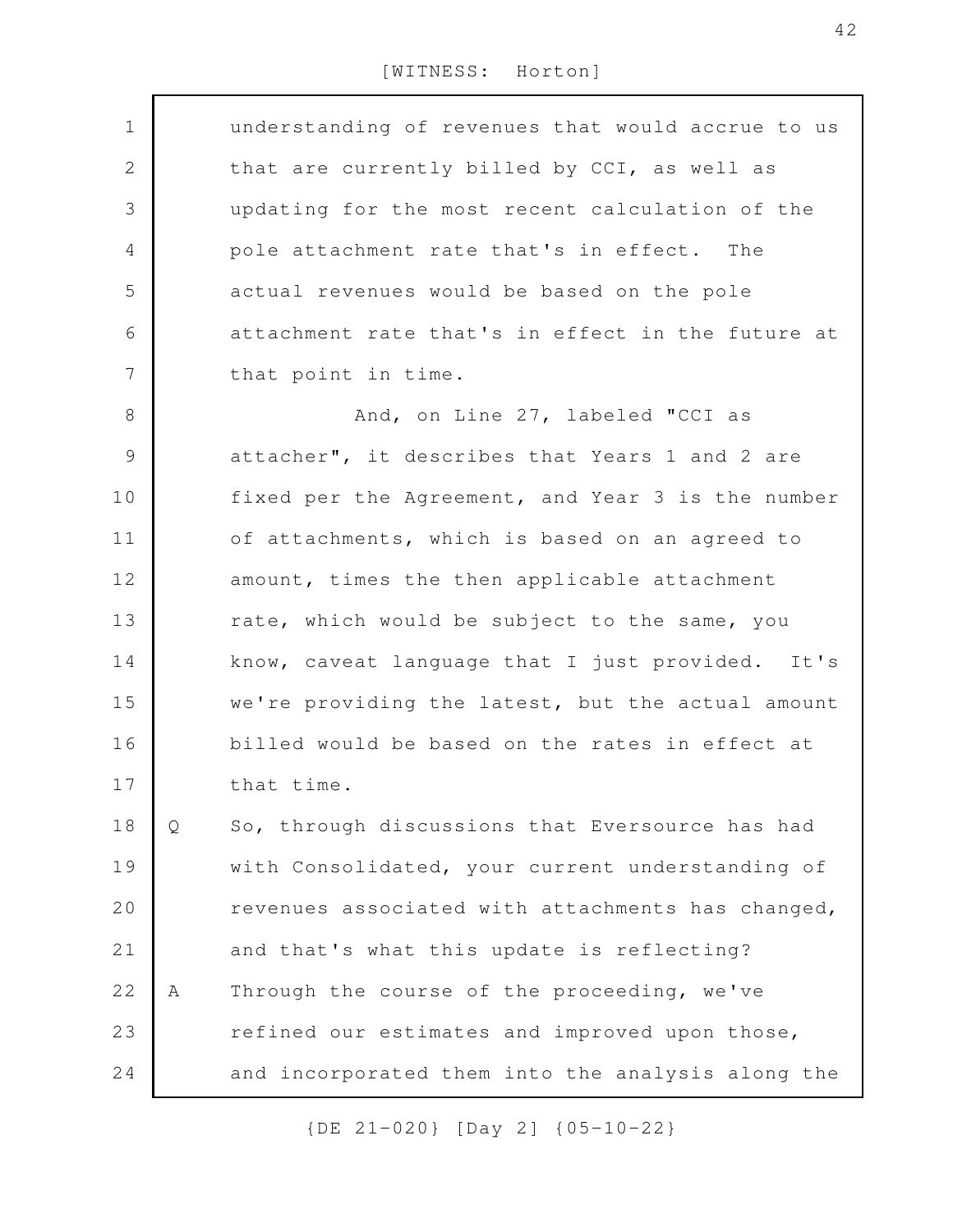| $\mathbf 1$    |   | understanding of revenues that would accrue to us |
|----------------|---|---------------------------------------------------|
|                |   |                                                   |
| 2              |   | that are currently billed by CCI, as well as      |
| 3              |   | updating for the most recent calculation of the   |
| 4              |   | pole attachment rate that's in effect. The        |
| 5              |   | actual revenues would be based on the pole        |
| 6              |   | attachment rate that's in effect in the future at |
| $\overline{7}$ |   | that point in time.                               |
| $8\,$          |   | And, on Line 27, labeled "CCI as                  |
| $\mathcal{G}$  |   | attacher", it describes that Years 1 and 2 are    |
| 10             |   | fixed per the Agreement, and Year 3 is the number |
| 11             |   | of attachments, which is based on an agreed to    |
| 12             |   | amount, times the then applicable attachment      |
| 13             |   | rate, which would be subject to the same, you     |
| 14             |   | know, caveat language that I just provided. It's  |
| 15             |   | we're providing the latest, but the actual amount |
| 16             |   | billed would be based on the rates in effect at   |
| 17             |   | that time.                                        |
| 18             | Q | So, through discussions that Eversource has had   |
| 19             |   | with Consolidated, your current understanding of  |
| 20             |   | revenues associated with attachments has changed, |
| 21             |   | and that's what this update is reflecting?        |
| 22             | Α | Through the course of the proceeding, we've       |
| 23             |   | refined our estimates and improved upon those,    |
| 24             |   | and incorporated them into the analysis along the |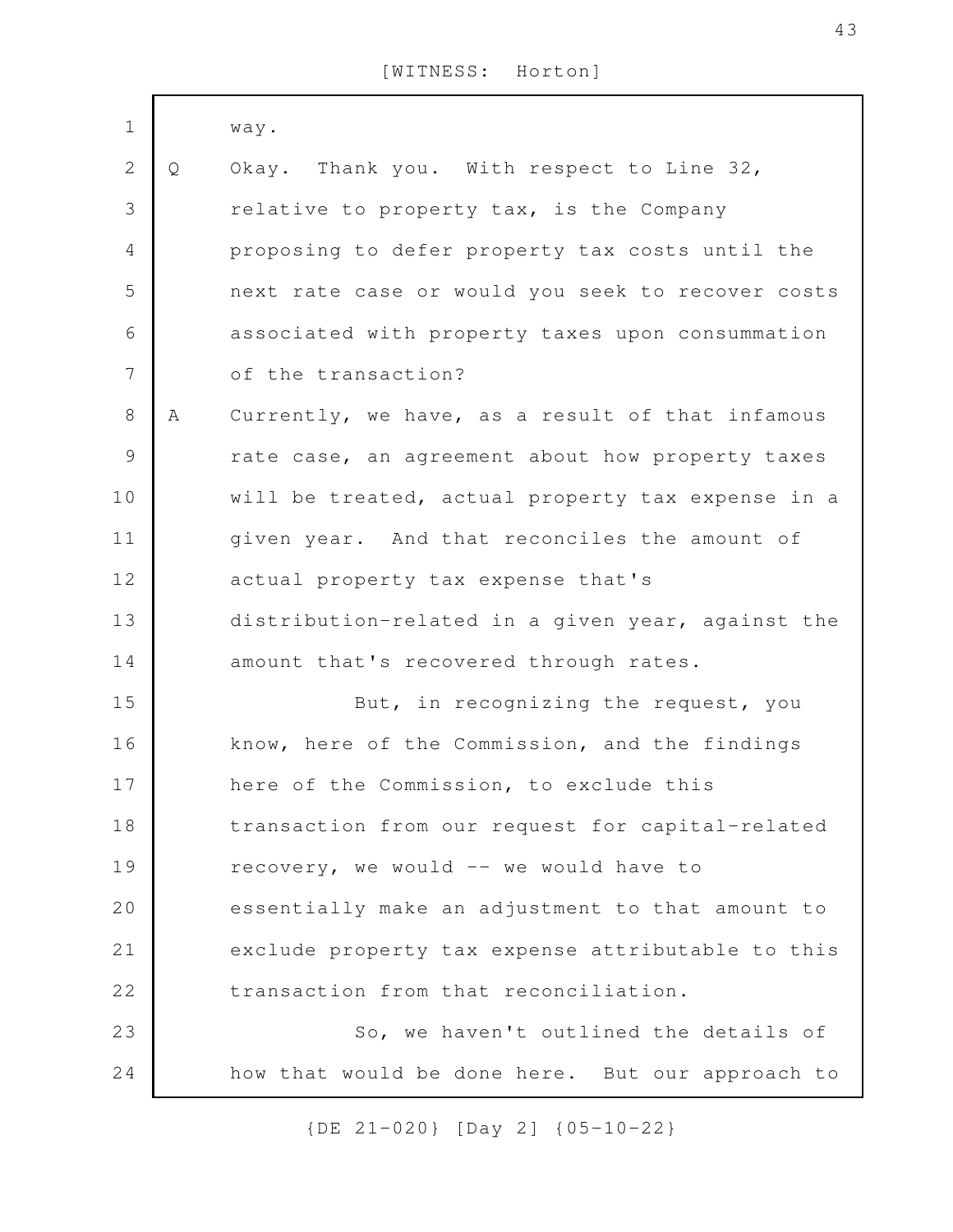| $1\,$          |   | way.                                              |
|----------------|---|---------------------------------------------------|
| $\sqrt{2}$     | Q | Okay. Thank you. With respect to Line 32,         |
| 3              |   | relative to property tax, is the Company          |
|                |   |                                                   |
| $\overline{4}$ |   | proposing to defer property tax costs until the   |
| 5              |   | next rate case or would you seek to recover costs |
| 6              |   | associated with property taxes upon consummation  |
| 7              |   | of the transaction?                               |
| $8\,$          | A | Currently, we have, as a result of that infamous  |
| $\mathcal{G}$  |   | rate case, an agreement about how property taxes  |
| 10             |   | will be treated, actual property tax expense in a |
| 11             |   | given year. And that reconciles the amount of     |
| 12             |   | actual property tax expense that's                |
| 13             |   | distribution-related in a given year, against the |
| 14             |   | amount that's recovered through rates.            |
| 15             |   | But, in recognizing the request, you              |
| 16             |   | know, here of the Commission, and the findings    |
| 17             |   | here of the Commission, to exclude this           |
| 18             |   | transaction from our request for capital-related  |
| 19             |   | recovery, we would -- we would have to            |
| 20             |   | essentially make an adjustment to that amount to  |
| 21             |   | exclude property tax expense attributable to this |
| 22             |   | transaction from that reconciliation.             |
| 23             |   | So, we haven't outlined the details of            |
| 24             |   | how that would be done here. But our approach to  |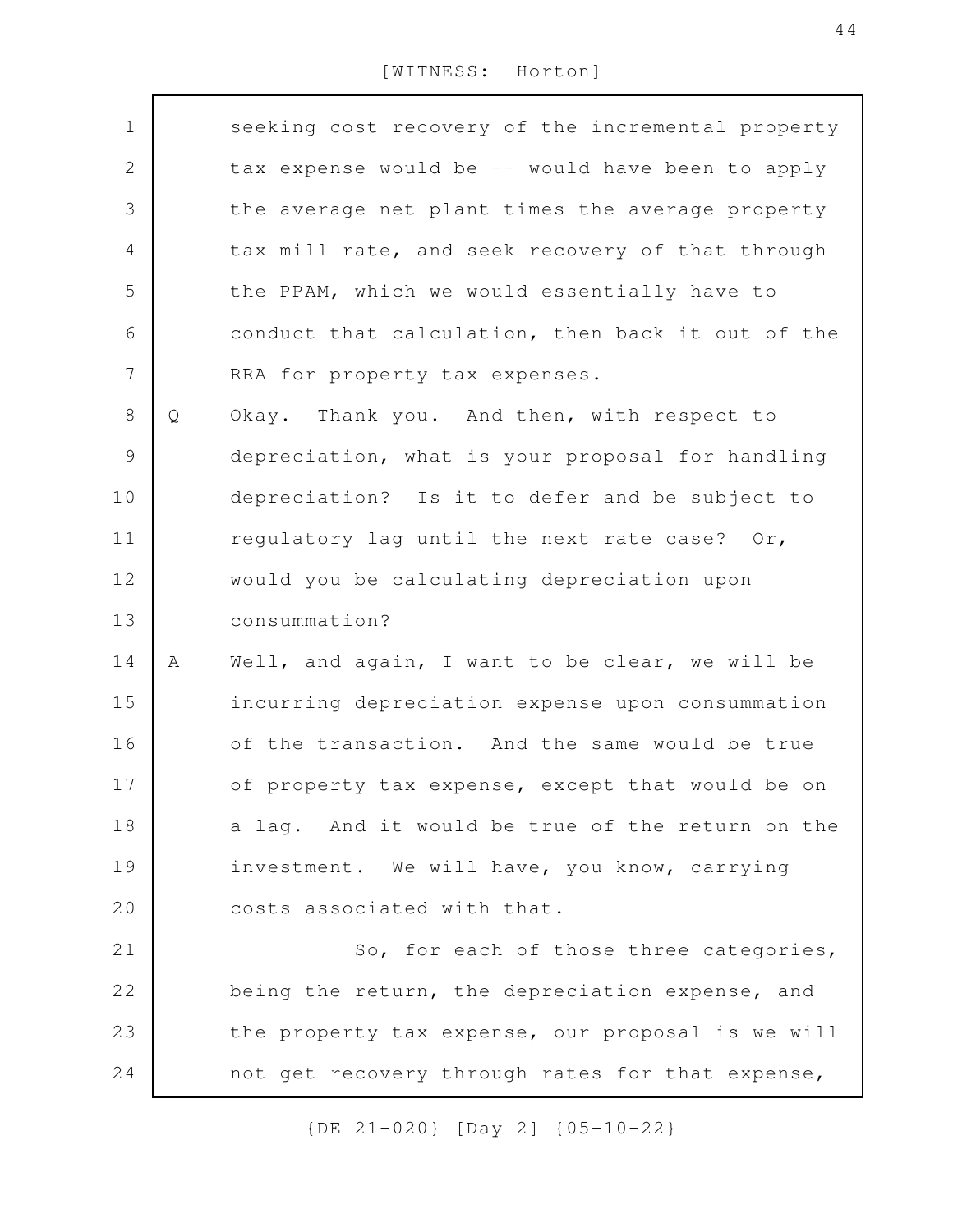| $\mathbf 1$    |   | seeking cost recovery of the incremental property |
|----------------|---|---------------------------------------------------|
| $\mathbf{2}$   |   | tax expense would be -- would have been to apply  |
| 3              |   | the average net plant times the average property  |
| 4              |   | tax mill rate, and seek recovery of that through  |
| 5              |   | the PPAM, which we would essentially have to      |
| 6              |   | conduct that calculation, then back it out of the |
| $\overline{7}$ |   | RRA for property tax expenses.                    |
| $8\,$          | Q | Okay. Thank you. And then, with respect to        |
| $\mathsf 9$    |   | depreciation, what is your proposal for handling  |
| 10             |   | depreciation? Is it to defer and be subject to    |
| 11             |   | regulatory lag until the next rate case? Or,      |
| 12             |   | would you be calculating depreciation upon        |
| 13             |   | consummation?                                     |
| 14             | Α | Well, and again, I want to be clear, we will be   |
| 15             |   | incurring depreciation expense upon consummation  |
| 16             |   | of the transaction. And the same would be true    |
| 17             |   | of property tax expense, except that would be on  |
| 18             |   | a lag. And it would be true of the return on the  |
| 19             |   | investment. We will have, you know, carrying      |
| 20             |   | costs associated with that.                       |
| 21             |   | So, for each of those three categories,           |
| 22             |   | being the return, the depreciation expense, and   |
| 23             |   | the property tax expense, our proposal is we will |
| 24             |   | not get recovery through rates for that expense,  |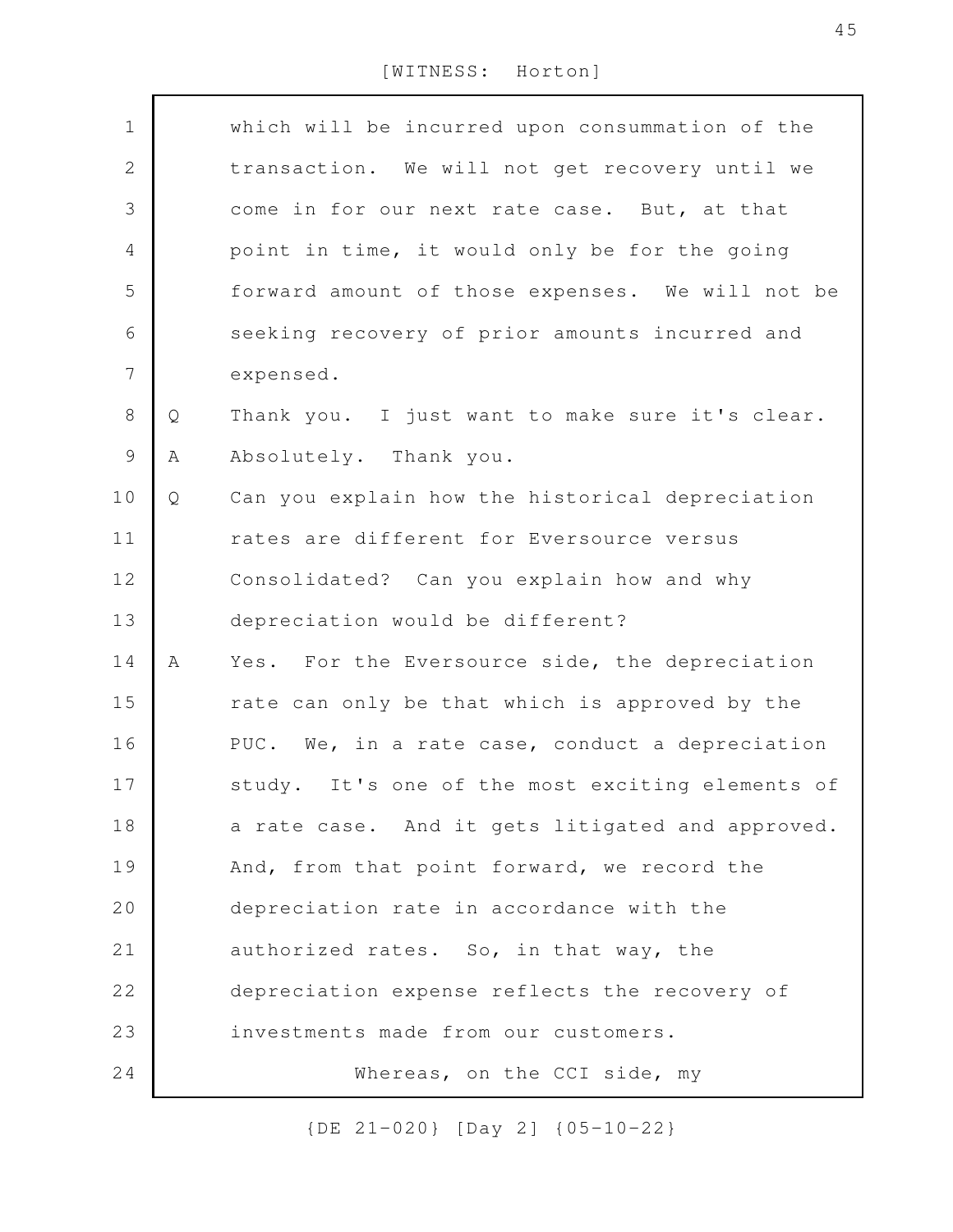|   | which will be incurred upon consummation of the  |
|---|--------------------------------------------------|
|   | transaction. We will not get recovery until we   |
|   | come in for our next rate case. But, at that     |
|   | point in time, it would only be for the going    |
|   | forward amount of those expenses. We will not be |
|   | seeking recovery of prior amounts incurred and   |
|   | expensed.                                        |
| Q | Thank you. I just want to make sure it's clear.  |
| Α | Absolutely. Thank you.                           |
| Q | Can you explain how the historical depreciation  |
|   | rates are different for Eversource versus        |
|   | Consolidated? Can you explain how and why        |
|   | depreciation would be different?                 |
| Α | Yes. For the Eversource side, the depreciation   |
|   | rate can only be that which is approved by the   |
|   | PUC. We, in a rate case, conduct a depreciation  |
|   | study. It's one of the most exciting elements of |
|   | a rate case. And it gets litigated and approved. |
|   | And, from that point forward, we record the      |
|   | depreciation rate in accordance with the         |
|   | authorized rates. So, in that way, the           |
|   | depreciation expense reflects the recovery of    |
|   | investments made from our customers.             |
|   | Whereas, on the CCI side, my                     |
|   |                                                  |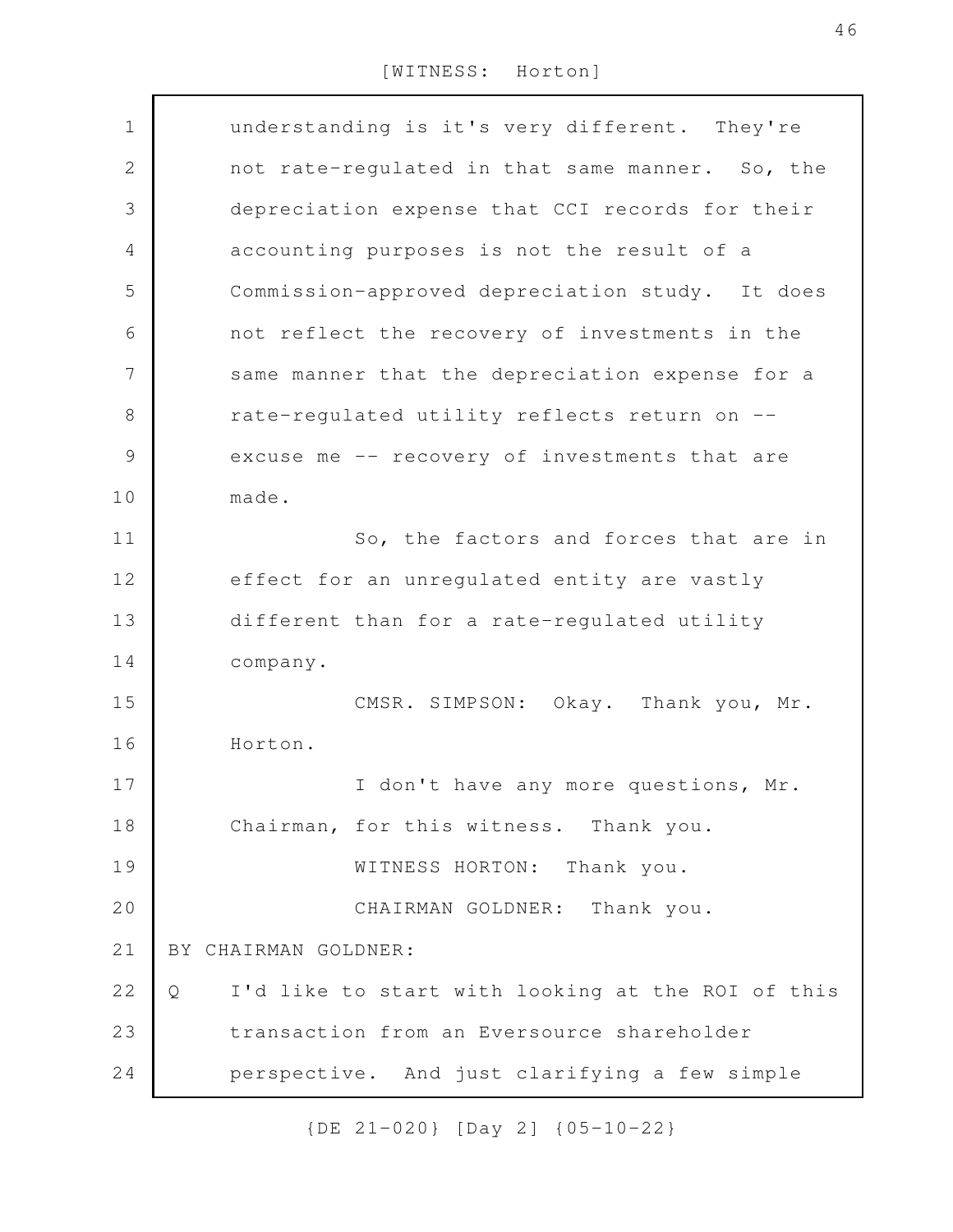| $\mathbf 1$   | understanding is it's very different. They're          |
|---------------|--------------------------------------------------------|
| $\mathbf 2$   | not rate-regulated in that same manner. So, the        |
| 3             | depreciation expense that CCI records for their        |
| 4             | accounting purposes is not the result of a             |
| 5             | Commission-approved depreciation study. It does        |
| 6             | not reflect the recovery of investments in the         |
| 7             | same manner that the depreciation expense for a        |
| 8             | rate-regulated utility reflects return on --           |
| $\mathcal{G}$ | excuse me -- recovery of investments that are          |
| 10            | made.                                                  |
| 11            | So, the factors and forces that are in                 |
| 12            | effect for an unregulated entity are vastly            |
| 13            | different than for a rate-regulated utility            |
| 14            | company.                                               |
| 15            | CMSR. SIMPSON: Okay. Thank you, Mr.                    |
| 16            | Horton.                                                |
| 17            | I don't have any more questions, Mr.                   |
| 18            | Chairman, for this witness. Thank you.                 |
| 19            | WITNESS HORTON: Thank you.                             |
| 20            | CHAIRMAN GOLDNER: Thank you.                           |
| 21            | BY CHAIRMAN GOLDNER:                                   |
| 22            | I'd like to start with looking at the ROI of this<br>Q |
| 23            | transaction from an Eversource shareholder             |
| 24            | perspective. And just clarifying a few simple          |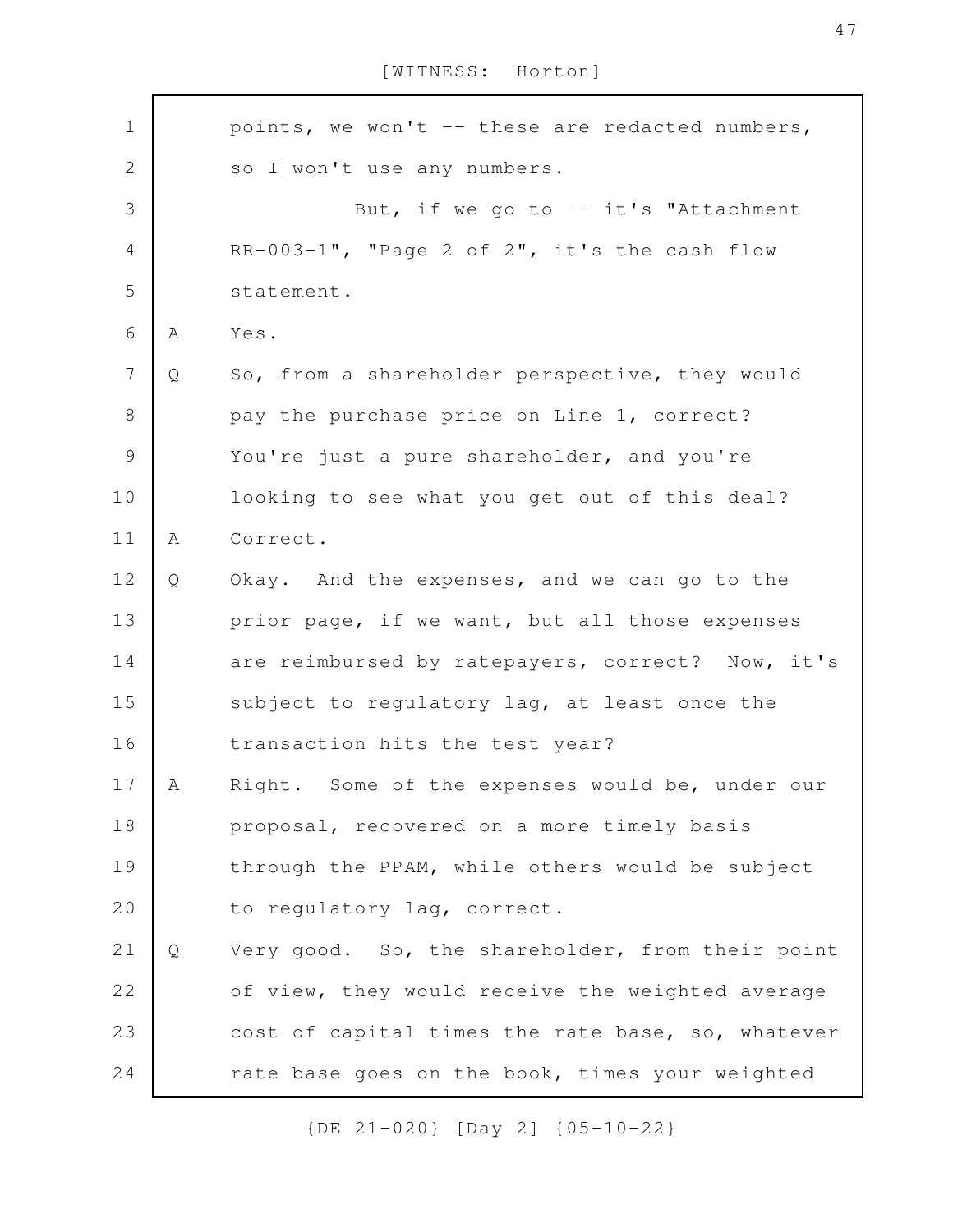points, we won't -- these are redacted numbers, so I won't use any numbers. But, if we go to  $-$  it's "Attachment RR-003-1", "Page 2 of 2", it's the cash flow statement. A Yes. Q So, from a shareholder perspective, they would pay the purchase price on Line 1, correct? You're just a pure shareholder, and you're looking to see what you get out of this deal? A Correct. Q Okay. And the expenses, and we can go to the prior page, if we want, but all those expenses are reimbursed by ratepayers, correct? Now, it's subject to regulatory lag, at least once the transaction hits the test year? A Right. Some of the expenses would be, under our proposal, recovered on a more timely basis through the PPAM, while others would be subject to regulatory lag, correct. Q Very good. So, the shareholder, from their point of view, they would receive the weighted average cost of capital times the rate base, so, whatever rate base goes on the book, times your weighted 1 2 3 4 5 6 7 8 9 10 11 12 13 14 15 16 17 18 19 20 21 22 23 24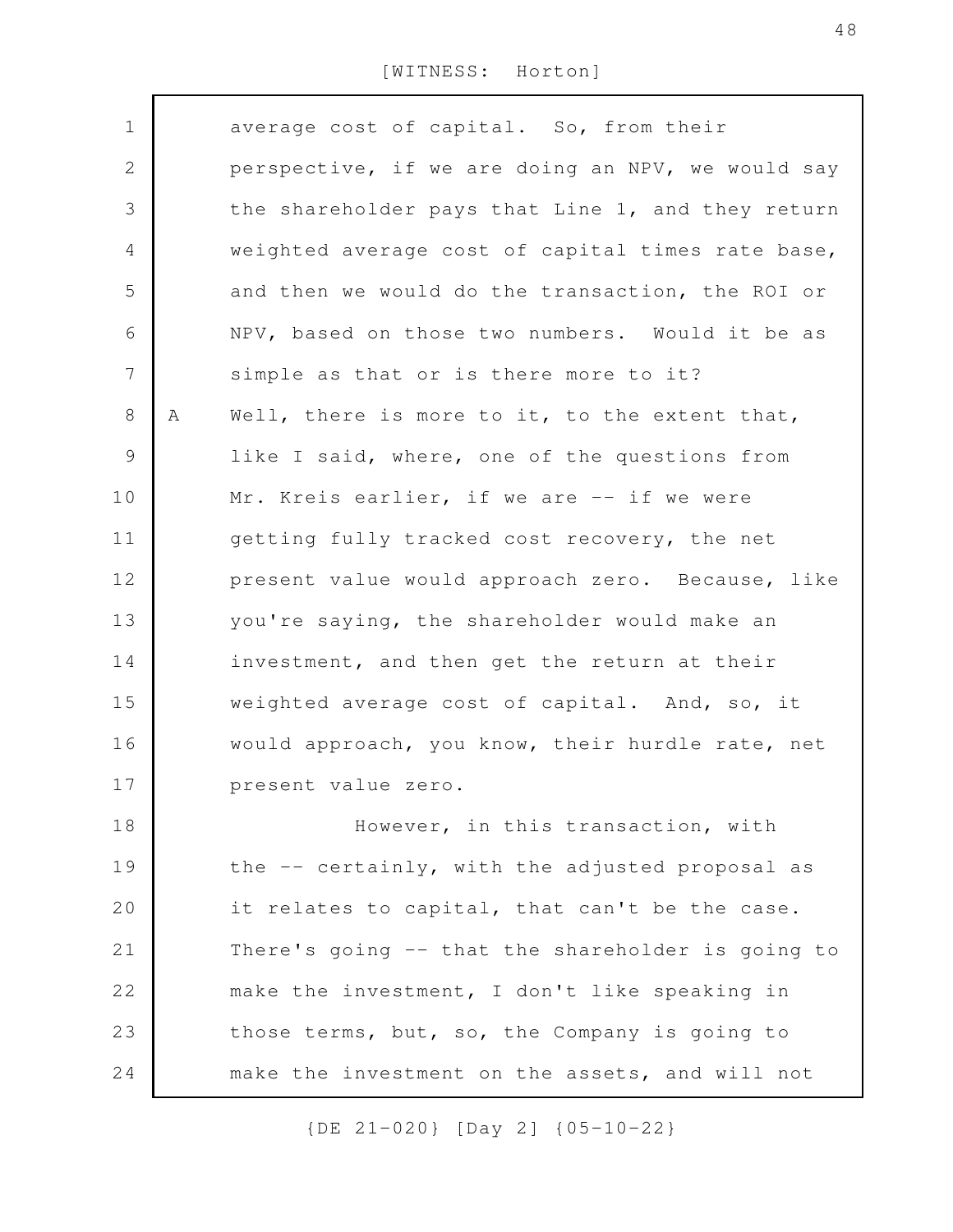average cost of capital. So, from their perspective, if we are doing an NPV, we would say the shareholder pays that Line 1, and they return weighted average cost of capital times rate base, and then we would do the transaction, the ROI or NPV, based on those two numbers. Would it be as simple as that or is there more to it? A Well, there is more to it, to the extent that, like I said, where, one of the questions from Mr. Kreis earlier, if we are -- if we were getting fully tracked cost recovery, the net present value would approach zero. Because, like you're saying, the shareholder would make an investment, and then get the return at their weighted average cost of capital. And, so, it would approach, you know, their hurdle rate, net present value zero. However, in this transaction, with the -- certainly, with the adjusted proposal as it relates to capital, that can't be the case. There's going -- that the shareholder is going to make the investment, I don't like speaking in those terms, but, so, the Company is going to make the investment on the assets, and will not 1 2 3 4 5 6 7 8 9 10 11 12 13 14 15 16 17 18 19 20 21 22 23 24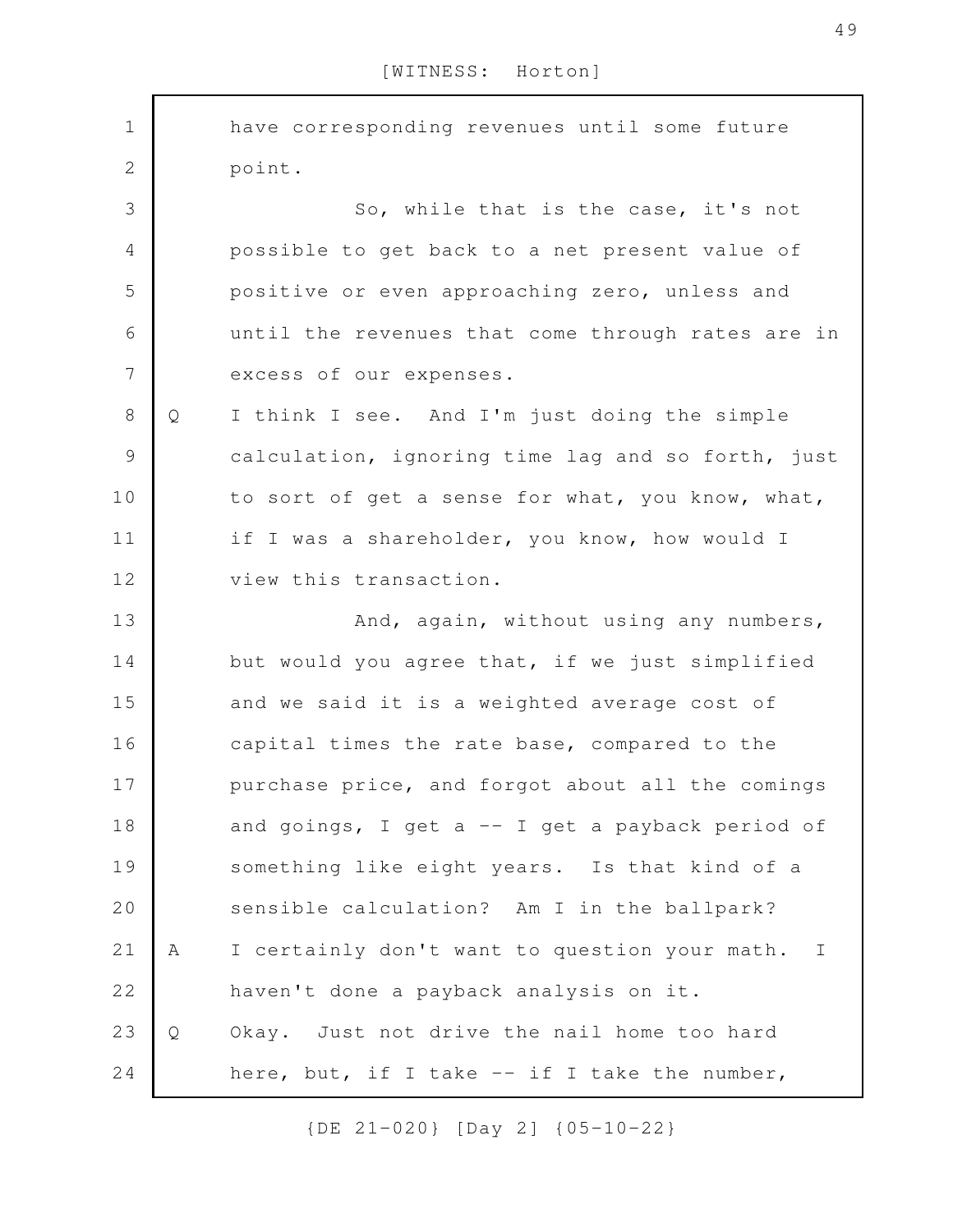have corresponding revenues until some future point. So, while that is the case, it's not possible to get back to a net present value of positive or even approaching zero, unless and until the revenues that come through rates are in excess of our expenses. Q I think I see. And I'm just doing the simple calculation, ignoring time lag and so forth, just to sort of get a sense for what, you know, what, if I was a shareholder, you know, how would I view this transaction. And, again, without using any numbers, but would you agree that, if we just simplified and we said it is a weighted average cost of capital times the rate base, compared to the purchase price, and forgot about all the comings and goings, I get a  $-$  I get a payback period of something like eight years. Is that kind of a sensible calculation? Am I in the ballpark? A I certainly don't want to question your math. I haven't done a payback analysis on it. Q Okay. Just not drive the nail home too hard here, but, if I take  $--$  if I take the number, 1 2 3 4 5 6 7 8 9 10 11 12 13 14 15 16 17 18 19 20 21 22 23 24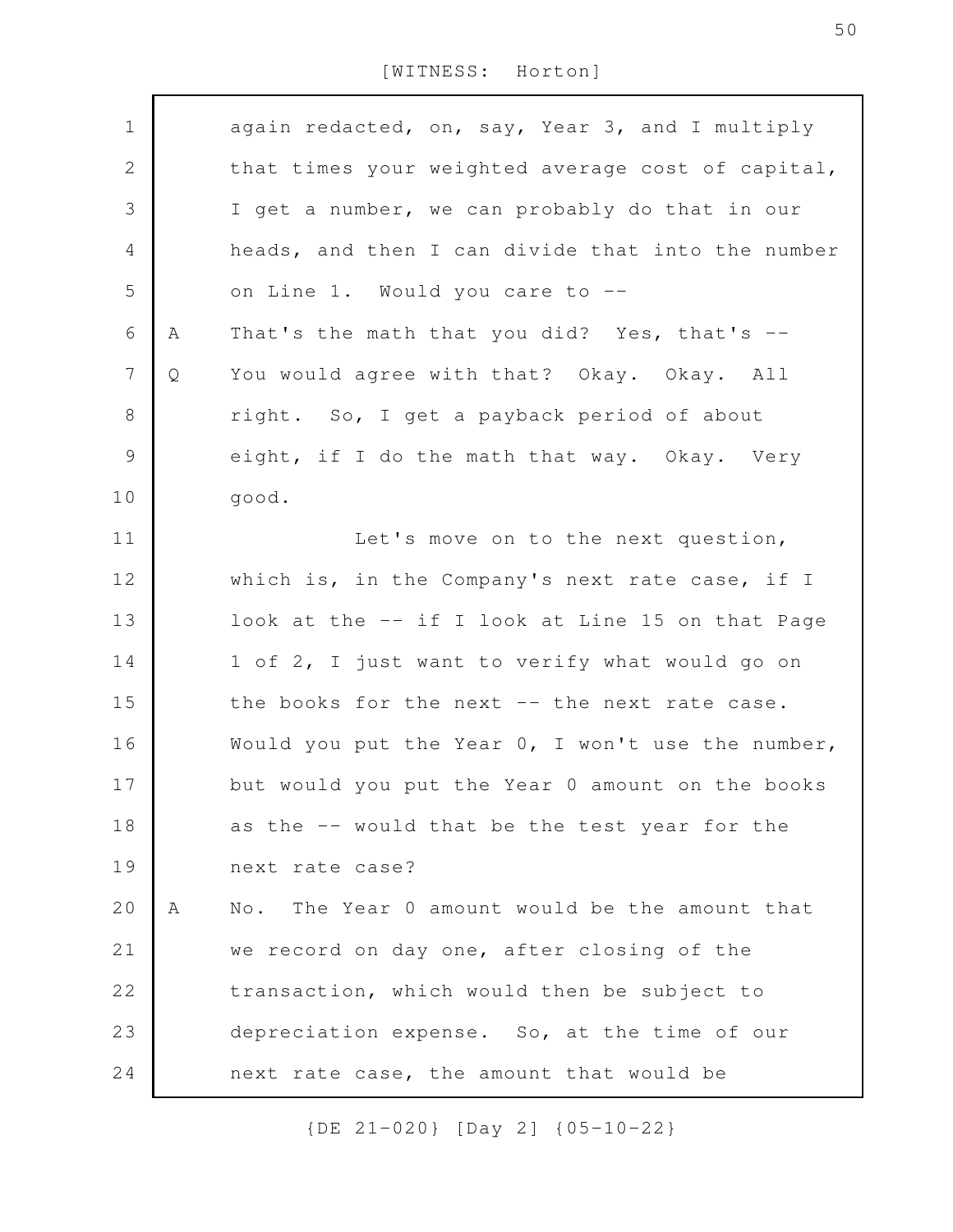| $\mathbf 1$      |   | again redacted, on, say, Year 3, and I multiply   |
|------------------|---|---------------------------------------------------|
| $\sqrt{2}$       |   | that times your weighted average cost of capital, |
| 3                |   | I get a number, we can probably do that in our    |
| 4                |   | heads, and then I can divide that into the number |
| 5                |   | on Line 1. Would you care to --                   |
| 6                | Α | That's the math that you did? Yes, that's --      |
| $\boldsymbol{7}$ | Q | You would agree with that? Okay. Okay. All        |
| $8\,$            |   | right. So, I get a payback period of about        |
| $\mathcal{G}$    |   | eight, if I do the math that way. Okay. Very      |
| 10               |   | good.                                             |
| 11               |   | Let's move on to the next question,               |
| 12               |   | which is, in the Company's next rate case, if I   |
| 13               |   | look at the -- if I look at Line 15 on that Page  |
| 14               |   | 1 of 2, I just want to verify what would go on    |
| 15               |   | the books for the next -- the next rate case.     |
| 16               |   | Would you put the Year 0, I won't use the number, |
| 17               |   | but would you put the Year 0 amount on the books  |
| 18               |   | as the -- would that be the test year for the     |
| 19               |   | next rate case?                                   |
| 20               | A | No. The Year 0 amount would be the amount that    |
| 21               |   | we record on day one, after closing of the        |
| 22               |   | transaction, which would then be subject to       |
| 23               |   | depreciation expense. So, at the time of our      |
| 24               |   | next rate case, the amount that would be          |
|                  |   |                                                   |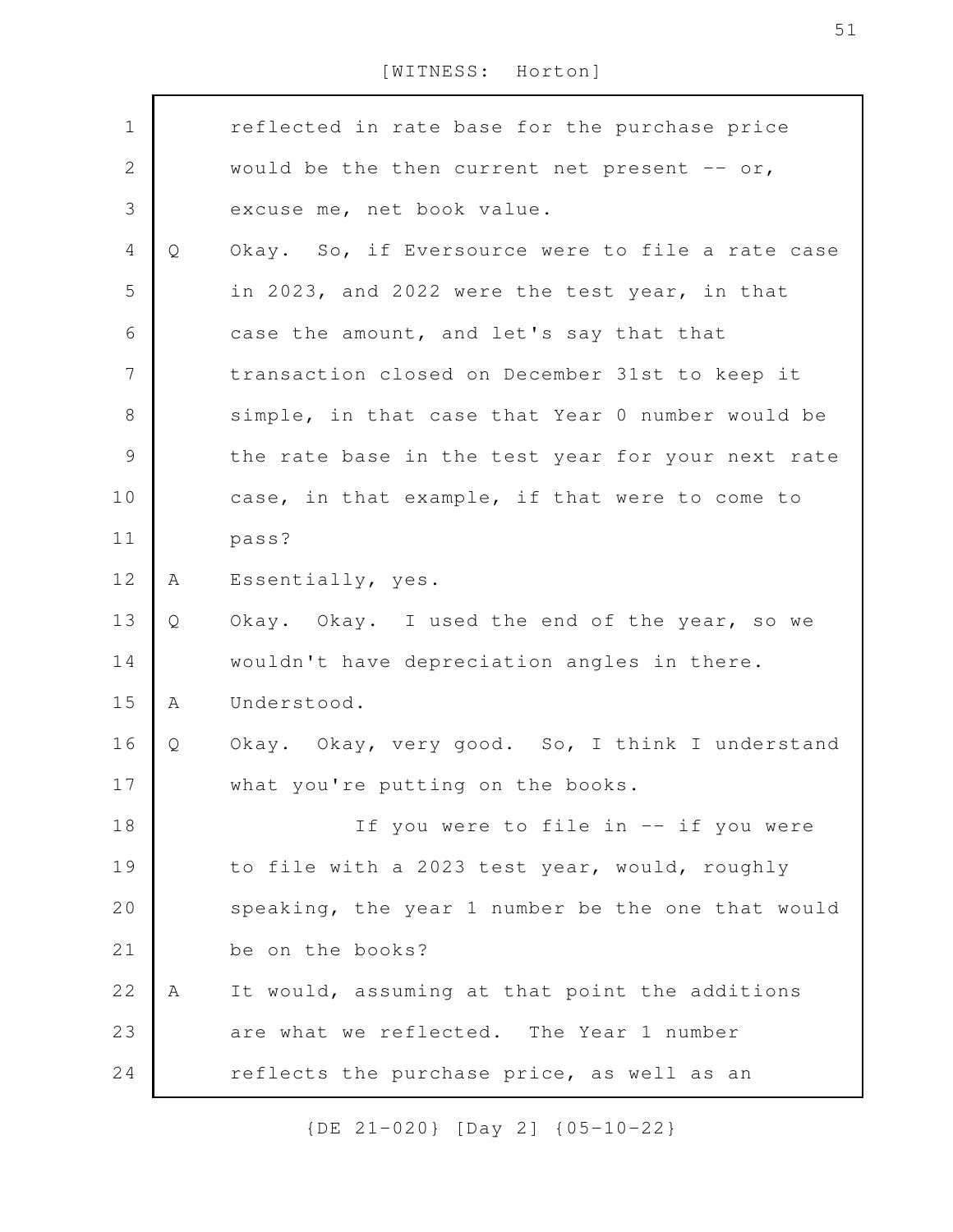| $\mathbf 1$    |   | reflected in rate base for the purchase price     |
|----------------|---|---------------------------------------------------|
| $\mathbf{2}$   |   | would be the then current net present $-$ or,     |
|                |   |                                                   |
| $\mathfrak{Z}$ |   | excuse me, net book value.                        |
| $\overline{4}$ | Q | Okay. So, if Eversource were to file a rate case  |
| 5              |   | in 2023, and 2022 were the test year, in that     |
| 6              |   | case the amount, and let's say that that          |
| 7              |   | transaction closed on December 31st to keep it    |
| $\,8\,$        |   | simple, in that case that Year 0 number would be  |
| $\mathcal{G}$  |   | the rate base in the test year for your next rate |
| 10             |   | case, in that example, if that were to come to    |
| 11             |   | pass?                                             |
| 12             | A | Essentially, yes.                                 |
| 13             | Q | Okay. Okay. I used the end of the year, so we     |
| 14             |   | wouldn't have depreciation angles in there.       |
| 15             | A | Understood.                                       |
| 16             | Q | Okay. Okay, very good. So, I think I understand   |
| 17             |   | what you're putting on the books.                 |
| 18             |   | If you were to file in -- if you were             |
| 19             |   | to file with a 2023 test year, would, roughly     |
| 20             |   | speaking, the year 1 number be the one that would |
| 21             |   | be on the books?                                  |
| 22             | Α | It would, assuming at that point the additions    |
| 23             |   | are what we reflected. The Year 1 number          |
| 24             |   | reflects the purchase price, as well as an        |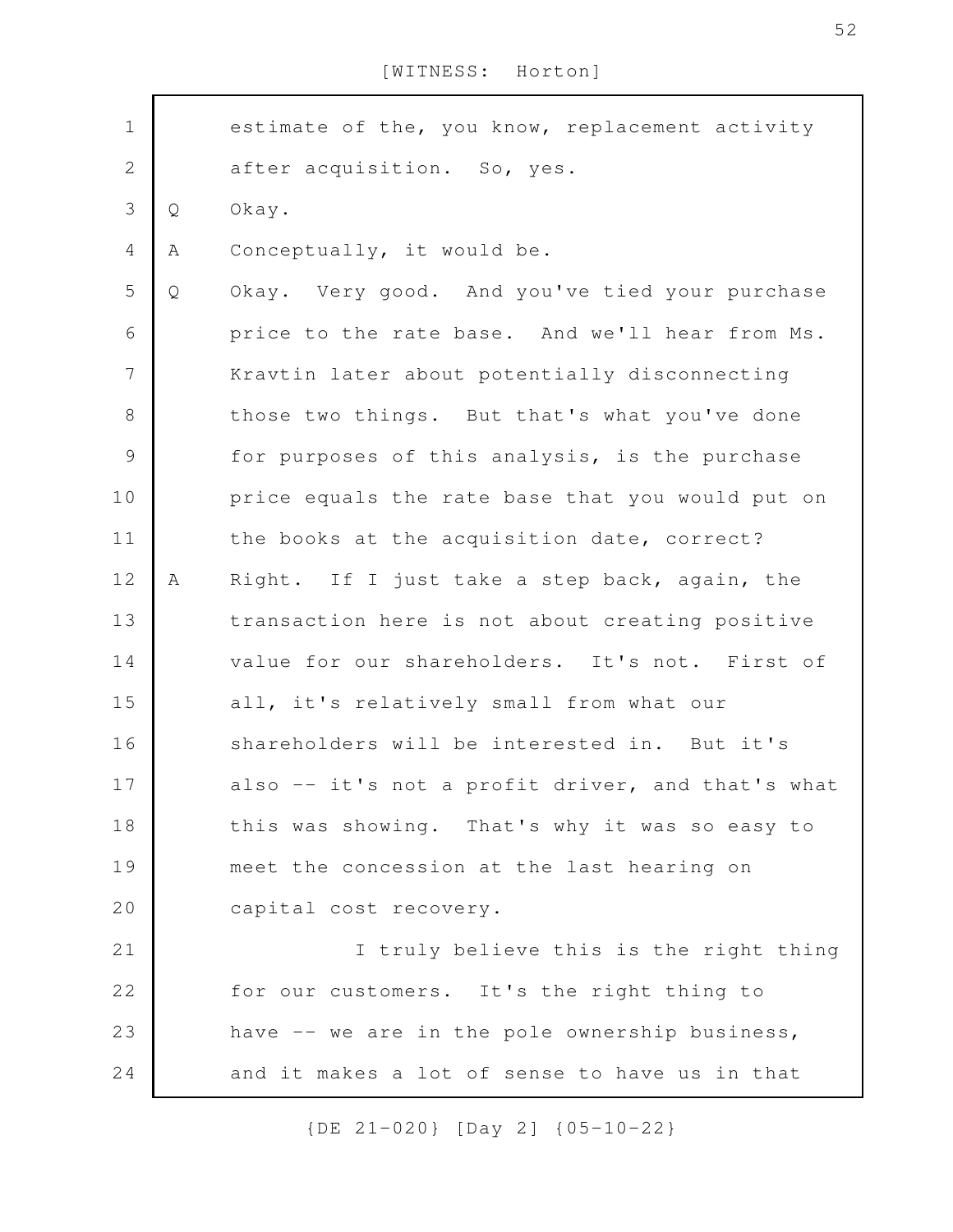| $\mathbf 1$      |   | estimate of the, you know, replacement activity   |
|------------------|---|---------------------------------------------------|
| $\mathbf 2$      |   | after acquisition. So, yes.                       |
| $\mathfrak{Z}$   | Q | Okay.                                             |
| $\overline{4}$   | Α | Conceptually, it would be.                        |
| 5                | Q | Okay. Very good. And you've tied your purchase    |
| 6                |   | price to the rate base. And we'll hear from Ms.   |
| $\boldsymbol{7}$ |   | Kravtin later about potentially disconnecting     |
| $\,8\,$          |   | those two things. But that's what you've done     |
| $\mathcal{G}$    |   | for purposes of this analysis, is the purchase    |
| 10               |   | price equals the rate base that you would put on  |
| 11               |   | the books at the acquisition date, correct?       |
| 12               | A | Right. If I just take a step back, again, the     |
| 13               |   | transaction here is not about creating positive   |
| 14               |   | value for our shareholders. It's not. First of    |
| 15               |   | all, it's relatively small from what our          |
| 16               |   | shareholders will be interested in. But it's      |
| 17               |   | also -- it's not a profit driver, and that's what |
| 18               |   | this was showing. That's why it was so easy to    |
| 19               |   | meet the concession at the last hearing on        |
| 20               |   | capital cost recovery.                            |
| 21               |   | I truly believe this is the right thing           |
| 22               |   | for our customers. It's the right thing to        |
| 23               |   | have -- we are in the pole ownership business,    |
| 24               |   | and it makes a lot of sense to have us in that    |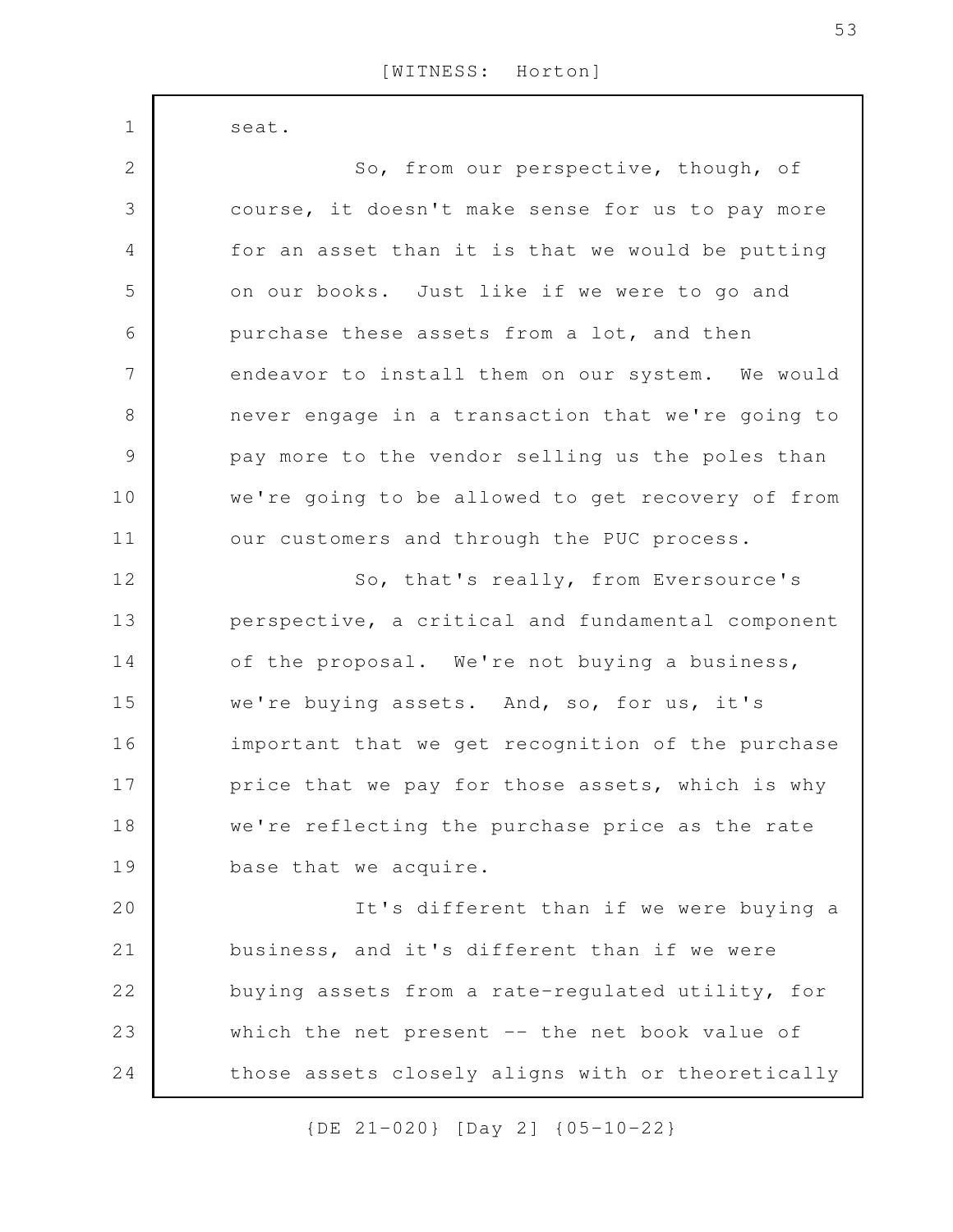seat.  $1$ 

| $\mathbf{2}$  | So, from our perspective, though, of              |
|---------------|---------------------------------------------------|
| 3             | course, it doesn't make sense for us to pay more  |
| 4             | for an asset than it is that we would be putting  |
| 5             | on our books. Just like if we were to go and      |
| 6             | purchase these assets from a lot, and then        |
| 7             | endeavor to install them on our system. We would  |
| $8\,$         | never engage in a transaction that we're going to |
| $\mathcal{G}$ | pay more to the vendor selling us the poles than  |
| 10            | we're going to be allowed to get recovery of from |
| 11            | our customers and through the PUC process.        |
| 12            | So, that's really, from Eversource's              |
| 13            | perspective, a critical and fundamental component |
| 14            | of the proposal. We're not buying a business,     |
| 15            | we're buying assets. And, so, for us, it's        |
| 16            | important that we get recognition of the purchase |
| 17            | price that we pay for those assets, which is why  |
| 18            | we're reflecting the purchase price as the rate   |
| 19            | base that we acquire.                             |
| 20            | It's different than if we were buying a           |
| 21            | business, and it's different than if we were      |
| 22            | buying assets from a rate-regulated utility, for  |
| 23            | which the net present $--$ the net book value of  |
| 24            | those assets closely aligns with or theoretically |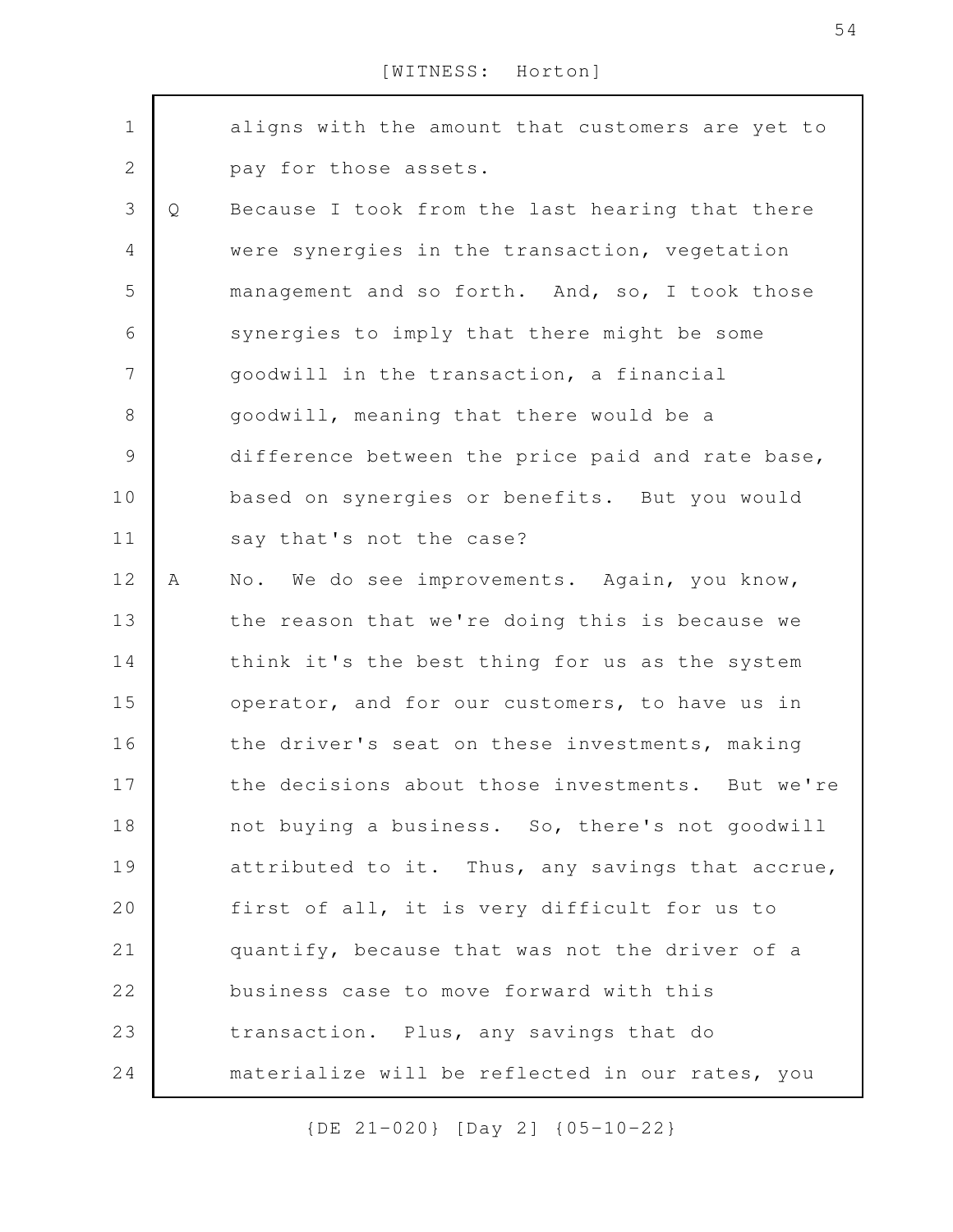| $\mathbf 1$    |   | aligns with the amount that customers are yet to |
|----------------|---|--------------------------------------------------|
| $\sqrt{2}$     |   | pay for those assets.                            |
| 3              | Q | Because I took from the last hearing that there  |
| $\overline{4}$ |   | were synergies in the transaction, vegetation    |
| 5              |   | management and so forth. And, so, I took those   |
| 6              |   | synergies to imply that there might be some      |
| $\overline{7}$ |   | goodwill in the transaction, a financial         |
| 8              |   | goodwill, meaning that there would be a          |
| 9              |   | difference between the price paid and rate base, |
| 10             |   | based on synergies or benefits. But you would    |
| 11             |   | say that's not the case?                         |
| 12             | Α | No. We do see improvements. Again, you know,     |
| 13             |   | the reason that we're doing this is because we   |
| 14             |   | think it's the best thing for us as the system   |
| 15             |   | operator, and for our customers, to have us in   |
| 16             |   | the driver's seat on these investments, making   |
| 17             |   | the decisions about those investments. But we're |
| 18             |   | not buying a business. So, there's not goodwill  |
| 19             |   |                                                  |
|                |   | attributed to it. Thus, any savings that accrue, |
| 20             |   | first of all, it is very difficult for us to     |
| 21             |   | quantify, because that was not the driver of a   |
| 22             |   | business case to move forward with this          |
| 23             |   | transaction. Plus, any savings that do           |
| 24             |   | materialize will be reflected in our rates, you  |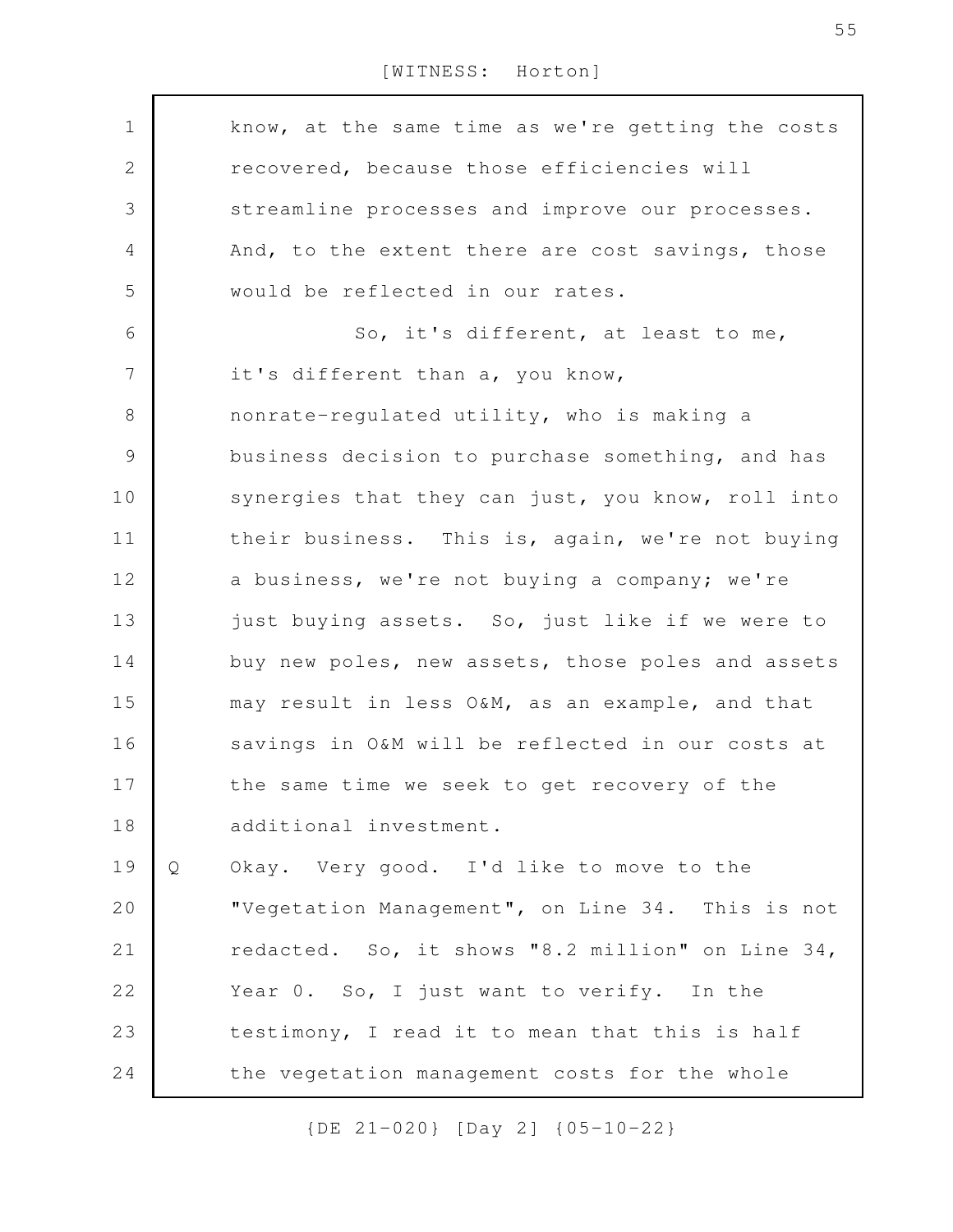know, at the same time as we're getting the costs recovered, because those efficiencies will streamline processes and improve our processes. And, to the extent there are cost savings, those would be reflected in our rates. So, it's different, at least to me, it's different than a, you know, nonrate-regulated utility, who is making a business decision to purchase something, and has synergies that they can just, you know, roll into their business. This is, again, we're not buying a business, we're not buying a company; we're just buying assets. So, just like if we were to buy new poles, new assets, those poles and assets may result in less O&M, as an example, and that savings in O&M will be reflected in our costs at the same time we seek to get recovery of the additional investment. Q Okay. Very good. I'd like to move to the "Vegetation Management", on Line 34. This is not redacted. So, it shows "8.2 million" on Line 34, Year 0. So, I just want to verify. In the testimony, I read it to mean that this is half the vegetation management costs for the whole 1 2 3 4 5 6 7 8 9 10 11 12 13 14 15 16 17 18 19 20 21 22 23 24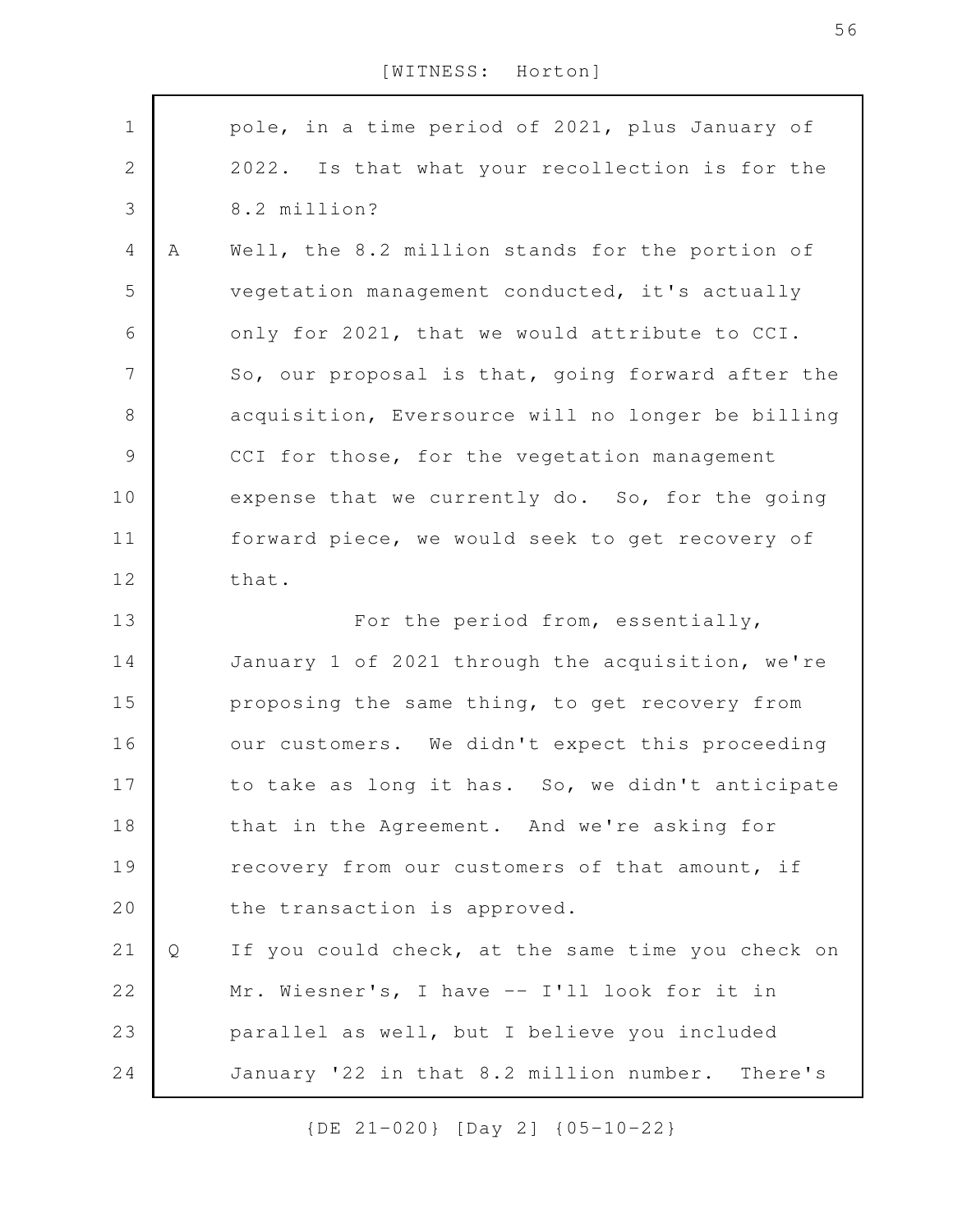| $\mathbf 1$  |   | pole, in a time period of 2021, plus January of    |
|--------------|---|----------------------------------------------------|
| $\mathbf{2}$ |   | 2022. Is that what your recollection is for the    |
| 3            |   | 8.2 million?                                       |
| 4            | Α | Well, the 8.2 million stands for the portion of    |
| 5            |   | vegetation management conducted, it's actually     |
| 6            |   | only for 2021, that we would attribute to CCI.     |
| 7            |   | So, our proposal is that, going forward after the  |
| $\,8\,$      |   | acquisition, Eversource will no longer be billing  |
| 9            |   | CCI for those, for the vegetation management       |
| 10           |   | expense that we currently do. So, for the going    |
| 11           |   | forward piece, we would seek to get recovery of    |
| 12           |   | that.                                              |
| 13           |   | For the period from, essentially,                  |
| 14           |   | January 1 of 2021 through the acquisition, we're   |
| 15           |   | proposing the same thing, to get recovery from     |
| 16           |   | our customers. We didn't expect this proceeding    |
| 17           |   | to take as long it has. So, we didn't anticipate   |
| 18           |   | that in the Agreement. And we're asking for        |
| 19           |   | recovery from our customers of that amount, if     |
| 20           |   | the transaction is approved.                       |
| 21           | Q | If you could check, at the same time you check on  |
| 22           |   | Mr. Wiesner's, I have -- I'll look for it in       |
| 23           |   | parallel as well, but I believe you included       |
| 24           |   | January '22 in that 8.2 million number.<br>There's |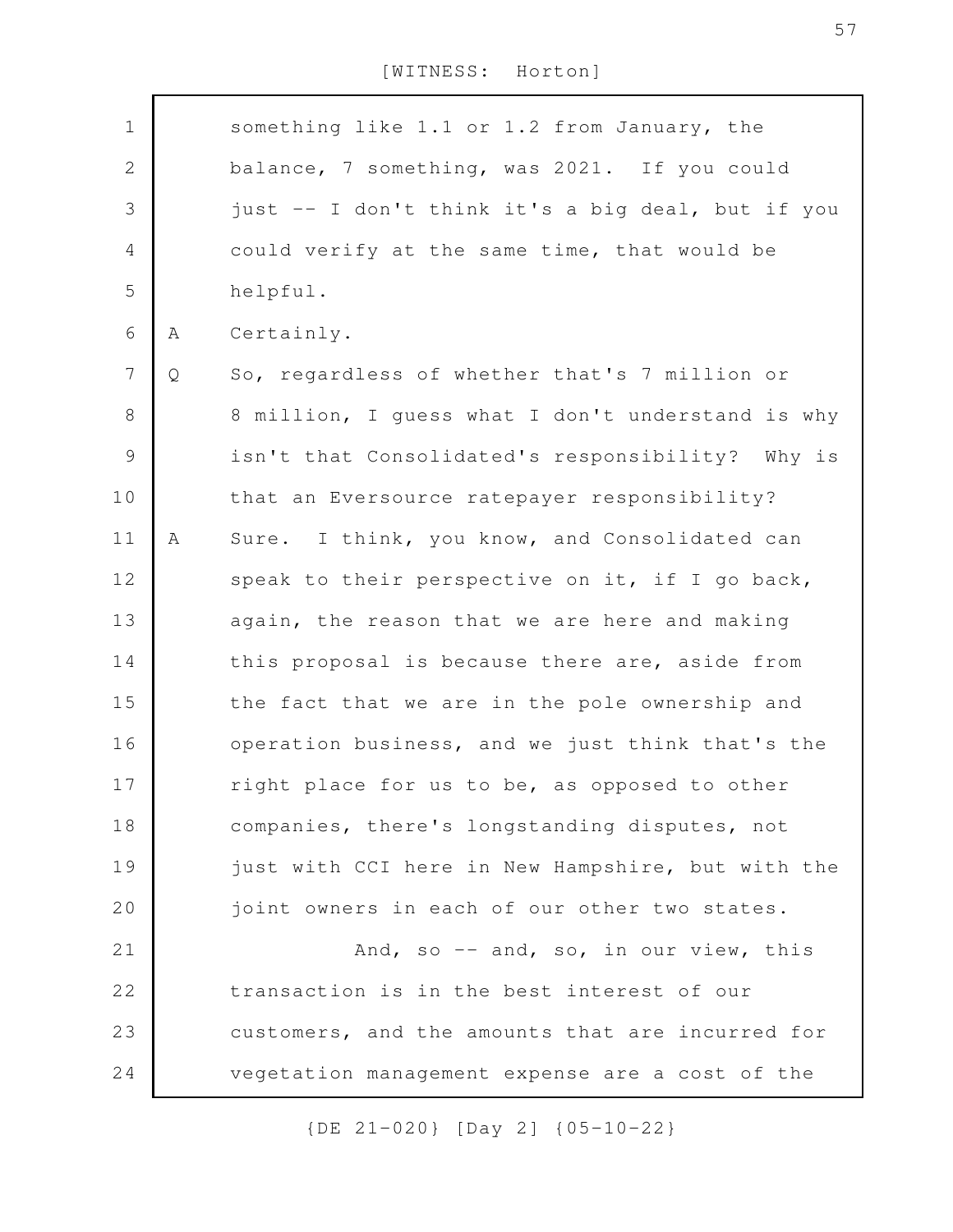| $\mathbf 1$    |   | something like 1.1 or 1.2 from January, the       |
|----------------|---|---------------------------------------------------|
| $\sqrt{2}$     |   | balance, 7 something, was 2021. If you could      |
| $\mathfrak{Z}$ |   | just -- I don't think it's a big deal, but if you |
| $\overline{4}$ |   | could verify at the same time, that would be      |
| 5              |   | helpful.                                          |
| 6              | Α | Certainly.                                        |
| $\overline{7}$ | Q | So, regardless of whether that's 7 million or     |
| $8\,$          |   | 8 million, I guess what I don't understand is why |
| $\mathcal{G}$  |   | isn't that Consolidated's responsibility? Why is  |
| 10             |   | that an Eversource ratepayer responsibility?      |
| 11             | Α | Sure. I think, you know, and Consolidated can     |
| 12             |   | speak to their perspective on it, if I go back,   |
| 13             |   | again, the reason that we are here and making     |
| 14             |   | this proposal is because there are, aside from    |
| 15             |   | the fact that we are in the pole ownership and    |
| 16             |   | operation business, and we just think that's the  |
| 17             |   | right place for us to be, as opposed to other     |
| 18             |   | companies, there's longstanding disputes, not     |
| 19             |   | just with CCI here in New Hampshire, but with the |
| 20             |   | joint owners in each of our other two states.     |
| 21             |   | And, so -- and, so, in our view, this             |
| 22             |   | transaction is in the best interest of our        |
| 23             |   | customers, and the amounts that are incurred for  |
| 24             |   | vegetation management expense are a cost of the   |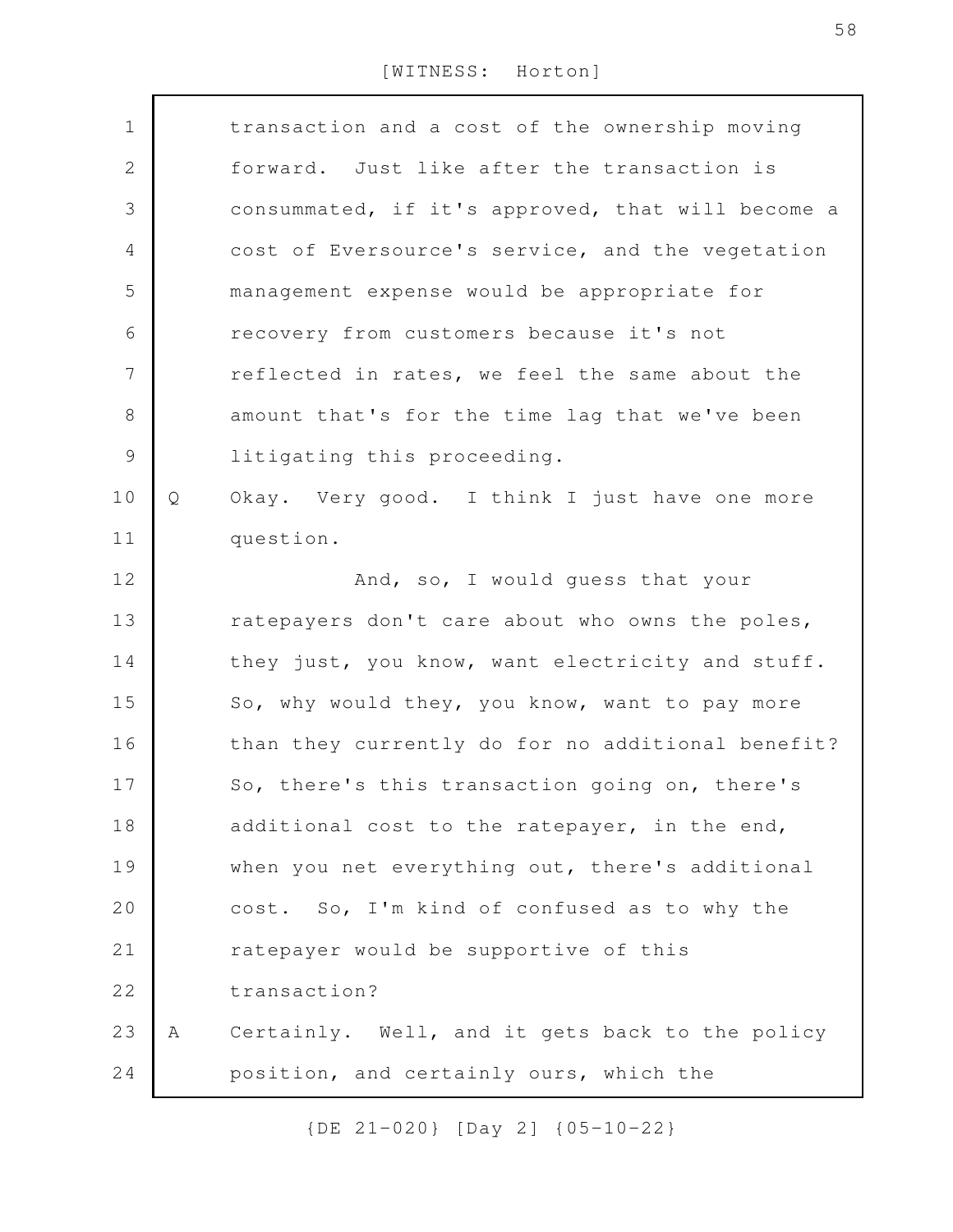| $\mathbf 1$    |   | transaction and a cost of the ownership moving    |
|----------------|---|---------------------------------------------------|
| $\overline{2}$ |   | forward. Just like after the transaction is       |
| 3              |   | consummated, if it's approved, that will become a |
| $\overline{4}$ |   | cost of Eversource's service, and the vegetation  |
| 5              |   | management expense would be appropriate for       |
| 6              |   | recovery from customers because it's not          |
| 7              |   | reflected in rates, we feel the same about the    |
| $8\,$          |   | amount that's for the time lag that we've been    |
| $\mathcal{G}$  |   | litigating this proceeding.                       |
| 10             | Q | Okay. Very good. I think I just have one more     |
| 11             |   | question.                                         |
| 12             |   | And, so, I would guess that your                  |
| 13             |   | ratepayers don't care about who owns the poles,   |
| 14             |   | they just, you know, want electricity and stuff.  |
| 15             |   | So, why would they, you know, want to pay more    |
| 16             |   | than they currently do for no additional benefit? |
| 17             |   | So, there's this transaction going on, there's    |
| 18             |   | additional cost to the ratepayer, in the end,     |
| 19             |   | when you net everything out, there's additional   |
| 20             |   | cost. So, I'm kind of confused as to why the      |
| 21             |   | ratepayer would be supportive of this             |
| 22             |   | transaction?                                      |
| 23             | Α | Certainly. Well, and it gets back to the policy   |
| 24             |   | position, and certainly ours, which the           |
|                |   |                                                   |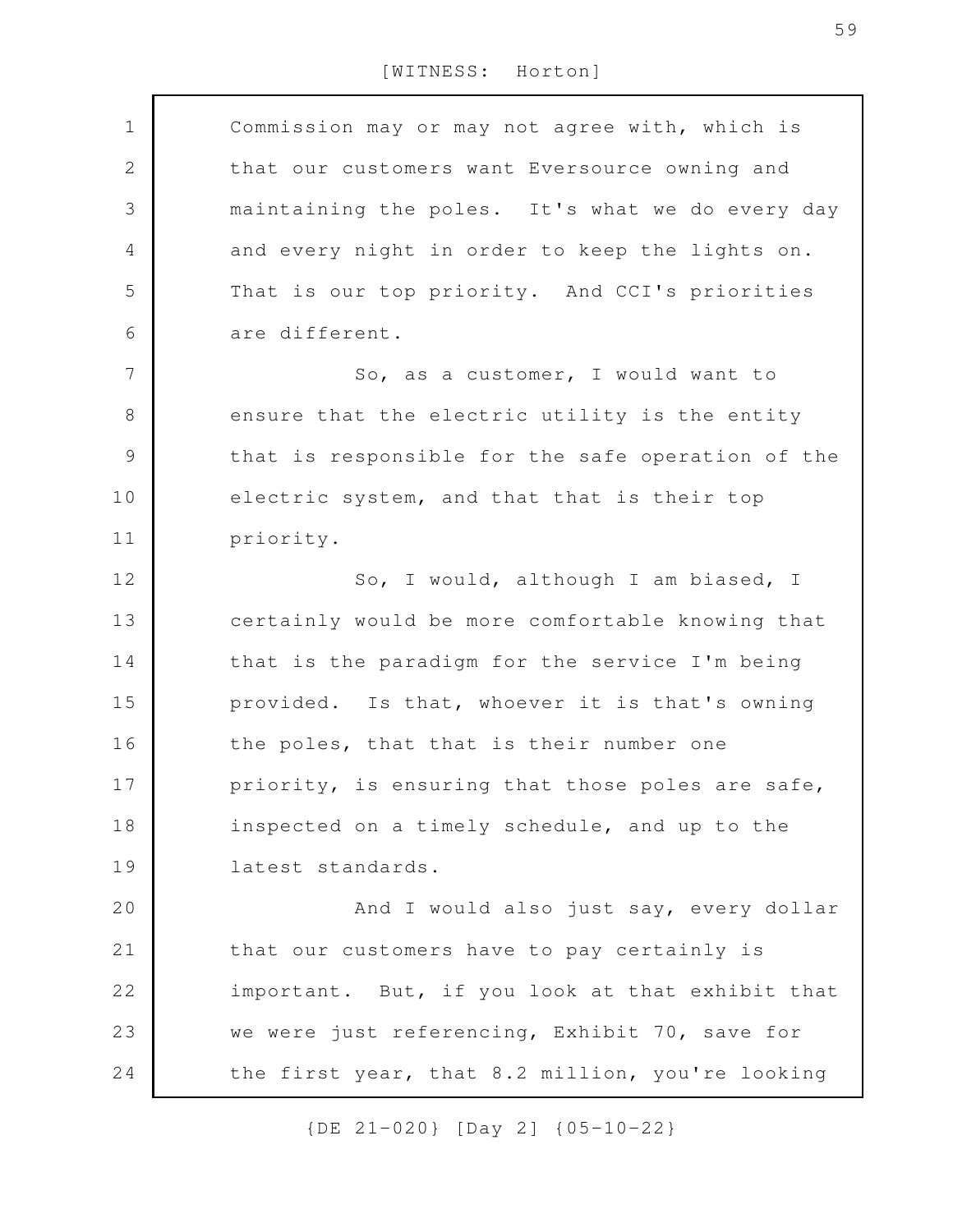Commission may or may not agree with, which is that our customers want Eversource owning and maintaining the poles. It's what we do every day and every night in order to keep the lights on. That is our top priority. And CCI's priorities are different. So, as a customer, I would want to ensure that the electric utility is the entity that is responsible for the safe operation of the electric system, and that that is their top priority. So, I would, although I am biased, I certainly would be more comfortable knowing that that is the paradigm for the service I'm being provided. Is that, whoever it is that's owning the poles, that that is their number one priority, is ensuring that those poles are safe, inspected on a timely schedule, and up to the latest standards. And I would also just say, every dollar that our customers have to pay certainly is important. But, if you look at that exhibit that we were just referencing, Exhibit 70, save for the first year, that 8.2 million, you're looking 1 2 3 4 5 6 7 8 9 10 11 12 13 14 15 16 17 18 19 20 21 22 23 24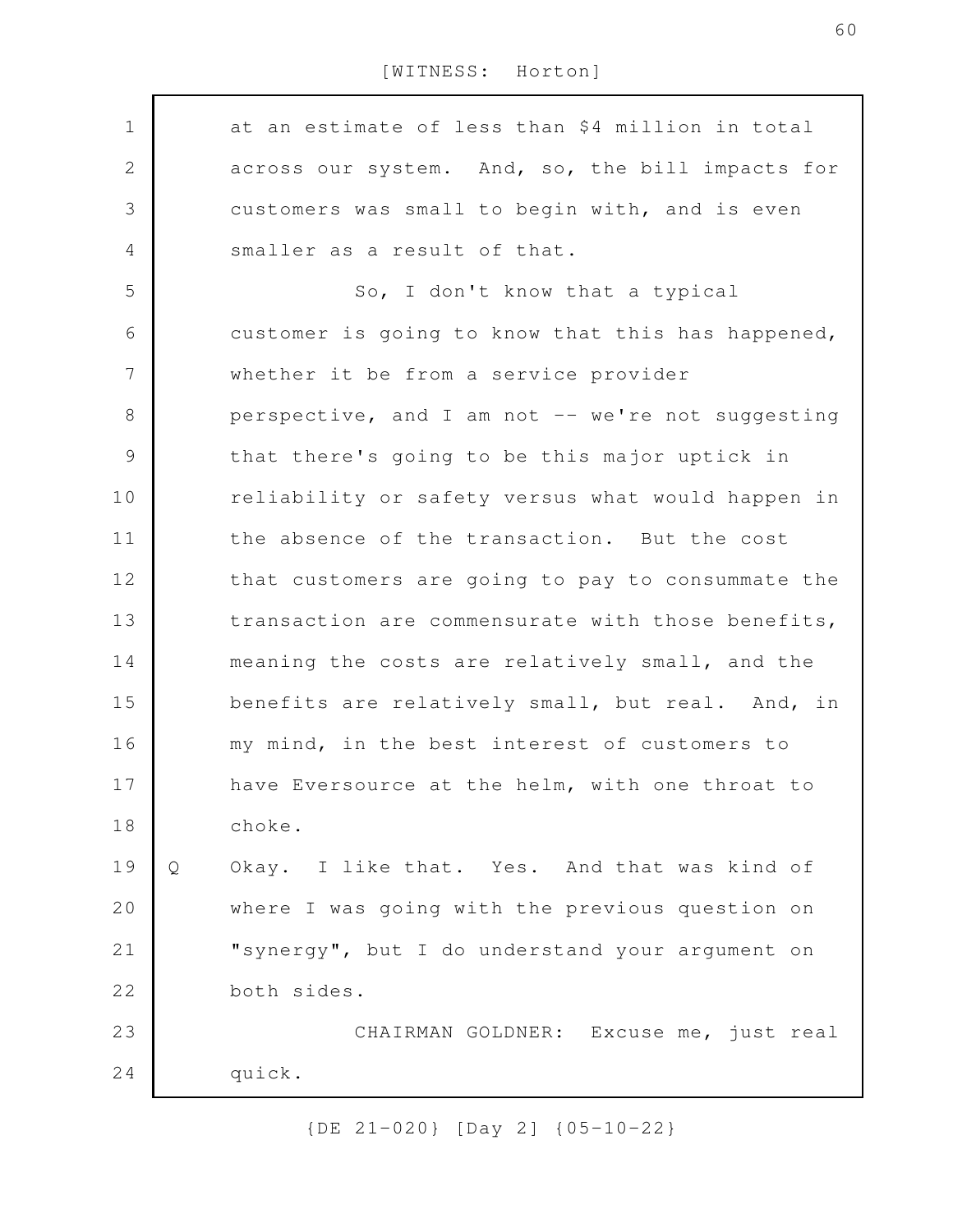at an estimate of less than \$4 million in total across our system. And, so, the bill impacts for customers was small to begin with, and is even smaller as a result of that. So, I don't know that a typical customer is going to know that this has happened, whether it be from a service provider perspective, and I am not -- we're not suggesting that there's going to be this major uptick in reliability or safety versus what would happen in the absence of the transaction. But the cost that customers are going to pay to consummate the transaction are commensurate with those benefits, meaning the costs are relatively small, and the benefits are relatively small, but real. And, in my mind, in the best interest of customers to have Eversource at the helm, with one throat to choke. Q Okay. I like that. Yes. And that was kind of where I was going with the previous question on "synergy", but I do understand your argument on both sides. CHAIRMAN GOLDNER: Excuse me, just real quick. 1 2 3 4 5 6 7 8 9 10 11 12 13 14 15 16 17 18 19 20 21 22 23 24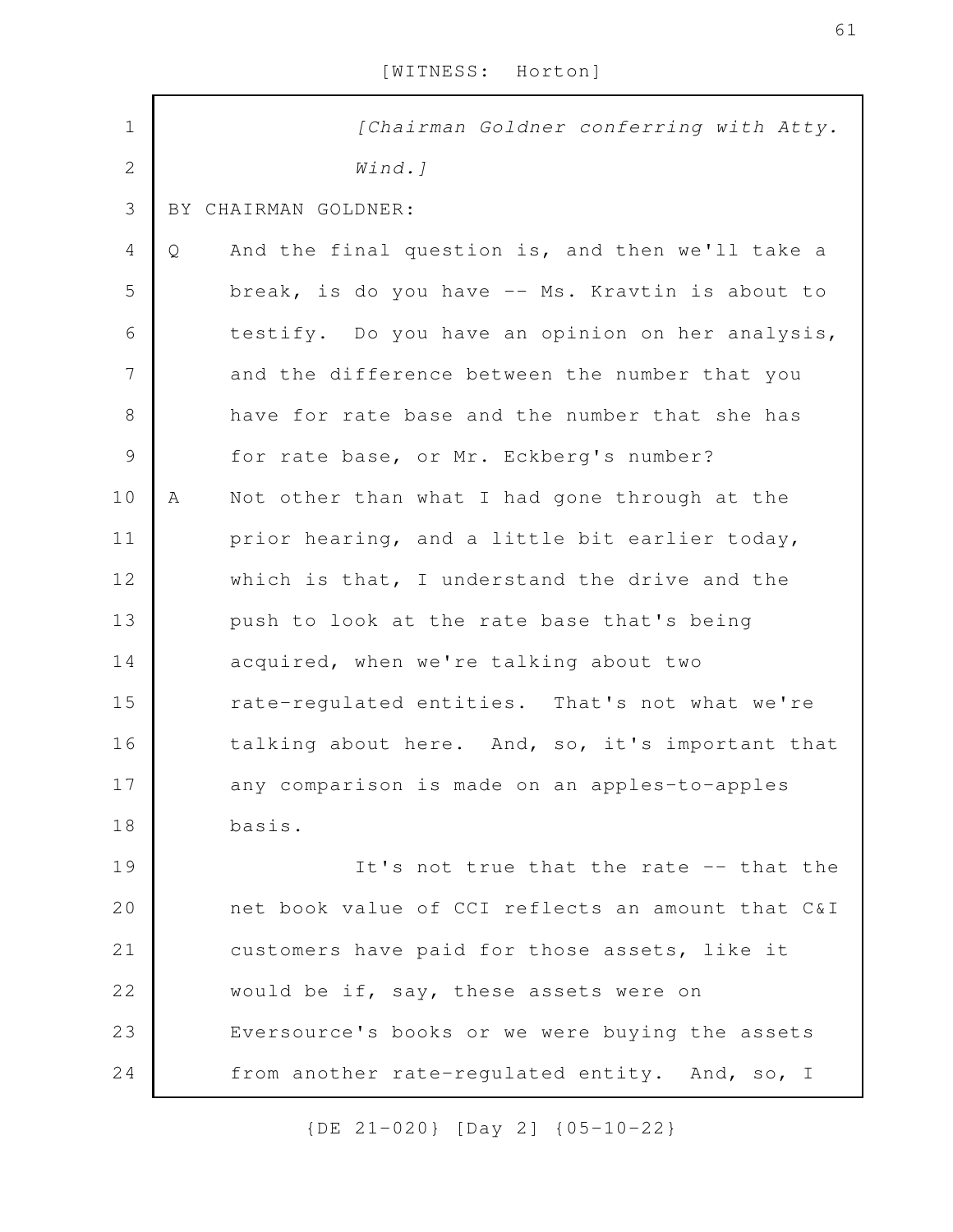| $\mathbf 1$    | [Chairman Goldner conferring with Atty.               |  |
|----------------|-------------------------------------------------------|--|
| $\overline{2}$ | $Wind.$ ]                                             |  |
| 3              | BY CHAIRMAN GOLDNER:                                  |  |
| 4              | And the final question is, and then we'll take a<br>Q |  |
| 5              | break, is do you have -- Ms. Kravtin is about to      |  |
| 6              | testify. Do you have an opinion on her analysis,      |  |
| 7              | and the difference between the number that you        |  |
| 8              | have for rate base and the number that she has        |  |
| $\mathcal{G}$  | for rate base, or Mr. Eckberg's number?               |  |
| 10             | Not other than what I had gone through at the<br>Α    |  |
| 11             | prior hearing, and a little bit earlier today,        |  |
| 12             | which is that, I understand the drive and the         |  |
| 13             | push to look at the rate base that's being            |  |
| 14             | acquired, when we're talking about two                |  |
| 15             | rate-regulated entities. That's not what we're        |  |
| 16             | talking about here. And, so, it's important that      |  |
| 17             | any comparison is made on an apples-to-apples         |  |
| 18             | basis.                                                |  |
| 19             | It's not true that the rate -- that the               |  |
| 20             | net book value of CCI reflects an amount that C&I     |  |
| 21             | customers have paid for those assets, like it         |  |
| 22             | would be if, say, these assets were on                |  |
| 23             | Eversource's books or we were buying the assets       |  |
| 24             | from another rate-regulated entity. And, so, I        |  |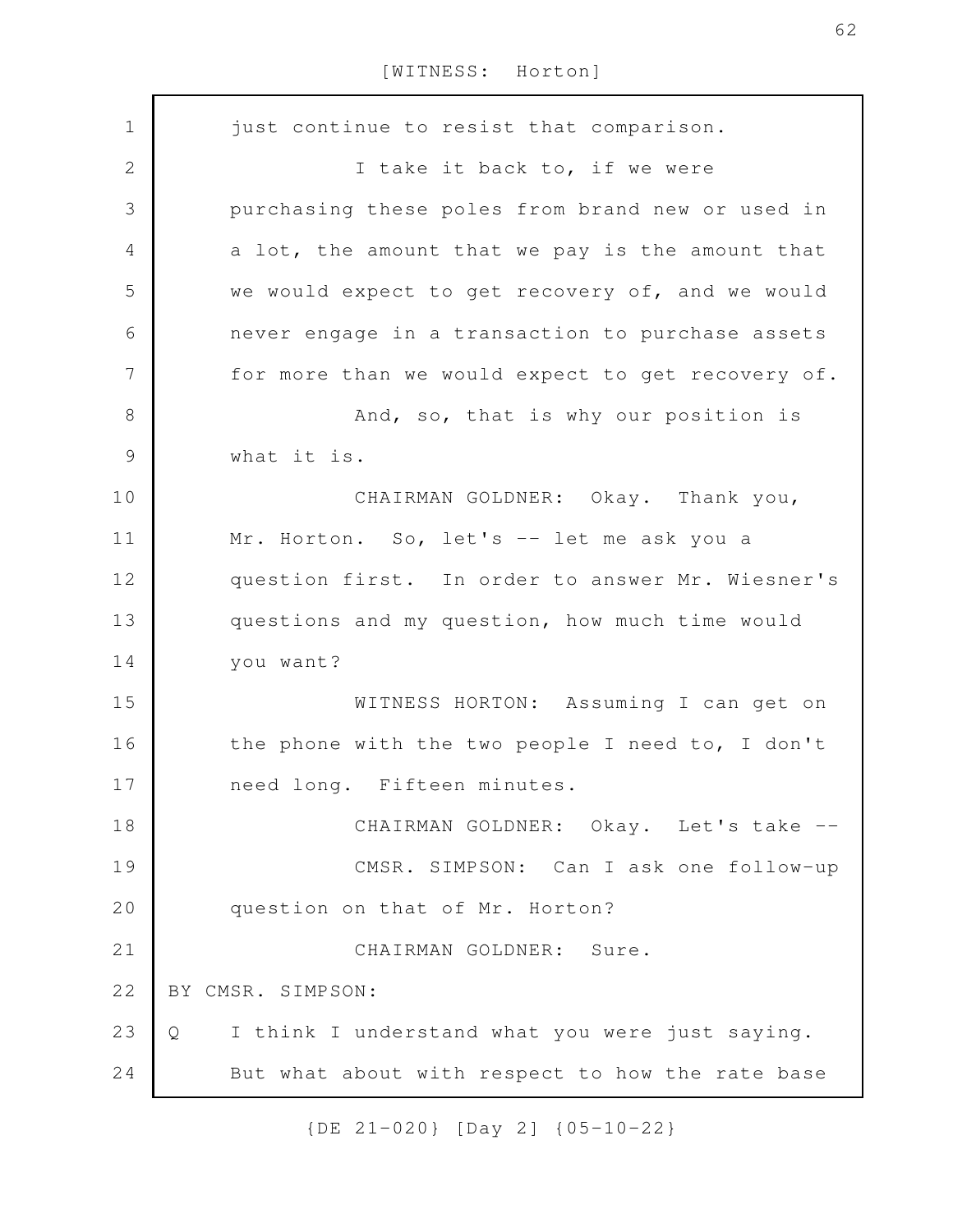just continue to resist that comparison. I take it back to, if we were purchasing these poles from brand new or used in a lot, the amount that we pay is the amount that we would expect to get recovery of, and we would never engage in a transaction to purchase assets for more than we would expect to get recovery of. And, so, that is why our position is what it is. CHAIRMAN GOLDNER: Okay. Thank you, Mr. Horton. So, let's -- let me ask you a question first. In order to answer Mr. Wiesner's questions and my question, how much time would you want? WITNESS HORTON: Assuming I can get on the phone with the two people I need to, I don't need long. Fifteen minutes. CHAIRMAN GOLDNER: Okay. Let's take --CMSR. SIMPSON: Can I ask one follow-up question on that of Mr. Horton? CHAIRMAN GOLDNER: Sure. BY CMSR. SIMPSON: Q I think I understand what you were just saying. But what about with respect to how the rate base 1 2 3 4 5 6 7 8 9 10 11 12 13 14 15 16 17 18 19 20 21 22 23 24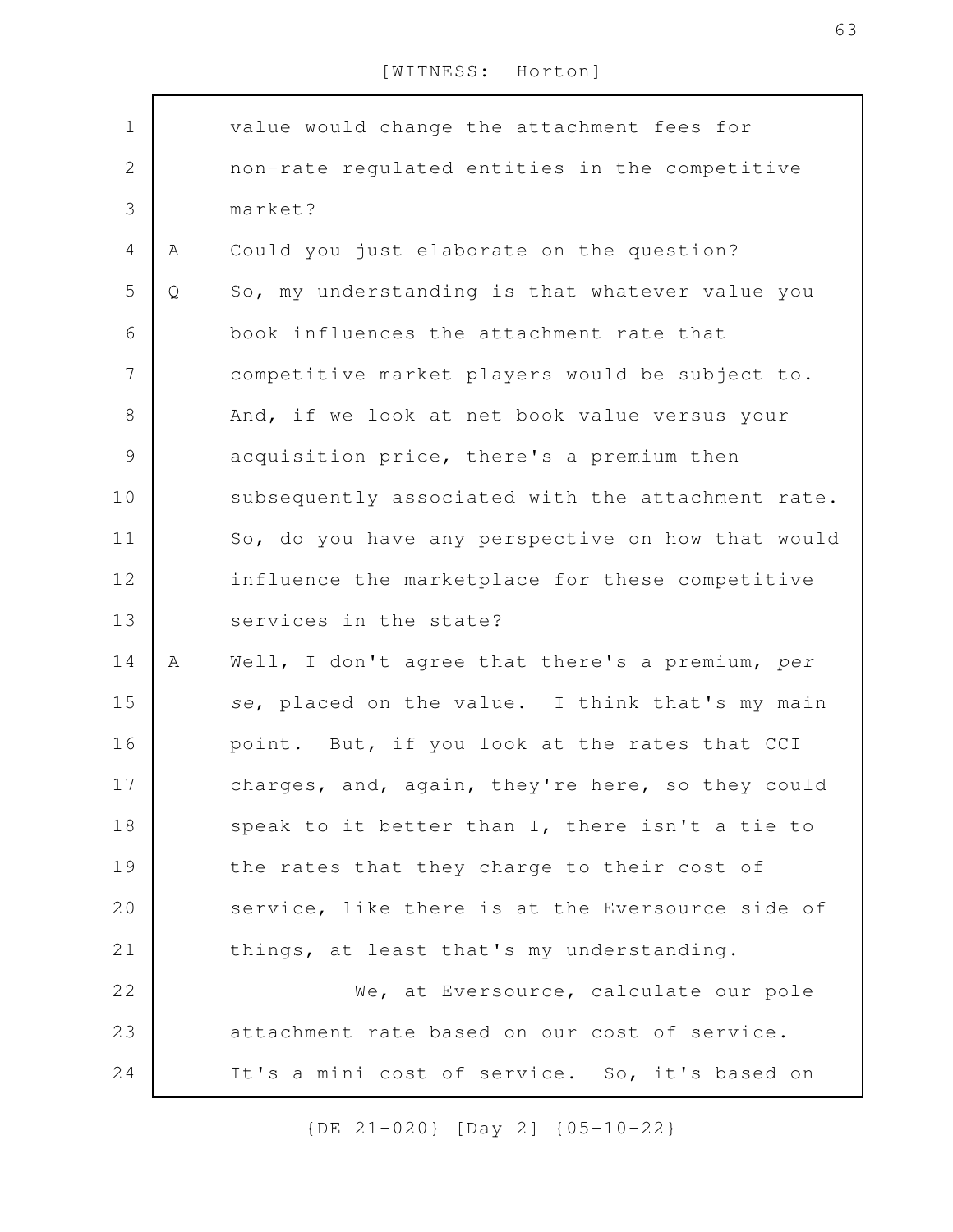| $\mathbf 1$    |   | value would change the attachment fees for        |
|----------------|---|---------------------------------------------------|
| $\sqrt{2}$     |   | non-rate regulated entities in the competitive    |
| 3              |   | market?                                           |
| $\overline{4}$ | Α | Could you just elaborate on the question?         |
| 5              | Q | So, my understanding is that whatever value you   |
| 6              |   | book influences the attachment rate that          |
| $\overline{7}$ |   | competitive market players would be subject to.   |
| $\,8\,$        |   | And, if we look at net book value versus your     |
| $\mathcal{G}$  |   | acquisition price, there's a premium then         |
| 10             |   | subsequently associated with the attachment rate. |
| 11             |   | So, do you have any perspective on how that would |
| 12             |   | influence the marketplace for these competitive   |
| 13             |   | services in the state?                            |
| 14             | Α | Well, I don't agree that there's a premium, per   |
| 15             |   | se, placed on the value. I think that's my main   |
| 16             |   | point. But, if you look at the rates that CCI     |
| 17             |   | charges, and, again, they're here, so they could  |
| 18             |   | speak to it better than I, there isn't a tie to   |
| 19             |   | the rates that they charge to their cost of       |
| 20             |   | service, like there is at the Eversource side of  |
| 21             |   | things, at least that's my understanding.         |
| 22             |   | We, at Eversource, calculate our pole             |
| 23             |   | attachment rate based on our cost of service.     |
| 24             |   | It's a mini cost of service. So, it's based on    |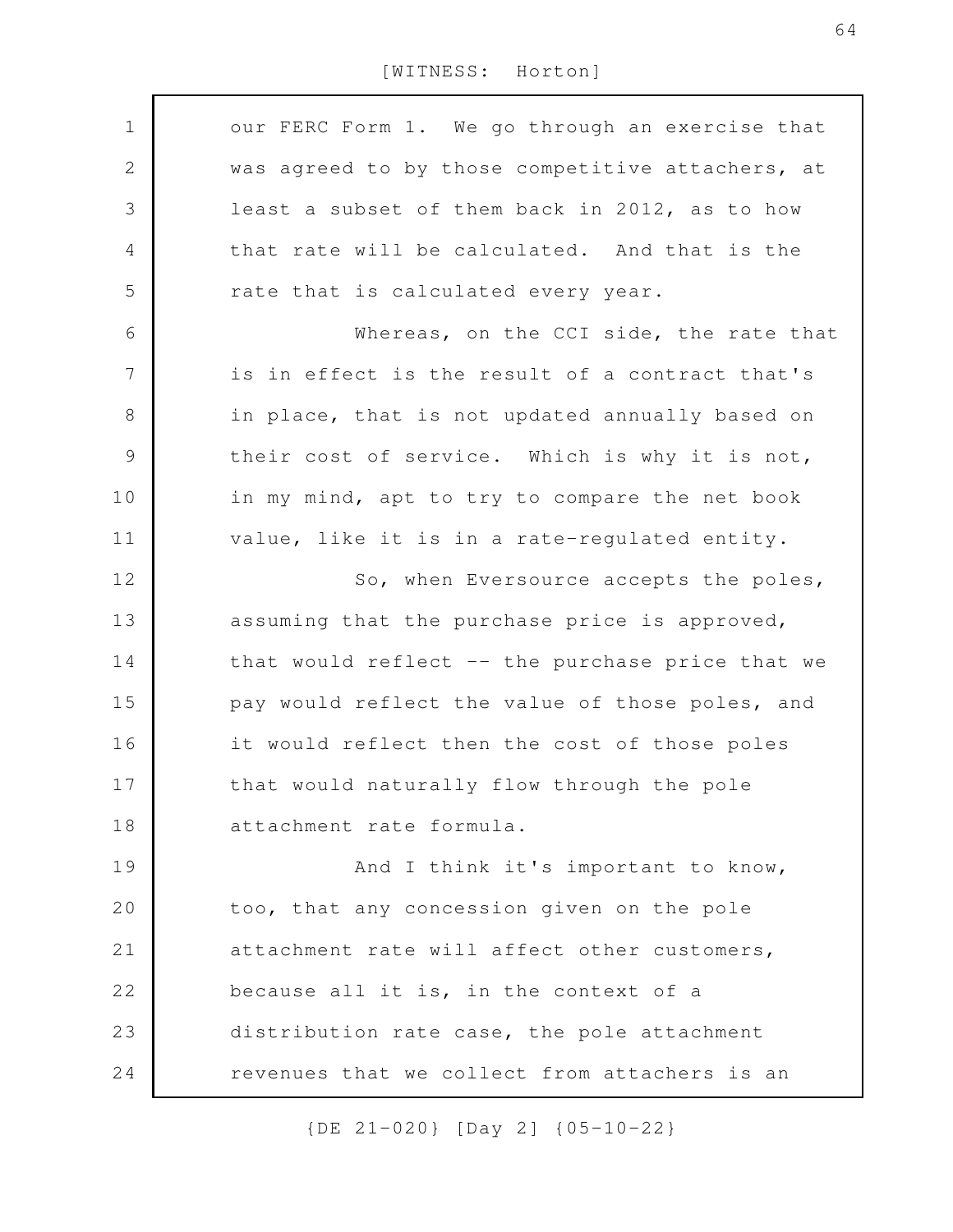our FERC Form 1. We go through an exercise that was agreed to by those competitive attachers, at least a subset of them back in 2012, as to how that rate will be calculated. And that is the rate that is calculated every year. Whereas, on the CCI side, the rate that is in effect is the result of a contract that's in place, that is not updated annually based on their cost of service. Which is why it is not, in my mind, apt to try to compare the net book value, like it is in a rate-regulated entity. So, when Eversource accepts the poles, assuming that the purchase price is approved, that would reflect -- the purchase price that we pay would reflect the value of those poles, and it would reflect then the cost of those poles that would naturally flow through the pole attachment rate formula. And I think it's important to know, too, that any concession given on the pole attachment rate will affect other customers, because all it is, in the context of a distribution rate case, the pole attachment revenues that we collect from attachers is an 1 2 3 4 5 6 7 8 9 10 11 12 13 14 15 16 17 18 19 20 21 22 23 24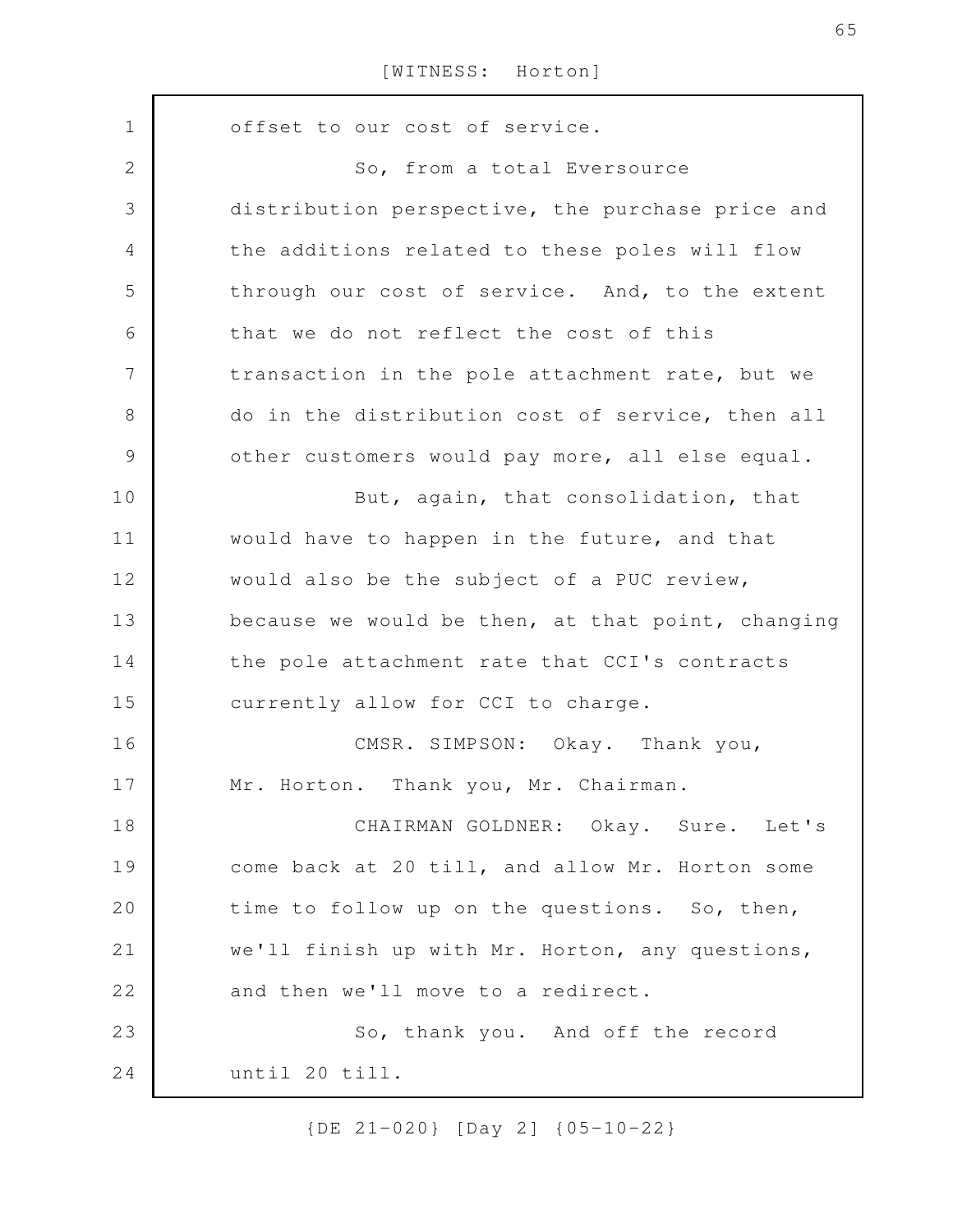| $\mathbf 1$    | offset to our cost of service.                    |
|----------------|---------------------------------------------------|
| $\mathbf 2$    | So, from a total Eversource                       |
| 3              | distribution perspective, the purchase price and  |
| $\overline{4}$ | the additions related to these poles will flow    |
| 5              | through our cost of service. And, to the extent   |
| 6              | that we do not reflect the cost of this           |
| 7              | transaction in the pole attachment rate, but we   |
| 8              | do in the distribution cost of service, then all  |
| $\mathcal{G}$  | other customers would pay more, all else equal.   |
| 10             | But, again, that consolidation, that              |
| 11             | would have to happen in the future, and that      |
| 12             | would also be the subject of a PUC review,        |
| 13             | because we would be then, at that point, changing |
| 14             | the pole attachment rate that CCI's contracts     |
| 15             | currently allow for CCI to charge.                |
| 16             | CMSR. SIMPSON: Okay. Thank you,                   |
| 17             | Mr. Horton. Thank you, Mr. Chairman.              |
| 18             | CHAIRMAN GOLDNER: Okay. Sure. Let's               |
| 19             | come back at 20 till, and allow Mr. Horton some   |
| 20             | time to follow up on the questions. So, then,     |
| 21             | we'll finish up with Mr. Horton, any questions,   |
| 22             | and then we'll move to a redirect.                |
| 23             | So, thank you. And off the record                 |
| 24             | until 20 till.                                    |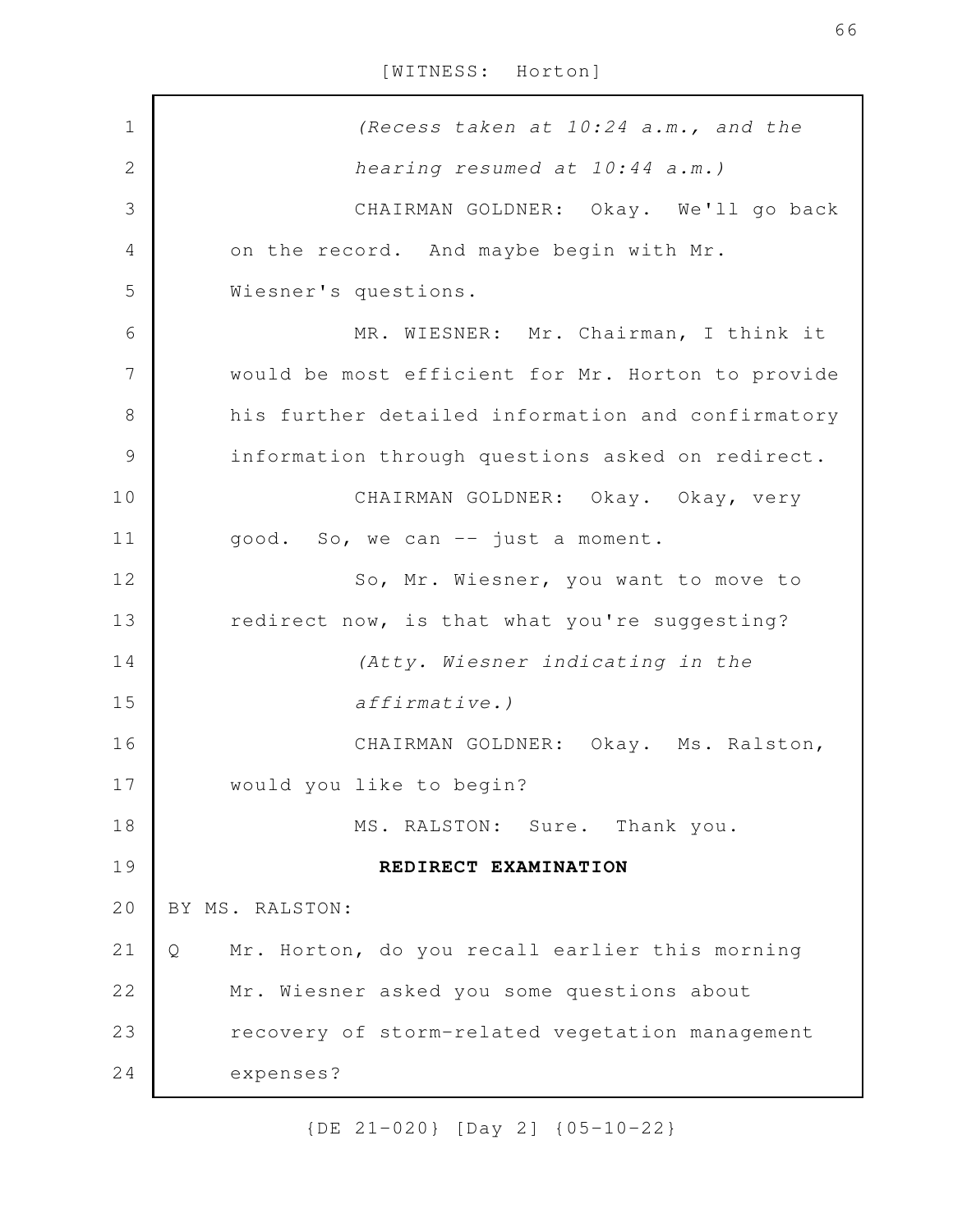*(Recess taken at 10:24 a.m., and the hearing resumed at 10:44 a.m.)* CHAIRMAN GOLDNER: Okay. We'll go back on the record. And maybe begin with Mr. Wiesner's questions. MR. WIESNER: Mr. Chairman, I think it would be most efficient for Mr. Horton to provide his further detailed information and confirmatory information through questions asked on redirect. CHAIRMAN GOLDNER: Okay. Okay, very good. So, we can -- just a moment. So, Mr. Wiesner, you want to move to redirect now, is that what you're suggesting? *(Atty. Wiesner indicating in the affirmative.)* CHAIRMAN GOLDNER: Okay. Ms. Ralston, would you like to begin? MS. RALSTON: Sure. Thank you. **REDIRECT EXAMINATION** BY MS. RALSTON: Q Mr. Horton, do you recall earlier this morning Mr. Wiesner asked you some questions about recovery of storm-related vegetation management expenses? 1 2 3 4 5 6 7 8 9 10 11 12 13 14 15 16 17 18 19 20 21 22 23 24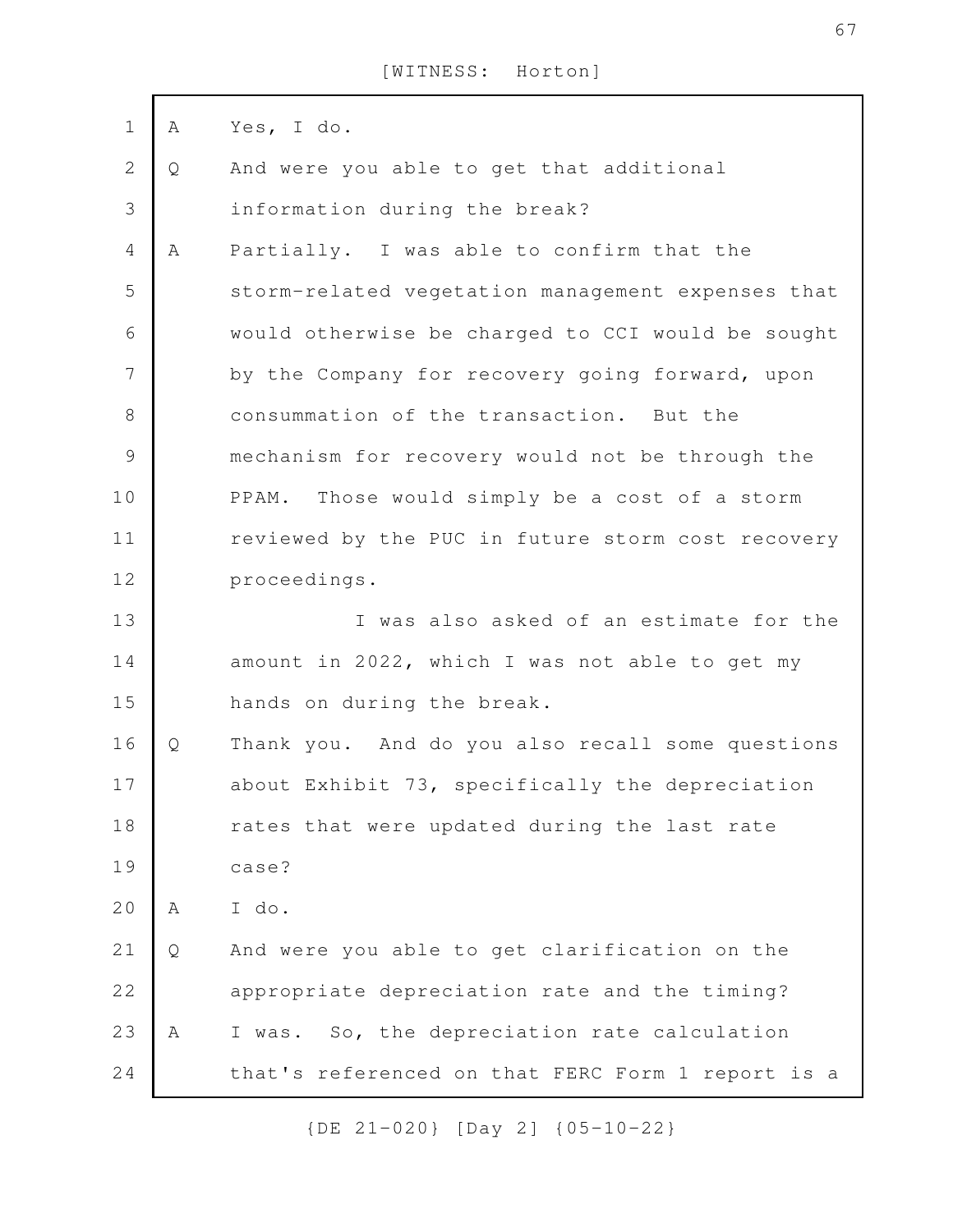| $\mathbf 1$  | A | Yes, I do.                                        |
|--------------|---|---------------------------------------------------|
| $\mathbf{2}$ | Q | And were you able to get that additional          |
| 3            |   | information during the break?                     |
| 4            | Α | Partially. I was able to confirm that the         |
| 5            |   | storm-related vegetation management expenses that |
| 6            |   | would otherwise be charged to CCI would be sought |
| 7            |   | by the Company for recovery going forward, upon   |
| $\,8\,$      |   | consummation of the transaction. But the          |
| $\mathsf 9$  |   | mechanism for recovery would not be through the   |
| 10           |   | PPAM. Those would simply be a cost of a storm     |
| 11           |   | reviewed by the PUC in future storm cost recovery |
| 12           |   | proceedings.                                      |
| 13           |   | I was also asked of an estimate for the           |
| 14           |   | amount in 2022, which I was not able to get my    |
| 15           |   | hands on during the break.                        |
| 16           | Q | Thank you. And do you also recall some questions  |
| 17           |   | about Exhibit 73, specifically the depreciation   |
| 18           |   | rates that were updated during the last rate      |
| 19           |   | case?                                             |
| 20           | Α | I do.                                             |
| 21           | Q | And were you able to get clarification on the     |
| 22           |   | appropriate depreciation rate and the timing?     |
| 23           | Α | I was. So, the depreciation rate calculation      |
| 24           |   | that's referenced on that FERC Form 1 report is a |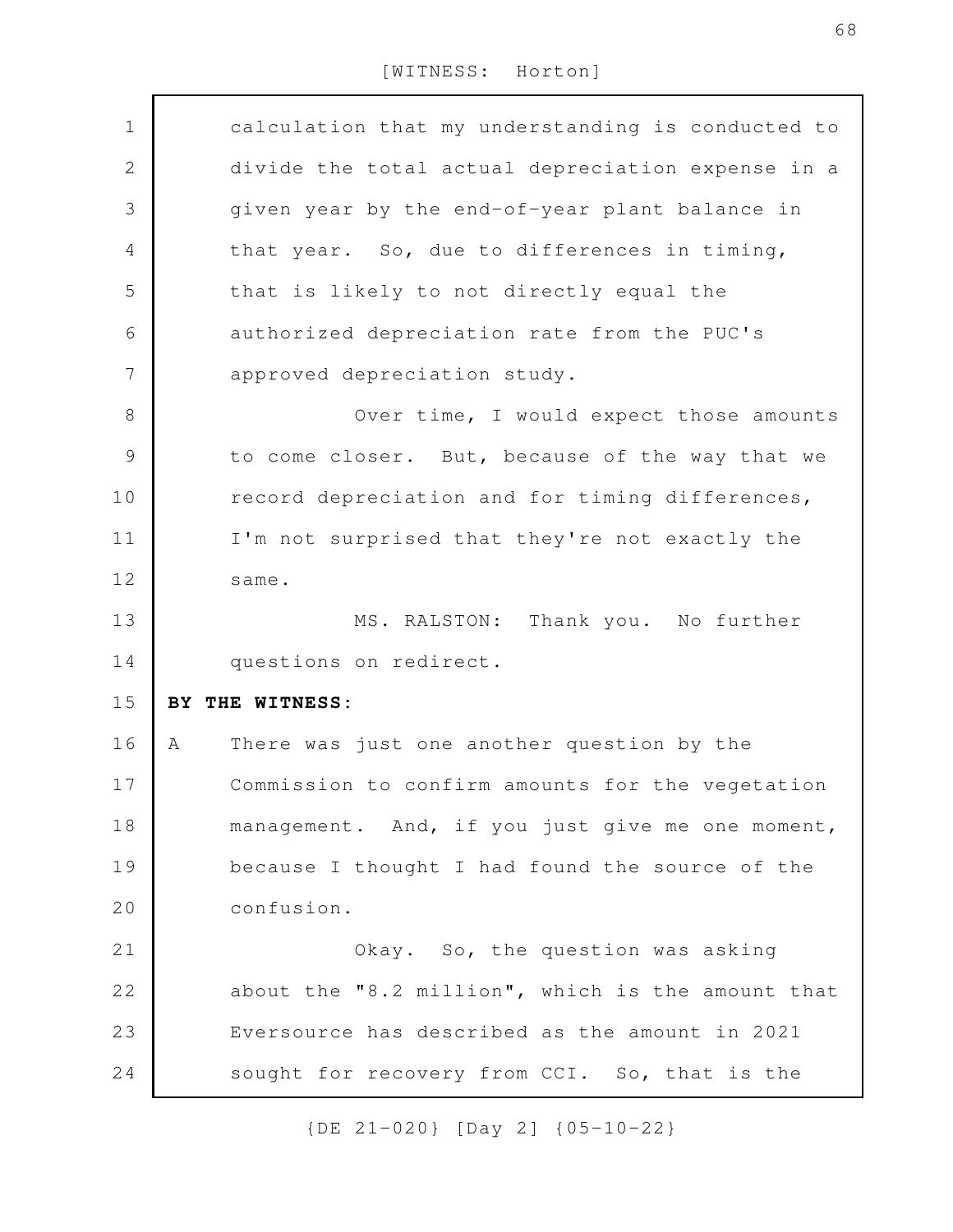| $\mathbf 1$    |   | calculation that my understanding is conducted to |
|----------------|---|---------------------------------------------------|
| $\overline{2}$ |   | divide the total actual depreciation expense in a |
| 3              |   | given year by the end-of-year plant balance in    |
| $\overline{4}$ |   | that year. So, due to differences in timing,      |
| 5              |   | that is likely to not directly equal the          |
| 6              |   | authorized depreciation rate from the PUC's       |
| $\overline{7}$ |   | approved depreciation study.                      |
| $\,8\,$        |   | Over time, I would expect those amounts           |
| $\mathcal{G}$  |   | to come closer. But, because of the way that we   |
| 10             |   | record depreciation and for timing differences,   |
| 11             |   | I'm not surprised that they're not exactly the    |
| 12             |   | same.                                             |
| 13             |   | Thank you. No further<br>MS. RALSTON:             |
| 14             |   | questions on redirect.                            |
| 15             |   | BY THE WITNESS:                                   |
| 16             | Α | There was just one another question by the        |
| 17             |   | Commission to confirm amounts for the vegetation  |
| 18             |   | management. And, if you just give me one moment,  |
| 19             |   | because I thought I had found the source of the   |
| 20             |   | confusion.                                        |
| 21             |   | Okay. So, the question was asking                 |
| 22             |   | about the "8.2 million", which is the amount that |
| 23             |   | Eversource has described as the amount in 2021    |
| 24             |   | sought for recovery from CCI. So, that is the     |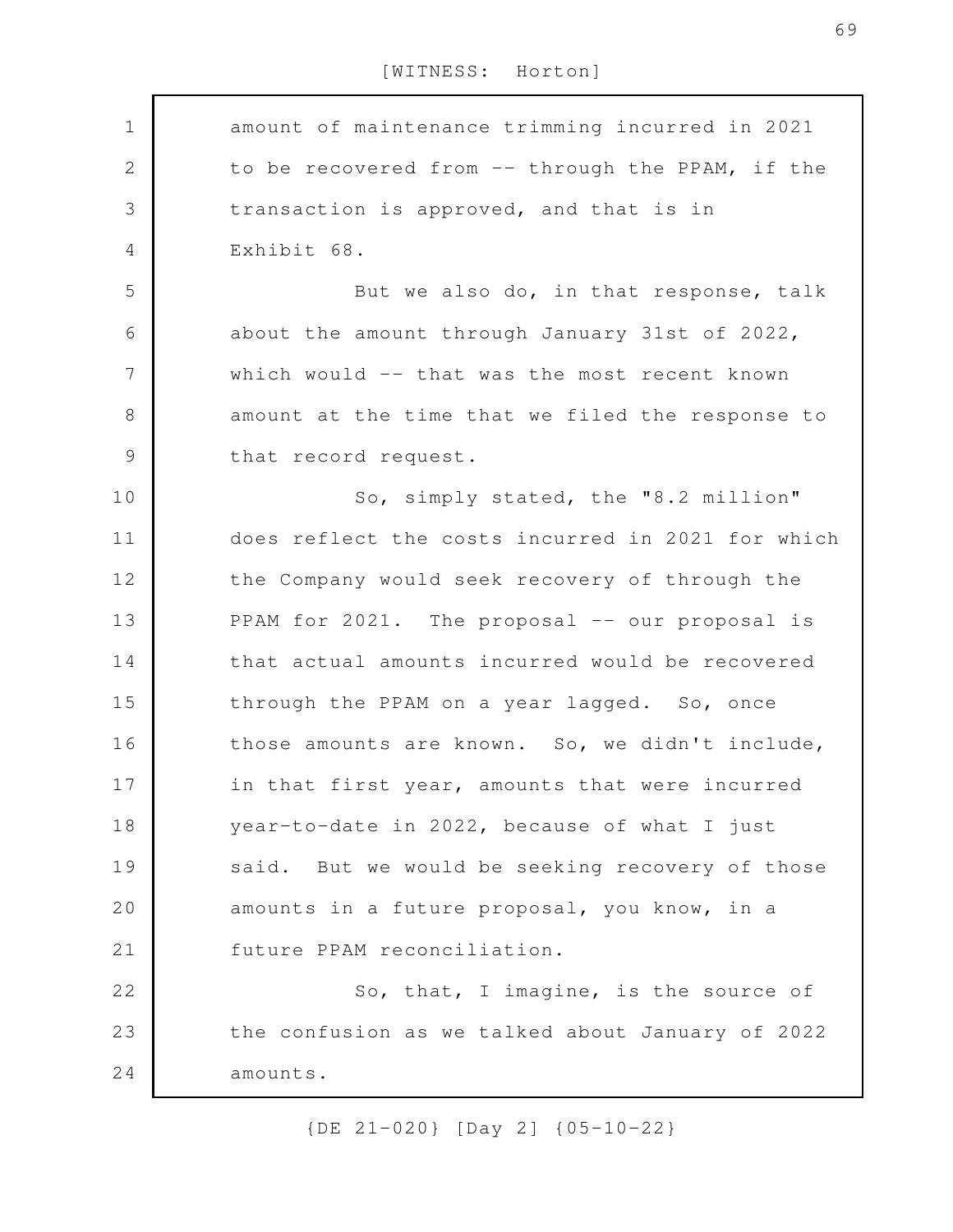amount of maintenance trimming incurred in 2021 to be recovered from -- through the PPAM, if the transaction is approved, and that is in Exhibit 68. But we also do, in that response, talk about the amount through January 31st of 2022, which would -- that was the most recent known amount at the time that we filed the response to that record request. So, simply stated, the "8.2 million" does reflect the costs incurred in 2021 for which the Company would seek recovery of through the PPAM for 2021. The proposal -- our proposal is that actual amounts incurred would be recovered through the PPAM on a year lagged. So, once those amounts are known. So, we didn't include, in that first year, amounts that were incurred year-to-date in 2022, because of what I just said. But we would be seeking recovery of those amounts in a future proposal, you know, in a future PPAM reconciliation. So, that, I imagine, is the source of the confusion as we talked about January of 2022 amounts. 1 2 3 4 5 6 7 8 9 10 11 12 13 14 15 16 17 18 19 20 21 22 23 24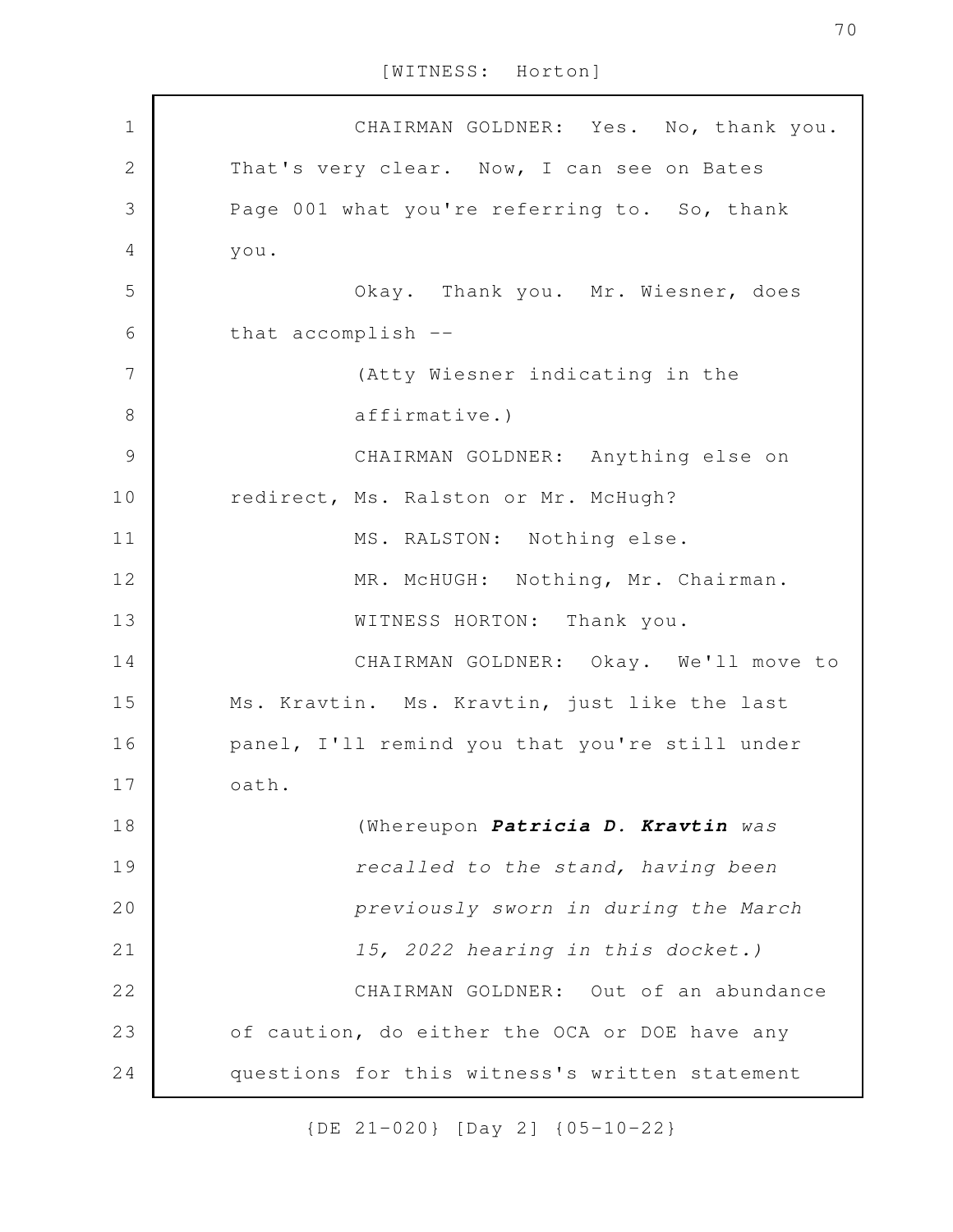CHAIRMAN GOLDNER: Yes. No, thank you. That's very clear. Now, I can see on Bates Page 001 what you're referring to. So, thank you. Okay. Thank you. Mr. Wiesner, does that accomplish -- (Atty Wiesner indicating in the affirmative.) CHAIRMAN GOLDNER: Anything else on redirect, Ms. Ralston or Mr. McHugh? MS. RALSTON: Nothing else. MR. McHUGH: Nothing, Mr. Chairman. WITNESS HORTON: Thank you. CHAIRMAN GOLDNER: Okay. We'll move to Ms. Kravtin. Ms. Kravtin, just like the last panel, I'll remind you that you're still under oath. (Whereupon *Patricia D. Kravtin was recalled to the stand, having been previously sworn in during the March 15, 2022 hearing in this docket.)* CHAIRMAN GOLDNER: Out of an abundance of caution, do either the OCA or DOE have any questions for this witness's written statement 1 2 3 4 5 6 7 8 9 10 11 12 13 14 15 16 17 18 19 20 21 22 23 24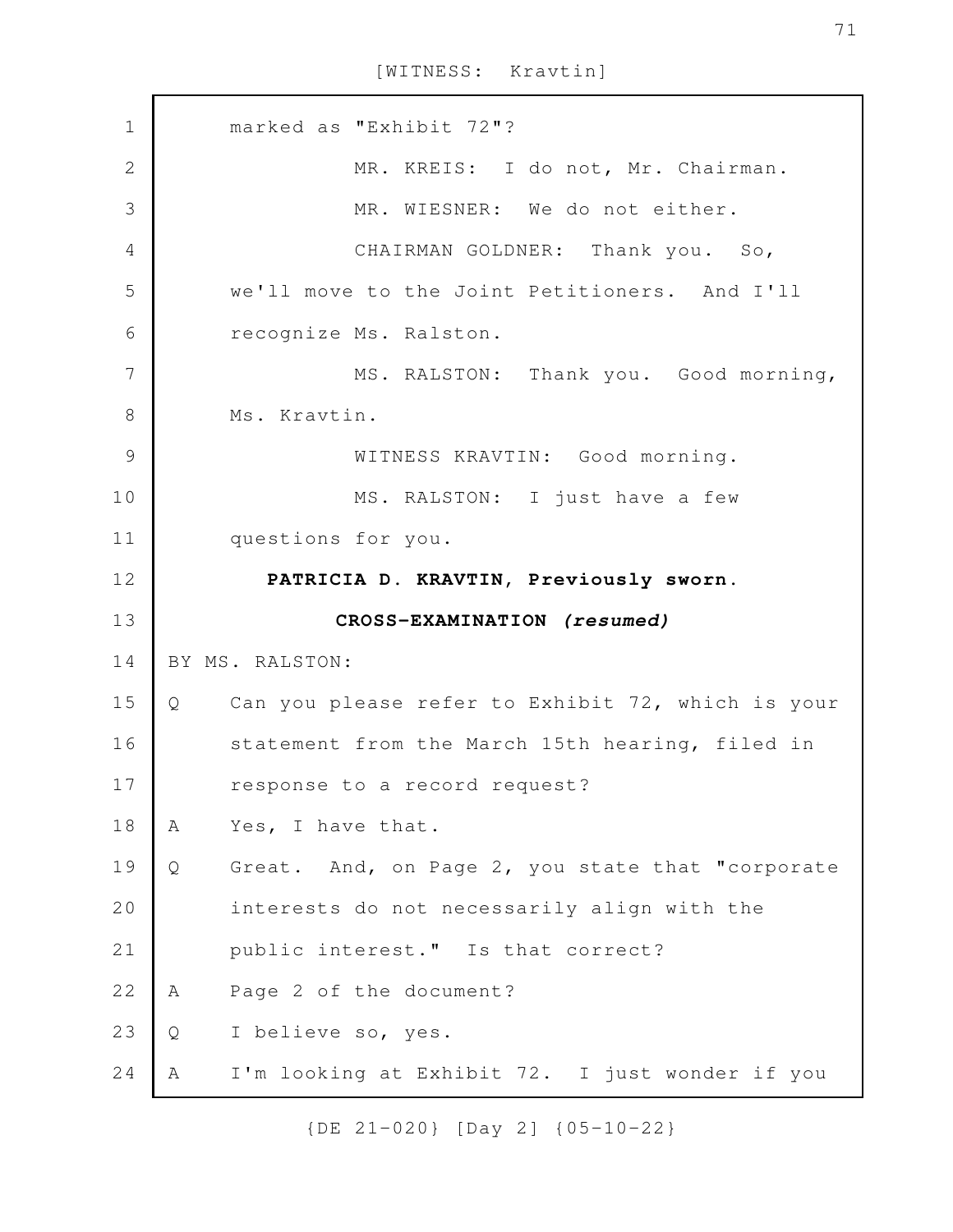[WITNESS: Kravtin]

| $\mathbf 1$    |   | marked as "Exhibit 72"?                           |
|----------------|---|---------------------------------------------------|
| $\overline{2}$ |   | MR. KREIS: I do not, Mr. Chairman.                |
| 3              |   | MR. WIESNER: We do not either.                    |
| 4              |   | CHAIRMAN GOLDNER: Thank you. So,                  |
| 5              |   | we'll move to the Joint Petitioners. And I'll     |
| 6              |   | recognize Ms. Ralston.                            |
| 7              |   | MS. RALSTON: Thank you. Good morning,             |
| 8              |   | Ms. Kravtin.                                      |
| $\mathcal{G}$  |   | WITNESS KRAVTIN: Good morning.                    |
| 10             |   | MS. RALSTON: I just have a few                    |
| 11             |   | questions for you.                                |
| 12             |   | PATRICIA D. KRAVTIN, Previously sworn.            |
|                |   |                                                   |
| 13             |   | CROSS-EXAMINATION (resumed)                       |
| 14             |   | BY MS. RALSTON:                                   |
| 15             | Q | Can you please refer to Exhibit 72, which is your |
| 16             |   | statement from the March 15th hearing, filed in   |
| 17             |   | response to a record request?                     |
| 18             | A | Yes, I have that.                                 |
| 19             | Q | Great. And, on Page 2, you state that "corporate  |
| 20             |   | interests do not necessarily align with the       |
| 21             |   | public interest." Is that correct?                |
| 22             | A | Page 2 of the document?                           |
| 23             | Q | I believe so, yes.                                |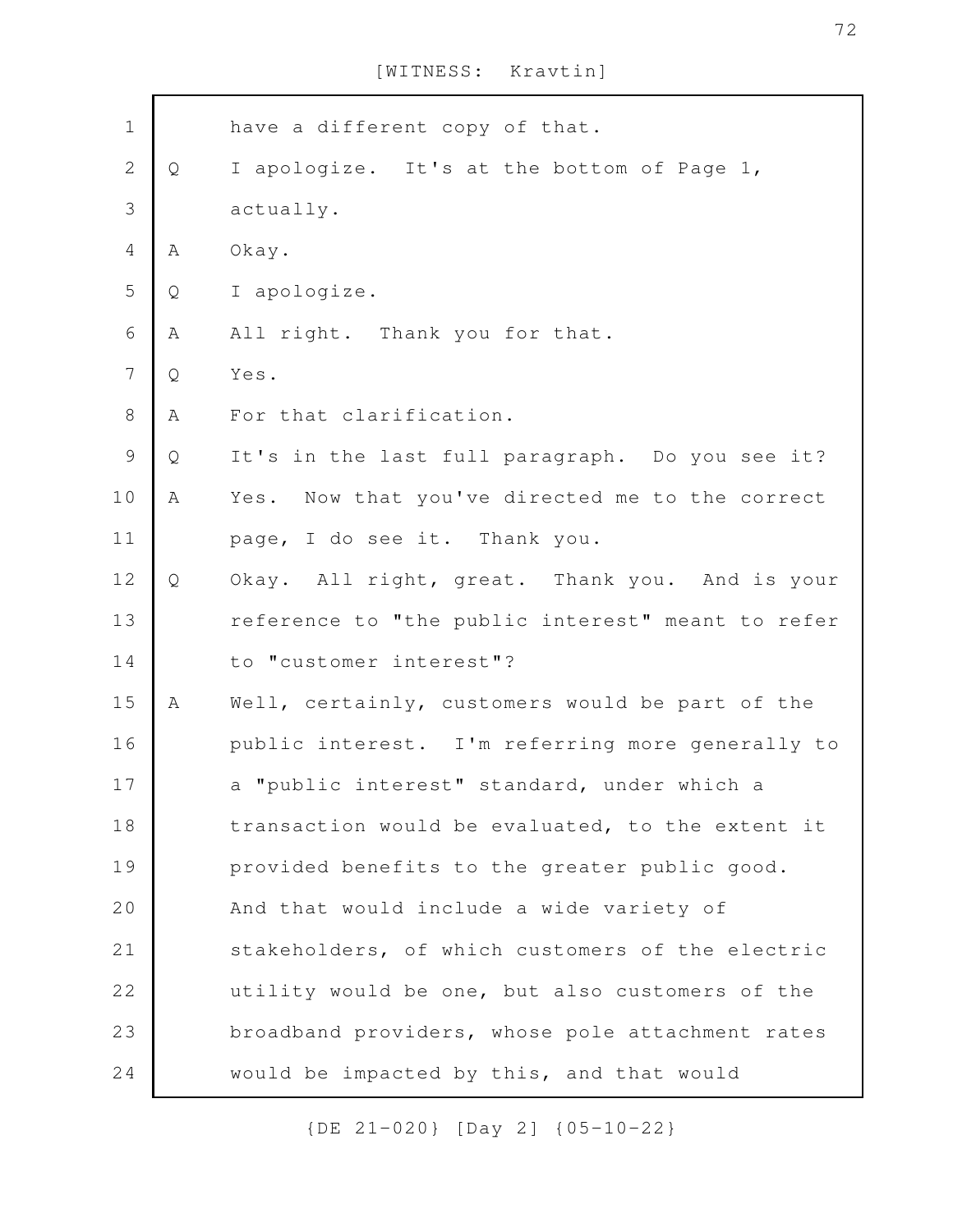[WITNESS: Kravtin]

| $\mathbf 1$    |   | have a different copy of that.                    |
|----------------|---|---------------------------------------------------|
| $\mathbf{2}$   | Q | I apologize. It's at the bottom of Page 1,        |
| 3              |   | actually.                                         |
| $\overline{4}$ | А | Okay.                                             |
| 5              | Q | I apologize.                                      |
| $\sqrt{6}$     | Α | All right. Thank you for that.                    |
| $\overline{7}$ | Q | Yes.                                              |
| $8\,$          | Α | For that clarification.                           |
| $\mathcal{G}$  | Q | It's in the last full paragraph. Do you see it?   |
| 10             | A | Yes. Now that you've directed me to the correct   |
| 11             |   | page, I do see it. Thank you.                     |
| 12             | Q | Okay. All right, great. Thank you. And is your    |
| 13             |   | reference to "the public interest" meant to refer |
| 14             |   | to "customer interest"?                           |
| 15             | A | Well, certainly, customers would be part of the   |
| 16             |   | public interest. I'm referring more generally to  |
| 17             |   | a "public interest" standard, under which a       |
| 18             |   | transaction would be evaluated, to the extent it  |
| 19             |   | provided benefits to the greater public good.     |
| 20             |   | And that would include a wide variety of          |
| 21             |   | stakeholders, of which customers of the electric  |
| 22             |   | utility would be one, but also customers of the   |
| 23             |   | broadband providers, whose pole attachment rates  |
| 24             |   | would be impacted by this, and that would         |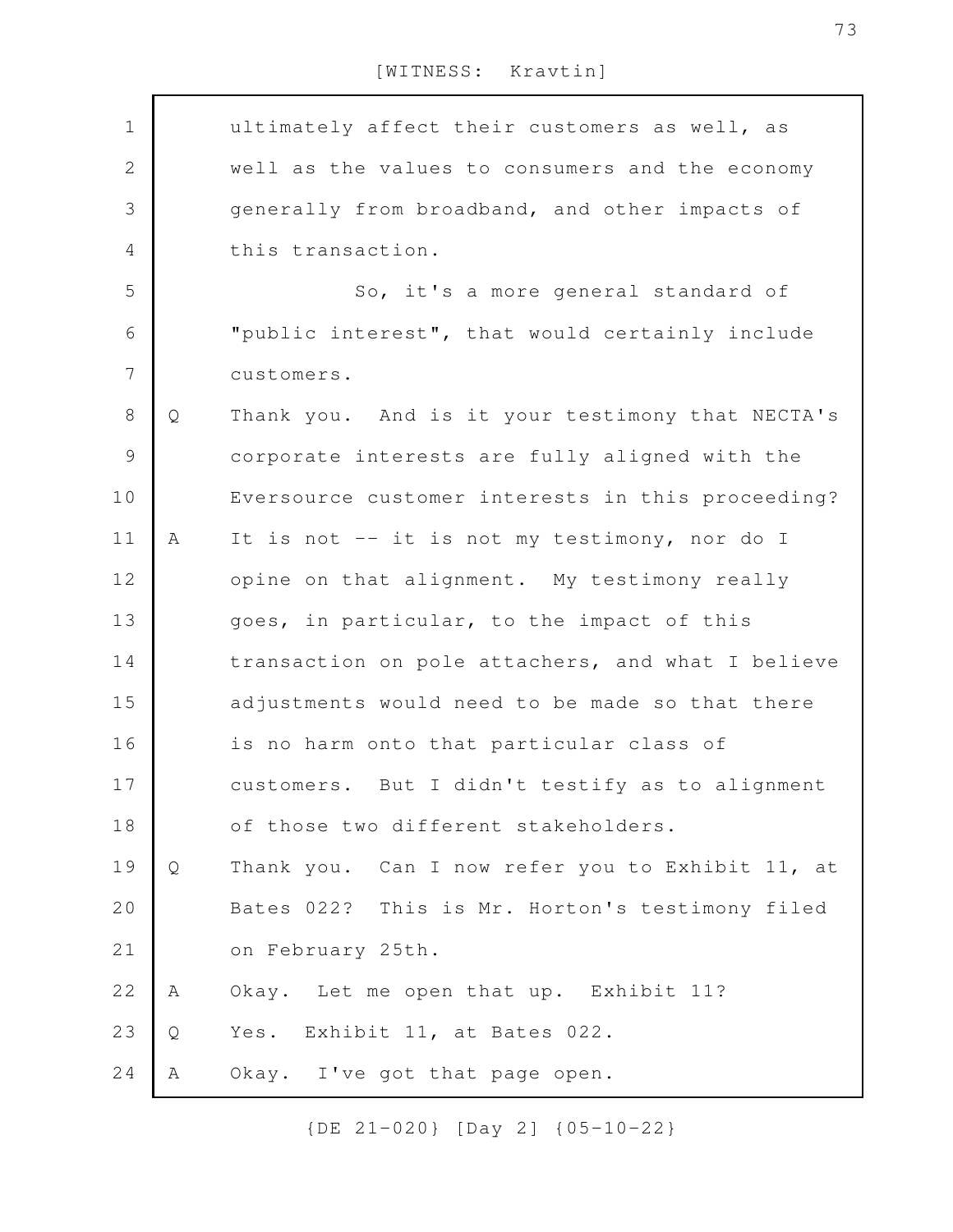| [WITNESS: | Kravtin] |
|-----------|----------|
|-----------|----------|

| $\mathbf 1$ |   | ultimately affect their customers as well, as     |
|-------------|---|---------------------------------------------------|
| $\sqrt{2}$  |   | well as the values to consumers and the economy   |
| 3           |   | generally from broadband, and other impacts of    |
| 4           |   | this transaction.                                 |
| 5           |   | So, it's a more general standard of               |
| 6           |   | "public interest", that would certainly include   |
| 7           |   | customers.                                        |
| $8\,$       | Q | Thank you. And is it your testimony that NECTA's  |
| $\mathsf 9$ |   | corporate interests are fully aligned with the    |
| 10          |   | Eversource customer interests in this proceeding? |
| 11          | A | It is not -- it is not my testimony, nor do I     |
| 12          |   | opine on that alignment. My testimony really      |
| 13          |   | goes, in particular, to the impact of this        |
| 14          |   | transaction on pole attachers, and what I believe |
| 15          |   | adjustments would need to be made so that there   |
| 16          |   | is no harm onto that particular class of          |
| 17          |   | customers. But I didn't testify as to alignment   |
| 18          |   | of those two different stakeholders.              |
| 19          | Q | Thank you. Can I now refer you to Exhibit 11, at  |
| 20          |   | Bates 022? This is Mr. Horton's testimony filed   |
| 21          |   | on February 25th.                                 |
| 22          | A | Okay. Let me open that up. Exhibit 11?            |
| 23          | Q | Yes. Exhibit 11, at Bates 022.                    |
| 24          | Α | Okay. I've got that page open.                    |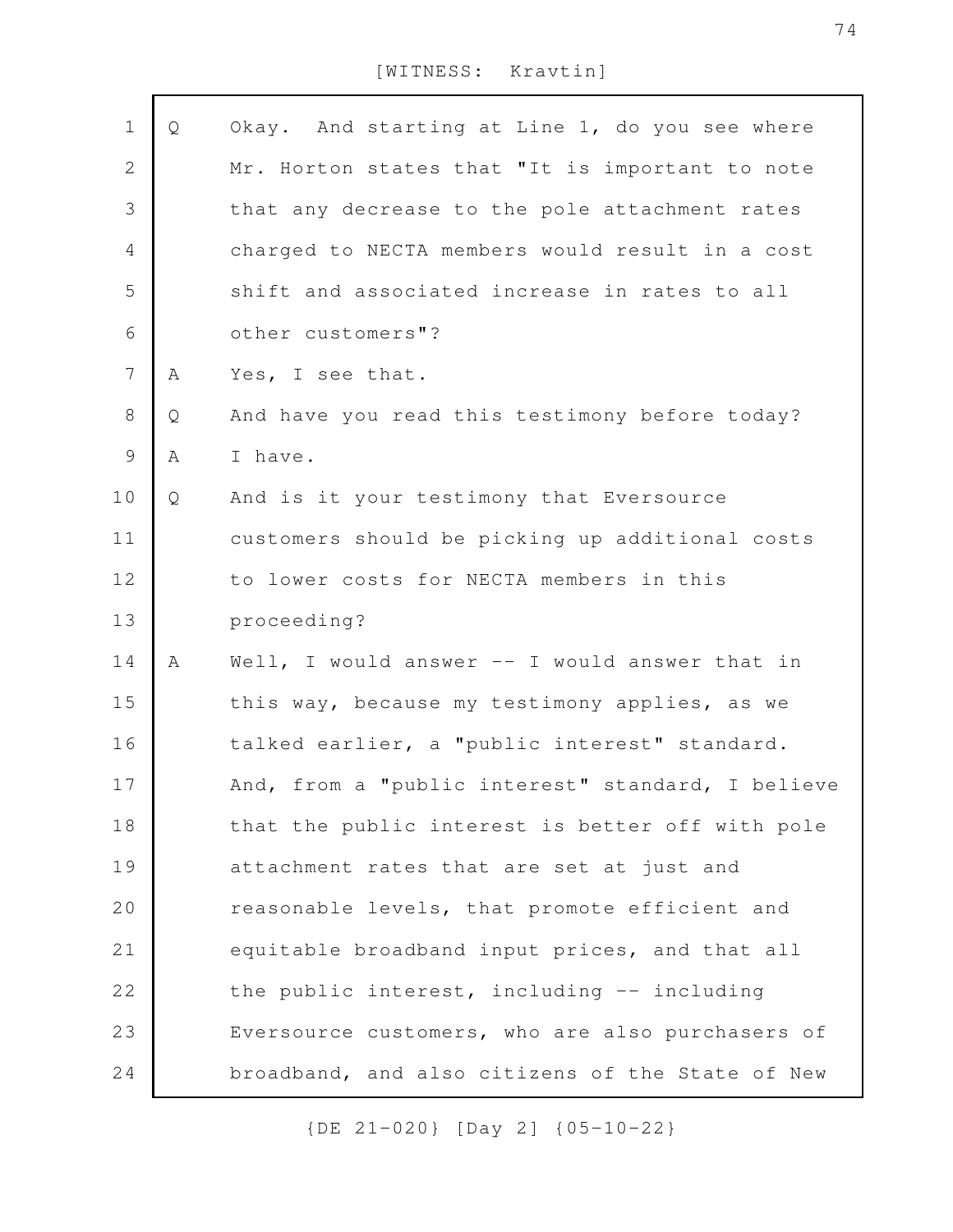| $1\,$          | Q | Okay. And starting at Line 1, do you see where    |
|----------------|---|---------------------------------------------------|
| $\mathbf{2}$   |   | Mr. Horton states that "It is important to note   |
| 3              |   | that any decrease to the pole attachment rates    |
| 4              |   | charged to NECTA members would result in a cost   |
| 5              |   | shift and associated increase in rates to all     |
| 6              |   | other customers"?                                 |
| $\overline{7}$ | Α | Yes, I see that.                                  |
| 8              | Q | And have you read this testimony before today?    |
| 9              | Α | I have.                                           |
| 10             | Q | And is it your testimony that Eversource          |
| 11             |   | customers should be picking up additional costs   |
| 12             |   | to lower costs for NECTA members in this          |
| 13             |   | proceeding?                                       |
| 14             | Α | Well, I would answer $--$ I would answer that in  |
| 15             |   | this way, because my testimony applies, as we     |
| 16             |   | talked earlier, a "public interest" standard.     |
| 17             |   | And, from a "public interest" standard, I believe |
| 18             |   | that the public interest is better off with pole  |
| 19             |   | attachment rates that are set at just and         |
| 20             |   | reasonable levels, that promote efficient and     |
| 21             |   | equitable broadband input prices, and that all    |
| 22             |   | the public interest, including -- including       |
| 23             |   | Eversource customers, who are also purchasers of  |
| 24             |   | broadband, and also citizens of the State of New  |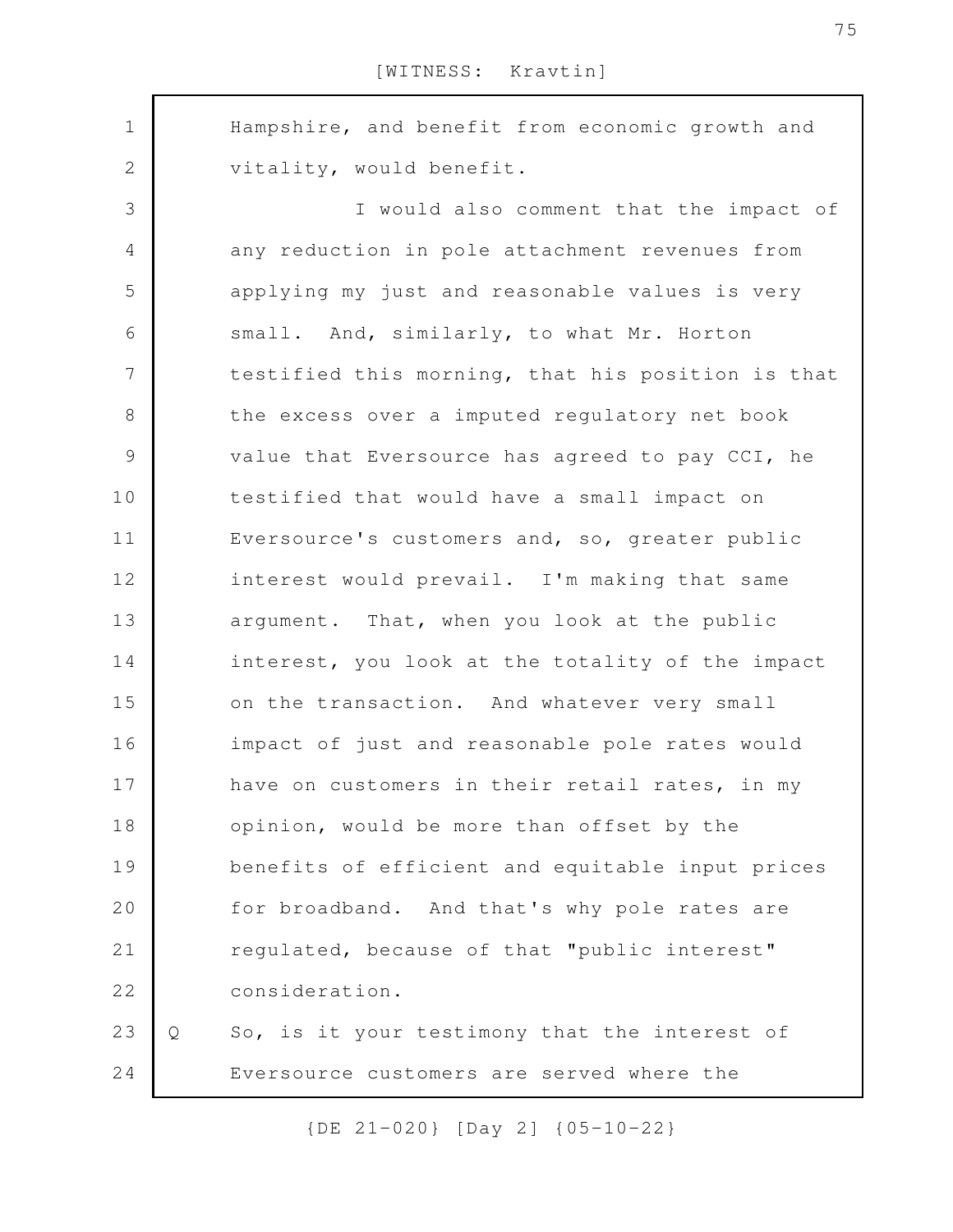Hampshire, and benefit from economic growth and vitality, would benefit. I would also comment that the impact of any reduction in pole attachment revenues from applying my just and reasonable values is very small. And, similarly, to what Mr. Horton testified this morning, that his position is that the excess over a imputed regulatory net book value that Eversource has agreed to pay CCI, he testified that would have a small impact on Eversource's customers and, so, greater public interest would prevail. I'm making that same argument. That, when you look at the public interest, you look at the totality of the impact on the transaction. And whatever very small impact of just and reasonable pole rates would have on customers in their retail rates, in my opinion, would be more than offset by the benefits of efficient and equitable input prices for broadband. And that's why pole rates are regulated, because of that "public interest" consideration. Q So, is it your testimony that the interest of Eversource customers are served where the 1 2 3 4 5 6 7 8 9 10 11 12 13 14 15 16 17 18 19 20 21 22 23 24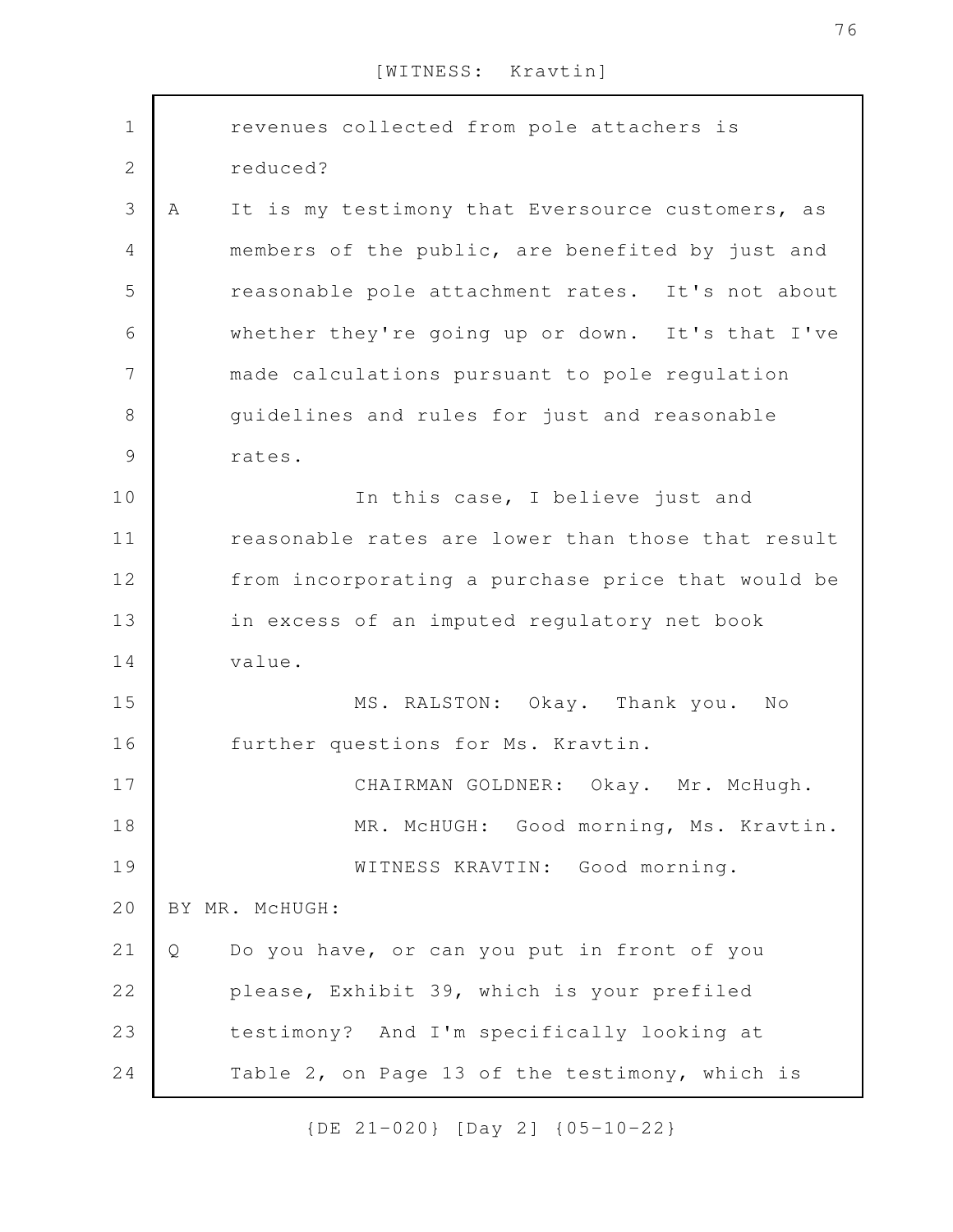| $\mathbf 1$    |   | revenues collected from pole attachers is         |
|----------------|---|---------------------------------------------------|
| $\overline{2}$ |   | reduced?                                          |
| 3              | Α | It is my testimony that Eversource customers, as  |
| 4              |   | members of the public, are benefited by just and  |
| 5              |   | reasonable pole attachment rates. It's not about  |
| 6              |   | whether they're going up or down. It's that I've  |
| 7              |   | made calculations pursuant to pole regulation     |
| 8              |   | guidelines and rules for just and reasonable      |
| 9              |   | rates.                                            |
| 10             |   | In this case, I believe just and                  |
| 11             |   | reasonable rates are lower than those that result |
| 12             |   | from incorporating a purchase price that would be |
| 13             |   | in excess of an imputed regulatory net book       |
| 14             |   | value.                                            |
| 15             |   | MS. RALSTON: Okay. Thank you.<br>N <sub>O</sub>   |
| 16             |   | further questions for Ms. Kravtin.                |
| 17             |   | CHAIRMAN GOLDNER:<br>Okay. Mr. McHugh.            |
| 18             |   | MR. McHUGH: Good morning, Ms. Kravtin.            |
| 19             |   | WITNESS KRAVTIN: Good morning.                    |
| 20             |   | BY MR. MCHUGH:                                    |
| 21             | Q | Do you have, or can you put in front of you       |
| 22             |   | please, Exhibit 39, which is your prefiled        |
| 23             |   | testimony? And I'm specifically looking at        |
| 24             |   | Table 2, on Page 13 of the testimony, which is    |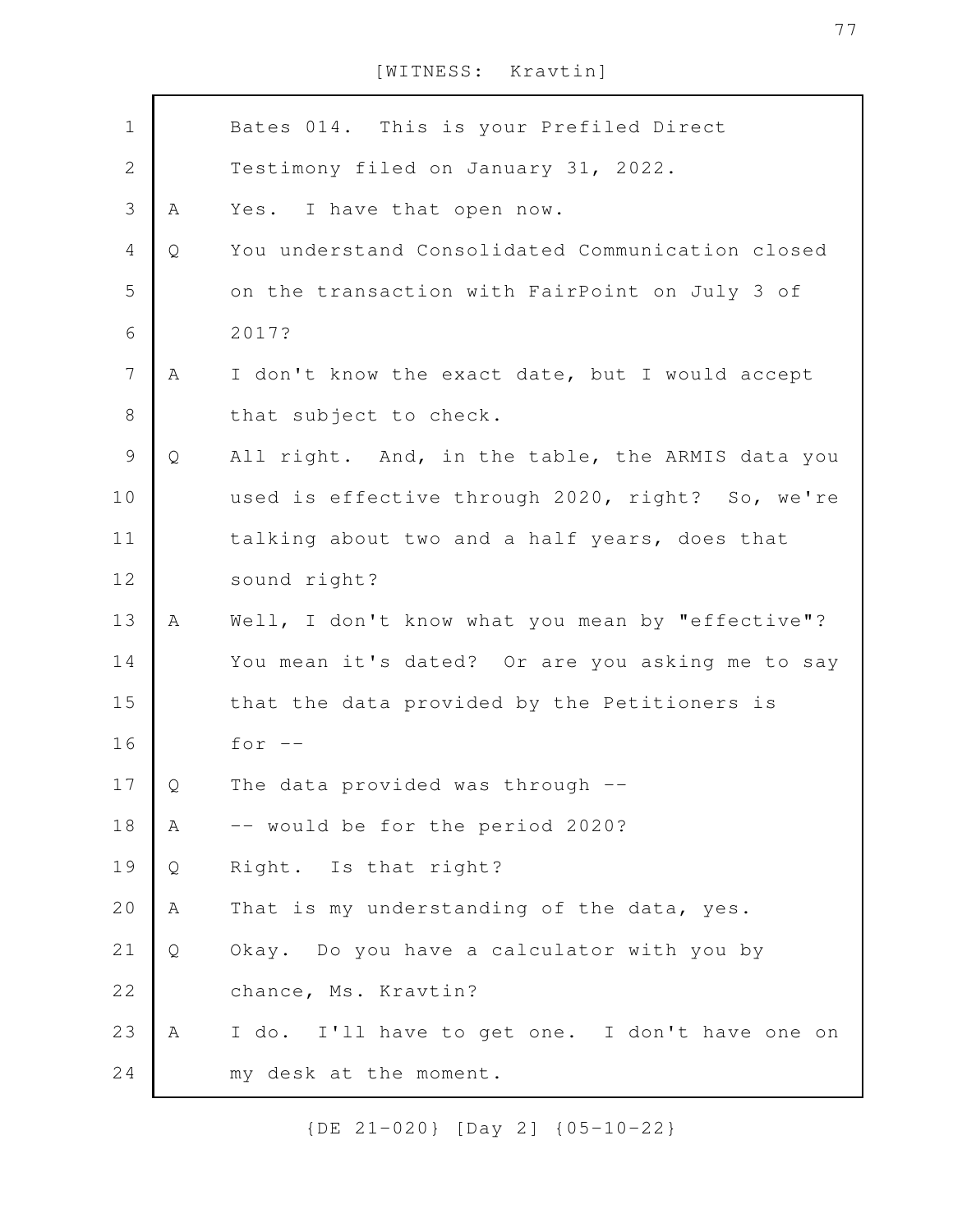| $\mathbf 1$              |   | Bates 014. This is your Prefiled Direct          |
|--------------------------|---|--------------------------------------------------|
| $\mathbf{2}$             |   | Testimony filed on January 31, 2022.             |
| 3                        | Α | Yes. I have that open now.                       |
| $\overline{4}$           | Q | You understand Consolidated Communication closed |
| 5                        |   | on the transaction with FairPoint on July 3 of   |
| 6                        |   | 2017?                                            |
| $\overline{\phantom{a}}$ | Α | I don't know the exact date, but I would accept  |
| $\,8\,$                  |   | that subject to check.                           |
| $\mathsf 9$              | Q | All right. And, in the table, the ARMIS data you |
| 10                       |   | used is effective through 2020, right? So, we're |
| 11                       |   | talking about two and a half years, does that    |
| 12                       |   | sound right?                                     |
| 13                       | A | Well, I don't know what you mean by "effective"? |
| 14                       |   | You mean it's dated? Or are you asking me to say |
| 15                       |   | that the data provided by the Petitioners is     |
| 16                       |   | for $--$                                         |
| 17                       | Q | The data provided was through --                 |
| 18                       | Α | -- would be for the period 2020?                 |
| 19                       | Q | Right. Is that right?                            |
| 20                       | Α | That is my understanding of the data, yes.       |
| 21                       | Q | Okay. Do you have a calculator with you by       |
| 22                       |   | chance, Ms. Kravtin?                             |
| 23                       | A | I do. I'll have to get one. I don't have one on  |
| 24                       |   | my desk at the moment.                           |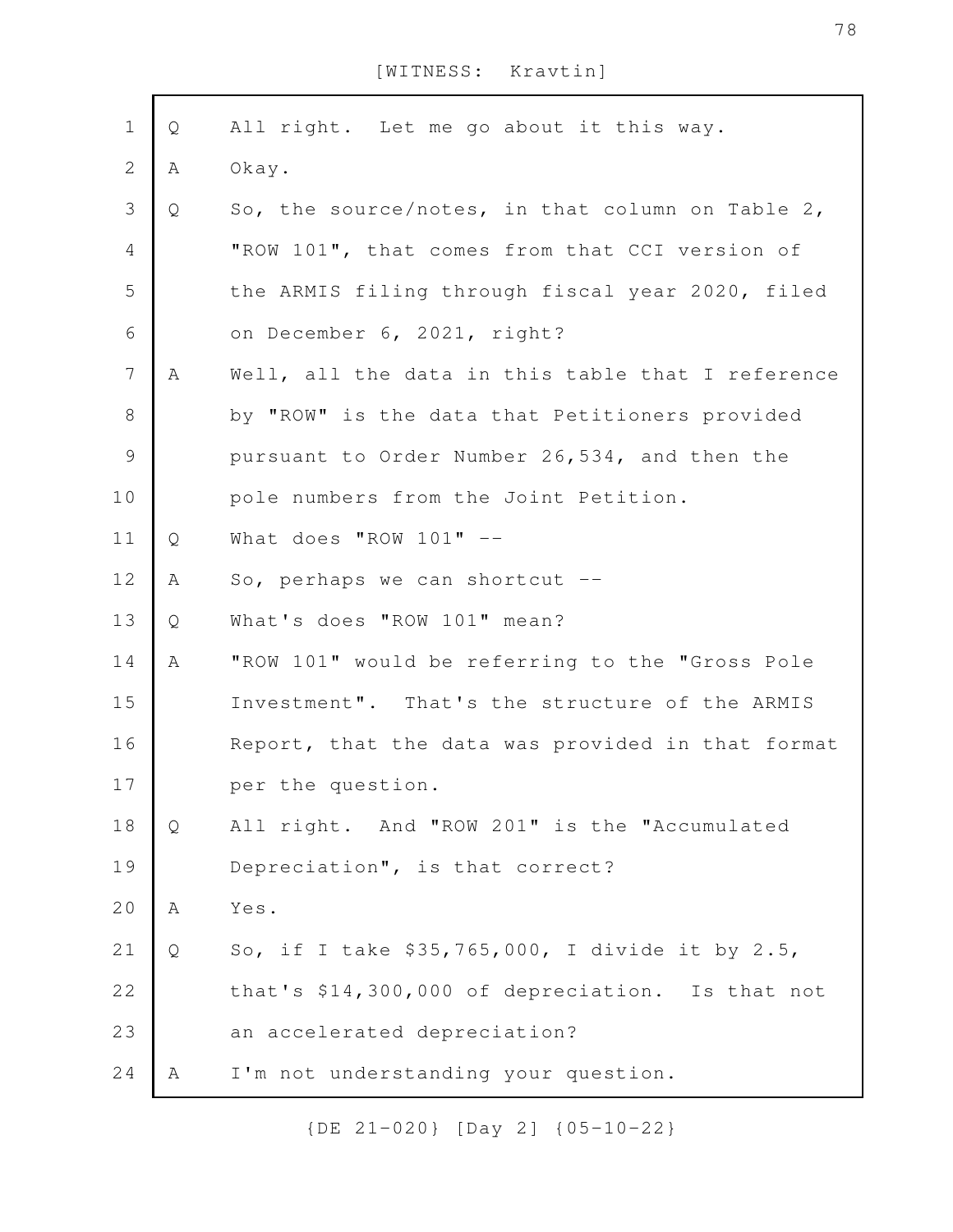| $\mathbf 1$      | Q | All right. Let me go about it this way.           |
|------------------|---|---------------------------------------------------|
| $\sqrt{2}$       | A | Okay.                                             |
| 3                | Q | So, the source/notes, in that column on Table 2,  |
| 4                |   | "ROW 101", that comes from that CCI version of    |
| 5                |   | the ARMIS filing through fiscal year 2020, filed  |
| 6                |   | on December 6, 2021, right?                       |
| $\boldsymbol{7}$ | A | Well, all the data in this table that I reference |
| $8\,$            |   | by "ROW" is the data that Petitioners provided    |
| $\mathcal{G}$    |   | pursuant to Order Number 26,534, and then the     |
| 10               |   | pole numbers from the Joint Petition.             |
| 11               | Q | What does "ROW $101"$ --                          |
| 12               | Α | So, perhaps we can shortcut --                    |
| 13               | Q | What's does "ROW 101" mean?                       |
| 14               | A | "ROW 101" would be referring to the "Gross Pole   |
| 15               |   | Investment". That's the structure of the ARMIS    |
| 16               |   | Report, that the data was provided in that format |
| 17               |   | per the question.                                 |
| 18               | Q | All right. And "ROW 201" is the "Accumulated      |
| 19               |   | Depreciation", is that correct?                   |
| 20               | Α | Yes.                                              |
| 21               | Q | So, if I take \$35,765,000, I divide it by 2.5,   |
| 22               |   | that's \$14,300,000 of depreciation. Is that not  |
| 23               |   | an accelerated depreciation?                      |
| 24               | А | I'm not understanding your question.              |
|                  |   |                                                   |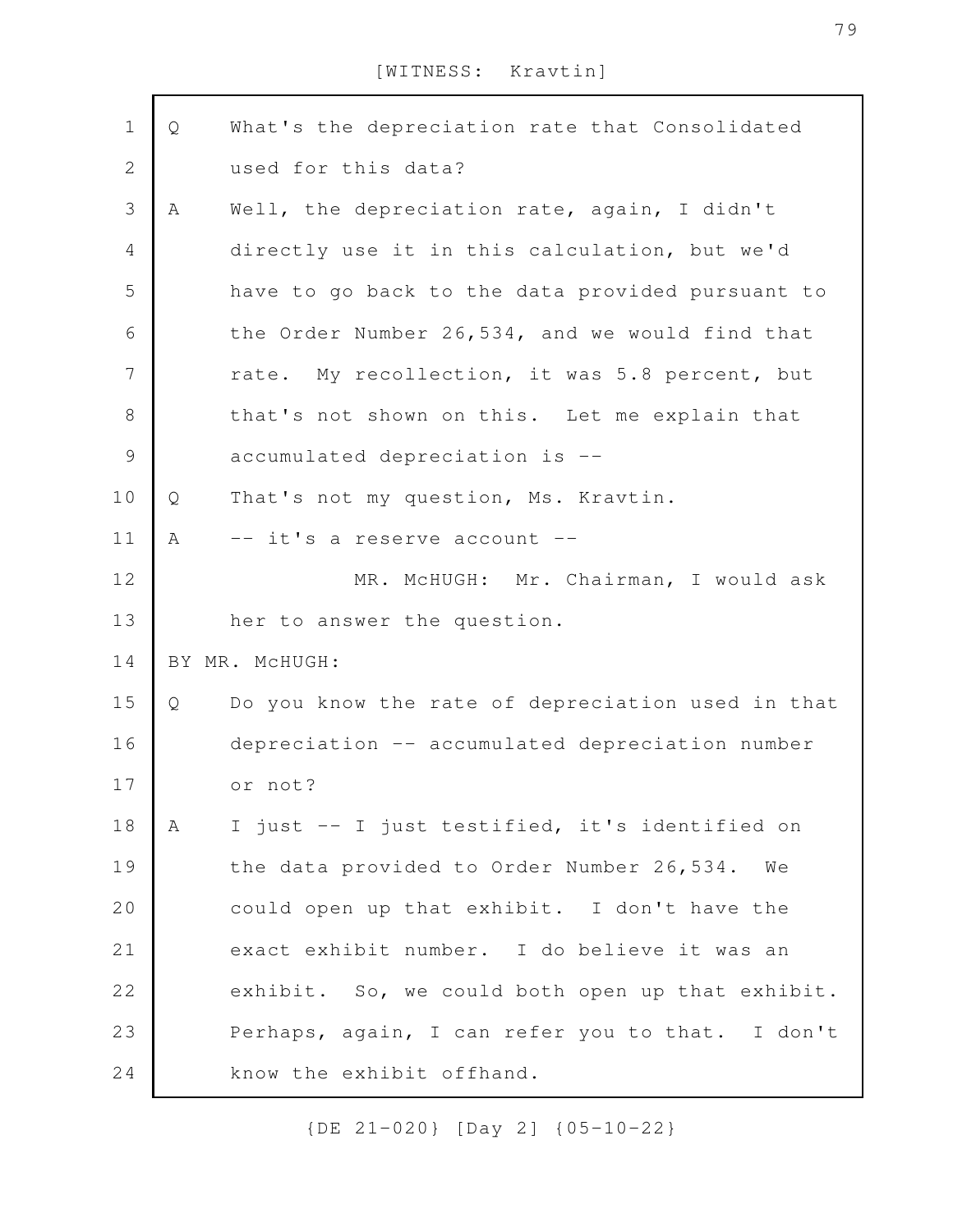| $\mathbf 1$    | Q | What's the depreciation rate that Consolidated    |
|----------------|---|---------------------------------------------------|
| $\mathbf 2$    |   | used for this data?                               |
| $\mathfrak{Z}$ | A | Well, the depreciation rate, again, I didn't      |
| $\overline{4}$ |   | directly use it in this calculation, but we'd     |
| 5              |   | have to go back to the data provided pursuant to  |
| $\sqrt{6}$     |   | the Order Number 26,534, and we would find that   |
| $\overline{7}$ |   | rate. My recollection, it was 5.8 percent, but    |
| $\,8\,$        |   | that's not shown on this. Let me explain that     |
| $\mathcal{G}$  |   | accumulated depreciation is --                    |
| 10             | Q | That's not my question, Ms. Kravtin.              |
| 11             | A | -- it's a reserve account --                      |
| 12             |   | MR. McHUGH: Mr. Chairman, I would ask             |
| 13             |   | her to answer the question.                       |
| 14             |   | BY MR. MCHUGH:                                    |
| 15             | Q | Do you know the rate of depreciation used in that |
| 16             |   | depreciation -- accumulated depreciation number   |
| 17             |   | or not?                                           |
| 18             | A | I just -- I just testified, it's identified on    |
| 19             |   | the data provided to Order Number 26,534.<br>We   |
| 20             |   | could open up that exhibit. I don't have the      |
| 21             |   | exact exhibit number. I do believe it was an      |
| 22             |   | exhibit. So, we could both open up that exhibit.  |
| 23             |   | Perhaps, again, I can refer you to that. I don't  |
| 24             |   | know the exhibit offhand.                         |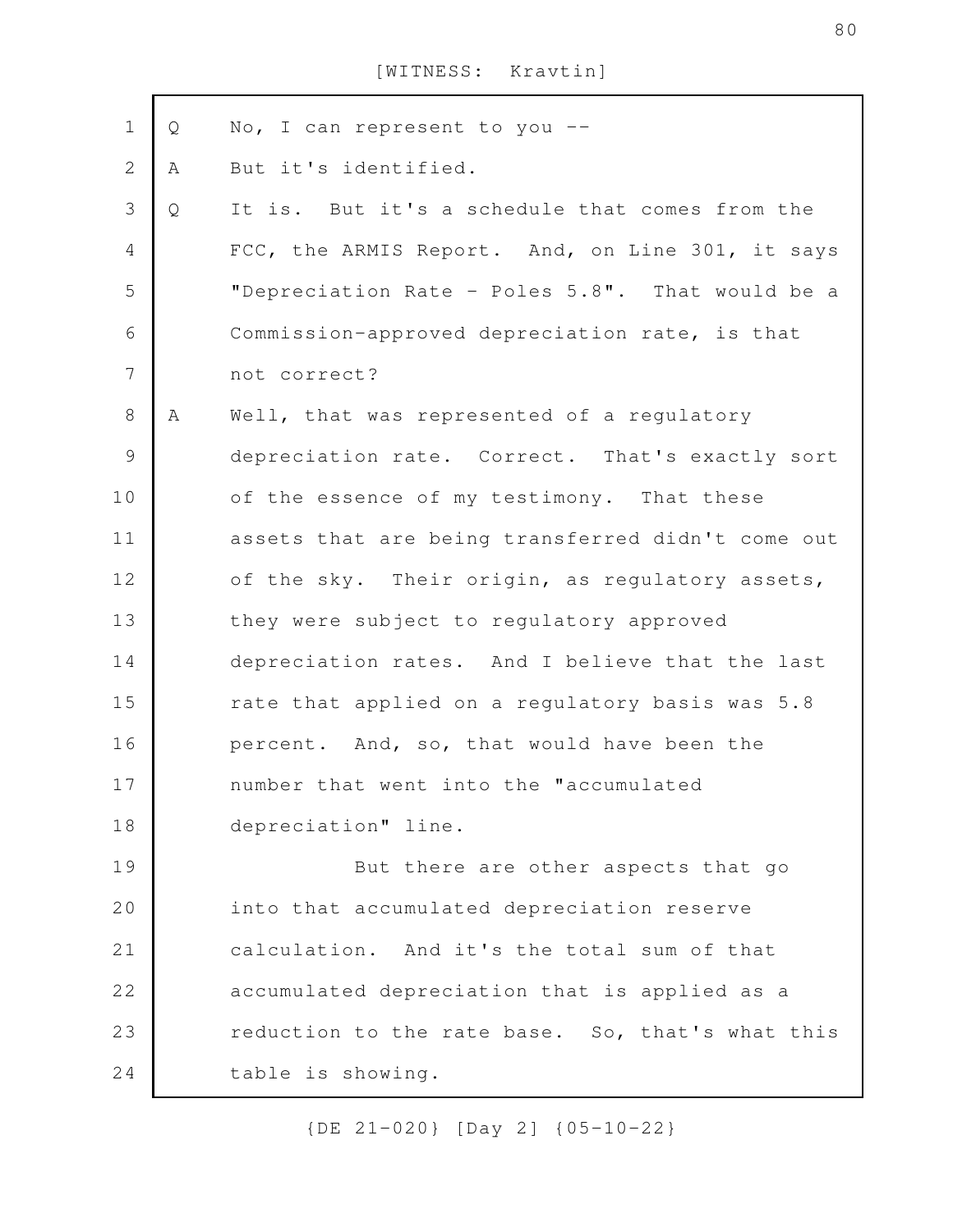| $\mathbf 1$    | Q | No, I can represent to you --                     |
|----------------|---|---------------------------------------------------|
| $\mathbf{2}$   | Α | But it's identified.                              |
| 3              | Q | It is. But it's a schedule that comes from the    |
| $\overline{4}$ |   | FCC, the ARMIS Report. And, on Line 301, it says  |
| 5              |   | "Depreciation Rate - Poles 5.8". That would be a  |
| 6              |   | Commission-approved depreciation rate, is that    |
| $\overline{7}$ |   | not correct?                                      |
| 8              | Α | Well, that was represented of a regulatory        |
| $\mathsf 9$    |   | depreciation rate. Correct. That's exactly sort   |
| 10             |   | of the essence of my testimony. That these        |
| 11             |   | assets that are being transferred didn't come out |
| 12             |   | of the sky. Their origin, as regulatory assets,   |
| 13             |   | they were subject to regulatory approved          |
| 14             |   | depreciation rates. And I believe that the last   |
| 15             |   | rate that applied on a regulatory basis was 5.8   |
| 16             |   | percent. And, so, that would have been the        |
| 17             |   | number that went into the "accumulated            |
| 18             |   | depreciation" line.                               |
| 19             |   | But there are other aspects that go               |
| 20             |   | into that accumulated depreciation reserve        |
| 21             |   | calculation. And it's the total sum of that       |
| 22             |   | accumulated depreciation that is applied as a     |
| 23             |   | reduction to the rate base. So, that's what this  |
| 24             |   | table is showing.                                 |
|                |   |                                                   |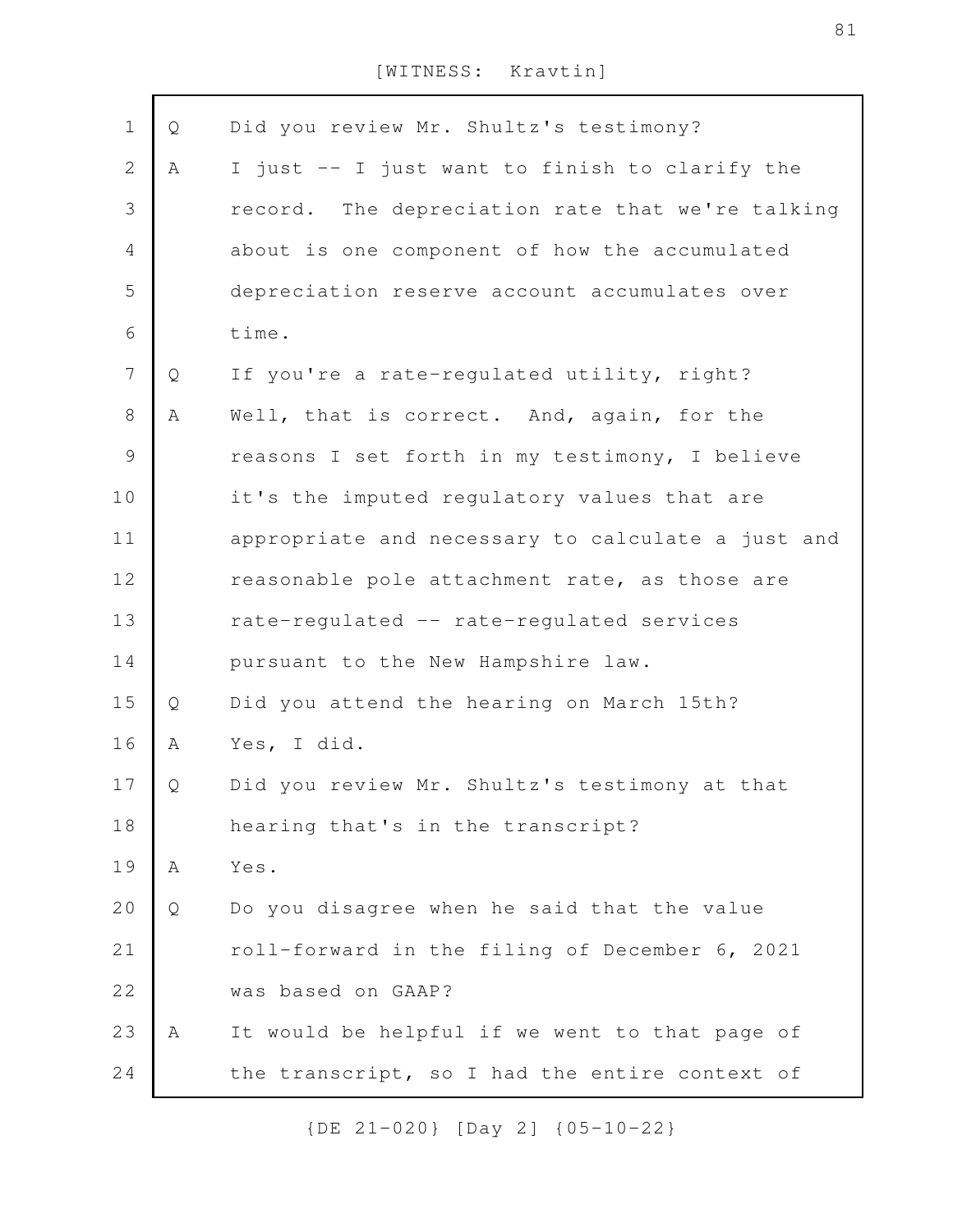| $\mathbf 1$    | Q | Did you review Mr. Shultz's testimony?            |
|----------------|---|---------------------------------------------------|
| $\mathbf{2}$   | Α | I just -- I just want to finish to clarify the    |
| 3              |   | record. The depreciation rate that we're talking  |
| $\overline{4}$ |   | about is one component of how the accumulated     |
| 5              |   | depreciation reserve account accumulates over     |
| 6              |   | time.                                             |
| $\overline{7}$ | Q | If you're a rate-regulated utility, right?        |
| $8\,$          | Α | Well, that is correct. And, again, for the        |
| $\mathsf 9$    |   | reasons I set forth in my testimony, I believe    |
| 10             |   | it's the imputed regulatory values that are       |
| 11             |   | appropriate and necessary to calculate a just and |
| 12             |   | reasonable pole attachment rate, as those are     |
| 13             |   | rate-regulated -- rate-regulated services         |
| 14             |   | pursuant to the New Hampshire law.                |
| 15             | Q | Did you attend the hearing on March 15th?         |
| 16             | Α | Yes, I did.                                       |
| 17             | Q | Did you review Mr. Shultz's testimony at that     |
| 18             |   | hearing that's in the transcript?                 |
| 19             | Α | Yes.                                              |
| 20             | Q | Do you disagree when he said that the value       |
| 21             |   | roll-forward in the filing of December 6, 2021    |
| 22             |   | was based on GAAP?                                |
| 23             | Α | It would be helpful if we went to that page of    |
| 24             |   | the transcript, so I had the entire context of    |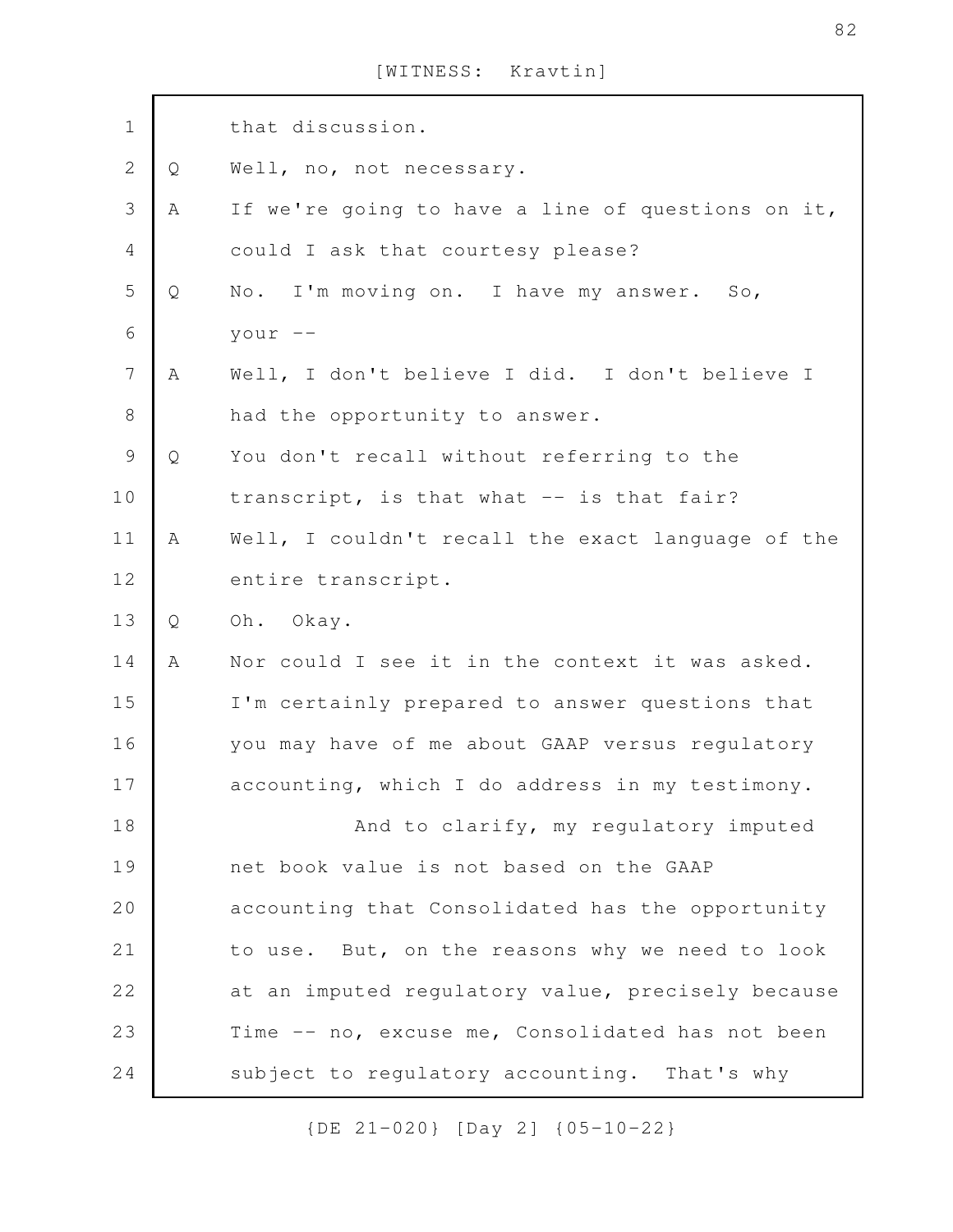| $\mathbf 1$      |   | that discussion.                                  |
|------------------|---|---------------------------------------------------|
| $\sqrt{2}$       | Q | Well, no, not necessary.                          |
| $\mathfrak{Z}$   | Α | If we're going to have a line of questions on it, |
| 4                |   | could I ask that courtesy please?                 |
| 5                | Q | No. I'm moving on. I have my answer. So,          |
| 6                |   | your $--$                                         |
| $\boldsymbol{7}$ | A | Well, I don't believe I did. I don't believe I    |
| $8\,$            |   | had the opportunity to answer.                    |
| $\mathcal{G}$    | Q | You don't recall without referring to the         |
| 10               |   | transcript, is that what -- is that fair?         |
| 11               | Α | Well, I couldn't recall the exact language of the |
| 12               |   | entire transcript.                                |
| 13               | Q | Oh. Okay.                                         |
| 14               | A | Nor could I see it in the context it was asked.   |
| 15               |   | I'm certainly prepared to answer questions that   |
| 16               |   | you may have of me about GAAP versus regulatory   |
| 17               |   | accounting, which I do address in my testimony.   |
| 18               |   | And to clarify, my regulatory imputed             |
| 19               |   | net book value is not based on the GAAP           |
| 20               |   | accounting that Consolidated has the opportunity  |
| 21               |   | to use. But, on the reasons why we need to look   |
| 22               |   | at an imputed regulatory value, precisely because |
| 23               |   | Time -- no, excuse me, Consolidated has not been  |
| 24               |   | subject to regulatory accounting. That's why      |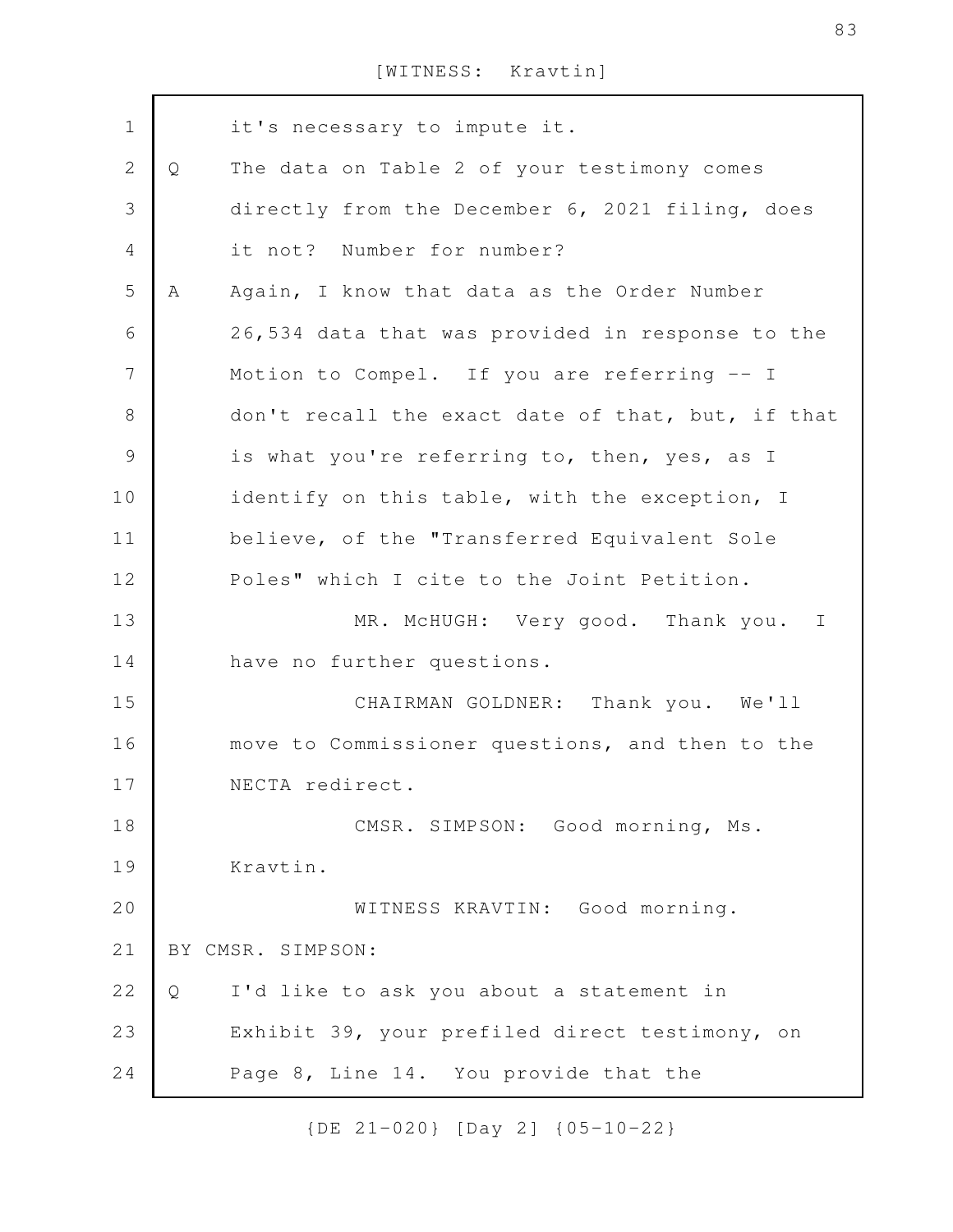it's necessary to impute it. Q The data on Table 2 of your testimony comes directly from the December 6, 2021 filing, does it not? Number for number? A Again, I know that data as the Order Number 26,534 data that was provided in response to the Motion to Compel. If you are referring -- I don't recall the exact date of that, but, if that is what you're referring to, then, yes, as I identify on this table, with the exception, I believe, of the "Transferred Equivalent Sole Poles" which I cite to the Joint Petition. MR. McHUGH: Very good. Thank you. I have no further questions. CHAIRMAN GOLDNER: Thank you. We'll move to Commissioner questions, and then to the NECTA redirect. CMSR. SIMPSON: Good morning, Ms. Kravtin. WITNESS KRAVTIN: Good morning. BY CMSR. SIMPSON: Q I'd like to ask you about a statement in Exhibit 39, your prefiled direct testimony, on Page 8, Line 14. You provide that the 1 2 3 4 5 6 7 8 9 10 11 12 13 14 15 16 17 18 19 20 21 22 23 24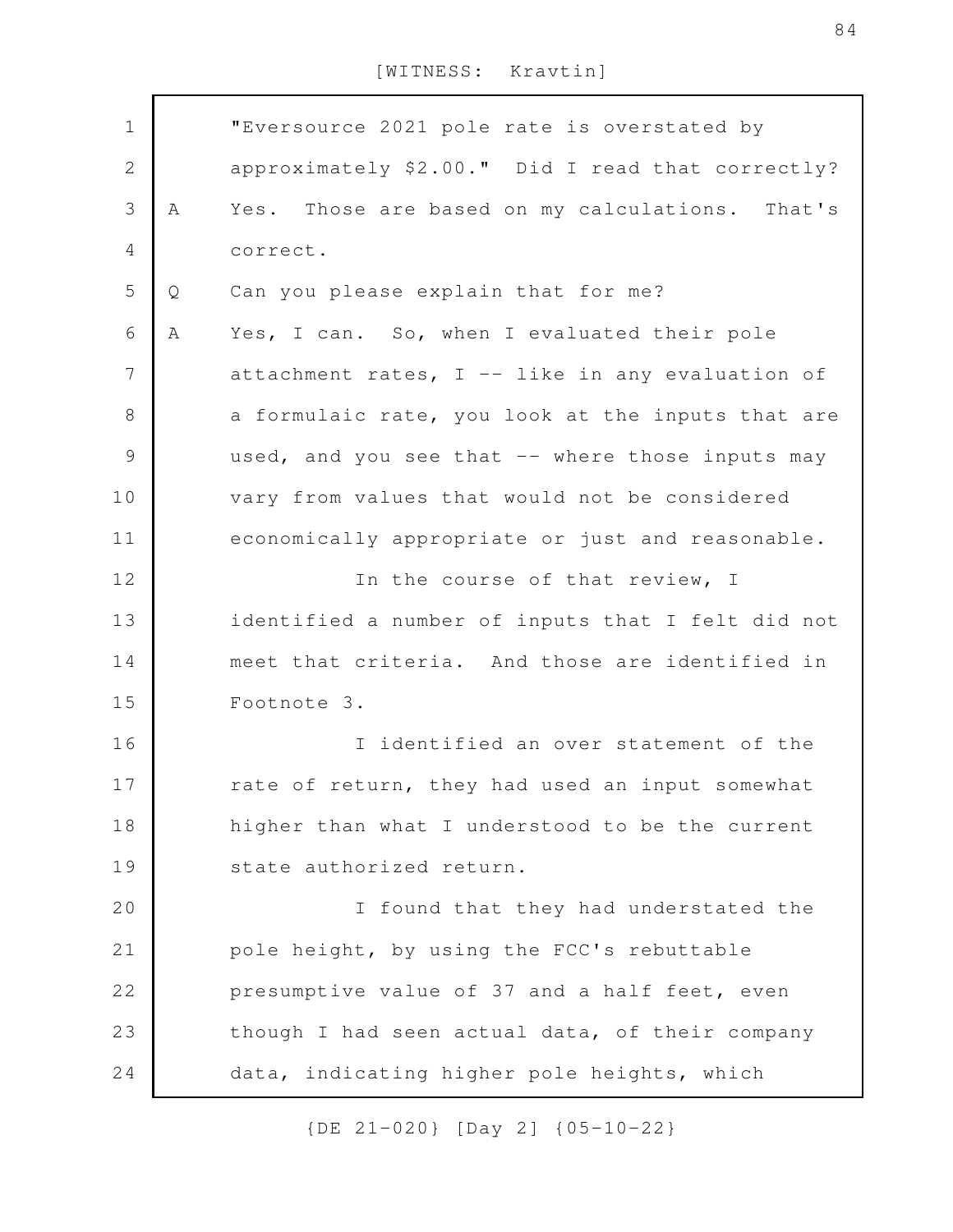| $\mathbf 1$    |   | "Eversource 2021 pole rate is overstated by       |
|----------------|---|---------------------------------------------------|
| $\mathbf{2}$   |   | approximately \$2.00." Did I read that correctly? |
| $\mathfrak{Z}$ | Α | Yes. Those are based on my calculations. That's   |
|                |   |                                                   |
| 4              |   | correct.                                          |
| 5              | Q | Can you please explain that for me?               |
| 6              | Α | Yes, I can. So, when I evaluated their pole       |
| 7              |   | attachment rates, I -- like in any evaluation of  |
| $\,8\,$        |   | a formulaic rate, you look at the inputs that are |
| $\mathsf 9$    |   | used, and you see that -- where those inputs may  |
| 10             |   | vary from values that would not be considered     |
| 11             |   | economically appropriate or just and reasonable.  |
| 12             |   | In the course of that review, I                   |
| 13             |   | identified a number of inputs that I felt did not |
| 14             |   | meet that criteria. And those are identified in   |
| 15             |   | Footnote 3.                                       |
| 16             |   | I identified an over statement of the             |
| 17             |   | rate of return, they had used an input somewhat   |
| 18             |   | higher than what I understood to be the current   |
| 19             |   | state authorized return.                          |
| 20             |   | I found that they had understated the             |
| 21             |   | pole height, by using the FCC's rebuttable        |
| 22             |   | presumptive value of 37 and a half feet, even     |
| 23             |   | though I had seen actual data, of their company   |
| 24             |   | data, indicating higher pole heights, which       |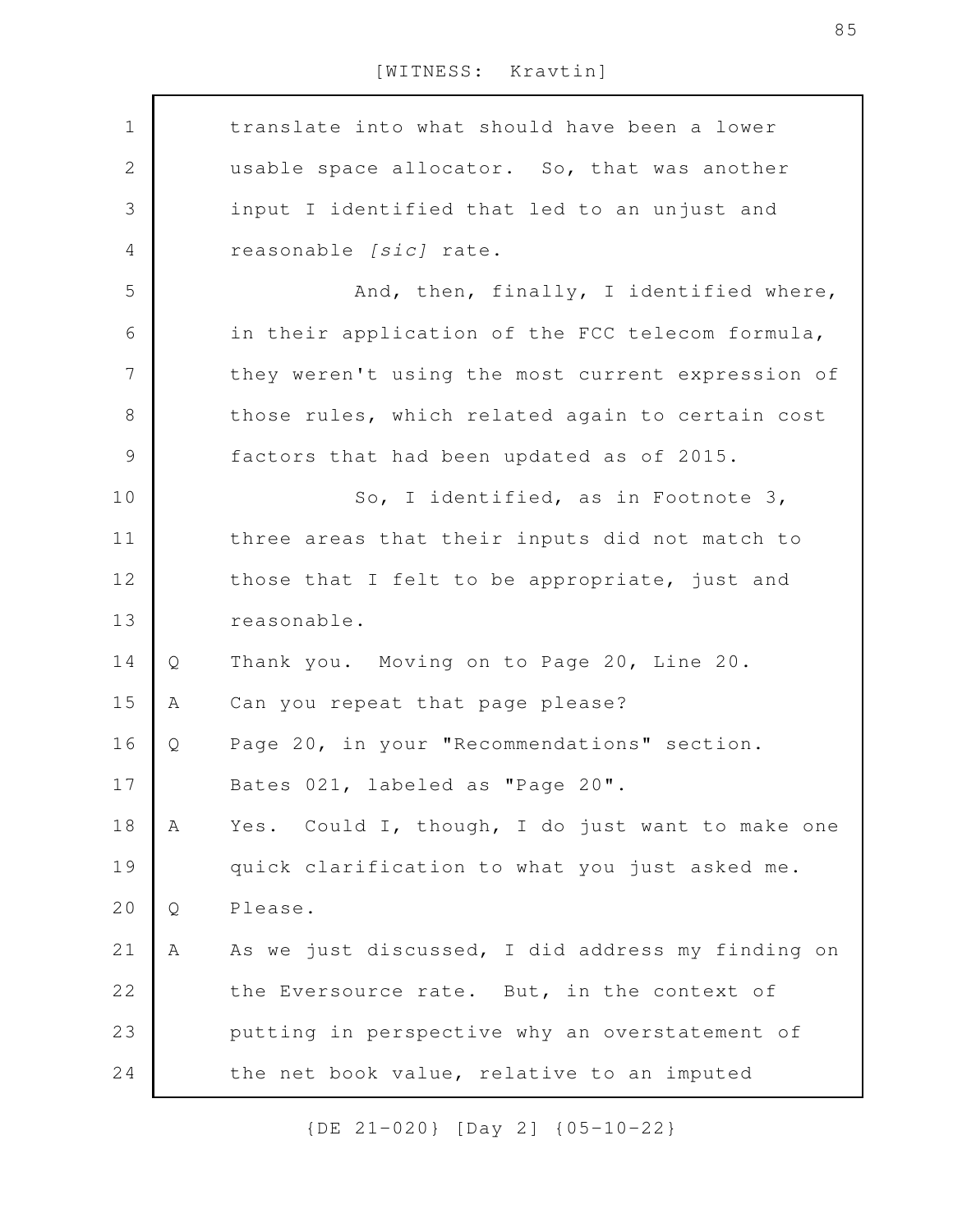translate into what should have been a lower usable space allocator. So, that was another input I identified that led to an unjust and reasonable *[sic]* rate. And, then, finally, I identified where, in their application of the FCC telecom formula, they weren't using the most current expression of those rules, which related again to certain cost factors that had been updated as of 2015. So, I identified, as in Footnote 3, three areas that their inputs did not match to those that I felt to be appropriate, just and reasonable. Q Thank you. Moving on to Page 20, Line 20. A Can you repeat that page please? Q Page 20, in your "Recommendations" section. Bates 021, labeled as "Page 20". A Yes. Could I, though, I do just want to make one quick clarification to what you just asked me. Q Please. A As we just discussed, I did address my finding on the Eversource rate. But, in the context of putting in perspective why an overstatement of the net book value, relative to an imputed 1 2 3 4 5 6 7 8 9 10 11 12 13 14 15 16 17 18 19 20 21 22 23 24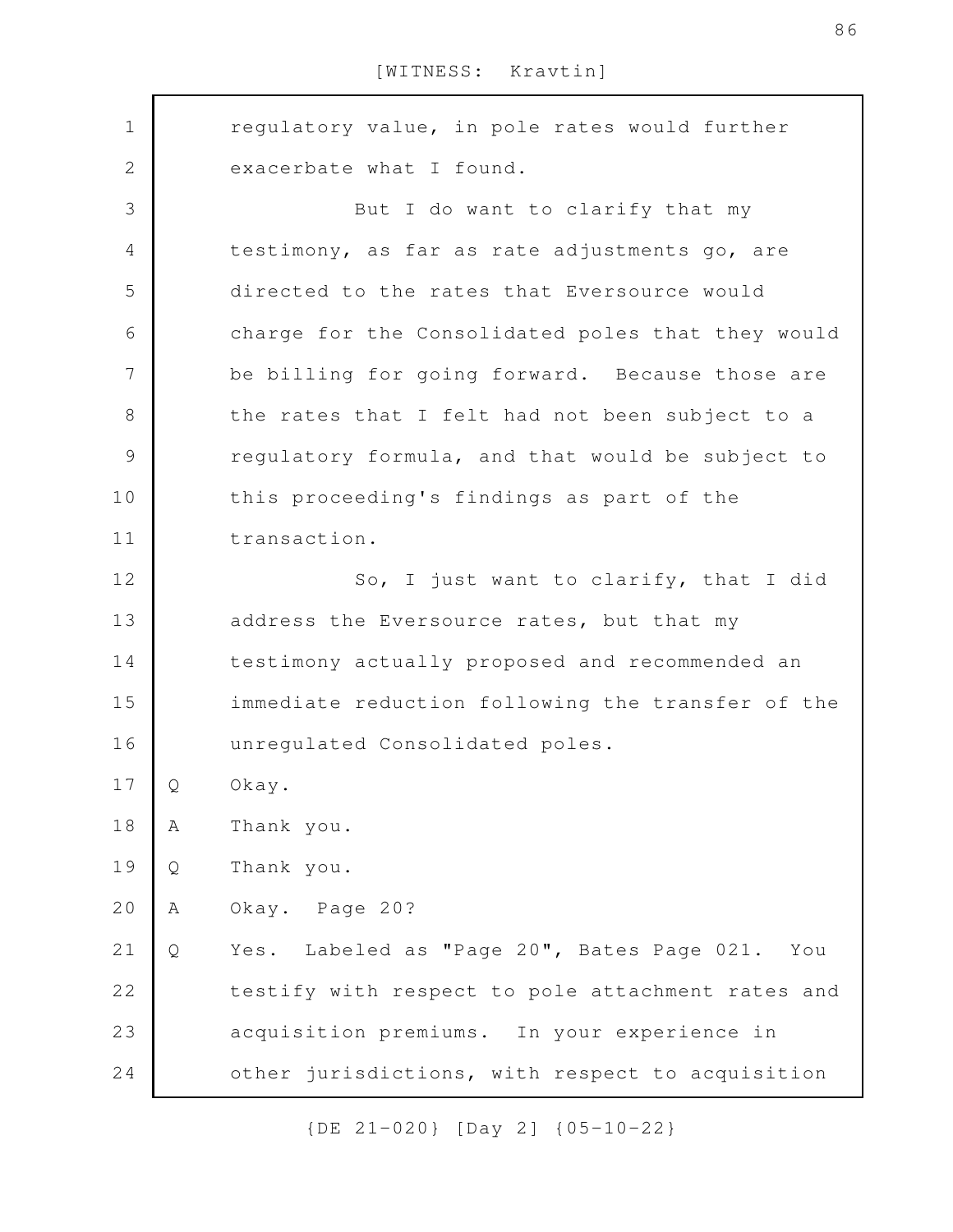regulatory value, in pole rates would further exacerbate what I found. But I do want to clarify that my testimony, as far as rate adjustments go, are directed to the rates that Eversource would charge for the Consolidated poles that they would be billing for going forward. Because those are the rates that I felt had not been subject to a regulatory formula, and that would be subject to this proceeding's findings as part of the transaction. So, I just want to clarify, that I did address the Eversource rates, but that my testimony actually proposed and recommended an immediate reduction following the transfer of the unregulated Consolidated poles. Q Okay. A Thank you. Q Thank you. A Okay. Page 20? Q Yes. Labeled as "Page 20", Bates Page 021. You testify with respect to pole attachment rates and acquisition premiums. In your experience in other jurisdictions, with respect to acquisition 1 2 3 4 5 6 7 8 9 10 11 12 13 14 15 16 17 18 19 20 21 22 23 24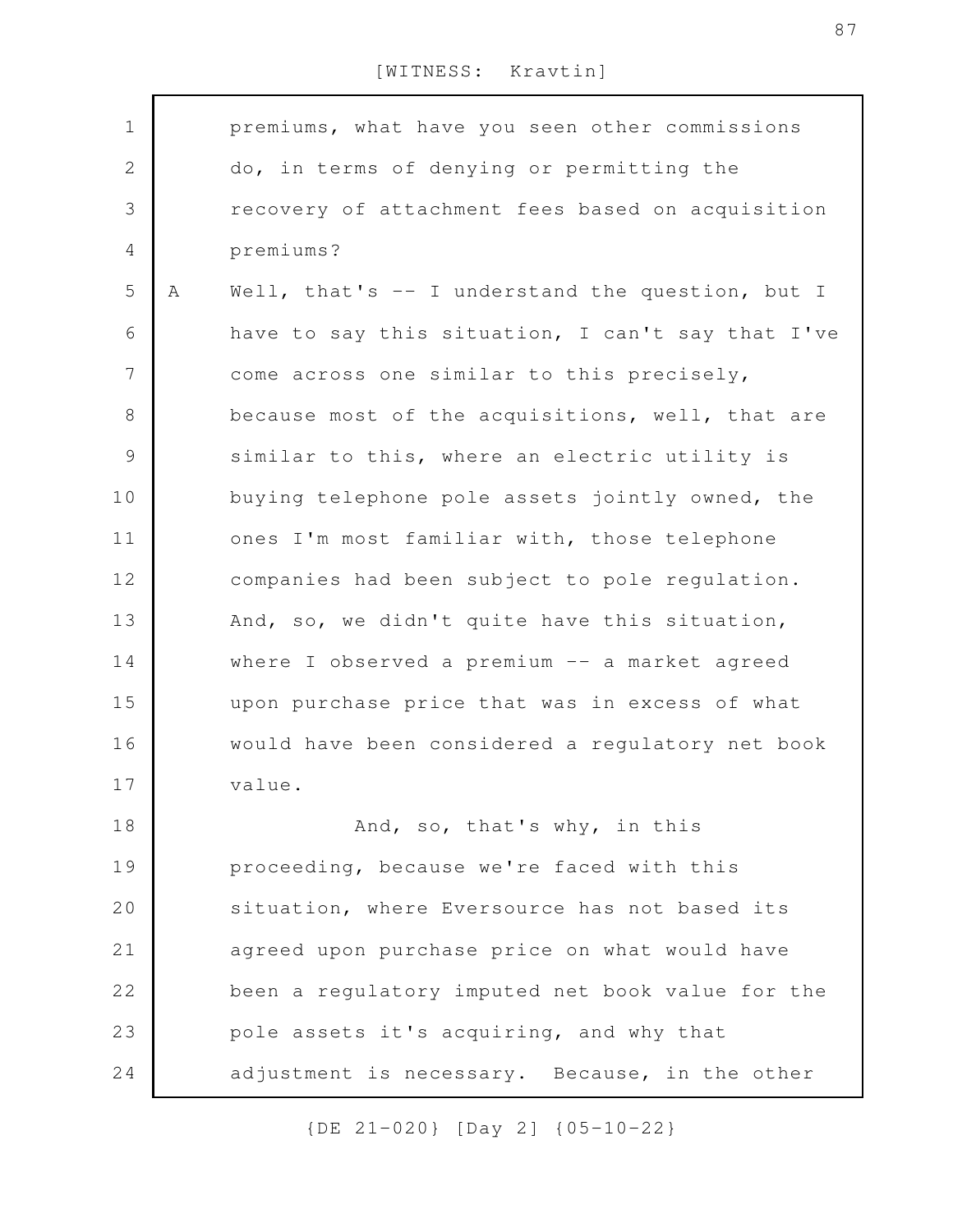| $\mathbf 1$    |   | premiums, what have you seen other commissions    |
|----------------|---|---------------------------------------------------|
| $\sqrt{2}$     |   | do, in terms of denying or permitting the         |
| $\mathcal{S}$  |   | recovery of attachment fees based on acquisition  |
| $\overline{4}$ |   | premiums?                                         |
| 5              | Α | Well, that's -- I understand the question, but I  |
| 6              |   | have to say this situation, I can't say that I've |
| $\overline{7}$ |   | come across one similar to this precisely,        |
| $8\,$          |   | because most of the acquisitions, well, that are  |
| $\mathcal{G}$  |   | similar to this, where an electric utility is     |
| 10             |   | buying telephone pole assets jointly owned, the   |
| 11             |   | ones I'm most familiar with, those telephone      |
| 12             |   | companies had been subject to pole regulation.    |
| 13             |   | And, so, we didn't quite have this situation,     |
| 14             |   | where I observed a premium -- a market agreed     |
| 15             |   | upon purchase price that was in excess of what    |
| 16             |   | would have been considered a regulatory net book  |
| 17             |   | value.                                            |
| 18             |   | And, so, that's why, in this                      |
| 19             |   | proceeding, because we're faced with this         |
| 20             |   | situation, where Eversource has not based its     |
| 21             |   | agreed upon purchase price on what would have     |
| 22             |   | been a regulatory imputed net book value for the  |
| 23             |   | pole assets it's acquiring, and why that          |
| 24             |   | adjustment is necessary. Because, in the other    |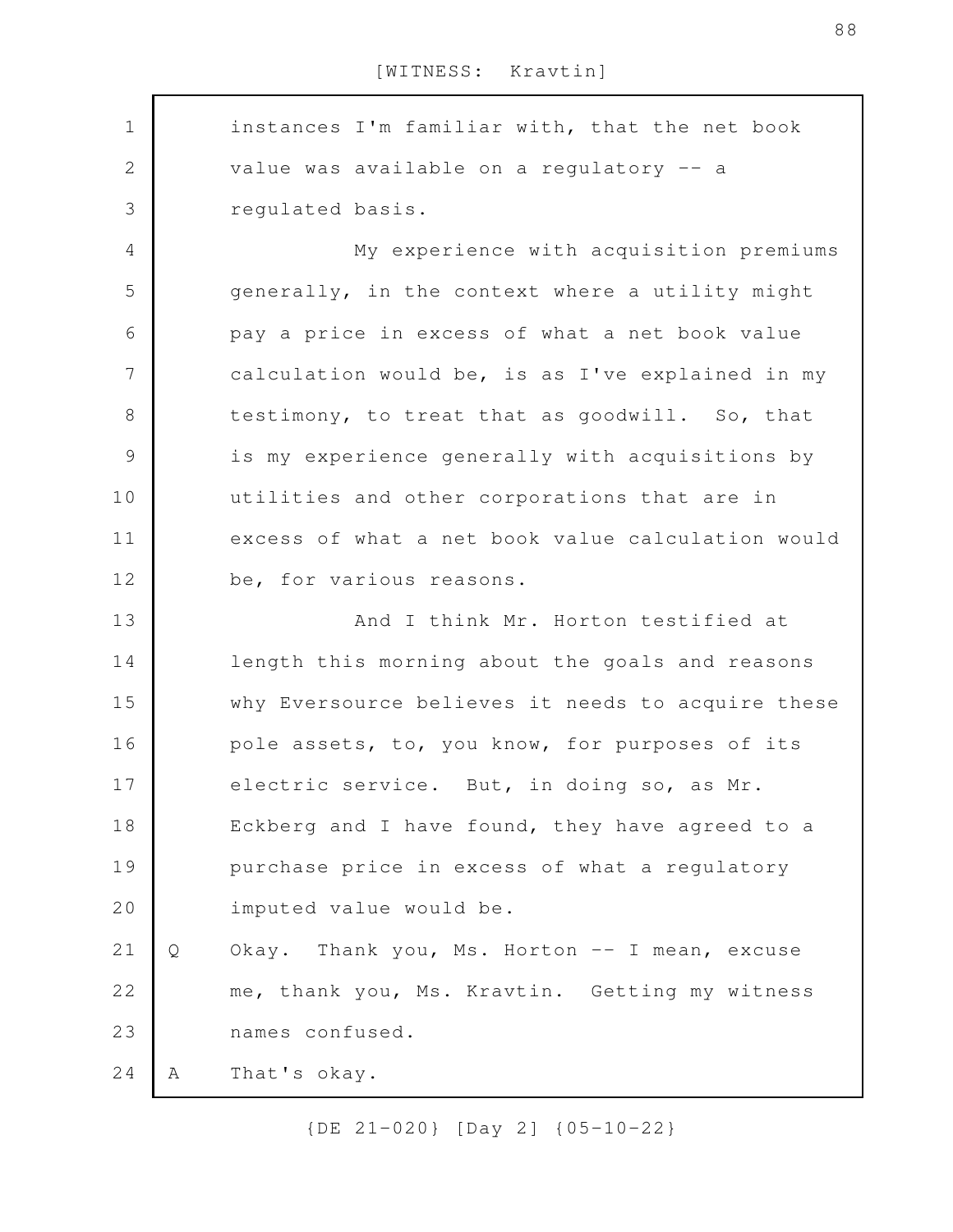instances I'm familiar with, that the net book value was available on a regulatory -- a regulated basis. My experience with acquisition premiums generally, in the context where a utility might pay a price in excess of what a net book value calculation would be, is as I've explained in my testimony, to treat that as goodwill. So, that is my experience generally with acquisitions by utilities and other corporations that are in excess of what a net book value calculation would be, for various reasons. And I think Mr. Horton testified at length this morning about the goals and reasons why Eversource believes it needs to acquire these pole assets, to, you know, for purposes of its electric service. But, in doing so, as Mr. Eckberg and I have found, they have agreed to a purchase price in excess of what a regulatory imputed value would be. Q Okay. Thank you, Ms. Horton -- I mean, excuse me, thank you, Ms. Kravtin. Getting my witness names confused. A That's okay. 1 2 3 4 5 6 7 8 9 10 11 12 13 14 15 16 17 18 19 20 21 22 23 24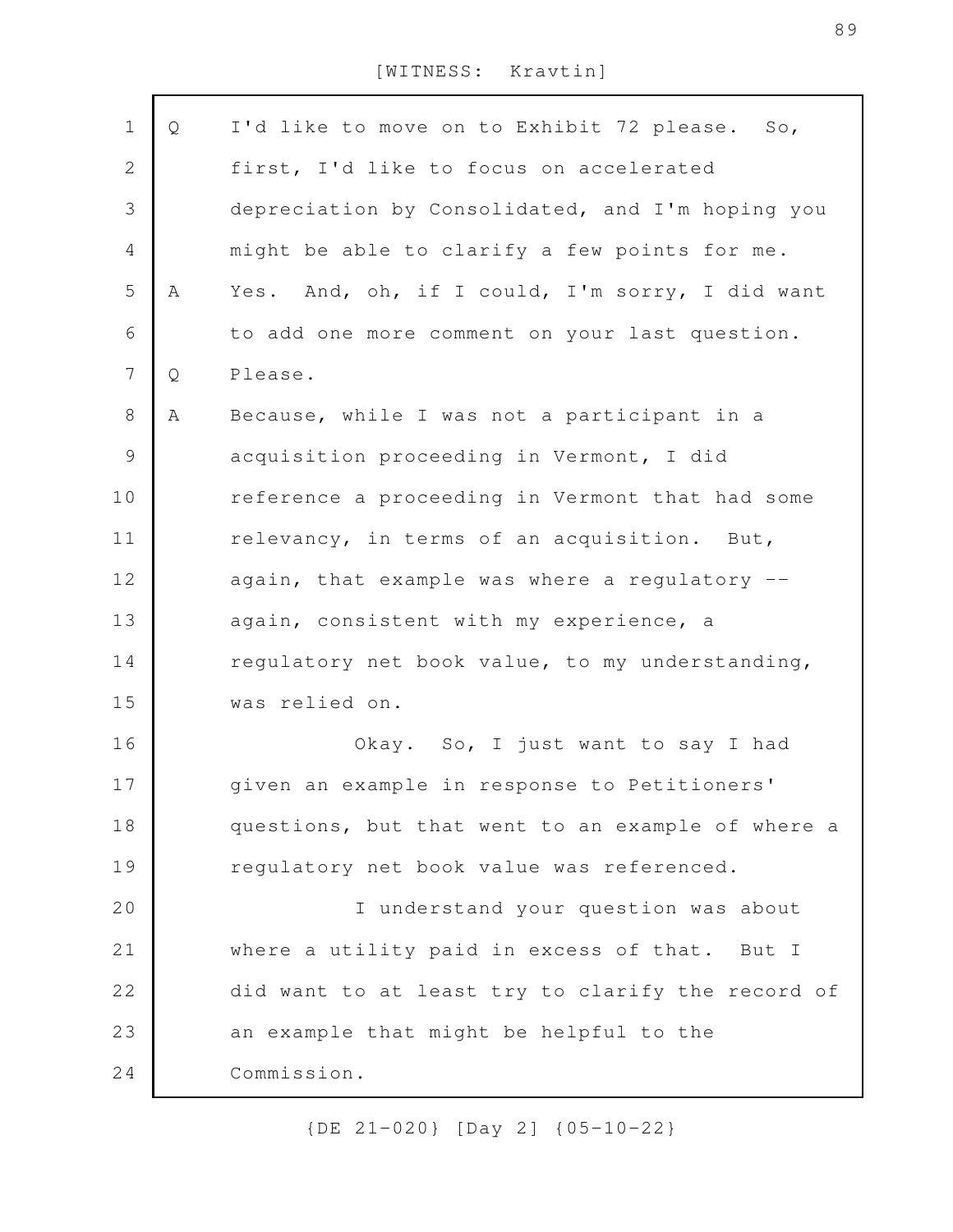| $\mathbf 1$      | Q | I'd like to move on to Exhibit 72 please. So,     |
|------------------|---|---------------------------------------------------|
| $\mathbf{2}$     |   | first, I'd like to focus on accelerated           |
| 3                |   | depreciation by Consolidated, and I'm hoping you  |
| $\overline{4}$   |   | might be able to clarify a few points for me.     |
| 5                | Α | Yes. And, oh, if I could, I'm sorry, I did want   |
| 6                |   | to add one more comment on your last question.    |
| $\boldsymbol{7}$ | Q | Please.                                           |
| 8                | Α | Because, while I was not a participant in a       |
| $\mathsf 9$      |   | acquisition proceeding in Vermont, I did          |
| 10               |   | reference a proceeding in Vermont that had some   |
| 11               |   | relevancy, in terms of an acquisition. But,       |
| 12               |   | again, that example was where a regulatory --     |
| 13               |   | again, consistent with my experience, a           |
| 14               |   | regulatory net book value, to my understanding,   |
| 15               |   | was relied on.                                    |
| 16               |   | Okay. So, I just want to say I had                |
| 17               |   | given an example in response to Petitioners'      |
| 18               |   | questions, but that went to an example of where a |
| 19               |   | regulatory net book value was referenced.         |
| 20               |   | I understand your question was about              |
| 21               |   | where a utility paid in excess of that. But I     |
| 22               |   | did want to at least try to clarify the record of |
| 23               |   | an example that might be helpful to the           |
| 24               |   | Commission.                                       |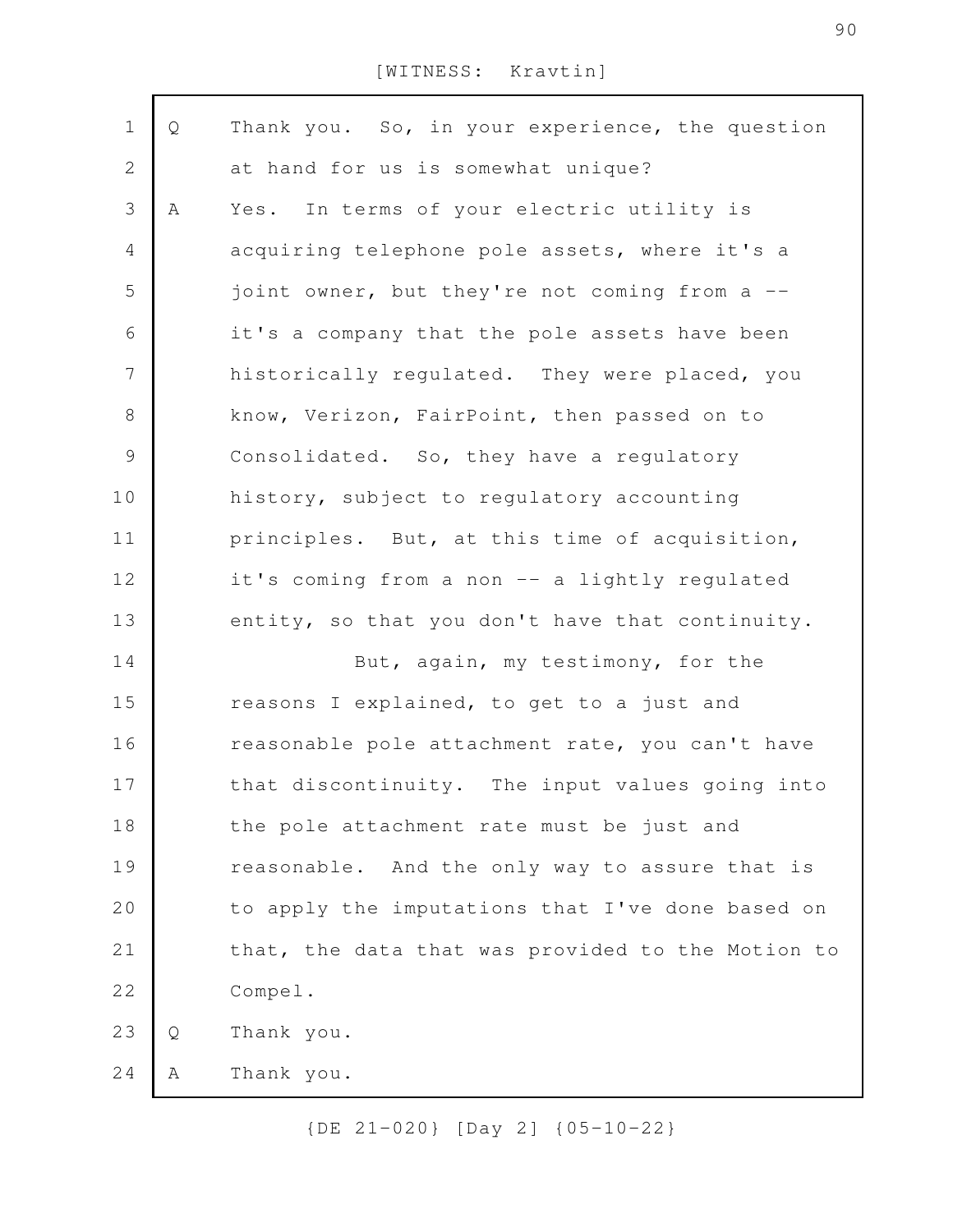| $\mathbf 1$              | Q | Thank you. So, in your experience, the question   |
|--------------------------|---|---------------------------------------------------|
| $\mathbf 2$              |   | at hand for us is somewhat unique?                |
| $\mathfrak{Z}$           | A | In terms of your electric utility is<br>Yes.      |
| $\overline{4}$           |   | acquiring telephone pole assets, where it's a     |
| 5                        |   | joint owner, but they're not coming from a --     |
| 6                        |   | it's a company that the pole assets have been     |
| $\overline{\phantom{a}}$ |   | historically regulated. They were placed, you     |
| $\,8\,$                  |   | know, Verizon, FairPoint, then passed on to       |
| $\mathsf{S}$             |   | Consolidated. So, they have a regulatory          |
| 10                       |   | history, subject to regulatory accounting         |
| 11                       |   | principles. But, at this time of acquisition,     |
| 12                       |   | it's coming from a non -- a lightly regulated     |
| 13                       |   | entity, so that you don't have that continuity.   |
| 14                       |   | But, again, my testimony, for the                 |
| 15                       |   | reasons I explained, to get to a just and         |
| 16                       |   | reasonable pole attachment rate, you can't have   |
| 17                       |   | that discontinuity. The input values going into   |
| 18                       |   | the pole attachment rate must be just and         |
| 19                       |   | reasonable. And the only way to assure that is    |
| 20                       |   | to apply the imputations that I've done based on  |
| 21                       |   | that, the data that was provided to the Motion to |
| 22                       |   | Compel.                                           |
| 23                       | Q | Thank you.                                        |
| 24                       | Α | Thank you.                                        |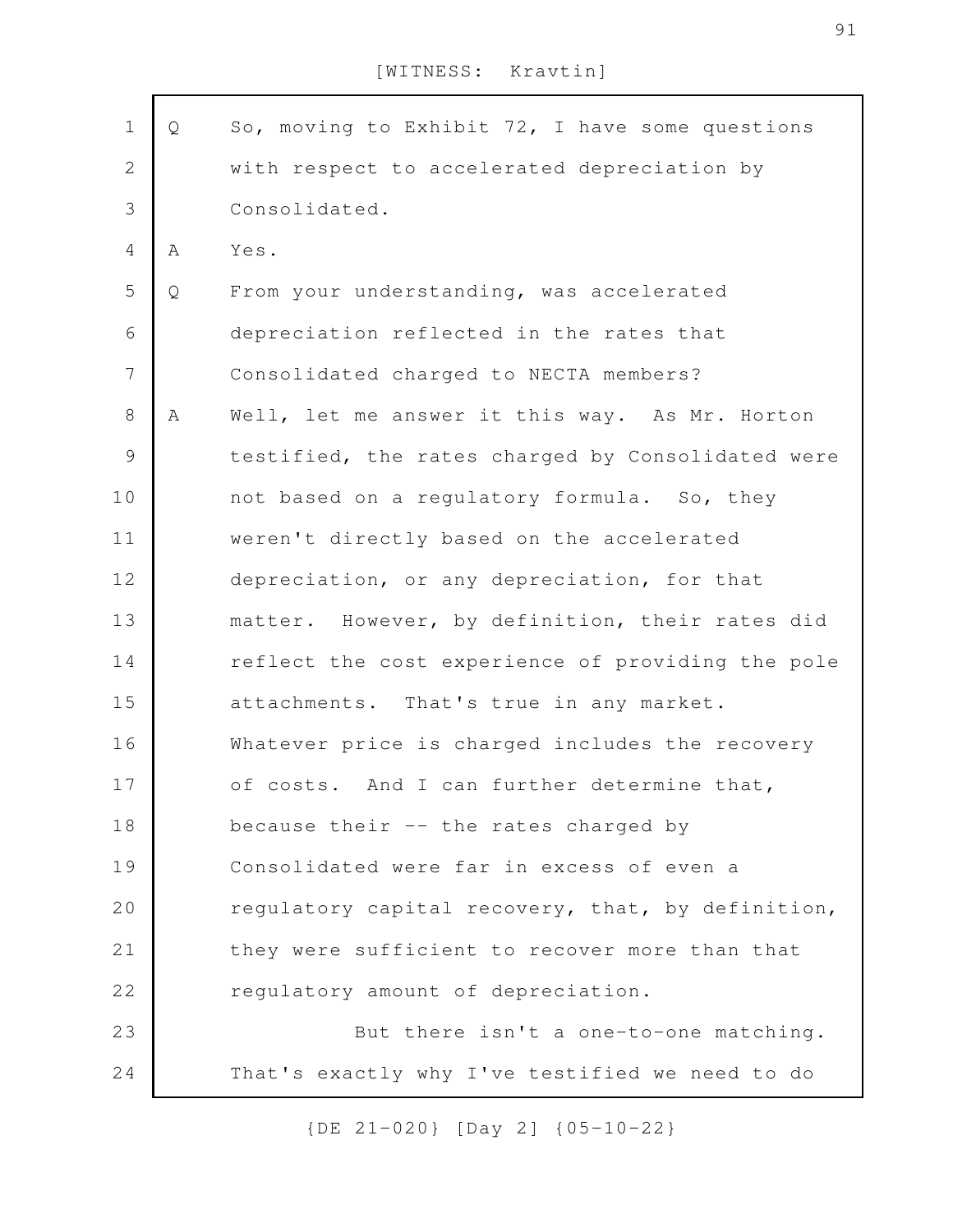| $\mathbf 1$    | Q | So, moving to Exhibit 72, I have some questions   |
|----------------|---|---------------------------------------------------|
| $\mathbf{2}$   |   | with respect to accelerated depreciation by       |
| $\mathcal{S}$  |   | Consolidated.                                     |
| $\overline{4}$ | Α | Yes.                                              |
| 5              | Q | From your understanding, was accelerated          |
| $\epsilon$     |   | depreciation reflected in the rates that          |
| $\overline{7}$ |   | Consolidated charged to NECTA members?            |
| $8\,$          | A | Well, let me answer it this way. As Mr. Horton    |
| $\mathcal{G}$  |   | testified, the rates charged by Consolidated were |
| 10             |   | not based on a regulatory formula. So, they       |
| 11             |   | weren't directly based on the accelerated         |
| 12             |   | depreciation, or any depreciation, for that       |
| 13             |   | matter. However, by definition, their rates did   |
| 14             |   | reflect the cost experience of providing the pole |
| 15             |   | attachments. That's true in any market.           |
| 16             |   | Whatever price is charged includes the recovery   |
| 17             |   | of costs. And I can further determine that,       |
| 18             |   | because their -- the rates charged by             |
| 19             |   | Consolidated were far in excess of even a         |
| 20             |   | regulatory capital recovery, that, by definition, |
| 21             |   | they were sufficient to recover more than that    |
| 22             |   | regulatory amount of depreciation.                |
| 23             |   | But there isn't a one-to-one matching.            |
| 24             |   | That's exactly why I've testified we need to do   |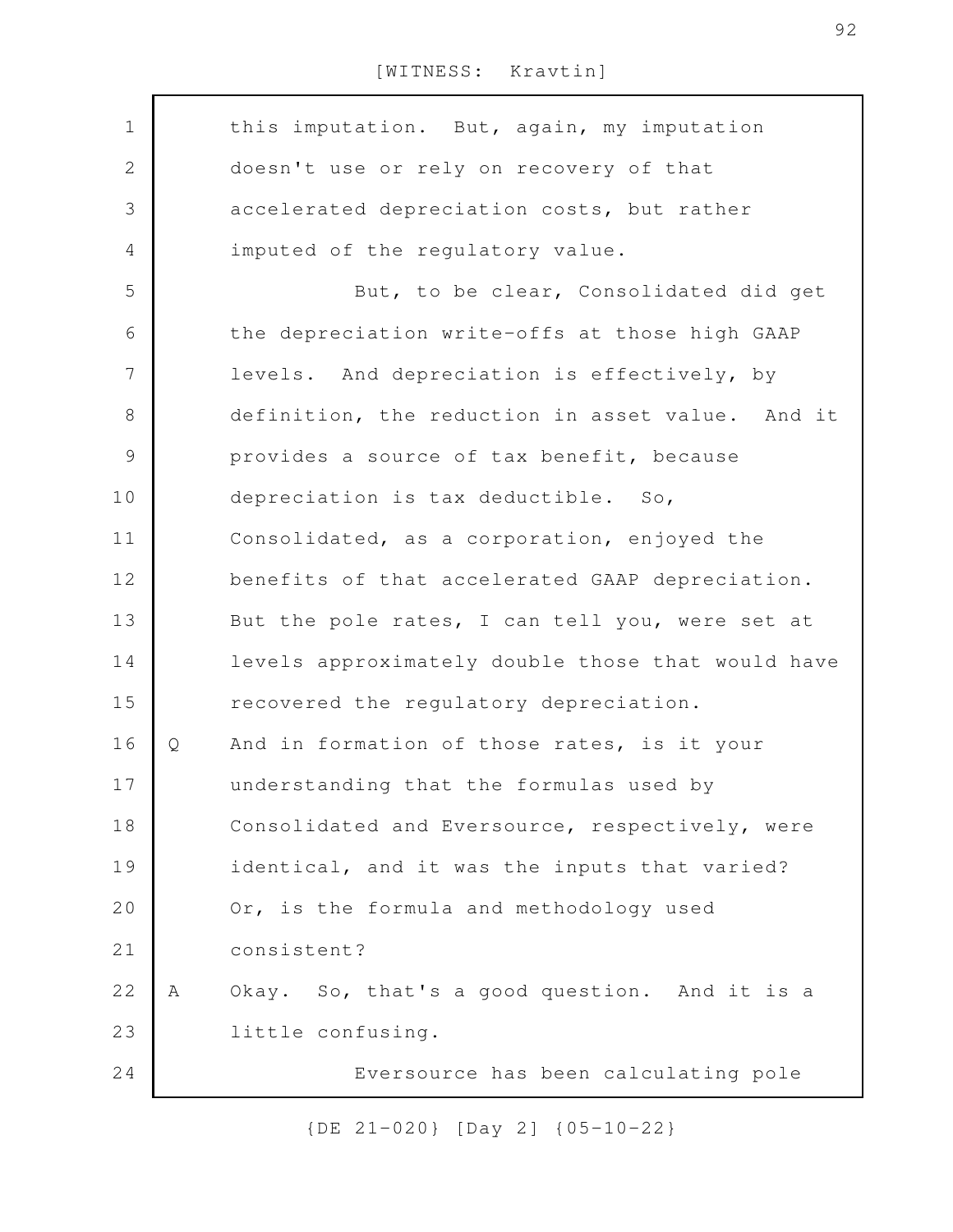| $\mathbf 1$  |   | this imputation. But, again, my imputation        |
|--------------|---|---------------------------------------------------|
| $\mathbf{2}$ |   | doesn't use or rely on recovery of that           |
| 3            |   | accelerated depreciation costs, but rather        |
| 4            |   | imputed of the regulatory value.                  |
| 5            |   | But, to be clear, Consolidated did get            |
| 6            |   | the depreciation write-offs at those high GAAP    |
| 7            |   | levels. And depreciation is effectively, by       |
| $\,8\,$      |   | definition, the reduction in asset value. And it  |
| $\mathsf 9$  |   | provides a source of tax benefit, because         |
| 10           |   | depreciation is tax deductible. So,               |
| 11           |   | Consolidated, as a corporation, enjoyed the       |
| 12           |   | benefits of that accelerated GAAP depreciation.   |
| 13           |   | But the pole rates, I can tell you, were set at   |
| 14           |   | levels approximately double those that would have |
| 15           |   | recovered the regulatory depreciation.            |
| 16           | Q | And in formation of those rates, is it your       |
| 17           |   | understanding that the formulas used by           |
| 18           |   | Consolidated and Eversource, respectively, were   |
| 19           |   | identical, and it was the inputs that varied?     |
| 20           |   | Or, is the formula and methodology used           |
| 21           |   | consistent?                                       |
| 22           | Α | Okay. So, that's a good question. And it is a     |
| 23           |   | little confusing.                                 |
| 24           |   | Eversource has been calculating pole              |
|              |   |                                                   |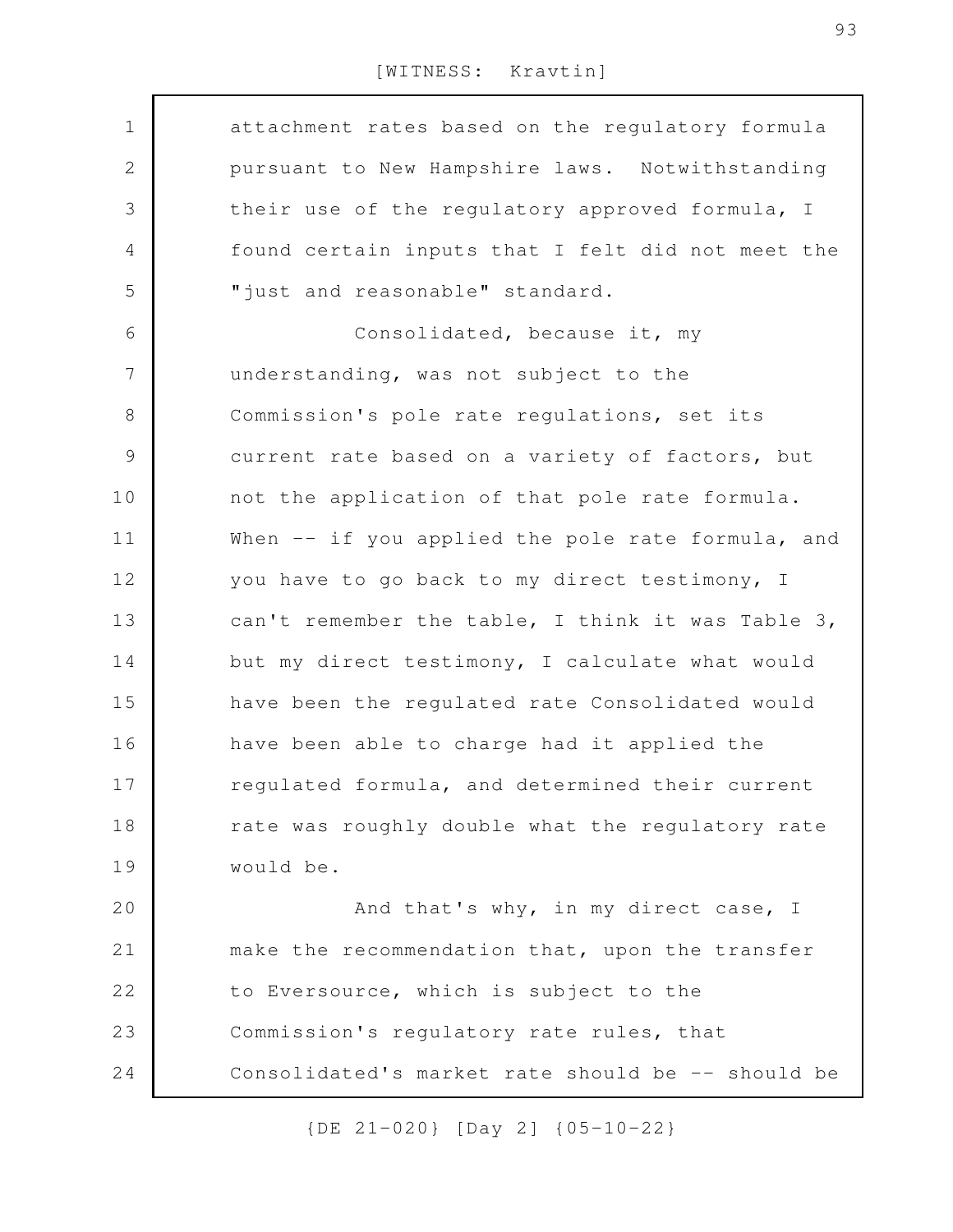| $\mathbf 1$   | attachment rates based on the regulatory formula  |
|---------------|---------------------------------------------------|
| 2             | pursuant to New Hampshire laws. Notwithstanding   |
| 3             | their use of the regulatory approved formula, I   |
| 4             | found certain inputs that I felt did not meet the |
| 5             | "just and reasonable" standard.                   |
| 6             | Consolidated, because it, my                      |
| 7             | understanding, was not subject to the             |
| 8             | Commission's pole rate regulations, set its       |
| $\mathcal{G}$ | current rate based on a variety of factors, but   |
| 10            | not the application of that pole rate formula.    |
| 11            | When -- if you applied the pole rate formula, and |
| 12            | you have to go back to my direct testimony, I     |
| 13            | can't remember the table, I think it was Table 3, |
| 14            | but my direct testimony, I calculate what would   |
| 15            | have been the regulated rate Consolidated would   |
| 16            | have been able to charge had it applied the       |
| 17            | regulated formula, and determined their current   |
| 18            | rate was roughly double what the regulatory rate  |
| 19            | would be.                                         |
| 20            | And that's why, in my direct case, I              |
| 21            | make the recommendation that, upon the transfer   |
| 22            | to Eversource, which is subject to the            |
| 23            | Commission's regulatory rate rules, that          |
| 24            | Consolidated's market rate should be -- should be |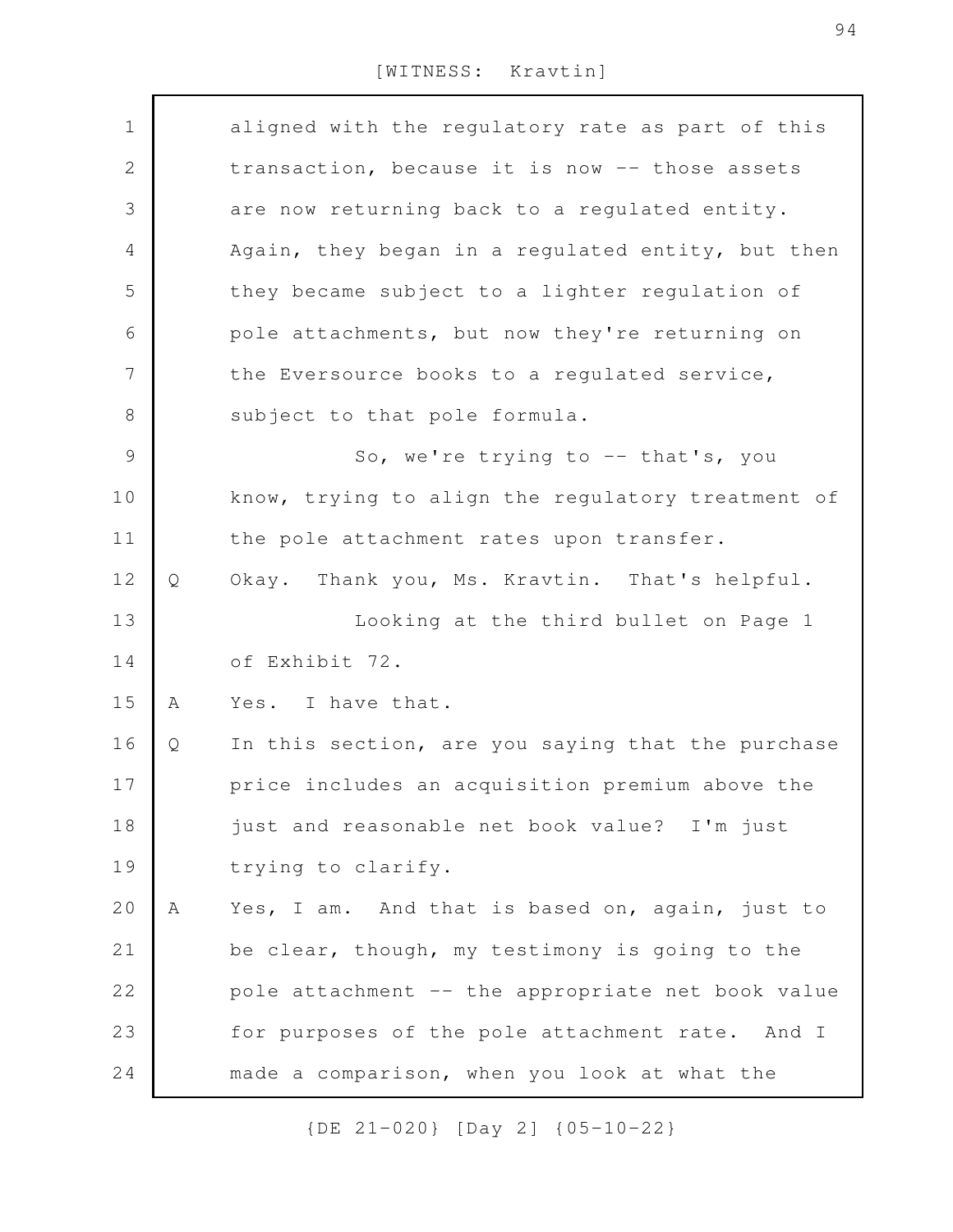| $\mathbf 1$    |   | aligned with the regulatory rate as part of this  |
|----------------|---|---------------------------------------------------|
| $\mathbf{2}$   |   | transaction, because it is now -- those assets    |
| $\mathfrak{Z}$ |   | are now returning back to a regulated entity.     |
| 4              |   | Again, they began in a regulated entity, but then |
| 5              |   | they became subject to a lighter regulation of    |
| 6              |   | pole attachments, but now they're returning on    |
| $\overline{7}$ |   | the Eversource books to a regulated service,      |
| 8              |   | subject to that pole formula.                     |
| $\mathcal{G}$  |   | So, we're trying to -- that's, you                |
| 10             |   | know, trying to align the regulatory treatment of |
| 11             |   | the pole attachment rates upon transfer.          |
| 12             | Q | Okay. Thank you, Ms. Kravtin. That's helpful.     |
| 13             |   | Looking at the third bullet on Page 1             |
| 14             |   | of Exhibit 72.                                    |
| 15             | Α | Yes. I have that.                                 |
| 16             | Q | In this section, are you saying that the purchase |
| 17             |   | price includes an acquisition premium above the   |
| 18             |   | just and reasonable net book value? I'm just      |
| 19             |   | trying to clarify.                                |
| 20             | Α | Yes, I am. And that is based on, again, just to   |
| 21             |   | be clear, though, my testimony is going to the    |
| 22             |   | pole attachment -- the appropriate net book value |
| 23             |   | for purposes of the pole attachment rate. And I   |
| 24             |   | made a comparison, when you look at what the      |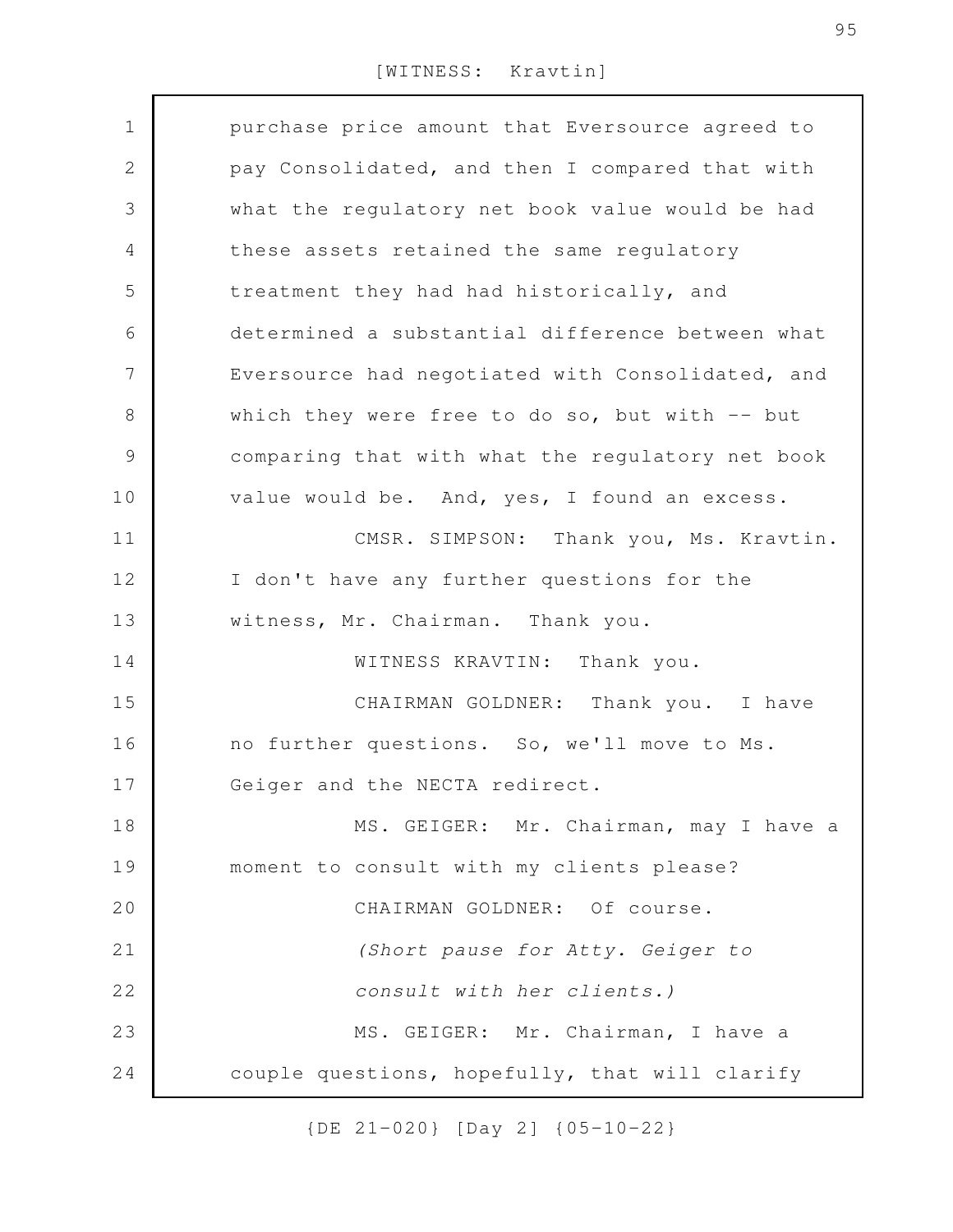| $\mathbf 1$    | purchase price amount that Eversource agreed to  |
|----------------|--------------------------------------------------|
| $\mathbf{2}$   | pay Consolidated, and then I compared that with  |
| 3              | what the regulatory net book value would be had  |
| $\overline{4}$ | these assets retained the same regulatory        |
| 5              | treatment they had had historically, and         |
| 6              | determined a substantial difference between what |
| 7              | Eversource had negotiated with Consolidated, and |
| $8\,$          | which they were free to do so, but with $-$ but  |
| $\mathcal{G}$  | comparing that with what the regulatory net book |
| 10             | value would be. And, yes, I found an excess.     |
| 11             | CMSR. SIMPSON: Thank you, Ms. Kravtin.           |
| 12             | I don't have any further questions for the       |
| 13             | witness, Mr. Chairman. Thank you.                |
| 14             | WITNESS KRAVTIN: Thank you.                      |
| 15             | CHAIRMAN GOLDNER: Thank you. I have              |
| 16             | no further questions. So, we'll move to Ms.      |
| 17             | Geiger and the NECTA redirect.                   |
| 18             | MS. GEIGER: Mr. Chairman, may I have a           |
| 19             | moment to consult with my clients please?        |
| 20             | CHAIRMAN GOLDNER: Of course.                     |
| 21             | (Short pause for Atty. Geiger to                 |
| 22             | consult with her clients.)                       |
| 23             | MS. GEIGER: Mr. Chairman, I have a               |
| 24             | couple questions, hopefully, that will clarify   |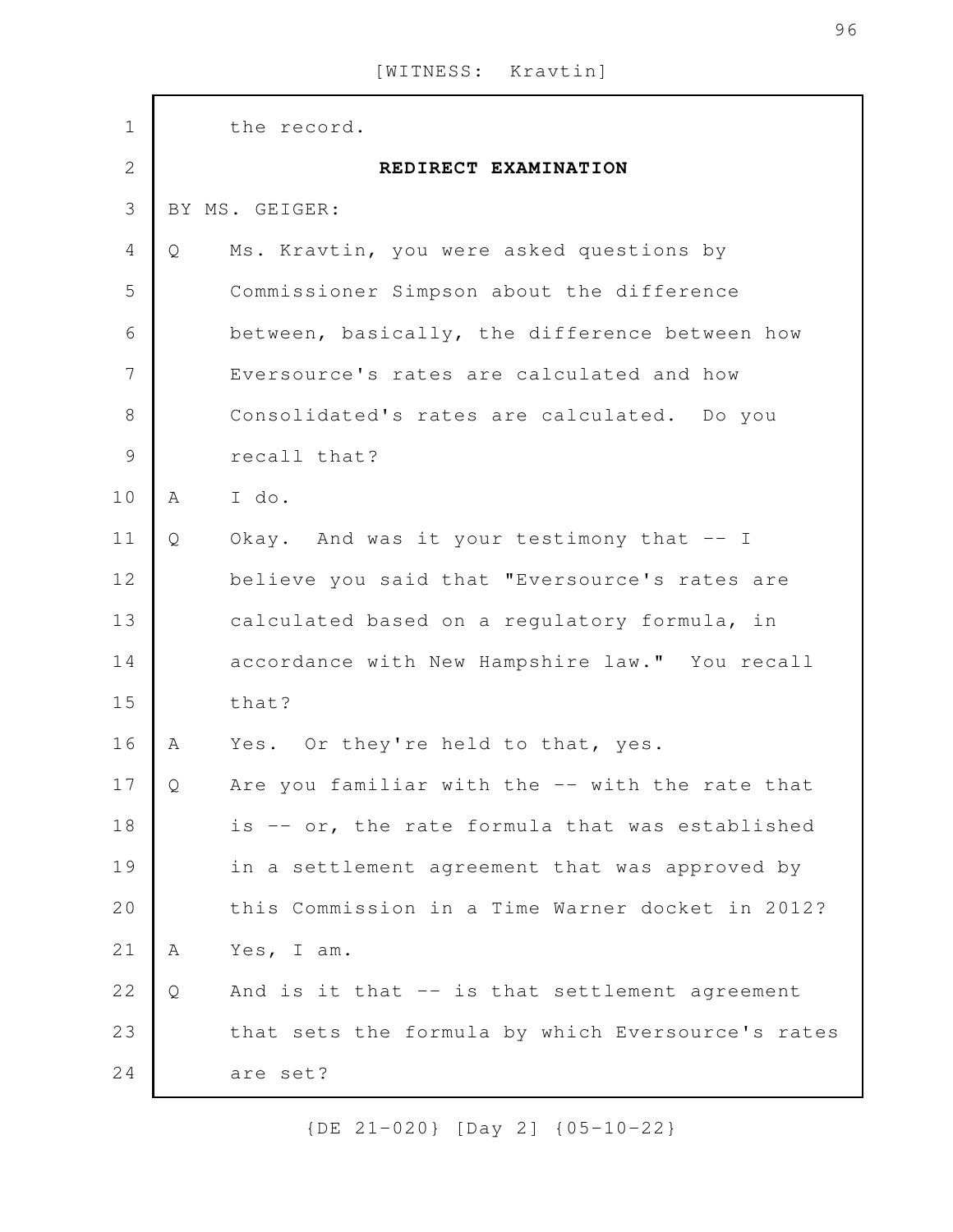| $1\,$          |   | the record.                                       |
|----------------|---|---------------------------------------------------|
| $\overline{2}$ |   | REDIRECT EXAMINATION                              |
| 3              |   | BY MS. GEIGER:                                    |
| $\overline{4}$ | Q | Ms. Kravtin, you were asked questions by          |
| 5              |   | Commissioner Simpson about the difference         |
| 6              |   | between, basically, the difference between how    |
| $\overline{7}$ |   | Eversource's rates are calculated and how         |
| $\,8\,$        |   | Consolidated's rates are calculated. Do you       |
| $\mathcal{G}$  |   | recall that?                                      |
| 10             | A | I do.                                             |
| 11             | Q | Okay. And was it your testimony that -- I         |
| 12             |   | believe you said that "Eversource's rates are     |
| 13             |   | calculated based on a regulatory formula, in      |
| 14             |   | accordance with New Hampshire law." You recall    |
| 15             |   | that?                                             |
| 16             | A | Yes. Or they're held to that, yes.                |
| 17             | Q | Are you familiar with the -- with the rate that   |
| 18             |   | is -- or, the rate formula that was established   |
| 19             |   | in a settlement agreement that was approved by    |
| 20             |   | this Commission in a Time Warner docket in 2012?  |
| 21             | Α | Yes, I am.                                        |
| 22             | Q | And is it that -- is that settlement agreement    |
| 23             |   | that sets the formula by which Eversource's rates |
| 24             |   | are set?                                          |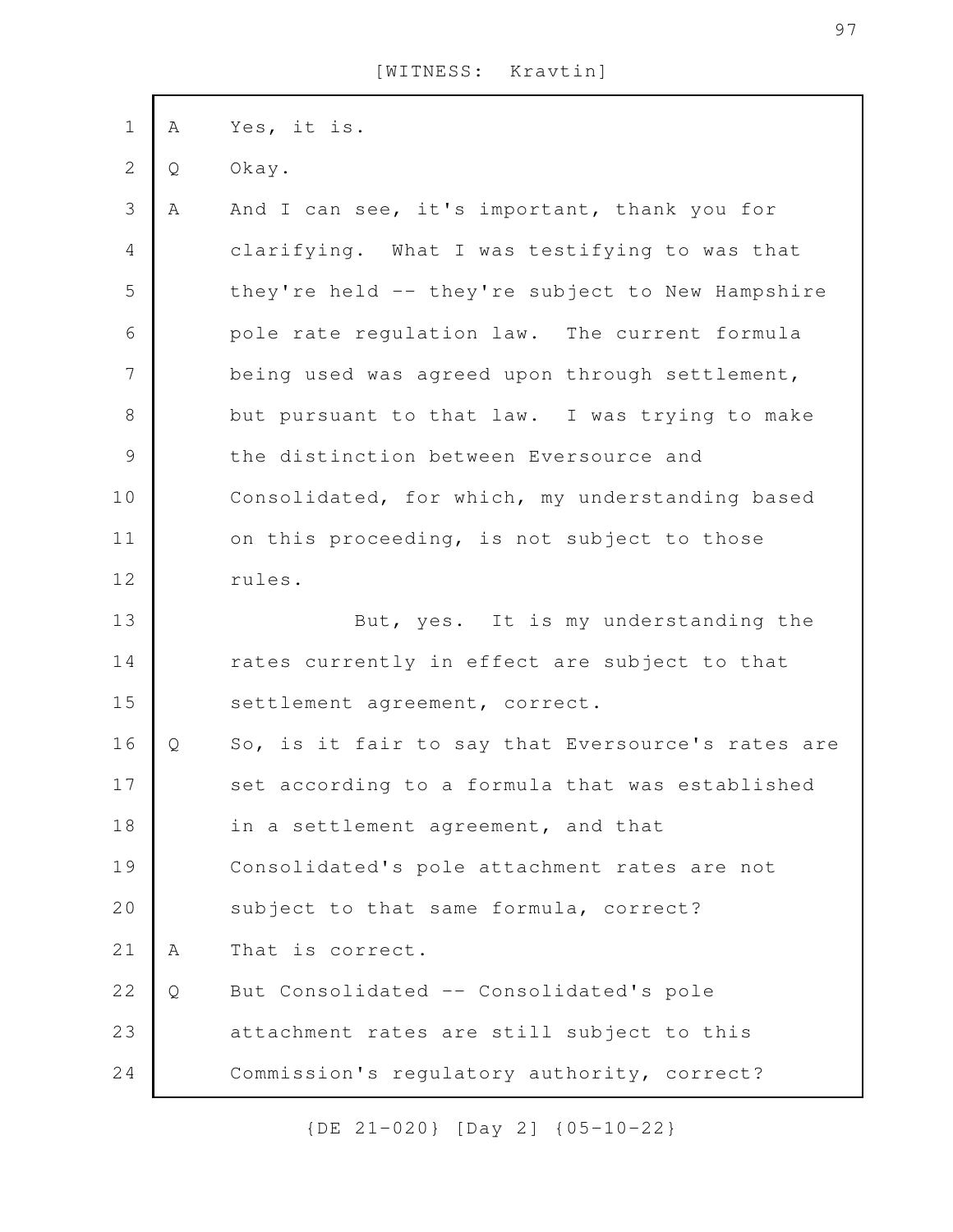| $\mathbf 1$    | A | Yes, it is.                                       |
|----------------|---|---------------------------------------------------|
| $\mathbf{2}$   | Q | Okay.                                             |
| 3              | Α | And I can see, it's important, thank you for      |
| $\overline{4}$ |   | clarifying. What I was testifying to was that     |
| 5              |   | they're held -- they're subject to New Hampshire  |
| 6              |   | pole rate regulation law. The current formula     |
| $\overline{7}$ |   | being used was agreed upon through settlement,    |
| $\,8\,$        |   | but pursuant to that law. I was trying to make    |
| $\mathsf 9$    |   | the distinction between Eversource and            |
| 10             |   | Consolidated, for which, my understanding based   |
| 11             |   | on this proceeding, is not subject to those       |
| 12             |   | rules.                                            |
| 13             |   | But, yes. It is my understanding the              |
| 14             |   | rates currently in effect are subject to that     |
| 15             |   | settlement agreement, correct.                    |
| 16             | Q | So, is it fair to say that Eversource's rates are |
| 17             |   | set according to a formula that was established   |
| 18             |   | in a settlement agreement, and that               |
| 19             |   | Consolidated's pole attachment rates are not      |
| 20             |   | subject to that same formula, correct?            |
| 21             | Α | That is correct.                                  |
| 22             | Q | But Consolidated -- Consolidated's pole           |
| 23             |   | attachment rates are still subject to this        |
| 24             |   | Commission's regulatory authority, correct?       |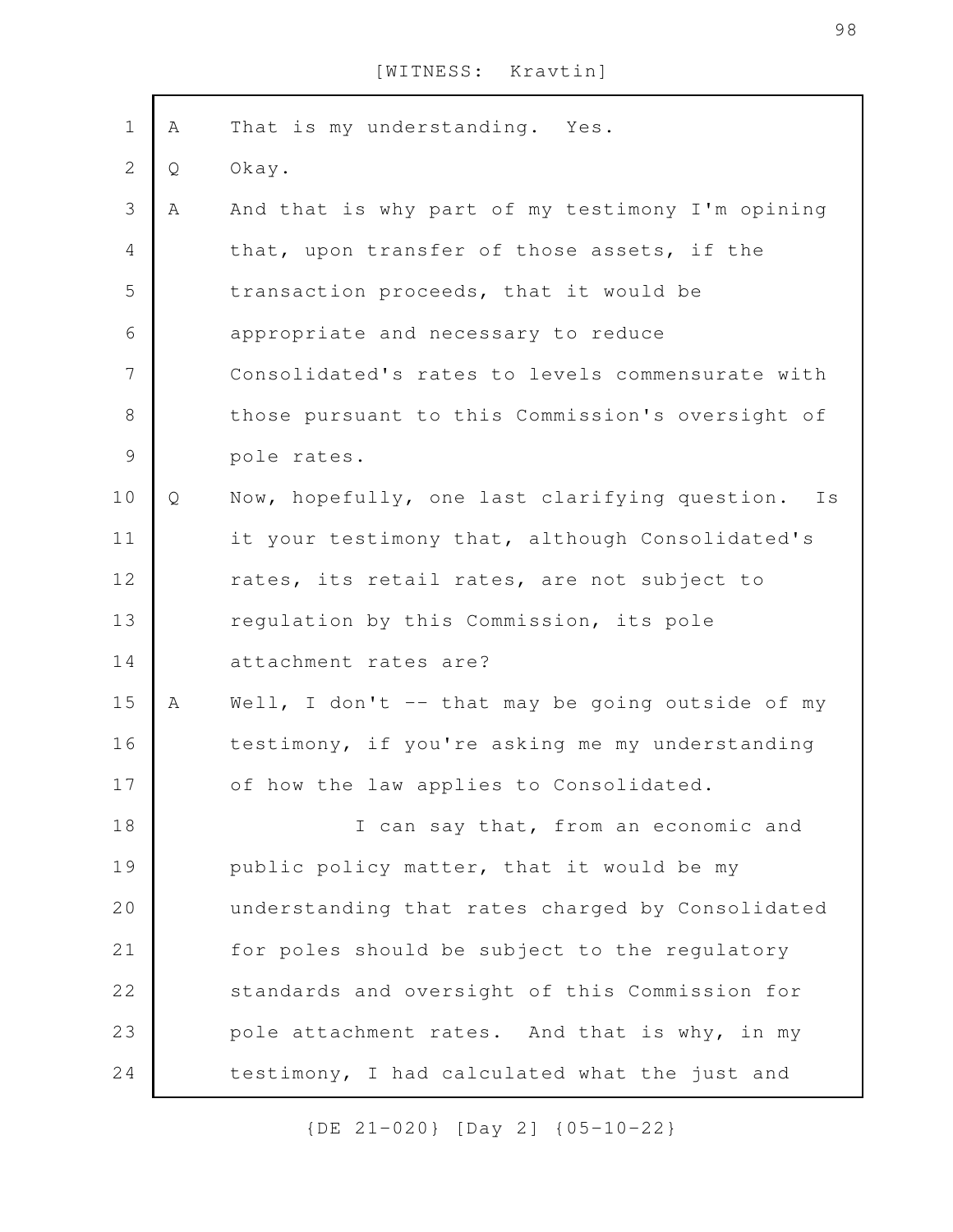| $\mathbf 1$    | Α | That is my understanding. Yes.                   |
|----------------|---|--------------------------------------------------|
| $\mathbf{2}$   | Q | Okay.                                            |
| 3              | Α | And that is why part of my testimony I'm opining |
| $\overline{4}$ |   | that, upon transfer of those assets, if the      |
| 5              |   | transaction proceeds, that it would be           |
| 6              |   | appropriate and necessary to reduce              |
| 7              |   | Consolidated's rates to levels commensurate with |
| $\,8\,$        |   | those pursuant to this Commission's oversight of |
| $\mathcal{G}$  |   | pole rates.                                      |
| 10             | Q | Now, hopefully, one last clarifying question. Is |
| 11             |   | it your testimony that, although Consolidated's  |
| 12             |   | rates, its retail rates, are not subject to      |
| 13             |   | regulation by this Commission, its pole          |
| 14             |   | attachment rates are?                            |
| 15             | Α | Well, I don't -- that may be going outside of my |
| 16             |   | testimony, if you're asking me my understanding  |
| 17             |   | of how the law applies to Consolidated.          |
| 18             |   | I can say that, from an economic and             |
| 19             |   | public policy matter, that it would be my        |
| 20             |   | understanding that rates charged by Consolidated |
| 21             |   | for poles should be subject to the regulatory    |
| 22             |   | standards and oversight of this Commission for   |
| 23             |   | pole attachment rates. And that is why, in my    |
| 24             |   | testimony, I had calculated what the just and    |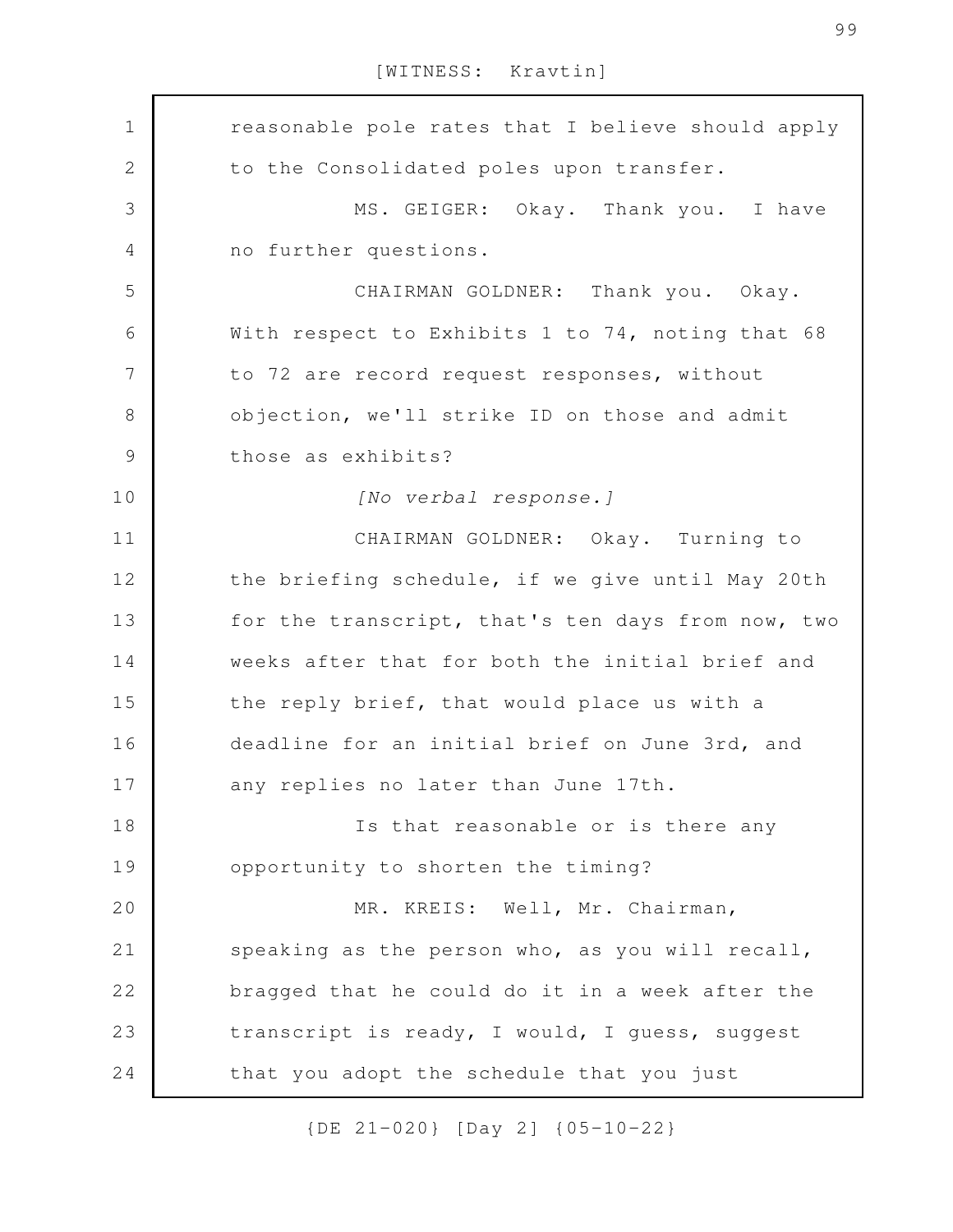reasonable pole rates that I believe should apply to the Consolidated poles upon transfer. MS. GEIGER: Okay. Thank you. I have no further questions. CHAIRMAN GOLDNER: Thank you. Okay. With respect to Exhibits 1 to 74, noting that 68 to 72 are record request responses, without objection, we'll strike ID on those and admit those as exhibits? *[No verbal response.]* CHAIRMAN GOLDNER: Okay. Turning to the briefing schedule, if we give until May 20th for the transcript, that's ten days from now, two weeks after that for both the initial brief and the reply brief, that would place us with a deadline for an initial brief on June 3rd, and any replies no later than June 17th. Is that reasonable or is there any opportunity to shorten the timing? MR. KREIS: Well, Mr. Chairman, speaking as the person who, as you will recall, bragged that he could do it in a week after the transcript is ready, I would, I guess, suggest that you adopt the schedule that you just 1 2 3 4 5 6 7 8 9 10 11 12 13 14 15 16 17 18 19 20 21 22 23 24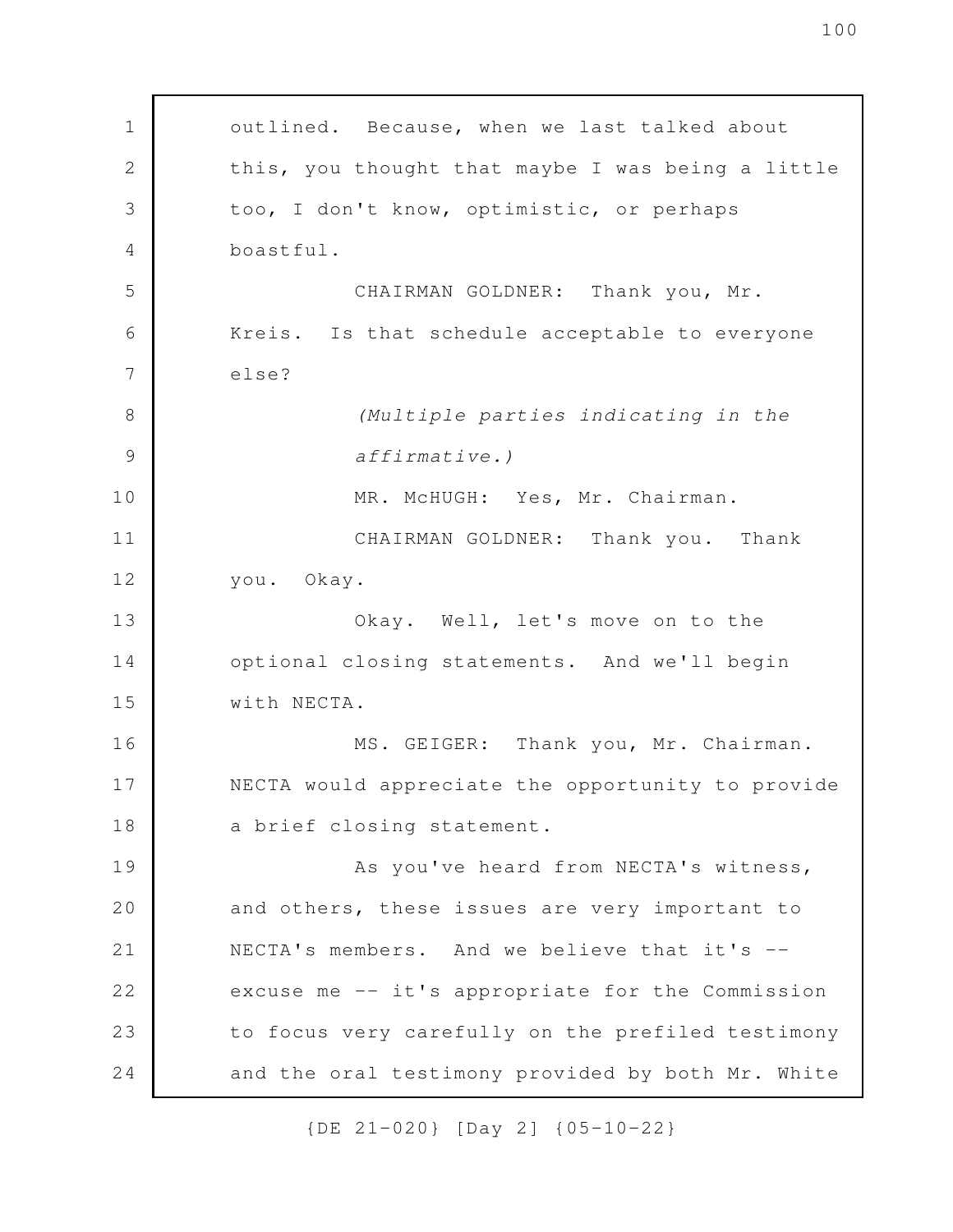outlined. Because, when we last talked about this, you thought that maybe I was being a little too, I don't know, optimistic, or perhaps boastful. CHAIRMAN GOLDNER: Thank you, Mr. Kreis. Is that schedule acceptable to everyone else? *(Multiple parties indicating in the affirmative.)* MR. McHUGH: Yes, Mr. Chairman. CHAIRMAN GOLDNER: Thank you. Thank you. Okay. Okay. Well, let's move on to the optional closing statements. And we'll begin with NECTA. MS. GEIGER: Thank you, Mr. Chairman. NECTA would appreciate the opportunity to provide a brief closing statement. As you've heard from NECTA's witness, and others, these issues are very important to NECTA's members. And we believe that it's - excuse me -- it's appropriate for the Commission to focus very carefully on the prefiled testimony and the oral testimony provided by both Mr. White 1 2 3 4 5 6 7 8 9 10 11 12 13 14 15 16 17 18 19 20 21 22 23 24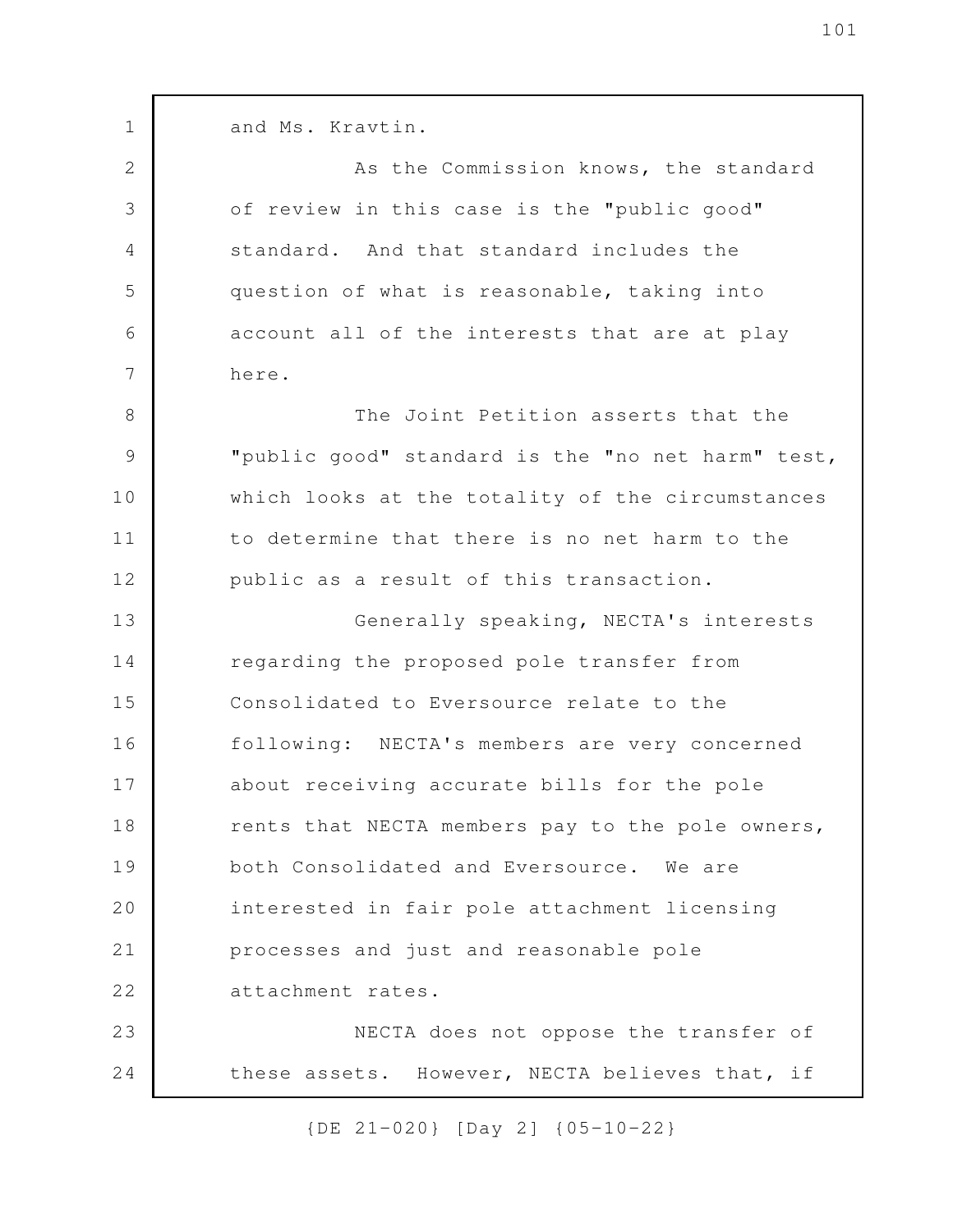and Ms. Kravtin.

1

2

3

4

5

6

7

As the Commission knows, the standard of review in this case is the "public good" standard. And that standard includes the question of what is reasonable, taking into account all of the interests that are at play here.

The Joint Petition asserts that the "public good" standard is the "no net harm" test, which looks at the totality of the circumstances to determine that there is no net harm to the public as a result of this transaction. 8 9 10 11 12

Generally speaking, NECTA's interests regarding the proposed pole transfer from Consolidated to Eversource relate to the following: NECTA's members are very concerned about receiving accurate bills for the pole rents that NECTA members pay to the pole owners, both Consolidated and Eversource. We are interested in fair pole attachment licensing processes and just and reasonable pole attachment rates. NECTA does not oppose the transfer of 13 14 15 16 17 18 19 20 21 22 23

these assets. However, NECTA believes that, if 24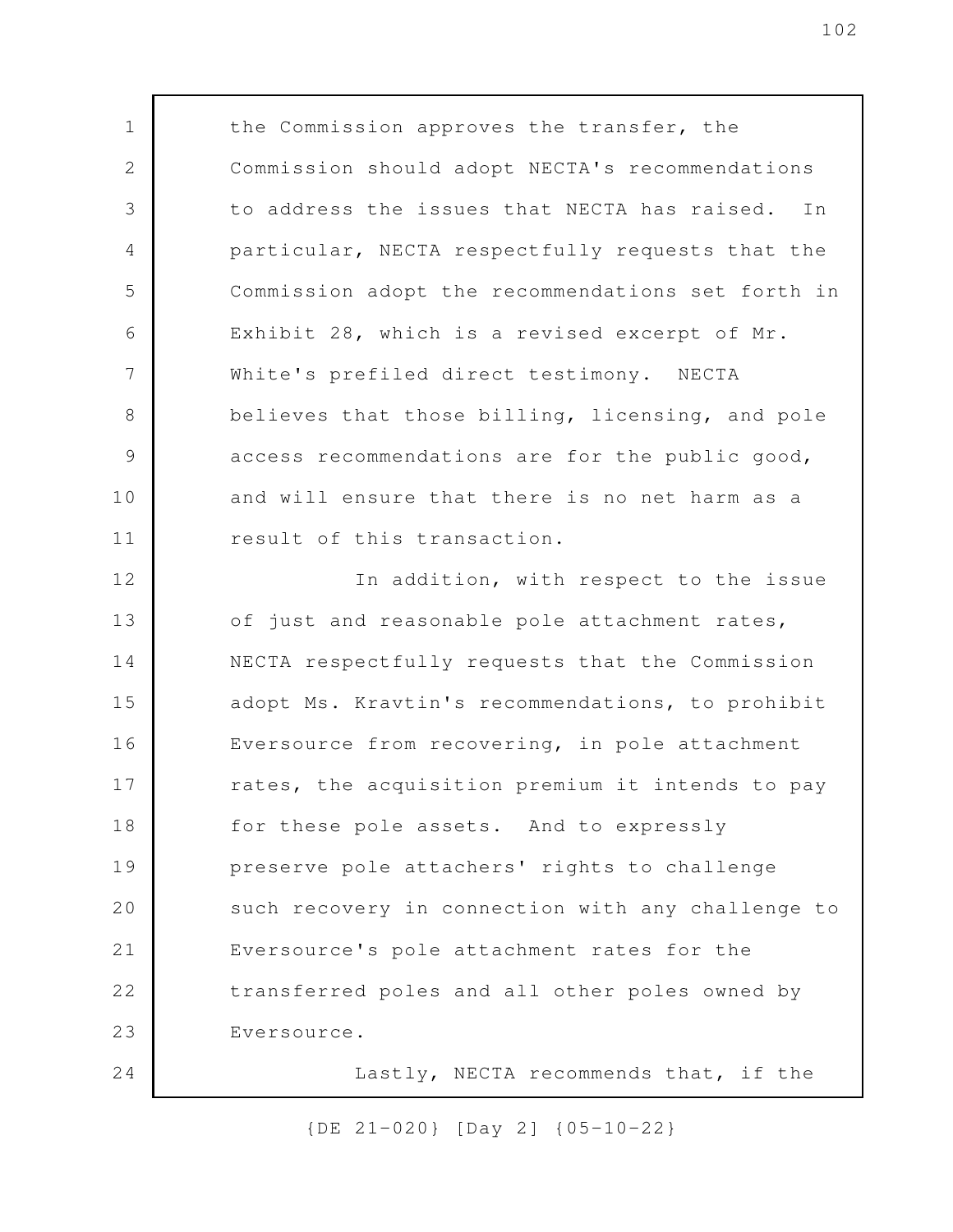the Commission approves the transfer, the Commission should adopt NECTA's recommendations to address the issues that NECTA has raised. In particular, NECTA respectfully requests that the Commission adopt the recommendations set forth in Exhibit 28, which is a revised excerpt of Mr. White's prefiled direct testimony. NECTA believes that those billing, licensing, and pole access recommendations are for the public good, and will ensure that there is no net harm as a result of this transaction. In addition, with respect to the issue of just and reasonable pole attachment rates, NECTA respectfully requests that the Commission adopt Ms. Kravtin's recommendations, to prohibit Eversource from recovering, in pole attachment rates, the acquisition premium it intends to pay for these pole assets. And to expressly preserve pole attachers' rights to challenge such recovery in connection with any challenge to Eversource's pole attachment rates for the transferred poles and all other poles owned by Eversource. Lastly, NECTA recommends that, if the 1 2 3 4 5 6 7 8 9 10 11 12 13 14 15 16 17 18 19 20 21 22 23 24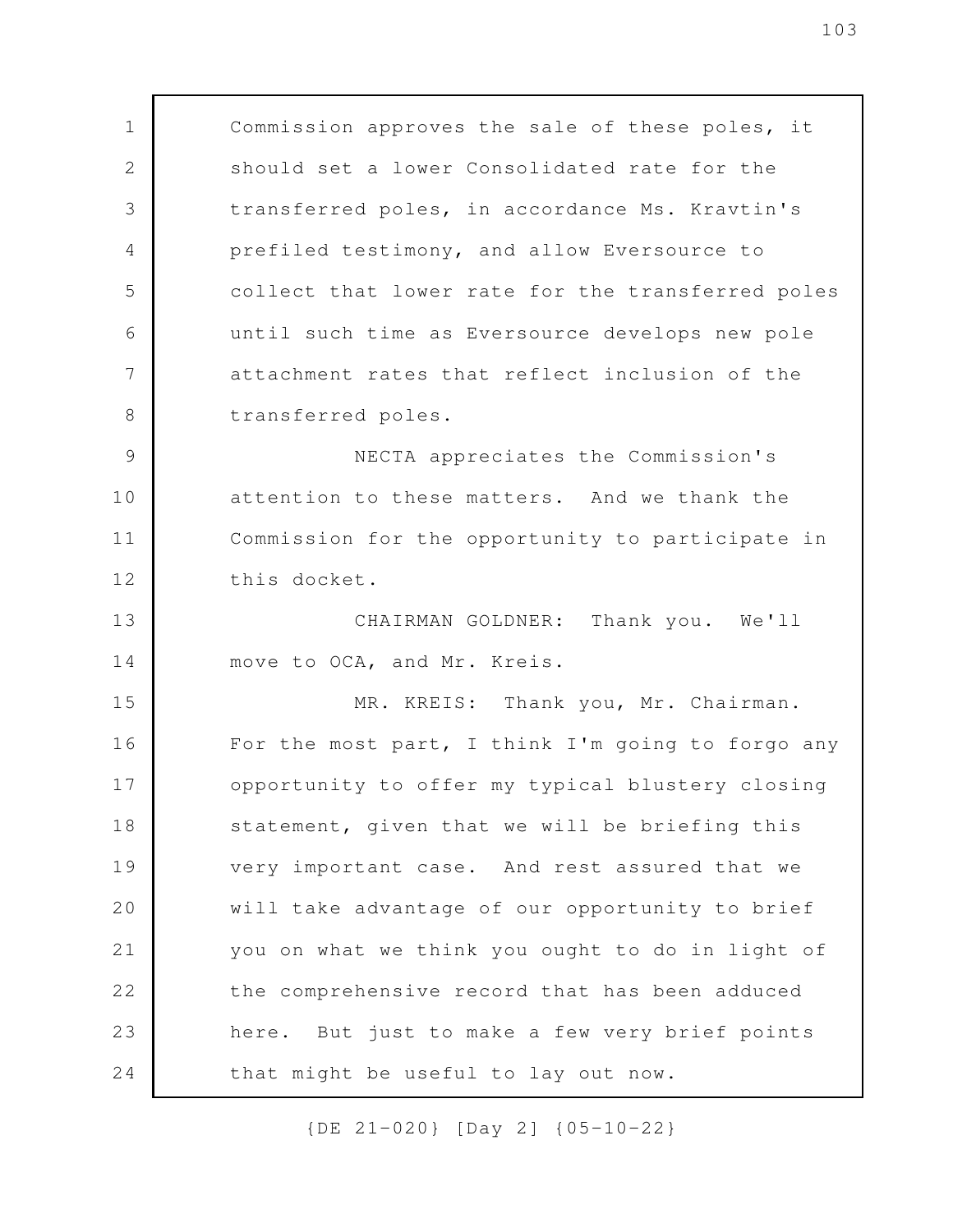Commission approves the sale of these poles, it should set a lower Consolidated rate for the transferred poles, in accordance Ms. Kravtin's prefiled testimony, and allow Eversource to collect that lower rate for the transferred poles until such time as Eversource develops new pole attachment rates that reflect inclusion of the transferred poles. NECTA appreciates the Commission's attention to these matters. And we thank the Commission for the opportunity to participate in this docket. CHAIRMAN GOLDNER: Thank you. We'll move to OCA, and Mr. Kreis. MR. KREIS: Thank you, Mr. Chairman. For the most part, I think I'm going to forgo any opportunity to offer my typical blustery closing statement, given that we will be briefing this very important case. And rest assured that we will take advantage of our opportunity to brief you on what we think you ought to do in light of the comprehensive record that has been adduced here. But just to make a few very brief points that might be useful to lay out now. 1 2 3 4 5 6 7 8 9 10 11 12 13 14 15 16 17 18 19 20 21 22 23 24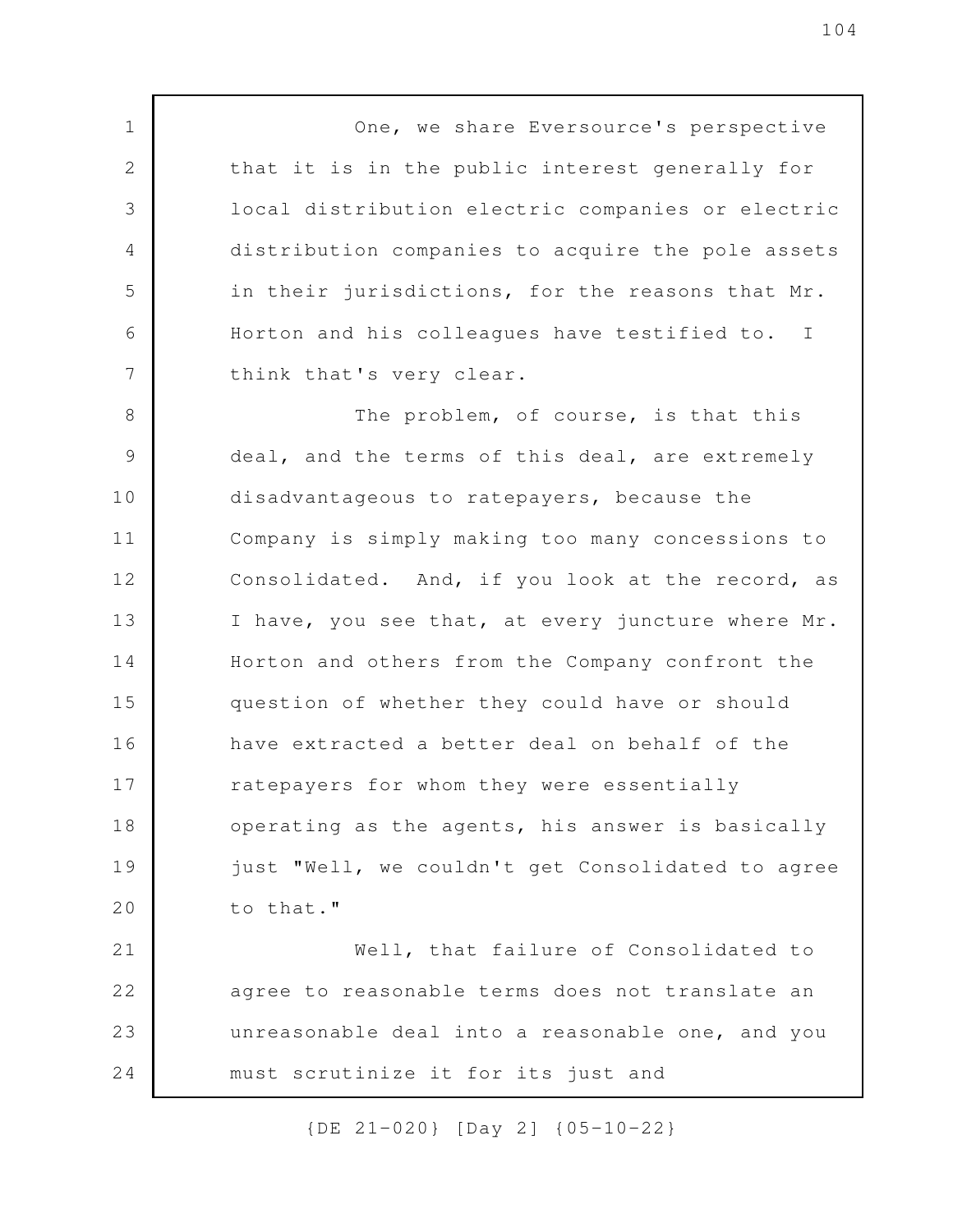One, we share Eversource's perspective that it is in the public interest generally for local distribution electric companies or electric distribution companies to acquire the pole assets in their jurisdictions, for the reasons that Mr. Horton and his colleagues have testified to. I think that's very clear. The problem, of course, is that this deal, and the terms of this deal, are extremely disadvantageous to ratepayers, because the Company is simply making too many concessions to Consolidated. And, if you look at the record, as I have, you see that, at every juncture where Mr. 1 2 3 4 5 6 7 8 9 10 11 12 13

Horton and others from the Company confront the question of whether they could have or should have extracted a better deal on behalf of the ratepayers for whom they were essentially operating as the agents, his answer is basically just "Well, we couldn't get Consolidated to agree to that." 14 15 16 17 18 19 20

Well, that failure of Consolidated to agree to reasonable terms does not translate an unreasonable deal into a reasonable one, and you must scrutinize it for its just and 21 22 23 24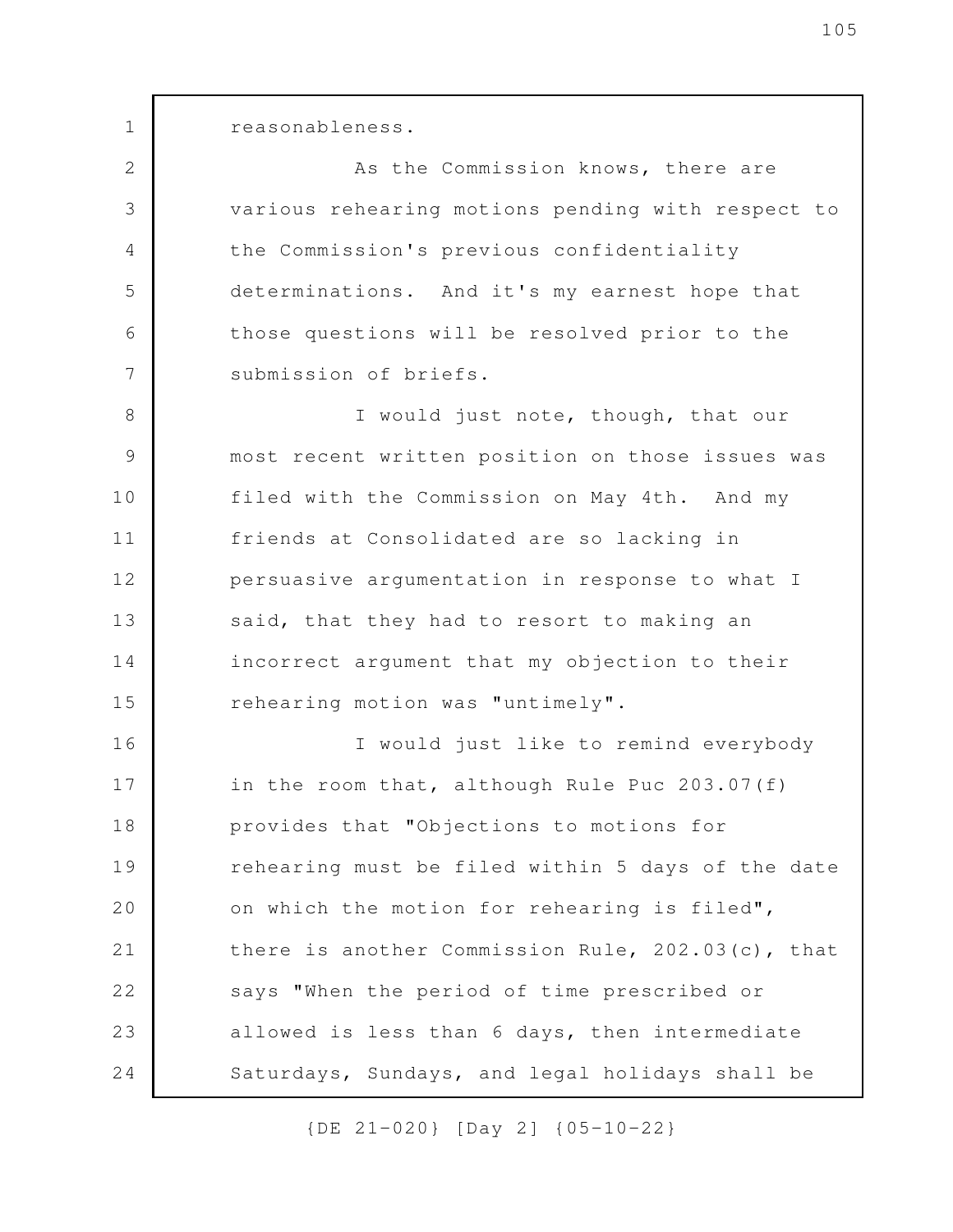reasonableness.

1

2

3

4

5

6

7

As the Commission knows, there are various rehearing motions pending with respect to the Commission's previous confidentiality determinations. And it's my earnest hope that those questions will be resolved prior to the submission of briefs.

I would just note, though, that our most recent written position on those issues was filed with the Commission on May 4th. And my friends at Consolidated are so lacking in persuasive argumentation in response to what I said, that they had to resort to making an incorrect argument that my objection to their rehearing motion was "untimely". 8 9 10 11 12 13 14 15

I would just like to remind everybody in the room that, although Rule Puc 203.07(f) provides that "Objections to motions for rehearing must be filed within 5 days of the date on which the motion for rehearing is filed", there is another Commission Rule, 202.03(c), that says "When the period of time prescribed or allowed is less than 6 days, then intermediate Saturdays, Sundays, and legal holidays shall be 16 17 18 19 20 21 22 23 24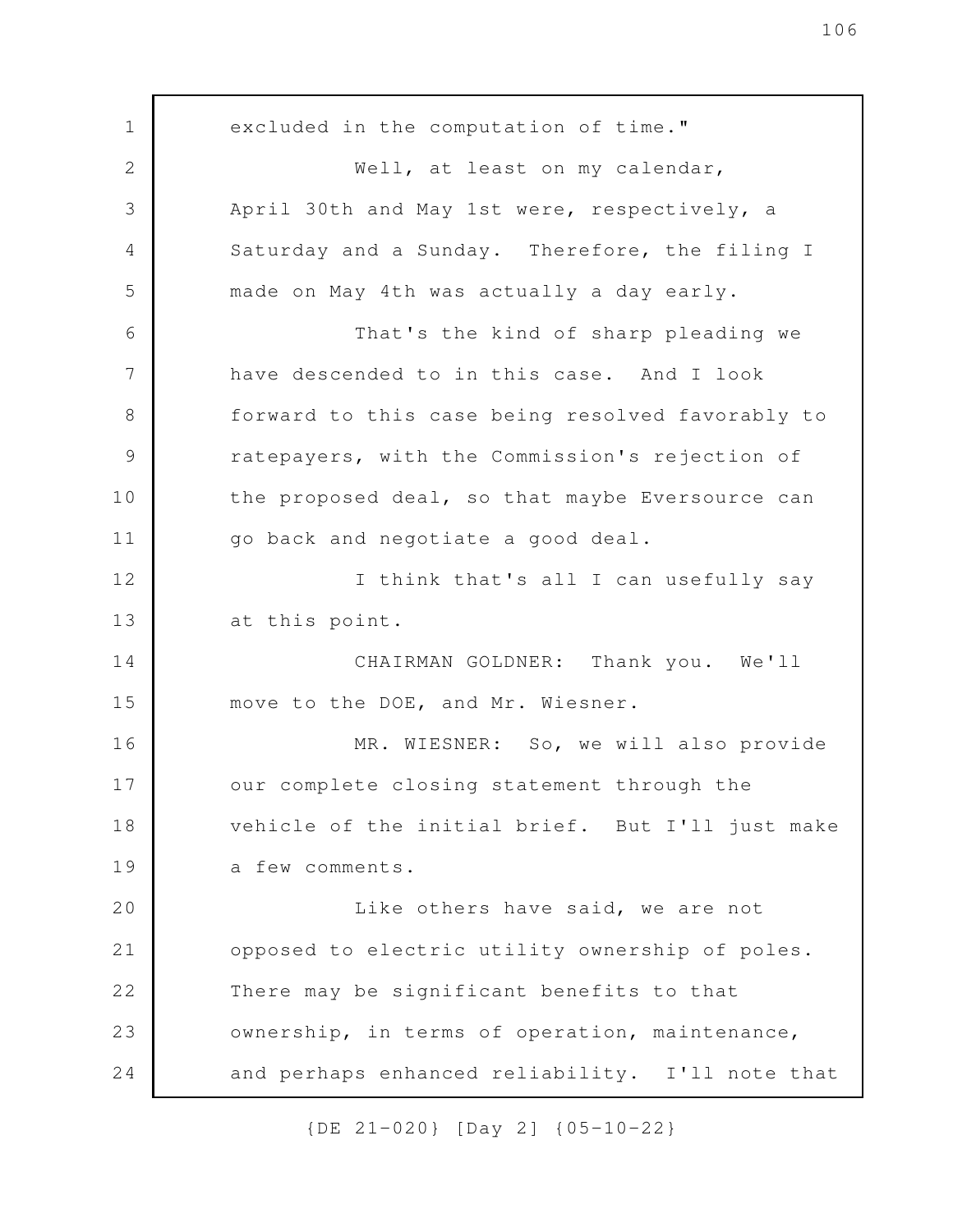excluded in the computation of time." Well, at least on my calendar, April 30th and May 1st were, respectively, a Saturday and a Sunday. Therefore, the filing I made on May 4th was actually a day early. That's the kind of sharp pleading we have descended to in this case. And I look forward to this case being resolved favorably to ratepayers, with the Commission's rejection of the proposed deal, so that maybe Eversource can go back and negotiate a good deal. I think that's all I can usefully say at this point. CHAIRMAN GOLDNER: Thank you. We'll move to the DOE, and Mr. Wiesner. MR. WIESNER: So, we will also provide our complete closing statement through the vehicle of the initial brief. But I'll just make a few comments. Like others have said, we are not opposed to electric utility ownership of poles. There may be significant benefits to that ownership, in terms of operation, maintenance, and perhaps enhanced reliability. I'll note that 1 2 3 4 5 6 7 8 9 10 11 12 13 14 15 16 17 18 19 20 21 22 23 24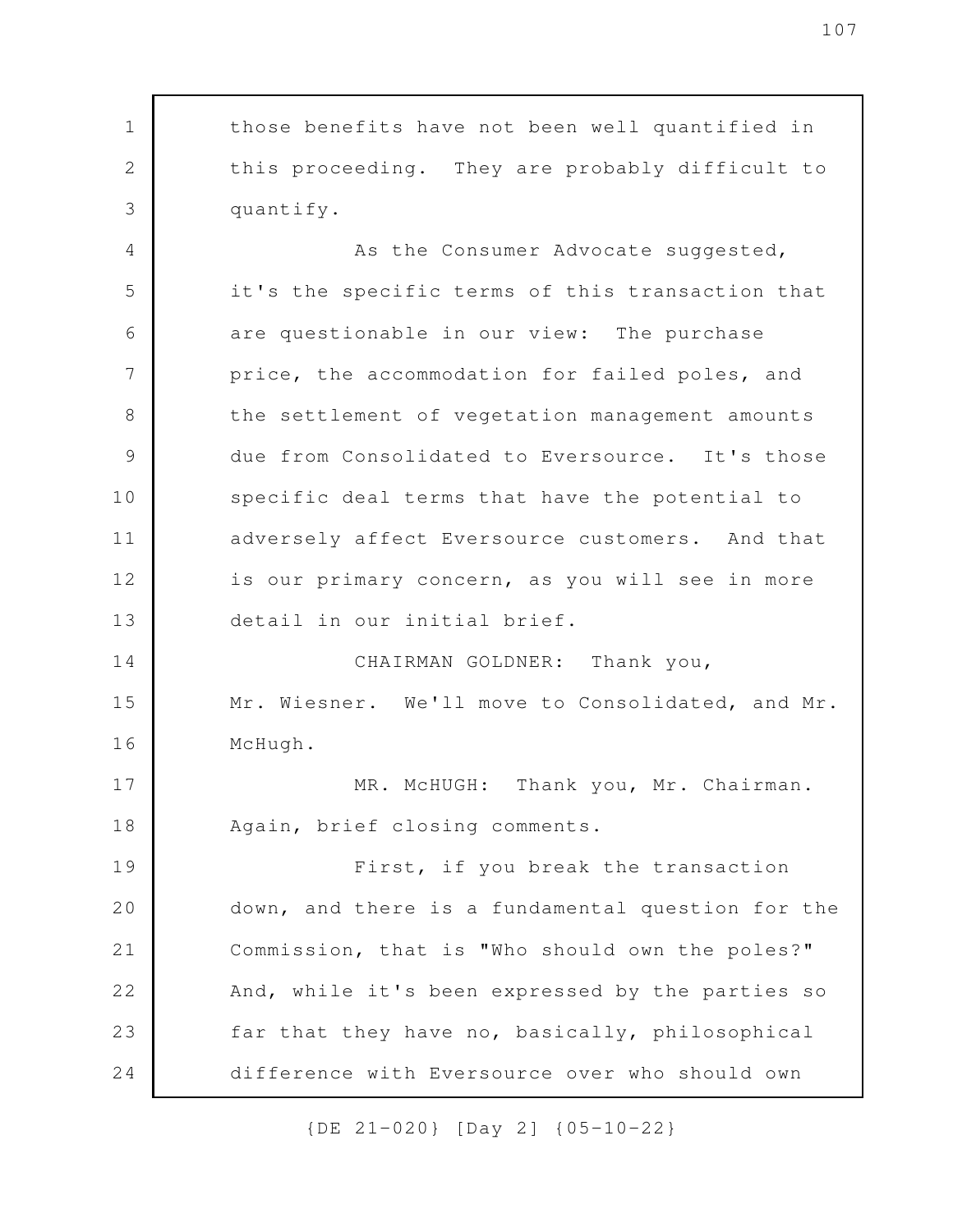those benefits have not been well quantified in this proceeding. They are probably difficult to quantify. As the Consumer Advocate suggested, it's the specific terms of this transaction that are questionable in our view: The purchase price, the accommodation for failed poles, and the settlement of vegetation management amounts due from Consolidated to Eversource. It's those specific deal terms that have the potential to adversely affect Eversource customers. And that is our primary concern, as you will see in more detail in our initial brief. CHAIRMAN GOLDNER: Thank you, Mr. Wiesner. We'll move to Consolidated, and Mr. McHugh. MR. McHUGH: Thank you, Mr. Chairman. Again, brief closing comments. First, if you break the transaction down, and there is a fundamental question for the Commission, that is "Who should own the poles?" And, while it's been expressed by the parties so far that they have no, basically, philosophical difference with Eversource over who should own 1 2 3 4 5 6 7 8 9 10 11 12 13 14 15 16 17 18 19 20 21 22 23 24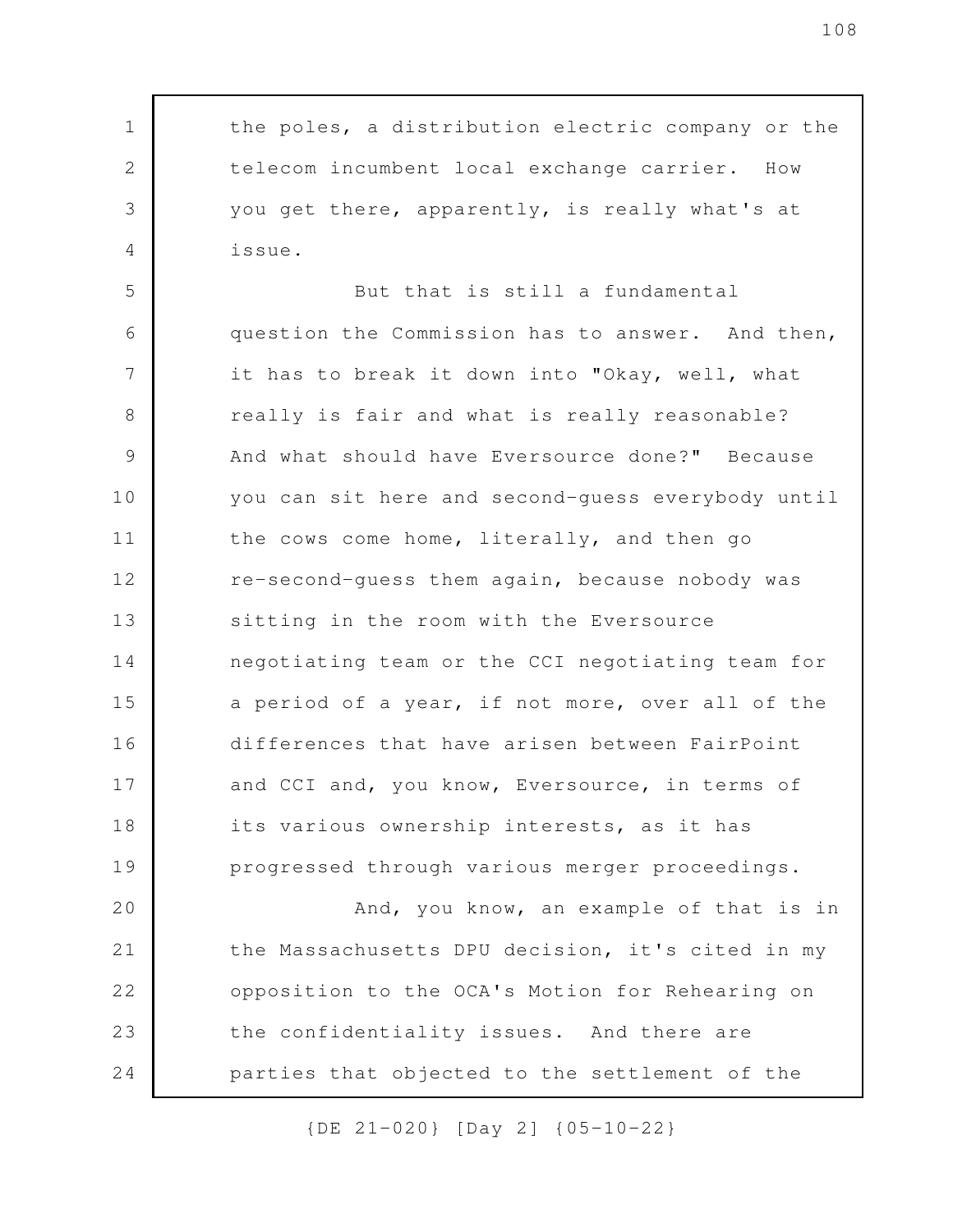the poles, a distribution electric company or the telecom incumbent local exchange carrier. How you get there, apparently, is really what's at issue.

1

2

3

4

But that is still a fundamental question the Commission has to answer. And then, it has to break it down into "Okay, well, what really is fair and what is really reasonable? And what should have Eversource done?" Because you can sit here and second-guess everybody until the cows come home, literally, and then go re-second-guess them again, because nobody was sitting in the room with the Eversource negotiating team or the CCI negotiating team for a period of a year, if not more, over all of the differences that have arisen between FairPoint and CCI and, you know, Eversource, in terms of its various ownership interests, as it has progressed through various merger proceedings. 5 6 7 8 9 10 11 12 13 14 15 16 17 18 19

And, you know, an example of that is in the Massachusetts DPU decision, it's cited in my opposition to the OCA's Motion for Rehearing on the confidentiality issues. And there are parties that objected to the settlement of the 20 21 22 23 24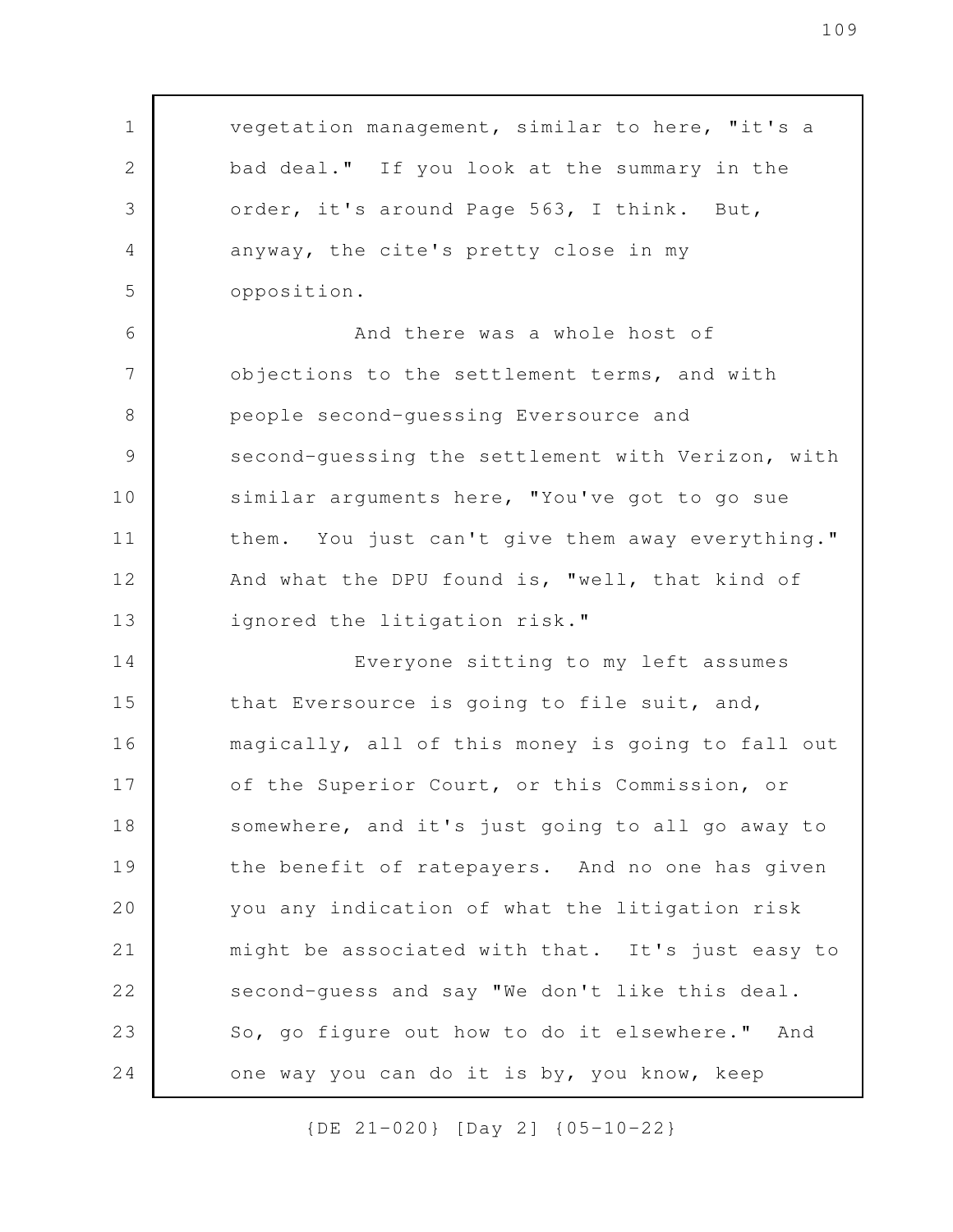vegetation management, similar to here, "it's a bad deal." If you look at the summary in the order, it's around Page 563, I think. But, anyway, the cite's pretty close in my opposition. And there was a whole host of objections to the settlement terms, and with people second-guessing Eversource and second-guessing the settlement with Verizon, with similar arguments here, "You've got to go sue them. You just can't give them away everything." And what the DPU found is, "well, that kind of ignored the litigation risk." Everyone sitting to my left assumes that Eversource is going to file suit, and, magically, all of this money is going to fall out of the Superior Court, or this Commission, or somewhere, and it's just going to all go away to the benefit of ratepayers. And no one has given you any indication of what the litigation risk might be associated with that. It's just easy to second-guess and say "We don't like this deal. So, go figure out how to do it elsewhere." And one way you can do it is by, you know, keep 1 2 3 4 5 6 7 8 9 10 11 12 13 14 15 16 17 18 19 20 21 22 23 24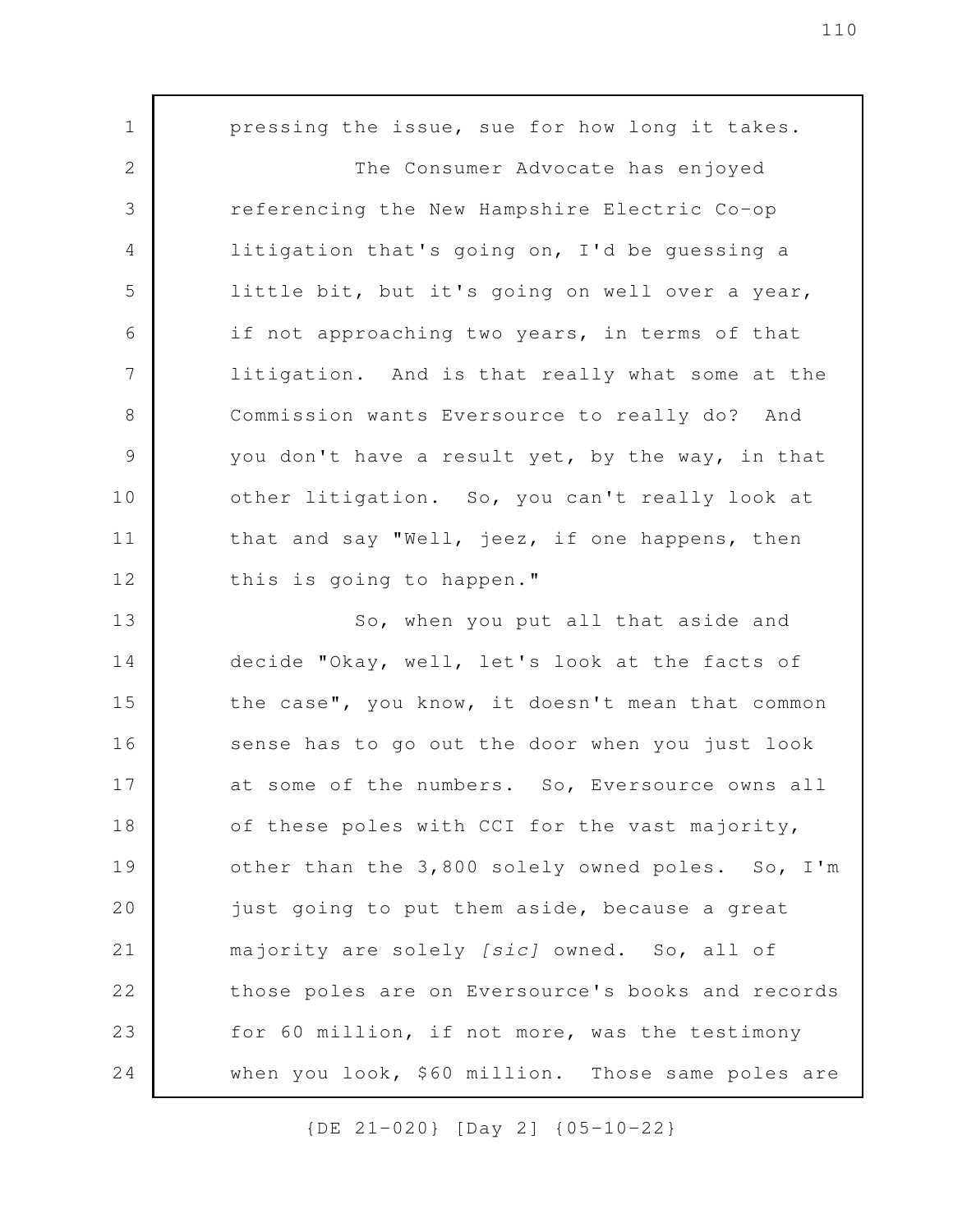pressing the issue, sue for how long it takes. The Consumer Advocate has enjoyed referencing the New Hampshire Electric Co-op litigation that's going on, I'd be guessing a little bit, but it's going on well over a year, if not approaching two years, in terms of that litigation. And is that really what some at the Commission wants Eversource to really do? And you don't have a result yet, by the way, in that other litigation. So, you can't really look at that and say "Well, jeez, if one happens, then this is going to happen." So, when you put all that aside and decide "Okay, well, let's look at the facts of the case", you know, it doesn't mean that common sense has to go out the door when you just look at some of the numbers. So, Eversource owns all of these poles with CCI for the vast majority, other than the 3,800 solely owned poles. So, I'm just going to put them aside, because a great majority are solely *[sic]* owned. So, all of those poles are on Eversource's books and records for 60 million, if not more, was the testimony when you look, \$60 million. Those same poles are 1 2 3 4 5 6 7 8 9 10 11 12 13 14 15 16 17 18 19 20 21 22 23 24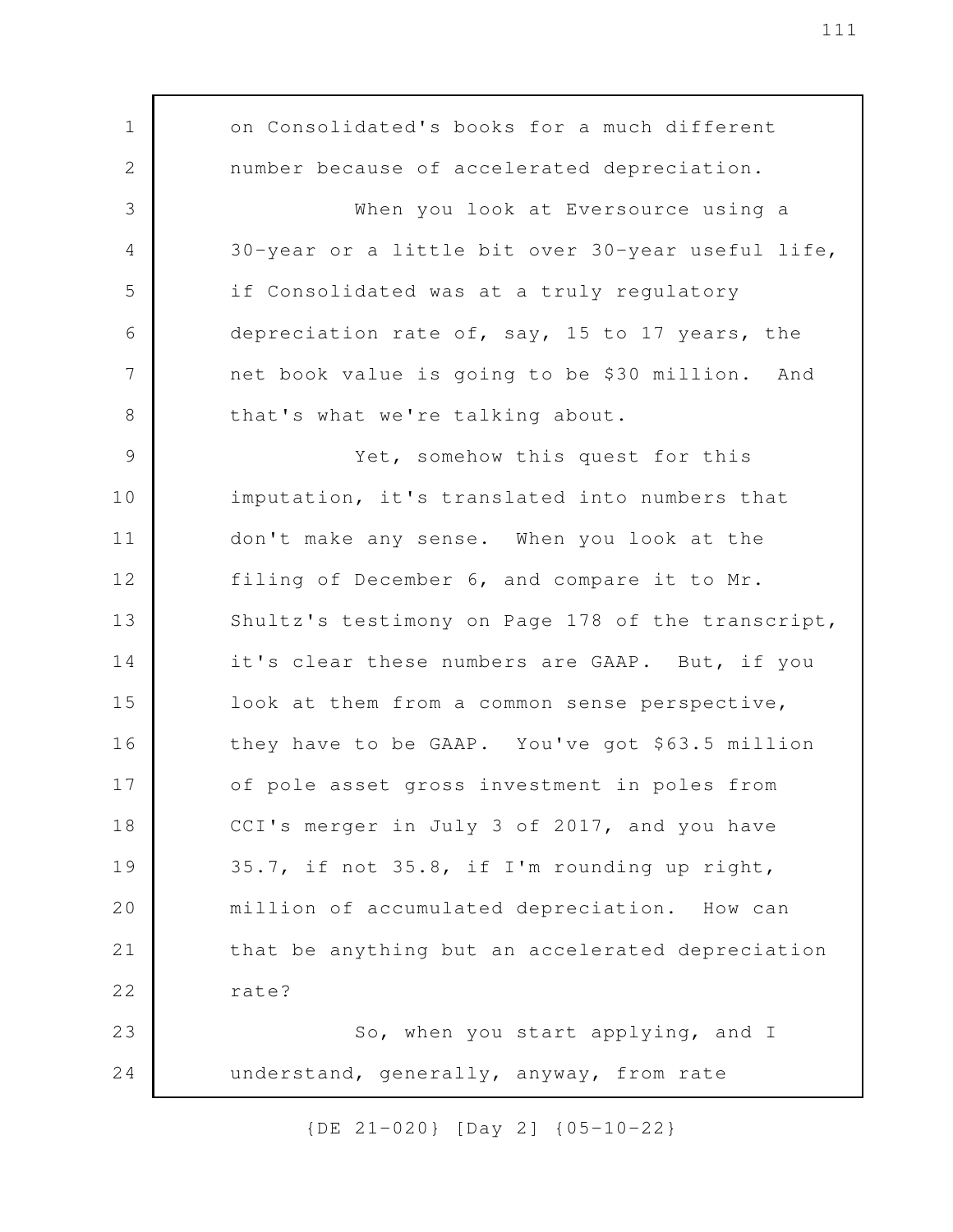on Consolidated's books for a much different number because of accelerated depreciation. When you look at Eversource using a 30-year or a little bit over 30-year useful life, if Consolidated was at a truly regulatory depreciation rate of, say, 15 to 17 years, the net book value is going to be \$30 million. And that's what we're talking about. Yet, somehow this quest for this imputation, it's translated into numbers that don't make any sense. When you look at the filing of December 6, and compare it to Mr. Shultz's testimony on Page 178 of the transcript, it's clear these numbers are GAAP. But, if you look at them from a common sense perspective, they have to be GAAP. You've got \$63.5 million of pole asset gross investment in poles from CCI's merger in July 3 of 2017, and you have 35.7, if not 35.8, if I'm rounding up right, million of accumulated depreciation. How can that be anything but an accelerated depreciation rate? So, when you start applying, and I understand, generally, anyway, from rate 1 2 3 4 5 6 7 8 9 10 11 12 13 14 15 16 17 18 19 20 21 22 23 24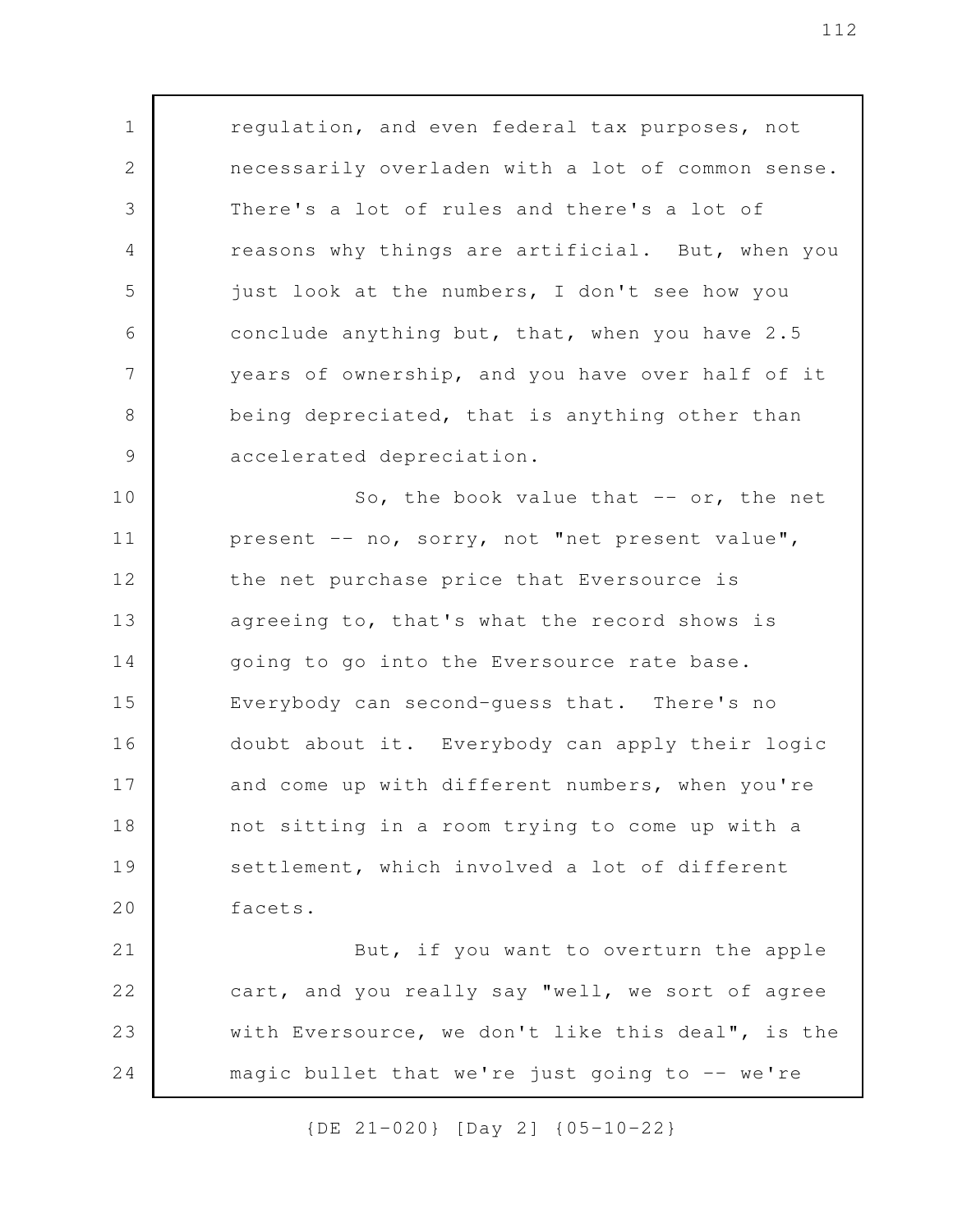regulation, and even federal tax purposes, not necessarily overladen with a lot of common sense. There's a lot of rules and there's a lot of reasons why things are artificial. But, when you just look at the numbers, I don't see how you conclude anything but, that, when you have 2.5 years of ownership, and you have over half of it being depreciated, that is anything other than accelerated depreciation. So, the book value that  $--$  or, the net 1 2 3 4 5 6 7 8 9 10

present -- no, sorry, not "net present value", the net purchase price that Eversource is agreeing to, that's what the record shows is going to go into the Eversource rate base. Everybody can second-guess that. There's no doubt about it. Everybody can apply their logic and come up with different numbers, when you're not sitting in a room trying to come up with a settlement, which involved a lot of different facets. 11 12 13 14 15 16 17 18 19 20

But, if you want to overturn the apple cart, and you really say "well, we sort of agree with Eversource, we don't like this deal", is the magic bullet that we're just going to  $-$  we're 21 22 23 24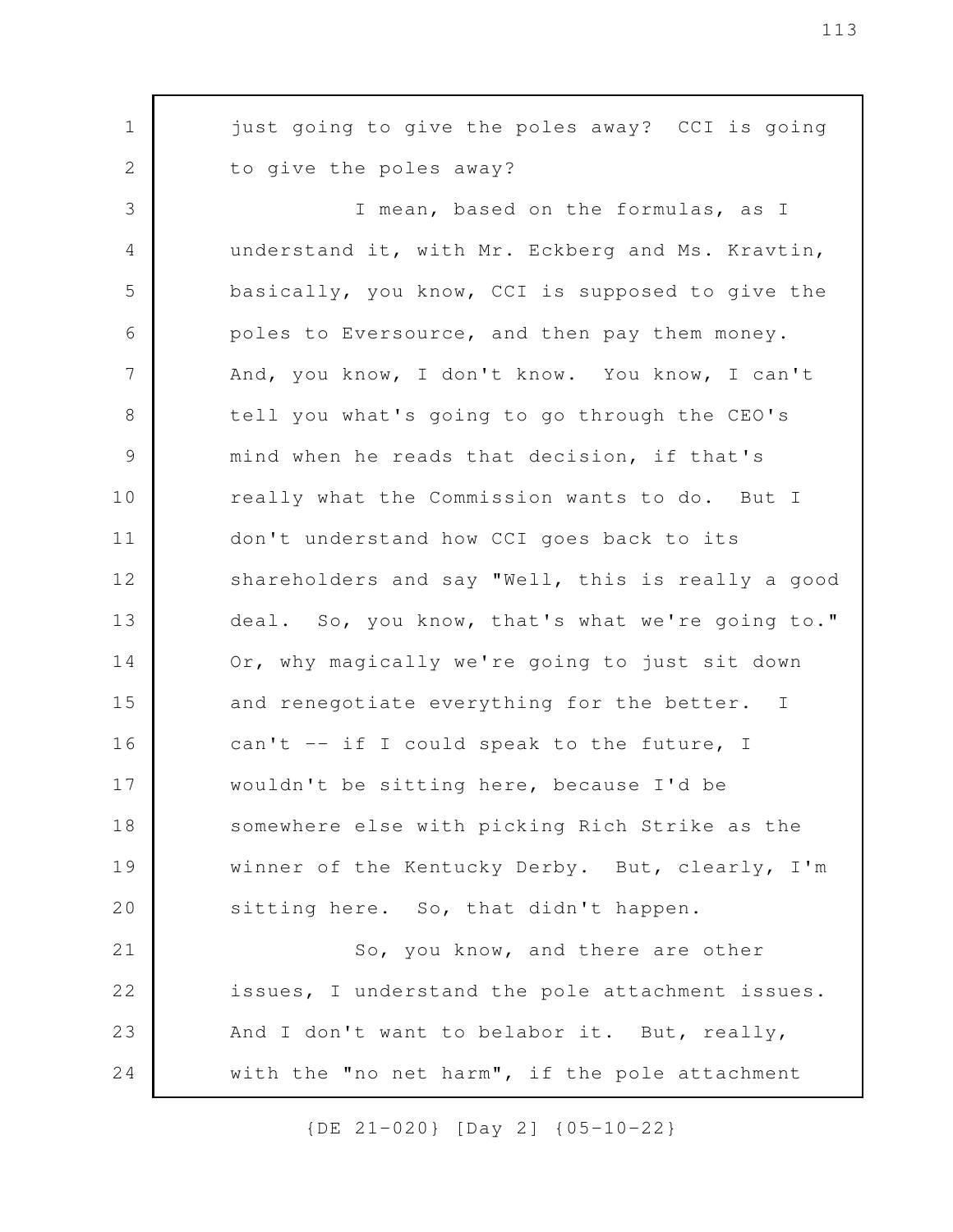just going to give the poles away? CCI is going to give the poles away? I mean, based on the formulas, as I understand it, with Mr. Eckberg and Ms. Kravtin, basically, you know, CCI is supposed to give the poles to Eversource, and then pay them money. And, you know, I don't know. You know, I can't tell you what's going to go through the CEO's mind when he reads that decision, if that's really what the Commission wants to do. But I don't understand how CCI goes back to its shareholders and say "Well, this is really a good deal. So, you know, that's what we're going to." Or, why magically we're going to just sit down and renegotiate everything for the better. I can't -- if I could speak to the future, I wouldn't be sitting here, because I'd be somewhere else with picking Rich Strike as the winner of the Kentucky Derby. But, clearly, I'm sitting here. So, that didn't happen. So, you know, and there are other issues, I understand the pole attachment issues. And I don't want to belabor it. But, really, with the "no net harm", if the pole attachment 1 2 3 4 5 6 7 8 9 10 11 12 13 14 15 16 17 18 19 20 21 22 23 24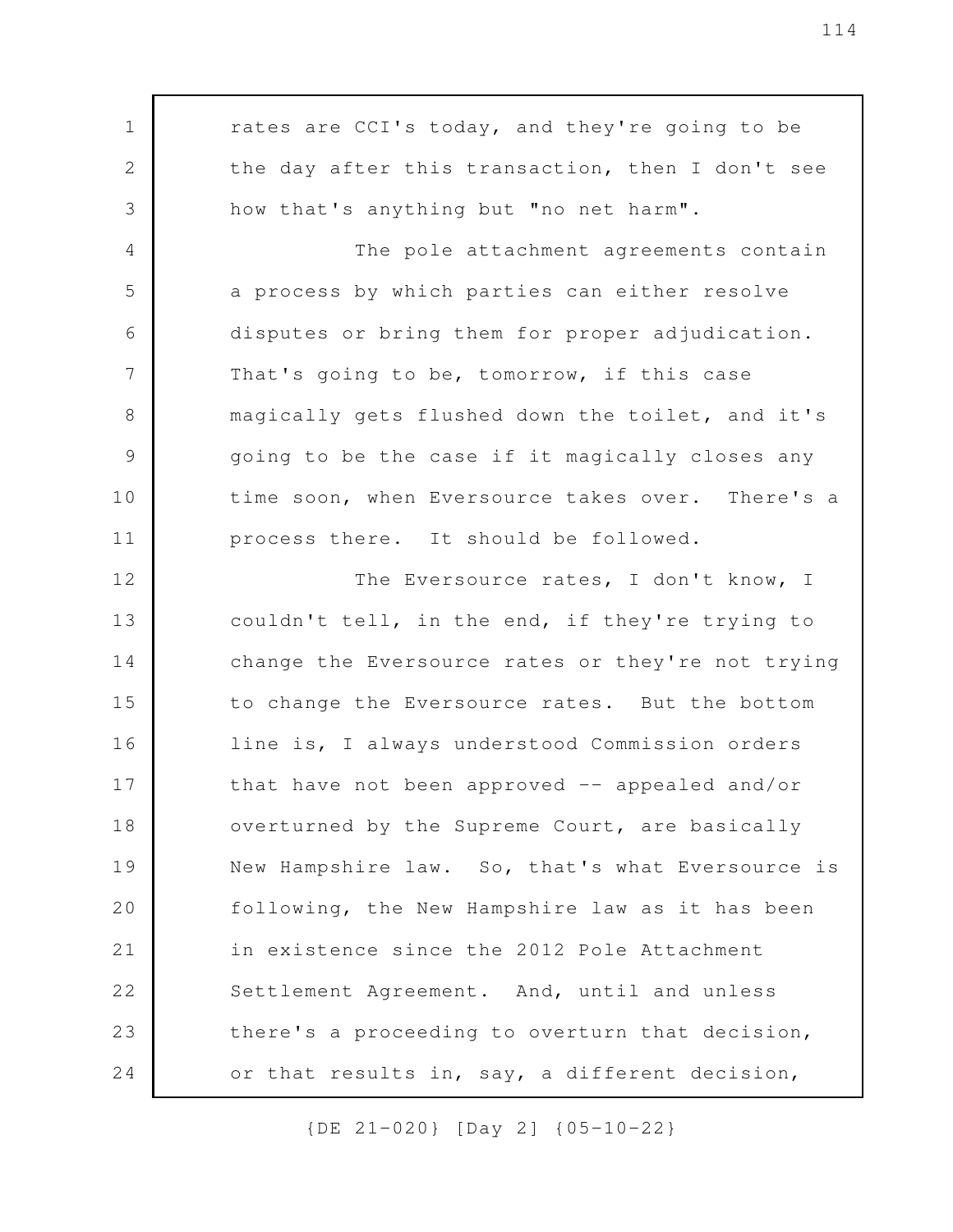rates are CCI's today, and they're going to be the day after this transaction, then I don't see how that's anything but "no net harm". The pole attachment agreements contain a process by which parties can either resolve disputes or bring them for proper adjudication. That's going to be, tomorrow, if this case magically gets flushed down the toilet, and it's going to be the case if it magically closes any time soon, when Eversource takes over. There's a process there. It should be followed. The Eversource rates, I don't know, I couldn't tell, in the end, if they're trying to change the Eversource rates or they're not trying to change the Eversource rates. But the bottom line is, I always understood Commission orders that have not been approved  $-$  appealed and/or overturned by the Supreme Court, are basically New Hampshire law. So, that's what Eversource is following, the New Hampshire law as it has been in existence since the 2012 Pole Attachment Settlement Agreement. And, until and unless there's a proceeding to overturn that decision, or that results in, say, a different decision, 1 2 3 4 5 6 7 8 9 10 11 12 13 14 15 16 17 18 19 20 21 22 23 24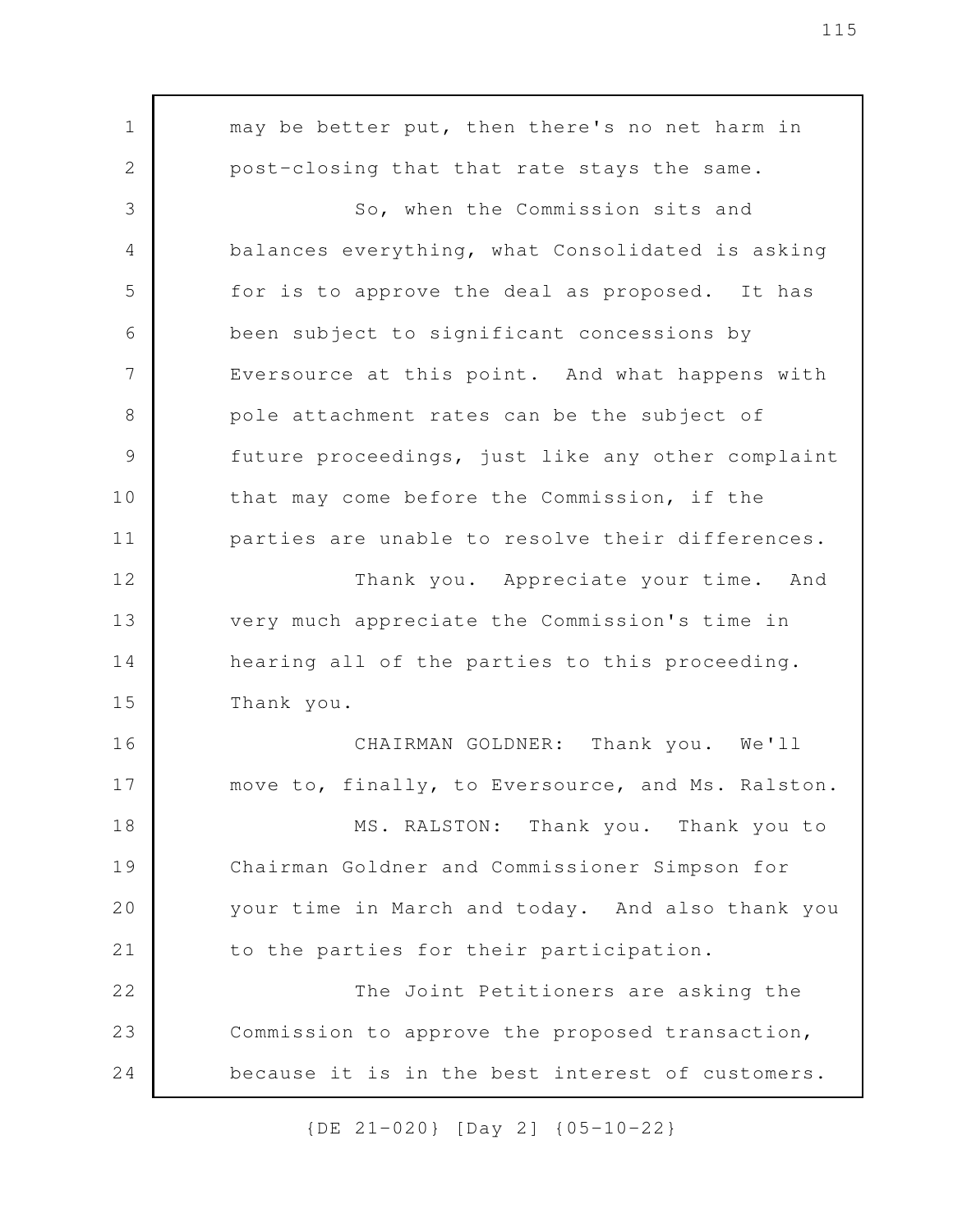may be better put, then there's no net harm in post-closing that that rate stays the same. So, when the Commission sits and balances everything, what Consolidated is asking for is to approve the deal as proposed. It has been subject to significant concessions by Eversource at this point. And what happens with pole attachment rates can be the subject of future proceedings, just like any other complaint that may come before the Commission, if the parties are unable to resolve their differences. Thank you. Appreciate your time. And very much appreciate the Commission's time in hearing all of the parties to this proceeding. Thank you. CHAIRMAN GOLDNER: Thank you. We'll move to, finally, to Eversource, and Ms. Ralston. MS. RALSTON: Thank you. Thank you to Chairman Goldner and Commissioner Simpson for your time in March and today. And also thank you to the parties for their participation. The Joint Petitioners are asking the Commission to approve the proposed transaction, because it is in the best interest of customers. 1 2 3 4 5 6 7 8 9 10 11 12 13 14 15 16 17 18 19 20 21 22 23 24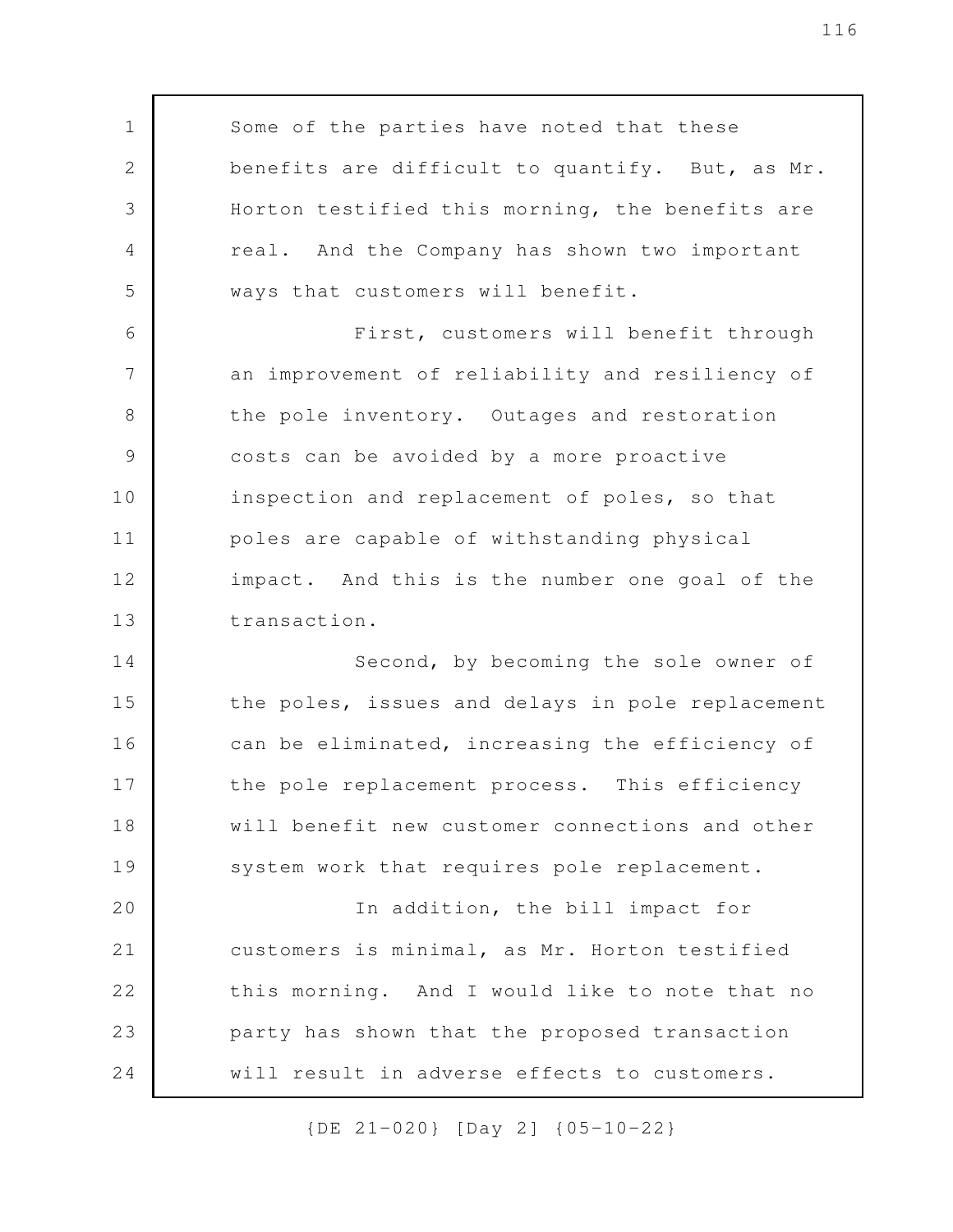Some of the parties have noted that these benefits are difficult to quantify. But, as Mr. Horton testified this morning, the benefits are real. And the Company has shown two important ways that customers will benefit. First, customers will benefit through an improvement of reliability and resiliency of the pole inventory. Outages and restoration costs can be avoided by a more proactive inspection and replacement of poles, so that poles are capable of withstanding physical impact. And this is the number one goal of the transaction. Second, by becoming the sole owner of the poles, issues and delays in pole replacement can be eliminated, increasing the efficiency of the pole replacement process. This efficiency will benefit new customer connections and other system work that requires pole replacement. In addition, the bill impact for customers is minimal, as Mr. Horton testified this morning. And I would like to note that no party has shown that the proposed transaction will result in adverse effects to customers. 1 2 3 4 5 6 7 8 9 10 11 12 13 14 15 16 17 18 19 20 21 22 23 24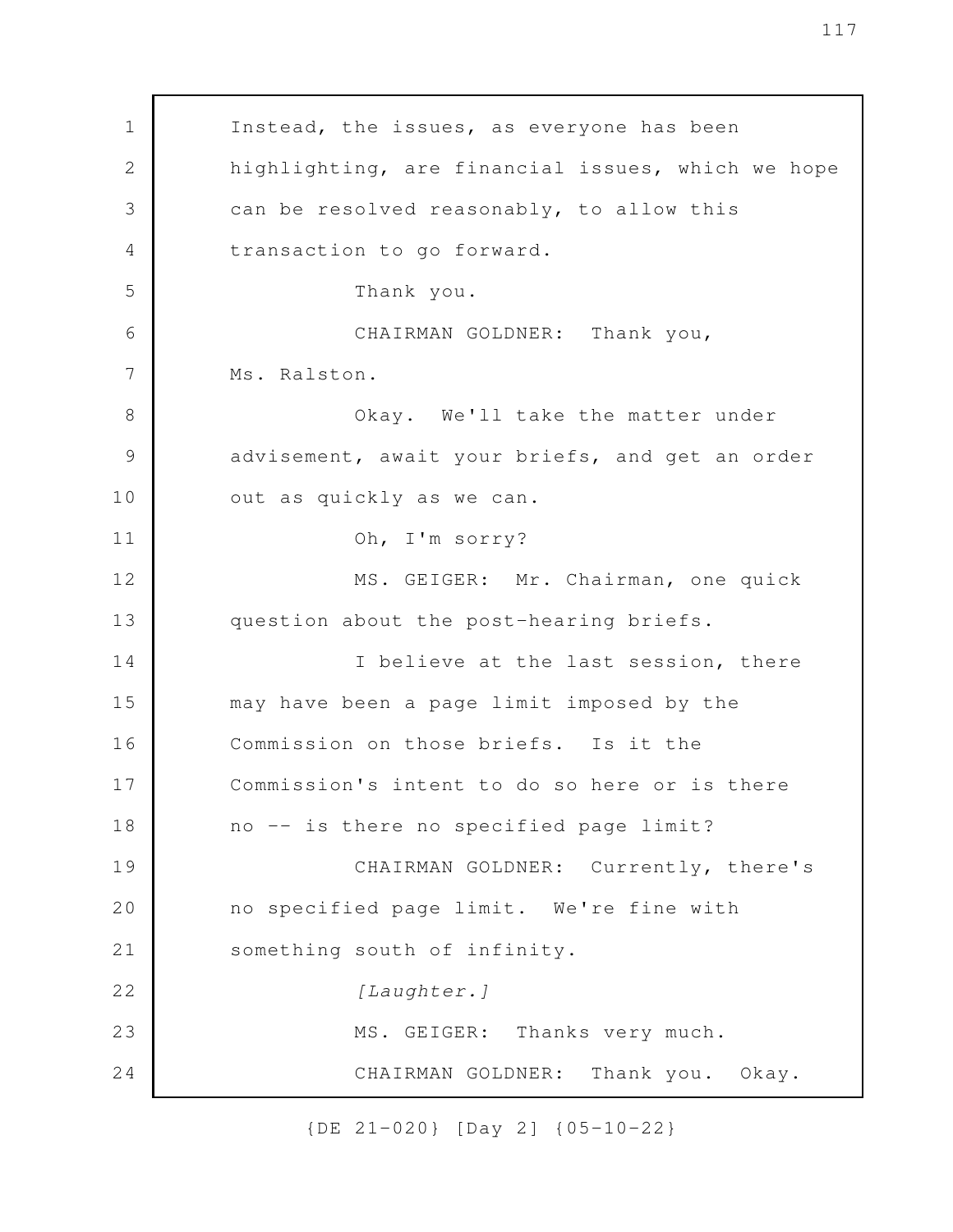Instead, the issues, as everyone has been highlighting, are financial issues, which we hope can be resolved reasonably, to allow this transaction to go forward. Thank you. CHAIRMAN GOLDNER: Thank you, Ms. Ralston. Okay. We'll take the matter under advisement, await your briefs, and get an order out as quickly as we can. Oh, I'm sorry? MS. GEIGER: Mr. Chairman, one quick question about the post-hearing briefs. I believe at the last session, there may have been a page limit imposed by the Commission on those briefs. Is it the Commission's intent to do so here or is there no -- is there no specified page limit? CHAIRMAN GOLDNER: Currently, there's no specified page limit. We're fine with something south of infinity. *[Laughter.]* MS. GEIGER: Thanks very much. CHAIRMAN GOLDNER: Thank you. Okay. 1 2 3 4 5 6 7 8 9 10 11 12 13 14 15 16 17 18 19 20 21 22 23 24